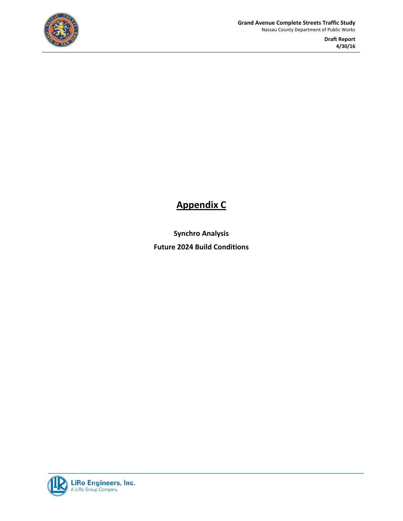

**Draft Report 4/30/16** 

#### **Appendix C**

**Synchro Analysis Future 2024 Build Conditions**

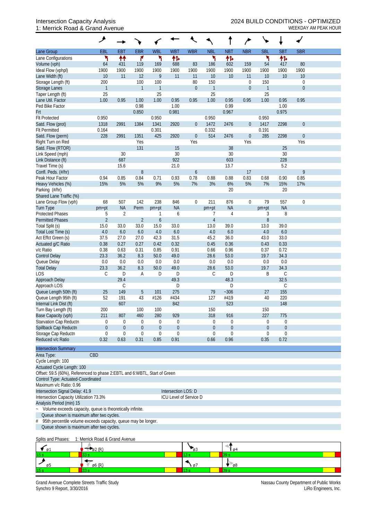### 1: Merrick Road & Grand Avenue WEEKDAY AM PEAK HOUR

|                                                                                                                               | ◢                              |                  |                     |                     |                        |                  |                |                  |                       |                     |             |                                      |  |
|-------------------------------------------------------------------------------------------------------------------------------|--------------------------------|------------------|---------------------|---------------------|------------------------|------------------|----------------|------------------|-----------------------|---------------------|-------------|--------------------------------------|--|
| Lane Group                                                                                                                    | EBL                            | <b>EBT</b>       | <b>EBR</b>          | <b>WBL</b>          | <b>WBT</b>             | <b>WBR</b>       | <b>NBL</b>     | <b>NBT</b>       | <b>NBR</b>            | <b>SBL</b>          | <b>SBT</b>  | <b>SBR</b>                           |  |
| Lane Configurations                                                                                                           | ۲                              | ↟↟               | ۴                   | ۲                   | 作                      |                  | ۲              | 伟                |                       | ۲                   | 怍           |                                      |  |
| Volume (vph)                                                                                                                  | 64                             | 431              | 119                 | 169                 | 688                    | 83               | 186            | 602              | 159                   | 54                  | 417         | 80                                   |  |
| Ideal Flow (vphpl)                                                                                                            | 1900                           | 1900             | 1900                | 1900                | 1900                   | 1900             | 1900           | 1900             | 1900                  | 1900                | 1900        | 1900                                 |  |
| Lane Width (ft)                                                                                                               | 10<br>200                      | 11               | 12                  | 9                   | 11                     | 11<br>80         | 10<br>150      | 10               | 11                    | 10                  | 10          | 10                                   |  |
| Storage Length (ft)<br><b>Storage Lanes</b>                                                                                   | $\mathbf{1}$                   |                  | 100<br>$\mathbf{1}$ | 100<br>$\mathbf{1}$ |                        | $\mathbf 0$      | $\mathbf{1}$   |                  | 0<br>$\boldsymbol{0}$ | 150<br>$\mathbf{1}$ |             | $\boldsymbol{0}$<br>$\boldsymbol{0}$ |  |
| Taper Length (ft)                                                                                                             | 25                             |                  |                     | 25                  |                        |                  | 25             |                  |                       | 25                  |             |                                      |  |
| Lane Util. Factor                                                                                                             | 1.00                           | 0.95             | 1.00                | 1.00                | 0.95                   | 0.95             | 1.00           | 0.95             | 0.95                  | 1.00                | 0.95        | 0.95                                 |  |
| Ped Bike Factor                                                                                                               |                                |                  | 0.98                |                     | 1.00                   |                  |                | 0.99             |                       |                     | 1.00        |                                      |  |
| Frt                                                                                                                           |                                |                  | 0.850               |                     | 0.981                  |                  |                | 0.967            |                       |                     | 0.975       |                                      |  |
| <b>Flt Protected</b>                                                                                                          | 0.950                          |                  |                     | 0.950               |                        |                  | 0.950          |                  |                       | 0.950               |             |                                      |  |
| Satd. Flow (prot)                                                                                                             | 1318                           | 2991             | 1384                | 1341                | 2920                   | $\overline{0}$   | 1472           | 2476             | $\boldsymbol{0}$      | 1417                | 2298        | $\boldsymbol{0}$                     |  |
| <b>Flt Permitted</b>                                                                                                          | 0.164                          |                  |                     | 0.301               |                        |                  | 0.332          |                  |                       | 0.191               |             |                                      |  |
| Satd. Flow (perm)                                                                                                             | 228                            | 2991             | 1351                | 425                 | 2920                   | $\boldsymbol{0}$ | 514            | 2476             | $\boldsymbol{0}$      | 285                 | 2298        | $\boldsymbol{0}$                     |  |
| Right Turn on Red                                                                                                             |                                |                  | Yes                 |                     |                        | Yes              |                |                  | Yes                   |                     |             | Yes                                  |  |
| Satd. Flow (RTOR)                                                                                                             |                                |                  | 131                 |                     | 15                     |                  |                | 38               |                       |                     | 25          |                                      |  |
| Link Speed (mph)                                                                                                              |                                | 30<br>687        |                     |                     | 30<br>922              |                  |                | 30<br>603        |                       |                     | 30<br>228   |                                      |  |
| Link Distance (ft)<br>Travel Time (s)                                                                                         |                                | 15.6             |                     |                     | 21.0                   |                  |                | 13.7             |                       |                     | 5.2         |                                      |  |
| Confl. Peds. (#/hr)                                                                                                           |                                |                  | $\, 8$              |                     |                        | $\boldsymbol{6}$ |                |                  | 17                    |                     |             | 9                                    |  |
| Peak Hour Factor                                                                                                              | 0.94                           | 0.85             | 0.84                | 0.71                | 0.93                   | 0.78             | 0.88           | 0.88             | 0.83                  | 0.68                | 0.90        | 0.85                                 |  |
| Heavy Vehicles (%)                                                                                                            | 15%                            | 5%               | 5%                  | 9%                  | 5%                     | 7%               | 3%             | 6%               | 5%                    | 7%                  | 15%         | 17%                                  |  |
| Parking (#/hr)                                                                                                                |                                |                  |                     |                     |                        |                  |                | 20               |                       |                     | 20          |                                      |  |
| Shared Lane Traffic (%)                                                                                                       |                                |                  |                     |                     |                        |                  |                |                  |                       |                     |             |                                      |  |
| Lane Group Flow (vph)                                                                                                         | 68                             | 507              | 142                 | 238                 | 846                    | $\boldsymbol{0}$ | 211            | 876              | $\boldsymbol{0}$      | 79                  | 557         | $\boldsymbol{0}$                     |  |
| Turn Type                                                                                                                     | pm+pt                          | <b>NA</b>        | Perm                | pm+pt               | <b>NA</b>              |                  | pm+pt          | <b>NA</b>        |                       | pm+pt               | <b>NA</b>   |                                      |  |
| <b>Protected Phases</b>                                                                                                       | 5                              | $\overline{2}$   |                     |                     | 6                      |                  | 7              | $\overline{4}$   |                       | 3                   | 8           |                                      |  |
| <b>Permitted Phases</b>                                                                                                       | $\overline{2}$                 |                  | $\overline{2}$      | $\boldsymbol{6}$    |                        |                  | $\overline{4}$ |                  |                       | 8                   |             |                                      |  |
| Total Split (s)                                                                                                               | 15.0                           | 33.0             | 33.0                | 15.0                | 33.0                   |                  | 13.0           | 39.0             |                       | 13.0                | 39.0        |                                      |  |
| Total Lost Time (s)<br>Act Effct Green (s)                                                                                    | 4.0<br>37.5                    | 6.0<br>27.0      | 6.0<br>27.0         | 4.0<br>42.3         | 6.0<br>31.5            |                  | 4.0<br>45.2    | 6.0<br>36.0      |                       | 4.0<br>43.0         | 6.0<br>33.0 |                                      |  |
| Actuated g/C Ratio                                                                                                            | 0.38                           | 0.27             | 0.27                | 0.42                | 0.32                   |                  | 0.45           | 0.36             |                       | 0.43                | 0.33        |                                      |  |
| v/c Ratio                                                                                                                     | 0.38                           | 0.63             | 0.31                | 0.85                | 0.91                   |                  | 0.66           | 0.96             |                       | 0.37                | 0.72        |                                      |  |
| <b>Control Delay</b>                                                                                                          | 23.3                           | 36.2             | 8.3                 | $50.0$              | 49.0                   |                  | 28.6           | 53.0             |                       | 19.7                | 34.3        |                                      |  |
| Queue Delay                                                                                                                   | 0.0                            | 0.0              | 0.0                 | 0.0                 | 0.0                    |                  | 0.0            | 0.0              |                       | 0.0                 | 0.0         |                                      |  |
| <b>Total Delay</b>                                                                                                            | 23.3                           | 36.2             | 8.3                 | 50.0                | 49.0                   |                  | 28.6           | 53.0             |                       | 19.7                | 34.3        |                                      |  |
| LOS                                                                                                                           | $\mathsf C$                    | D                | A                   | D                   | D                      |                  | C              | D                |                       | Β                   | $\mathsf C$ |                                      |  |
| Approach Delay                                                                                                                |                                | 29.4             |                     |                     | 49.3                   |                  |                | 48.3             |                       |                     | 32.5        |                                      |  |
| Approach LOS                                                                                                                  |                                | C                |                     |                     | D                      |                  |                | D                |                       |                     | $\mathsf C$ |                                      |  |
| Queue Length 50th (ft)                                                                                                        | 25                             | 149              | $\overline{5}$      | 101                 | 275                    |                  | 79             | $-306$           |                       | 27                  | 155         |                                      |  |
| Queue Length 95th (ft)                                                                                                        | 52                             | 191              | 43                  | #126                | #434                   |                  | 127            | #419             |                       | 40                  | 220         |                                      |  |
| Internal Link Dist (ft)                                                                                                       | 200                            | 607              | 100                 | 100                 | 842                    |                  | 150            | 523              |                       | 150                 | 148         |                                      |  |
| Turn Bay Length (ft)<br>Base Capacity (vph)                                                                                   | 211                            | 807              | 460                 | 280                 | 929                    |                  | 318            | 916              |                       | 227                 | 775         |                                      |  |
| Starvation Cap Reductn                                                                                                        | 0                              | $\mathbf{0}$     | $\boldsymbol{0}$    | $\overline{0}$      | 0                      |                  | $\mathbf{0}$   | $\overline{0}$   |                       | $\mathbf{0}$        | $\mathbf 0$ |                                      |  |
| Spillback Cap Reductn                                                                                                         | $\boldsymbol{0}$               | $\overline{0}$   | $\boldsymbol{0}$    | $\boldsymbol{0}$    | $\boldsymbol{0}$       |                  | $\theta$       | $\boldsymbol{0}$ |                       | $\boldsymbol{0}$    | $\theta$    |                                      |  |
| Storage Cap Reductn                                                                                                           | $\boldsymbol{0}$               | $\boldsymbol{0}$ | $\boldsymbol{0}$    | $\boldsymbol{0}$    | $\boldsymbol{0}$       |                  | $\mathbf 0$    | 0                |                       | $\mathbf{0}$        | 0           |                                      |  |
| Reduced v/c Ratio                                                                                                             | 0.32                           | 0.63             | 0.31                | 0.85                | 0.91                   |                  | 0.66           | 0.96             |                       | 0.35                | 0.72        |                                      |  |
| <b>Intersection Summary</b>                                                                                                   |                                |                  |                     |                     |                        |                  |                |                  |                       |                     |             |                                      |  |
| Area Type:                                                                                                                    | CBD                            |                  |                     |                     |                        |                  |                |                  |                       |                     |             |                                      |  |
| Cycle Length: 100                                                                                                             |                                |                  |                     |                     |                        |                  |                |                  |                       |                     |             |                                      |  |
| Actuated Cycle Length: 100                                                                                                    |                                |                  |                     |                     |                        |                  |                |                  |                       |                     |             |                                      |  |
| Offset: 59.5 (60%), Referenced to phase 2:EBTL and 6:WBTL, Start of Green                                                     |                                |                  |                     |                     |                        |                  |                |                  |                       |                     |             |                                      |  |
| Control Type: Actuated-Coordinated                                                                                            |                                |                  |                     |                     |                        |                  |                |                  |                       |                     |             |                                      |  |
| Maximum v/c Ratio: 0.96                                                                                                       |                                |                  |                     |                     |                        |                  |                |                  |                       |                     |             |                                      |  |
| Intersection Signal Delay: 41.9                                                                                               |                                |                  |                     |                     | Intersection LOS: D    |                  |                |                  |                       |                     |             |                                      |  |
| Intersection Capacity Utilization 73.3%                                                                                       |                                |                  |                     |                     | ICU Level of Service D |                  |                |                  |                       |                     |             |                                      |  |
| Analysis Period (min) 15                                                                                                      |                                |                  |                     |                     |                        |                  |                |                  |                       |                     |             |                                      |  |
| Volume exceeds capacity, queue is theoretically infinite.<br>$\ddot{\phantom{0}}$<br>Queue shown is maximum after two cycles. |                                |                  |                     |                     |                        |                  |                |                  |                       |                     |             |                                      |  |
| 95th percentile volume exceeds capacity, queue may be longer.<br>#                                                            |                                |                  |                     |                     |                        |                  |                |                  |                       |                     |             |                                      |  |
| Queue shown is maximum after two cycles.                                                                                      |                                |                  |                     |                     |                        |                  |                |                  |                       |                     |             |                                      |  |
|                                                                                                                               |                                |                  |                     |                     |                        |                  |                |                  |                       |                     |             |                                      |  |
| Splits and Phases:                                                                                                            | 1: Merrick Road & Grand Avenue |                  |                     |                     |                        |                  |                |                  |                       |                     |             |                                      |  |
|                                                                                                                               |                                |                  |                     |                     |                        |                  |                |                  |                       |                     |             |                                      |  |

| உ               |    | -644 |  |
|-----------------|----|------|--|
| 15 <sub>s</sub> | -- |      |  |
|                 |    | - 68 |  |
| 15 <sub>1</sub> | -  |      |  |

Grand Avenue Complete Streets Traffic Study<br>Synchro 9 Report, 3/30/2016<br>LiRo Engineers, Inc. Synchro 9 Report, 3/30/2016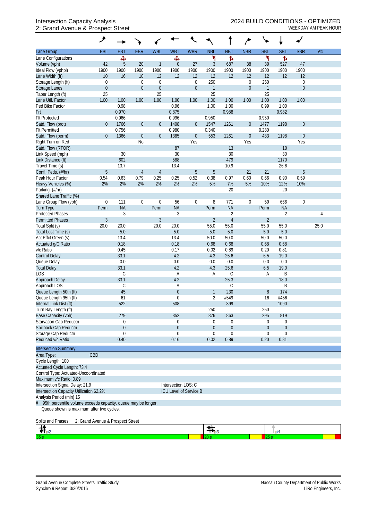# 2: Grand Avenue & Prospect Street WEEKDAY AM PEAK HOUR

|                                                                    | ۶                                 |                                 |                  |                        |                        |                                    |                         |                             |                                      |                     |                              |                                  |      |  |
|--------------------------------------------------------------------|-----------------------------------|---------------------------------|------------------|------------------------|------------------------|------------------------------------|-------------------------|-----------------------------|--------------------------------------|---------------------|------------------------------|----------------------------------|------|--|
| Lane Group                                                         | EBL                               | <b>EBT</b>                      | <b>EBR</b>       | <b>WBL</b>             | <b>WBT</b>             | <b>WBR</b>                         | <b>NBL</b>              | <b>NBT</b>                  | <b>NBR</b>                           | <b>SBL</b>          | <b>SBT</b>                   | <b>SBR</b>                       | Ø4   |  |
| Lane Configurations                                                |                                   | Ф                               |                  |                        | Ф                      |                                    | ۲                       | Ъ                           |                                      | ۲                   | Ъ                            |                                  |      |  |
| Volume (vph)                                                       | 42                                | 5                               | 20               | 1                      | $\mathbf 0$            | 27                                 | $\mathfrak{Z}$          | 687                         | 38                                   | 39                  | 527                          | 47                               |      |  |
| Ideal Flow (vphpl)                                                 | 1900                              | 1900                            | 1900             | 1900                   | 1900                   | 1900                               | 1900                    | 1900                        | 1900                                 | 1900                | 1900                         | 1900                             |      |  |
| Lane Width (ft)                                                    | 10                                | 16                              | 10               | 12                     | 12                     | 12                                 | 12                      | 12                          | 12                                   | 12                  | 12                           | 12                               |      |  |
| Storage Length (ft)                                                | $\mathbf 0$<br>$\boldsymbol{0}$   |                                 | $\boldsymbol{0}$ | $\mathbf 0$            |                        | $\boldsymbol{0}$<br>$\overline{0}$ | 250                     |                             | $\boldsymbol{0}$<br>$\boldsymbol{0}$ | 250                 |                              | $\boldsymbol{0}$<br>$\mathbf{0}$ |      |  |
| <b>Storage Lanes</b><br>Taper Length (ft)                          | 25                                |                                 | $\boldsymbol{0}$ | $\boldsymbol{0}$<br>25 |                        |                                    | $\mathbf{1}$<br>25      |                             |                                      | $\mathbf{1}$<br>25  |                              |                                  |      |  |
| Lane Util. Factor                                                  | 1.00                              | 1.00                            | 1.00             | 1.00                   | 1.00                   | 1.00                               | 1.00                    | 1.00                        | 1.00                                 | 1.00                | 1.00                         | 1.00                             |      |  |
| Ped Bike Factor                                                    |                                   | 0.98                            |                  |                        | 0.96                   |                                    | 1.00                    | 1.00                        |                                      | 0.99                | 1.00                         |                                  |      |  |
| Frt                                                                |                                   | 0.970                           |                  |                        | 0.875                  |                                    |                         | 0.988                       |                                      |                     | 0.982                        |                                  |      |  |
| <b>Flt Protected</b>                                               |                                   | 0.966                           |                  |                        | 0.996                  |                                    | 0.950                   |                             |                                      | 0.950               |                              |                                  |      |  |
| Satd. Flow (prot)                                                  | $\theta$                          | 1766                            | $\boldsymbol{0}$ | $\boldsymbol{0}$       | 1408                   | $\overline{0}$                     | 1547                    | 1261                        | $\boldsymbol{0}$                     | 1477                | 1198                         | $\boldsymbol{0}$                 |      |  |
| <b>Flt Permitted</b>                                               |                                   | 0.756                           |                  |                        | 0.980                  |                                    | 0.340                   |                             |                                      | 0.280               |                              |                                  |      |  |
| Satd. Flow (perm)                                                  | $\theta$                          | 1366                            | $\boldsymbol{0}$ | $\boldsymbol{0}$       | 1385                   | $\boldsymbol{0}$                   | 553                     | 1261                        | $\boldsymbol{0}$                     | 433                 | 1198                         | $\boldsymbol{0}$                 |      |  |
| Right Turn on Red                                                  |                                   |                                 | No               |                        | 87                     | Yes                                |                         | 13                          | Yes                                  |                     | 10                           | Yes                              |      |  |
| Satd. Flow (RTOR)<br>Link Speed (mph)                              |                                   | 30                              |                  |                        | 30                     |                                    |                         | 30                          |                                      |                     | 30                           |                                  |      |  |
| Link Distance (ft)                                                 |                                   | 602                             |                  |                        | 588                    |                                    |                         | 479                         |                                      |                     | 1170                         |                                  |      |  |
| Travel Time (s)                                                    |                                   | 13.7                            |                  |                        | 13.4                   |                                    |                         | 10.9                        |                                      |                     | 26.6                         |                                  |      |  |
| Confl. Peds. (#/hr)                                                | $\overline{5}$                    |                                 | $\overline{4}$   | 4                      |                        | 5                                  | 5                       |                             | 21                                   | 21                  |                              | 5                                |      |  |
| Peak Hour Factor                                                   | 0.54                              | 0.63                            | 0.79             | 0.25                   | 0.25                   | 0.52                               | 0.38                    | 0.97                        | 0.60                                 | 0.66                | 0.90                         | 0.59                             |      |  |
| Heavy Vehicles (%)                                                 | 2%                                | 2%                              | 2%               | 2%                     | 2%                     | 2%                                 | 5%                      | 7%                          | 5%                                   | 10%                 | 12%                          | 10%                              |      |  |
| Parking (#/hr)                                                     |                                   |                                 |                  |                        |                        |                                    |                         | 20                          |                                      |                     | 20                           |                                  |      |  |
| Shared Lane Traffic (%)                                            |                                   |                                 |                  |                        |                        |                                    |                         |                             |                                      |                     |                              |                                  |      |  |
| Lane Group Flow (vph)                                              | $\boldsymbol{0}$                  | 111                             | $\boldsymbol{0}$ | $\mathbf 0$            | 56                     | $\boldsymbol{0}$                   | 8                       | 771                         | $\boldsymbol{0}$                     | 59                  | 666                          | $\mathbf 0$                      |      |  |
| <b>Turn Type</b><br><b>Protected Phases</b>                        | Perm                              | <b>NA</b><br>3                  |                  | Perm                   | <b>NA</b><br>3         |                                    | Perm                    | <b>NA</b><br>$\overline{2}$ |                                      | Perm                | <b>NA</b><br>$\overline{2}$  |                                  |      |  |
| <b>Permitted Phases</b>                                            | $\mathfrak{Z}$                    |                                 |                  | $\mathfrak{Z}$         |                        |                                    | $\overline{2}$          | $\overline{4}$              |                                      | $\overline{2}$      |                              |                                  | 4    |  |
| Total Split (s)                                                    | 20.0                              | 20.0                            |                  | 20.0                   | 20.0                   |                                    | 55.0                    | 55.0                        |                                      | 55.0                | 55.0                         |                                  | 25.0 |  |
| Total Lost Time (s)                                                |                                   | 5.0                             |                  |                        | 5.0                    |                                    | 5.0                     | 5.0                         |                                      | 5.0                 | 5.0                          |                                  |      |  |
| Act Effct Green (s)                                                |                                   | 13.4                            |                  |                        | 13.4                   |                                    | 50.0                    | 50.0                        |                                      | 50.0                | 50.0                         |                                  |      |  |
| Actuated g/C Ratio                                                 |                                   | 0.18                            |                  |                        | 0.18                   |                                    | 0.68                    | 0.68                        |                                      | 0.68                | 0.68                         |                                  |      |  |
| v/c Ratio                                                          |                                   | 0.45                            |                  |                        | 0.17                   |                                    | 0.02                    | 0.89                        |                                      | 0.20                | 0.81                         |                                  |      |  |
| <b>Control Delay</b>                                               |                                   | 33.1                            |                  |                        | 4.2                    |                                    | 4.3                     | 25.6                        |                                      | 6.5                 | 19.0                         |                                  |      |  |
| Queue Delay                                                        |                                   | 0.0                             |                  |                        | 0.0                    |                                    | 0.0                     | 0.0                         |                                      | 0.0                 | 0.0                          |                                  |      |  |
| <b>Total Delay</b><br><b>LOS</b>                                   |                                   | 33.1<br>C                       |                  |                        | 4.2<br>Α               |                                    | 4.3<br>Α                | 25.6<br>$\mathsf C$         |                                      | 6.5<br>Α            | 19.0<br>B                    |                                  |      |  |
| Approach Delay                                                     |                                   | 33.1                            |                  |                        | 4.2                    |                                    |                         | 25.3                        |                                      |                     | 18.0                         |                                  |      |  |
| Approach LOS                                                       |                                   | C                               |                  |                        | Α                      |                                    |                         | С                           |                                      |                     | Β                            |                                  |      |  |
| Queue Length 50th (ft)                                             |                                   | 45                              |                  |                        | $\boldsymbol{0}$       |                                    | 1                       | 230                         |                                      | 8                   | 174                          |                                  |      |  |
| Queue Length 95th (ft)                                             |                                   | 61                              |                  |                        | $\overline{0}$         |                                    | $\overline{2}$          | #549                        |                                      | 16                  | #456                         |                                  |      |  |
| Internal Link Dist (ft)                                            |                                   | 522                             |                  |                        | 508                    |                                    |                         | 399                         |                                      |                     | 1090                         |                                  |      |  |
| Turn Bay Length (ft)                                               |                                   |                                 |                  |                        |                        |                                    | 250                     |                             |                                      | 250                 |                              |                                  |      |  |
| Base Capacity (vph)                                                |                                   | 279                             |                  |                        | 352                    |                                    | 376                     | 863                         |                                      | 295                 | 819                          |                                  |      |  |
| Starvation Cap Reductn                                             |                                   | 0                               |                  |                        | 0                      |                                    | 0                       | 0                           |                                      | 0<br>$\overline{0}$ | 0                            |                                  |      |  |
| Spillback Cap Reductn<br>Storage Cap Reductn                       |                                   | $\boldsymbol{0}$<br>$\mathbf 0$ |                  |                        | 0<br>0                 |                                    | $\theta$<br>$\mathbf 0$ | $\boldsymbol{0}$<br>0       |                                      | $\Omega$            | $\theta$<br>$\boldsymbol{0}$ |                                  |      |  |
| Reduced v/c Ratio                                                  |                                   | 0.40                            |                  |                        | 0.16                   |                                    | 0.02                    | 0.89                        |                                      | 0.20                | 0.81                         |                                  |      |  |
|                                                                    |                                   |                                 |                  |                        |                        |                                    |                         |                             |                                      |                     |                              |                                  |      |  |
| <b>Intersection Summary</b>                                        | CBD                               |                                 |                  |                        |                        |                                    |                         |                             |                                      |                     |                              |                                  |      |  |
| Area Type:<br>Cycle Length: 100                                    |                                   |                                 |                  |                        |                        |                                    |                         |                             |                                      |                     |                              |                                  |      |  |
| Actuated Cycle Length: 73.4                                        |                                   |                                 |                  |                        |                        |                                    |                         |                             |                                      |                     |                              |                                  |      |  |
| Control Type: Actuated-Uncoordinated                               |                                   |                                 |                  |                        |                        |                                    |                         |                             |                                      |                     |                              |                                  |      |  |
| Maximum v/c Ratio: 0.89                                            |                                   |                                 |                  |                        |                        |                                    |                         |                             |                                      |                     |                              |                                  |      |  |
| Intersection Signal Delay: 21.9                                    |                                   |                                 |                  |                        | Intersection LOS: C    |                                    |                         |                             |                                      |                     |                              |                                  |      |  |
| Intersection Capacity Utilization 62.2%                            |                                   |                                 |                  |                        | ICU Level of Service B |                                    |                         |                             |                                      |                     |                              |                                  |      |  |
| Analysis Period (min) 15                                           |                                   |                                 |                  |                        |                        |                                    |                         |                             |                                      |                     |                              |                                  |      |  |
| 95th percentile volume exceeds capacity, queue may be longer.<br># |                                   |                                 |                  |                        |                        |                                    |                         |                             |                                      |                     |                              |                                  |      |  |
| Queue shown is maximum after two cycles.                           |                                   |                                 |                  |                        |                        |                                    |                         |                             |                                      |                     |                              |                                  |      |  |
| Splits and Phases:                                                 | 2: Grand Avenue & Prospect Street |                                 |                  |                        |                        |                                    |                         |                             |                                      |                     |                              |                                  |      |  |
|                                                                    |                                   |                                 |                  |                        |                        |                                    |                         |                             |                                      |                     |                              |                                  |      |  |
| ₩.,2                                                               |                                   |                                 |                  |                        |                        |                                    |                         |                             |                                      |                     | ø4                           |                                  |      |  |

 $20 s$ 

т

553

Т.

 $25s$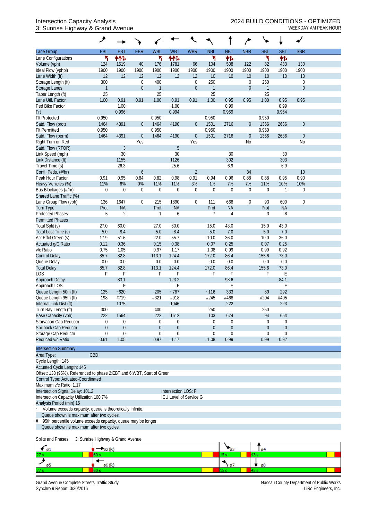### 3: Sunrise Highway & Grand Avenue WEEKDAY AM PEAK HOUR

|                                                                          | ۶                |                  |                  |                  |                        |                  |                |                  |                  | ╰              |             |                  |  |
|--------------------------------------------------------------------------|------------------|------------------|------------------|------------------|------------------------|------------------|----------------|------------------|------------------|----------------|-------------|------------------|--|
| Lane Group                                                               | EBL              | EBT              | <b>EBR</b>       | <b>WBL</b>       | <b>WBT</b>             | <b>WBR</b>       | <b>NBL</b>     | <b>NBT</b>       | <b>NBR</b>       | <b>SBL</b>     | <b>SBT</b>  | <b>SBR</b>       |  |
| Lane Configurations                                                      | ۲                | ተተኈ              |                  | ۲                | ተተኈ                    |                  | ۲              | 怍                |                  | ۲              | 伟           |                  |  |
| Volume (vph)                                                             | 124              | 1519             | 40               | 176              | 1781                   | 66               | 104            | 508              | 122              | 82             | 433         | 130              |  |
| Ideal Flow (vphpl)                                                       | 1900             | 1900             | 1900             | 1900             | 1900                   | 1900             | 1900           | 1900             | 1900             | 1900           | 1900        | 1900             |  |
| Lane Width (ft)                                                          | 12               | 12               | 12               | 12               | 12                     | 12               | 10             | 10               | 10               | 10             | 10          | 10               |  |
| Storage Length (ft)                                                      | 300              |                  | 0                | 400              |                        | $\boldsymbol{0}$ | 250            |                  | $\boldsymbol{0}$ | 250            |             | 0                |  |
| Storage Lanes                                                            | $\mathbf{1}$     |                  | $\boldsymbol{0}$ | $\mathbf{1}$     |                        | $\mathbf 0$      | $\overline{1}$ |                  | $\mathbf{0}$     | $\mathbf{1}$   |             | $\mathbf 0$      |  |
| Taper Length (ft)                                                        | 25               |                  |                  | 25               |                        |                  | 25             |                  |                  | 25             |             |                  |  |
| Lane Util. Factor                                                        | 1.00             | 0.91             | 0.91             | 1.00             | 0.91                   | 0.91             | 1.00           | 0.95             | 0.95             | 1.00           | 0.95        | 0.95             |  |
| Ped Bike Factor                                                          |                  | 1.00             |                  |                  | 1.00                   |                  |                | 0.99             |                  |                | 0.99        |                  |  |
| Frt                                                                      |                  | 0.996            |                  |                  | 0.994                  |                  |                | 0.969            |                  |                | 0.964       |                  |  |
| <b>Flt Protected</b>                                                     | 0.950            |                  |                  | 0.950            |                        |                  | 0.950          |                  |                  | 0.950          |             |                  |  |
| Satd. Flow (prot)                                                        | 1464             | 4391             | $\boldsymbol{0}$ | 1464             | 4190                   | $\boldsymbol{0}$ | 1501           | 2716             | $\theta$         | 1366           | 2636        | $\mathbf 0$      |  |
| <b>Flt Permitted</b>                                                     | 0.950            |                  |                  | 0.950            |                        |                  | 0.950          |                  |                  | 0.950          |             |                  |  |
| Satd. Flow (perm)                                                        | 1464             | 4391             | $\boldsymbol{0}$ | 1464             | 4190                   | $\boldsymbol{0}$ | 1501           | 2716             | $\mathbf 0$      | 1366           | 2636        | $\boldsymbol{0}$ |  |
| Right Turn on Red                                                        |                  |                  | Yes              |                  |                        | Yes              |                |                  | No               |                |             | No               |  |
| Satd. Flow (RTOR)                                                        |                  | $\mathfrak{Z}$   |                  |                  | 5                      |                  |                |                  |                  |                |             |                  |  |
| Link Speed (mph)                                                         |                  | 30               |                  |                  | 30                     |                  |                | 30               |                  |                | 30          |                  |  |
| Link Distance (ft)                                                       |                  | 1155             |                  |                  | 1126                   |                  |                | 302              |                  |                | 303         |                  |  |
| Travel Time (s)                                                          |                  | 26.3             |                  |                  | 25.6                   |                  |                | 6.9              |                  |                | 6.9         |                  |  |
| Confl. Peds. (#/hr)                                                      |                  |                  | 6                |                  |                        | $\overline{2}$   |                |                  | 34               |                |             | 10               |  |
| Peak Hour Factor                                                         | 0.91             | 0.95             | 0.84             | 0.82             | 0.98                   | 0.91             | 0.94           | 0.96             | 0.88             | 0.88           | 0.95        | 0.90             |  |
| Heavy Vehicles (%)                                                       | 11%              | 6%               | $0\%$            | 11%              | 11%                    | 3%               | 1%             | 7%               | 7%               | 11%            | 10%         | 10%              |  |
| Bus Blockages (#/hr)                                                     | $\mathbf 0$      | $\mathbf 0$      | $\mathbf 0$      | $\boldsymbol{0}$ | 0                      | $\boldsymbol{0}$ | $\mathbf 0$    | $\boldsymbol{0}$ | $\boldsymbol{0}$ | $\overline{0}$ | $\mathbf 1$ | 0                |  |
| Shared Lane Traffic (%)                                                  |                  |                  |                  |                  |                        |                  |                |                  |                  |                |             |                  |  |
| Lane Group Flow (vph)                                                    | 136              | 1647             | $\boldsymbol{0}$ | 215              | 1890                   | $\boldsymbol{0}$ | 111            | 668              | $\boldsymbol{0}$ | 93             | 600         | $\mathbf 0$      |  |
| <b>Turn Type</b>                                                         | Prot             | <b>NA</b>        |                  | Prot             | <b>NA</b>              |                  | Prot           | <b>NA</b>        |                  | Prot           | <b>NA</b>   |                  |  |
| <b>Protected Phases</b>                                                  | 5                | $\overline{2}$   |                  | 1                | 6                      |                  | 7              | 4                |                  | 3              | 8           |                  |  |
| <b>Permitted Phases</b>                                                  |                  |                  |                  |                  |                        |                  |                |                  |                  |                |             |                  |  |
| Total Split (s)                                                          | 27.0             | 60.0             |                  | 27.0             | 60.0                   |                  | 15.0           | 43.0             |                  | 15.0           | 43.0        |                  |  |
| Total Lost Time (s)                                                      | $5.0\,$          | 8.4              |                  | 5.0              | 8.4                    |                  | 5.0            | 7.0              |                  | 5.0            | 7.0         |                  |  |
| Act Effct Green (s)                                                      | 17.9             | 51.6             |                  | 22.0             | 55.7                   |                  | 10.0           | 36.0             |                  | 10.0           | 36.0        |                  |  |
| Actuated g/C Ratio                                                       | 0.12             | 0.36             |                  | 0.15             | 0.38                   |                  | 0.07           | 0.25             |                  | 0.07           | 0.25        |                  |  |
| v/c Ratio                                                                | 0.75             | 1.05             |                  | 0.97             | 1.17                   |                  | 1.08           | 0.99             |                  | 0.99           | 0.92        |                  |  |
| <b>Control Delay</b>                                                     | 85.7             | 82.8             |                  | 113.1            | 124.4                  |                  | 172.0          | 86.4             |                  | 155.6          | 73.0        |                  |  |
| Queue Delay                                                              | 0.0              | 0.0              |                  | 0.0              | 0.0                    |                  | 0.0            | 0.0              |                  | 0.0            | 0.0         |                  |  |
| <b>Total Delay</b>                                                       | 85.7             | 82.8             |                  | 113.1            | 124.4                  |                  | 172.0          | 86.4             |                  | 155.6          | 73.0        |                  |  |
| LOS                                                                      | F                | F                |                  | F                | F                      |                  | F              | F                |                  | F              | E           |                  |  |
| Approach Delay                                                           |                  | 83.1             |                  |                  | 123.2                  |                  |                | 98.6             |                  |                | 84.1        |                  |  |
| Approach LOS                                                             |                  | F                |                  |                  | F                      |                  |                |                  |                  |                | F           |                  |  |
| Queue Length 50th (ft)                                                   | 125              | $-620$           |                  | 205              | $-787$                 |                  | ~116           | 333              |                  | 89             | 292         |                  |  |
| Queue Length 95th (ft)                                                   | 198              | #719             |                  | #321             | #918                   |                  | #245           | #468             |                  | #204           | #405        |                  |  |
| Internal Link Dist (ft)                                                  |                  | 1075             |                  |                  | 1046                   |                  |                | 222              |                  |                | 223         |                  |  |
| Turn Bay Length (ft)                                                     | 300              |                  |                  | 400              |                        |                  | 250            |                  |                  | 250            |             |                  |  |
| Base Capacity (vph)                                                      | 222              | 1564             |                  | 222              | 1612                   |                  | 103            | 674              |                  | 94             | 654         |                  |  |
| Starvation Cap Reductn                                                   | 0                | $\boldsymbol{0}$ |                  | $\mathbf 0$      | 0                      |                  | 0              | $\boldsymbol{0}$ |                  | $\overline{0}$ | $\mathbf 0$ |                  |  |
| Spillback Cap Reductn                                                    | $\boldsymbol{0}$ | $\boldsymbol{0}$ |                  | $\theta$         | $\boldsymbol{0}$       |                  | $\theta$       | $\boldsymbol{0}$ |                  | $\overline{0}$ | $\mathbf 0$ |                  |  |
| Storage Cap Reductn                                                      | 0                | $\mathbf 0$      |                  | $\theta$         | 0                      |                  | $\mathbf 0$    | 0                |                  | 0              | $\mathbf 0$ |                  |  |
| Reduced v/c Ratio                                                        | 0.61             | 1.05             |                  | 0.97             | 1.17                   |                  | 1.08           | 0.99             |                  | 0.99           | 0.92        |                  |  |
|                                                                          |                  |                  |                  |                  |                        |                  |                |                  |                  |                |             |                  |  |
| <b>Intersection Summary</b>                                              |                  |                  |                  |                  |                        |                  |                |                  |                  |                |             |                  |  |
| Area Type:                                                               | CBD              |                  |                  |                  |                        |                  |                |                  |                  |                |             |                  |  |
| Cycle Length: 145                                                        |                  |                  |                  |                  |                        |                  |                |                  |                  |                |             |                  |  |
| Actuated Cycle Length: 145                                               |                  |                  |                  |                  |                        |                  |                |                  |                  |                |             |                  |  |
| Offset: 138 (95%), Referenced to phase 2: EBT and 6: WBT, Start of Green |                  |                  |                  |                  |                        |                  |                |                  |                  |                |             |                  |  |
| Control Type: Actuated-Coordinated                                       |                  |                  |                  |                  |                        |                  |                |                  |                  |                |             |                  |  |
| Maximum v/c Ratio: 1.17                                                  |                  |                  |                  |                  |                        |                  |                |                  |                  |                |             |                  |  |
| Intersection Signal Delay: 101.2                                         |                  |                  |                  |                  | Intersection LOS: F    |                  |                |                  |                  |                |             |                  |  |
| Intersection Capacity Utilization 100.7%                                 |                  |                  |                  |                  | ICU Level of Service G |                  |                |                  |                  |                |             |                  |  |
| Analysis Period (min) 15                                                 |                  |                  |                  |                  |                        |                  |                |                  |                  |                |             |                  |  |
| Volume exceeds capacity, queue is theoretically infinite.                |                  |                  |                  |                  |                        |                  |                |                  |                  |                |             |                  |  |
| Queue shown is maximum after two cycles.                                 |                  |                  |                  |                  |                        |                  |                |                  |                  |                |             |                  |  |
| 95th percentile volume exceeds capacity, queue may be longer.<br>#       |                  |                  |                  |                  |                        |                  |                |                  |                  |                |             |                  |  |
| Queue shown is maximum after two cycles.                                 |                  |                  |                  |                  |                        |                  |                |                  |                  |                |             |                  |  |

#### Splits and Phases: 3: Sunrise Highway & Grand Avenue

| øı              |       |      | 64 |
|-----------------|-------|------|----|
| 27 <sub>s</sub> |       |      |    |
|                 | 66 (R | יש ו | ø8 |
| 27 <sub>s</sub> |       |      |    |

Grand Avenue Complete Streets Traffic Study<br>Synchro 9 Report, 3/30/2016<br>LiRo Engineers, Inc. Synchro 9 Report, 3/30/2016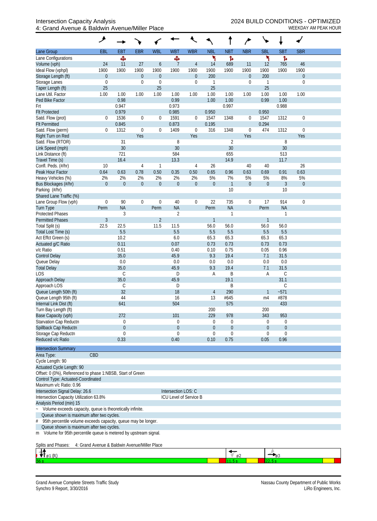|                                                                                                  | ۶                                             |               |                                      |                          |                        |                          |                |                    | $\overline{ }$           |                  |                |                                 |  |
|--------------------------------------------------------------------------------------------------|-----------------------------------------------|---------------|--------------------------------------|--------------------------|------------------------|--------------------------|----------------|--------------------|--------------------------|------------------|----------------|---------------------------------|--|
| Lane Group                                                                                       | EBL                                           | <b>EBT</b>    | <b>EBR</b>                           | <b>WBL</b>               | <b>WBT</b>             | <b>WBR</b>               | <b>NBL</b>     | <b>NBT</b>         | <b>NBR</b>               | <b>SBL</b>       | <b>SBT</b>     | <b>SBR</b>                      |  |
| Lane Configurations                                                                              |                                               | Ф             |                                      |                          | Ф                      |                          | ۲              | ħ                  |                          | ۲                | Ъ              |                                 |  |
| Volume (vph)                                                                                     | 24                                            | 11            | 27                                   | 6                        | $\overline{7}$         | $\overline{4}$           | 14             | 689                | 11                       | 12               | 765            | 46                              |  |
| Ideal Flow (vphpl)<br>Storage Length (ft)                                                        | 1900                                          | 1900          | 1900                                 | 1900<br>$\boldsymbol{0}$ | 1900                   | 1900<br>$\boldsymbol{0}$ | 1900<br>200    | 1900               | 1900<br>$\boldsymbol{0}$ | 1900<br>200      | 1900           | 1900                            |  |
| Storage Lanes                                                                                    | $\boldsymbol{0}$<br>$\mathbf 0$               |               | $\boldsymbol{0}$<br>$\boldsymbol{0}$ | $\mathbf 0$              |                        | $\boldsymbol{0}$         | $\mathbf{1}$   |                    | $\mathbf 0$              | $\mathbf{1}$     |                | $\boldsymbol{0}$<br>$\mathbf 0$ |  |
| Taper Length (ft)                                                                                | 25                                            |               |                                      | 25                       |                        |                          | 25             |                    |                          | 25               |                |                                 |  |
| Lane Util. Factor                                                                                | 1.00                                          | 1.00          | 1.00                                 | 1.00                     | 1.00                   | 1.00                     | 1.00           | 1.00               | 1.00                     | 1.00             | 1.00           | 1.00                            |  |
| Ped Bike Factor                                                                                  |                                               | 0.98          |                                      |                          | 0.99                   |                          | 1.00           | 1.00               |                          | 0.99             | 1.00           |                                 |  |
| Frt                                                                                              |                                               | 0.947         |                                      |                          | 0.973                  |                          |                | 0.997              |                          |                  | 0.988          |                                 |  |
| <b>Flt Protected</b>                                                                             |                                               | 0.979         |                                      |                          | 0.985                  |                          | 0.950          |                    |                          | 0.950            |                |                                 |  |
| Satd. Flow (prot)                                                                                | $\theta$                                      | 1536          | $\boldsymbol{0}$                     | $\boldsymbol{0}$         | 1591                   | $\mathbf 0$              | 1547           | 1348               | $\mathbf 0$              | 1547             | 1312           | $\boldsymbol{0}$                |  |
| <b>Flt Permitted</b><br>Satd. Flow (perm)                                                        | $\mathbf{0}$                                  | 0.845<br>1312 | $\boldsymbol{0}$                     | $\boldsymbol{0}$         | 0.873<br>1409          | $\boldsymbol{0}$         | 0.195<br>316   | 1348               | $\mathbf 0$              | 0.294<br>474     | 1312           | $\mathbf 0$                     |  |
| Right Turn on Red                                                                                |                                               |               | Yes                                  |                          |                        | Yes                      |                |                    | Yes                      |                  |                | Yes                             |  |
| Satd. Flow (RTOR)                                                                                |                                               | 31            |                                      |                          | 8                      |                          |                | $\overline{2}$     |                          |                  | 8              |                                 |  |
| Link Speed (mph)                                                                                 |                                               | 30            |                                      |                          | 30                     |                          |                | 30                 |                          |                  | 30             |                                 |  |
| Link Distance (ft)                                                                               |                                               | 721           |                                      |                          | 584                    |                          |                | 655                |                          |                  | 513            |                                 |  |
| Travel Time (s)                                                                                  |                                               | 16.4          |                                      |                          | 13.3                   |                          |                | 14.9               |                          |                  | 11.7           |                                 |  |
| Confl. Peds. (#/hr)                                                                              | 10                                            |               | 4                                    | 1                        |                        | 4                        | 26             |                    | 40                       | 40               |                | 26                              |  |
| Peak Hour Factor                                                                                 | 0.64                                          | 0.63          | 0.78                                 | 0.50                     | 0.35                   | 0.50                     | 0.65           | 0.96               | 0.63                     | 0.69             | 0.91           | 0.63                            |  |
| Heavy Vehicles (%)                                                                               | 2%                                            | 2%            | 2%                                   | 2%                       | 2%                     | 2%                       | 5%             | 7%                 | 5%                       | 5%               | 8%             | 5%                              |  |
| Bus Blockages (#/hr)                                                                             | $\theta$                                      | $\mathbf 0$   | $\boldsymbol{0}$                     | $\boldsymbol{0}$         | $\boldsymbol{0}$       | $\mathbf{0}$             | $\theta$       | $\mathbf{1}$<br>10 | $\theta$                 | $\boldsymbol{0}$ | 3<br>10        | $\boldsymbol{0}$                |  |
| Parking (#/hr)<br>Shared Lane Traffic (%)                                                        |                                               |               |                                      |                          |                        |                          |                |                    |                          |                  |                |                                 |  |
| Lane Group Flow (vph)                                                                            | $\mathbf 0$                                   | 90            | $\boldsymbol{0}$                     | $\boldsymbol{0}$         | 40                     | $\boldsymbol{0}$         | 22             | 735                | $\boldsymbol{0}$         | 17               | 914            | $\mathbf 0$                     |  |
| Turn Type                                                                                        | Perm                                          | <b>NA</b>     |                                      | Perm                     | <b>NA</b>              |                          | Perm           | <b>NA</b>          |                          | Perm             | <b>NA</b>      |                                 |  |
| <b>Protected Phases</b>                                                                          |                                               | 3             |                                      |                          | $\overline{2}$         |                          |                | 1                  |                          |                  | 1              |                                 |  |
| <b>Permitted Phases</b>                                                                          | $\mathfrak{Z}$                                |               |                                      | $\overline{2}$           |                        |                          | $\mathbf{1}$   |                    |                          | $\mathbf{1}$     |                |                                 |  |
| Total Split (s)                                                                                  | 22.5                                          | 22.5          |                                      | 11.5                     | 11.5                   |                          | 56.0           | 56.0               |                          | 56.0             | 56.0           |                                 |  |
| Total Lost Time (s)                                                                              |                                               | 5.5           |                                      |                          | 5.5                    |                          | 5.5            | 5.5                |                          | 5.5              | 5.5            |                                 |  |
| Act Effct Green (s)                                                                              |                                               | 10.2          |                                      |                          | 6.0                    |                          | 65.3           | 65.3               |                          | 65.3             | 65.3           |                                 |  |
| Actuated g/C Ratio<br>v/c Ratio                                                                  |                                               | 0.11<br>0.51  |                                      |                          | 0.07<br>0.40           |                          | 0.73<br>0.10   | 0.73<br>0.75       |                          | 0.73<br>0.05     | 0.73<br>0.96   |                                 |  |
| <b>Control Delay</b>                                                                             |                                               | 35.0          |                                      |                          | 45.9                   |                          | 9.3            | 19.4               |                          | 7.1              | 31.5           |                                 |  |
| Queue Delay                                                                                      |                                               | 0.0           |                                      |                          | 0.0                    |                          | 0.0            | 0.0                |                          | 0.0              | 0.0            |                                 |  |
| <b>Total Delay</b>                                                                               |                                               | 35.0          |                                      |                          | 45.9                   |                          | 9.3            | 19.4               |                          | 7.1              | 31.5           |                                 |  |
| <b>LOS</b>                                                                                       |                                               | $\mathsf C$   |                                      |                          | D                      |                          | A              | B                  |                          | Α                | $\mathsf C$    |                                 |  |
| Approach Delay                                                                                   |                                               | 35.0          |                                      |                          | 45.9                   |                          |                | 19.1               |                          |                  | 31.1           |                                 |  |
| Approach LOS                                                                                     |                                               | C             |                                      |                          | D                      |                          |                | B                  |                          |                  | C              |                                 |  |
| Queue Length 50th (ft)<br>Queue Length 95th (ft)                                                 |                                               | 32<br>44      |                                      |                          | 18<br>16               |                          | 4<br>13        | 290<br>#645        |                          | m4               | $-571$<br>#878 |                                 |  |
| Internal Link Dist (ft)                                                                          |                                               | 641           |                                      |                          | 504                    |                          |                | 575                |                          |                  | 433            |                                 |  |
| Turn Bay Length (ft)                                                                             |                                               |               |                                      |                          |                        |                          | 200            |                    |                          | 200              |                |                                 |  |
| Base Capacity (vph)                                                                              |                                               | 272           |                                      |                          | 101                    |                          | 229            | 978                |                          | 343              | 953            |                                 |  |
| Starvation Cap Reductn                                                                           |                                               | 0             |                                      |                          | 0                      |                          | $\mathbf 0$    | $\boldsymbol{0}$   |                          | 0                | $\theta$       |                                 |  |
| Spillback Cap Reductn                                                                            |                                               | $\theta$      |                                      |                          | $\boldsymbol{0}$       |                          | $\theta$       | $\boldsymbol{0}$   |                          | $\theta$         | $\theta$       |                                 |  |
| Storage Cap Reductn                                                                              |                                               | $\theta$      |                                      |                          | 0                      |                          | $\overline{0}$ | $\mathbf 0$        |                          | $\Omega$         | $\mathbf 0$    |                                 |  |
| Reduced v/c Ratio                                                                                |                                               | 0.33          |                                      |                          | 0.40                   |                          | 0.10           | 0.75               |                          | 0.05             | 0.96           |                                 |  |
| <b>Intersection Summary</b>                                                                      |                                               |               |                                      |                          |                        |                          |                |                    |                          |                  |                |                                 |  |
| Area Type:                                                                                       | CBD                                           |               |                                      |                          |                        |                          |                |                    |                          |                  |                |                                 |  |
| Cycle Length: 90                                                                                 |                                               |               |                                      |                          |                        |                          |                |                    |                          |                  |                |                                 |  |
| <b>Actuated Cycle Length: 90</b>                                                                 |                                               |               |                                      |                          |                        |                          |                |                    |                          |                  |                |                                 |  |
| Offset: 0 (0%), Referenced to phase 1:NBSB, Start of Green<br>Control Type: Actuated-Coordinated |                                               |               |                                      |                          |                        |                          |                |                    |                          |                  |                |                                 |  |
| Maximum v/c Ratio: 0.96                                                                          |                                               |               |                                      |                          |                        |                          |                |                    |                          |                  |                |                                 |  |
| Intersection Signal Delay: 26.6                                                                  |                                               |               |                                      |                          | Intersection LOS: C    |                          |                |                    |                          |                  |                |                                 |  |
| Intersection Capacity Utilization 63.8%                                                          |                                               |               |                                      |                          | ICU Level of Service B |                          |                |                    |                          |                  |                |                                 |  |
| Analysis Period (min) 15                                                                         |                                               |               |                                      |                          |                        |                          |                |                    |                          |                  |                |                                 |  |
| Volume exceeds capacity, queue is theoretically infinite.                                        |                                               |               |                                      |                          |                        |                          |                |                    |                          |                  |                |                                 |  |
| Queue shown is maximum after two cycles.                                                         |                                               |               |                                      |                          |                        |                          |                |                    |                          |                  |                |                                 |  |
| 95th percentile volume exceeds capacity, queue may be longer.<br>#                               |                                               |               |                                      |                          |                        |                          |                |                    |                          |                  |                |                                 |  |
| Queue shown is maximum after two cycles.                                                         |                                               |               |                                      |                          |                        |                          |                |                    |                          |                  |                |                                 |  |
| m Volume for 95th percentile queue is metered by upstream signal.                                |                                               |               |                                      |                          |                        |                          |                |                    |                          |                  |                |                                 |  |
| Splits and Phases:<br>$\overline{A}$                                                             | 4: Grand Avenue & Baldwin Avenue/Miller Place |               |                                      |                          |                        |                          |                |                    |                          |                  |                |                                 |  |
|                                                                                                  |                                               |               |                                      |                          |                        |                          |                |                    |                          |                  |                |                                 |  |

| r.<br>יי |  |  |
|----------|--|--|
|          |  |  |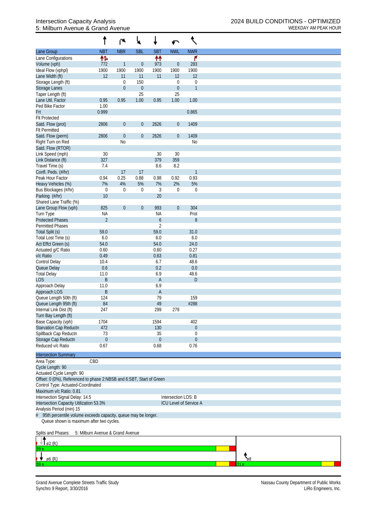## 5: Milburn Avenue & Grand Avenue WEEKDAY AM PEAK HOUR

|                                                                      |                                  | r                | ₩                |                                    | ↶                   |                        |  |
|----------------------------------------------------------------------|----------------------------------|------------------|------------------|------------------------------------|---------------------|------------------------|--|
| Lane Group                                                           | <b>NBT</b>                       | <b>NBR</b>       | <b>SBL</b>       | <b>SBT</b>                         | <b>NWL</b>          | <b>NWR</b>             |  |
| Lane Configurations                                                  | 怍                                |                  |                  | 忭                                  |                     | ۴                      |  |
| Volume (vph)                                                         | 772                              | $\mathbf{1}$     | $\boldsymbol{0}$ | 973                                | $\boldsymbol{0}$    | 283                    |  |
| Ideal Flow (vphpl)                                                   | 1900                             | 1900             | 1900             | 1900                               | 1900                | 1900                   |  |
| Lane Width (ft)                                                      | 12                               | 11               | 11               | 11                                 | 12                  | 12                     |  |
| Storage Length (ft)                                                  |                                  | $\mathbf 0$      | 150              |                                    | $\boldsymbol{0}$    | $\mathbf 0$            |  |
| Storage Lanes                                                        |                                  | $\theta$         | $\boldsymbol{0}$ |                                    | $\boldsymbol{0}$    | $\mathbf{1}$           |  |
| Taper Length (ft)                                                    |                                  |                  | 25               |                                    | 25                  |                        |  |
| Lane Util. Factor<br>Ped Bike Factor                                 | 0.95<br>1.00                     | 0.95             | 1.00             | 0.95                               | 1.00                | 1.00                   |  |
| Frt                                                                  | 0.999                            |                  |                  |                                    |                     | 0.865                  |  |
| <b>Flt Protected</b>                                                 |                                  |                  |                  |                                    |                     |                        |  |
| Satd. Flow (prot)                                                    | 2806                             | $\boldsymbol{0}$ | $\boldsymbol{0}$ | 2626                               | $\boldsymbol{0}$    | 1409                   |  |
| <b>Flt Permitted</b>                                                 |                                  |                  |                  |                                    |                     |                        |  |
| Satd. Flow (perm)                                                    | 2806                             | $\boldsymbol{0}$ | $\boldsymbol{0}$ | 2626                               | $\boldsymbol{0}$    | 1409                   |  |
| Right Turn on Red                                                    |                                  | <b>No</b>        |                  |                                    |                     | <b>No</b>              |  |
| Satd. Flow (RTOR)                                                    |                                  |                  |                  |                                    |                     |                        |  |
| Link Speed (mph)                                                     | 30                               |                  |                  | 30                                 | 30                  |                        |  |
| Link Distance (ft)                                                   | 327                              |                  |                  | 379                                | 359                 |                        |  |
| Travel Time (s)                                                      | 7.4                              |                  |                  | 8.6                                | 8.2                 |                        |  |
| Confl. Peds. (#/hr)                                                  |                                  | 17               | 17               |                                    |                     | 1                      |  |
| Peak Hour Factor                                                     | 0.94                             | 0.25             | 0.88             | 0.98                               | 0.92                | 0.93                   |  |
| Heavy Vehicles (%)                                                   | 7%                               | 4%               | 5%               | 7%                                 | 2%                  | 5%                     |  |
| Bus Blockages (#/hr)                                                 | $\boldsymbol{0}$                 | $\mathbf 0$      | $\boldsymbol{0}$ | 3                                  | $\boldsymbol{0}$    | $\boldsymbol{0}$       |  |
| Parking (#/hr)                                                       | 10                               |                  |                  | 20                                 |                     |                        |  |
| Shared Lane Traffic (%)                                              |                                  |                  |                  |                                    |                     |                        |  |
| Lane Group Flow (vph)                                                | 825                              | $\boldsymbol{0}$ | $\boldsymbol{0}$ | 993                                | $\boldsymbol{0}$    | 304                    |  |
| Turn Type<br><b>Protected Phases</b>                                 | <b>NA</b><br>$\overline{2}$      |                  |                  | <b>NA</b>                          |                     | Prot                   |  |
| <b>Permitted Phases</b>                                              |                                  |                  |                  | $\boldsymbol{6}$<br>$\overline{2}$ |                     | 8                      |  |
| Total Split (s)                                                      | 59.0                             |                  |                  | 59.0                               |                     | 31.0                   |  |
| Total Lost Time (s)                                                  | 6.0                              |                  |                  | 6.0                                |                     | 6.0                    |  |
| Act Effct Green (s)                                                  | 54.0                             |                  |                  | 54.0                               |                     | 24.0                   |  |
| Actuated g/C Ratio                                                   | 0.60                             |                  |                  | 0.60                               |                     | 0.27                   |  |
| v/c Ratio                                                            | 0.49                             |                  |                  | 0.63                               |                     | 0.81                   |  |
| <b>Control Delay</b>                                                 | 10.4                             |                  |                  | 6.7                                |                     | 48.6                   |  |
| Queue Delay                                                          | 0.6                              |                  |                  | 0.2                                |                     | 0.0                    |  |
| <b>Total Delay</b>                                                   | 11.0                             |                  |                  | 6.9                                |                     | 48.6                   |  |
| <b>LOS</b>                                                           | B                                |                  |                  | A                                  |                     | $\mathsf D$            |  |
| Approach Delay                                                       | 11.0                             |                  |                  | 6.9                                |                     |                        |  |
| Approach LOS                                                         | B                                |                  |                  | A                                  |                     |                        |  |
| Queue Length 50th (ft)                                               | 124                              |                  |                  | 79                                 |                     | 159                    |  |
| Queue Length 95th (ft)                                               | 84                               |                  |                  | 49                                 |                     | #288                   |  |
| Internal Link Dist (ft)                                              | 247                              |                  |                  | 299                                | 279                 |                        |  |
| Turn Bay Length (ft)                                                 |                                  |                  |                  |                                    |                     |                        |  |
| Base Capacity (vph)                                                  | 1704                             |                  |                  | 1594                               |                     | 402                    |  |
| Starvation Cap Reductn                                               | 472                              |                  |                  | 130                                |                     | 0                      |  |
| Spillback Cap Reductn                                                | 73                               |                  |                  | 35                                 |                     | 0                      |  |
| Storage Cap Reductn                                                  | $\boldsymbol{0}$                 |                  |                  | $\theta$                           |                     | 0                      |  |
| Reduced v/c Ratio                                                    | 0.67                             |                  |                  | 0.68                               |                     | 0.76                   |  |
| <b>Intersection Summary</b>                                          |                                  |                  |                  |                                    |                     |                        |  |
| Area Type:                                                           | CBD                              |                  |                  |                                    |                     |                        |  |
| Cycle Length: 90                                                     |                                  |                  |                  |                                    |                     |                        |  |
| Actuated Cycle Length: 90                                            |                                  |                  |                  |                                    |                     |                        |  |
| Offset: 0 (0%), Referenced to phase 2:NBSB and 6:SBT, Start of Green |                                  |                  |                  |                                    |                     |                        |  |
| Control Type: Actuated-Coordinated                                   |                                  |                  |                  |                                    |                     |                        |  |
| Maximum v/c Ratio: 0.81                                              |                                  |                  |                  |                                    |                     |                        |  |
| Intersection Signal Delay: 14.5                                      |                                  |                  |                  |                                    | Intersection LOS: B |                        |  |
| Intersection Capacity Utilization 53.3%                              |                                  |                  |                  |                                    |                     | ICU Level of Service A |  |
| Analysis Period (min) 15                                             |                                  |                  |                  |                                    |                     |                        |  |
| 95th percentile volume exceeds capacity, queue may be longer.<br>#   |                                  |                  |                  |                                    |                     |                        |  |
| Queue shown is maximum after two cycles.                             |                                  |                  |                  |                                    |                     |                        |  |
|                                                                      |                                  |                  |                  |                                    |                     |                        |  |
| Splits and Phases:                                                   | 5: Milburn Avenue & Grand Avenue |                  |                  |                                    |                     |                        |  |
|                                                                      |                                  |                  |                  |                                    |                     |                        |  |

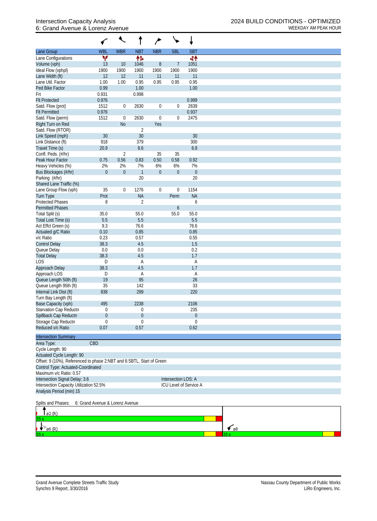## 6: Grand Avenue & Lorenz Avenue WEEKDAY AM PEAK HOUR

| Lane Group                                                            | <b>WBL</b>                      | <b>WBR</b>     | <b>NBT</b>       | <b>NBR</b>       | <b>SBL</b>          | <b>SBT</b>             |                      |  |  |
|-----------------------------------------------------------------------|---------------------------------|----------------|------------------|------------------|---------------------|------------------------|----------------------|--|--|
| Lane Configurations                                                   | v                               |                | 忭                |                  |                     | 41                     |                      |  |  |
| Volume (vph)                                                          | 13                              | 10             | 1046             | $8\,$            | $\overline{7}$      | 1051                   |                      |  |  |
| Ideal Flow (vphpl)                                                    | 1900                            | 1900           | 1900             | 1900             | 1900                | 1900                   |                      |  |  |
| Lane Width (ft)                                                       | 12                              | 12             | 11               | 11               | 11                  | 11                     |                      |  |  |
| Lane Util. Factor                                                     | 1.00                            | 1.00           | 0.95             | 0.95             | 0.95                | 0.95                   |                      |  |  |
| Ped Bike Factor                                                       | 0.99                            |                | 1.00             |                  |                     | 1.00                   |                      |  |  |
| Frt                                                                   | 0.931                           |                | 0.998            |                  |                     |                        |                      |  |  |
| <b>Flt Protected</b>                                                  | 0.976                           |                |                  |                  |                     | 0.999                  |                      |  |  |
| Satd. Flow (prot)                                                     | 1512                            | $\overline{0}$ | 2630             | $\boldsymbol{0}$ | 0                   | 2639                   |                      |  |  |
| <b>Flt Permitted</b>                                                  | 0.976                           |                |                  |                  |                     | 0.937                  |                      |  |  |
| Satd. Flow (perm)                                                     | 1512                            | $\overline{0}$ | 2630             | $\boldsymbol{0}$ | 0                   | 2475                   |                      |  |  |
| Right Turn on Red                                                     |                                 | <b>No</b>      |                  | Yes              |                     |                        |                      |  |  |
| Satd. Flow (RTOR)                                                     |                                 |                | $\overline{2}$   |                  |                     |                        |                      |  |  |
| Link Speed (mph)                                                      | 30                              |                | 30               |                  |                     | 30                     |                      |  |  |
| Link Distance (ft)                                                    | 918                             |                | 379              |                  |                     | 300                    |                      |  |  |
| Travel Time (s)                                                       | 20.9                            |                | 8.6              |                  |                     | 6.8                    |                      |  |  |
| Confl. Peds. (#/hr)                                                   |                                 | $\overline{2}$ |                  | 35               | 35                  |                        |                      |  |  |
| Peak Hour Factor                                                      | 0.75                            | 0.56           | 0.83             | 0.50             | 0.58                | 0.92                   |                      |  |  |
| Heavy Vehicles (%)                                                    | 2%                              | 2%             | 7%               | 6%               | 6%                  | 7%                     |                      |  |  |
| Bus Blockages (#/hr)                                                  | $\boldsymbol{0}$                | $\overline{0}$ | $\mathbf{1}$     | $\boldsymbol{0}$ | $\boldsymbol{0}$    | $\boldsymbol{0}$       |                      |  |  |
| Parking (#/hr)                                                        |                                 |                | 20               |                  |                     | 20                     |                      |  |  |
| Shared Lane Traffic (%)                                               |                                 |                |                  |                  |                     |                        |                      |  |  |
|                                                                       | 35                              | $\overline{0}$ | 1276             | $\mathbf 0$      | $\boldsymbol{0}$    | 1154                   |                      |  |  |
| Lane Group Flow (vph)                                                 | Prot                            |                | <b>NA</b>        |                  | Perm                | <b>NA</b>              |                      |  |  |
| Turn Type<br><b>Protected Phases</b>                                  | 8                               |                | $\overline{2}$   |                  |                     | 6                      |                      |  |  |
| <b>Permitted Phases</b>                                               |                                 |                |                  |                  |                     |                        |                      |  |  |
|                                                                       |                                 |                |                  |                  | 6                   |                        |                      |  |  |
| Total Split (s)                                                       | 35.0                            |                | 55.0             |                  | 55.0                | 55.0                   |                      |  |  |
| Total Lost Time (s)                                                   | 5.5                             |                | 5.5              |                  |                     | 5.5                    |                      |  |  |
| Act Effct Green (s)                                                   | 9.3                             |                | 76.6             |                  |                     | 76.6                   |                      |  |  |
| Actuated g/C Ratio                                                    | 0.10                            |                | 0.85             |                  |                     | 0.85                   |                      |  |  |
| v/c Ratio                                                             | 0.23                            |                | 0.57             |                  |                     | 0.55                   |                      |  |  |
| <b>Control Delay</b>                                                  | 38.3                            |                | 4.5              |                  |                     | 1.5                    |                      |  |  |
| Queue Delay                                                           | 0.0                             |                | 0.0              |                  |                     | 0.2                    |                      |  |  |
| <b>Total Delay</b>                                                    | 38.3                            |                | 4.5              |                  |                     | 1.7                    |                      |  |  |
| <b>LOS</b>                                                            | D                               |                | А                |                  |                     | Α                      |                      |  |  |
| Approach Delay                                                        | 38.3                            |                | 4.5              |                  |                     | 1.7                    |                      |  |  |
| Approach LOS                                                          | D                               |                | Α                |                  |                     | Α                      |                      |  |  |
| Queue Length 50th (ft)                                                | 19                              |                | 95               |                  |                     | 26                     |                      |  |  |
| Queue Length 95th (ft)                                                | 35                              |                | 142              |                  |                     | 33                     |                      |  |  |
| Internal Link Dist (ft)                                               | 838                             |                | 299              |                  |                     | 220                    |                      |  |  |
| Turn Bay Length (ft)                                                  |                                 |                |                  |                  |                     |                        |                      |  |  |
| Base Capacity (vph)                                                   | 495                             |                | 2238             |                  |                     | 2106                   |                      |  |  |
| Starvation Cap Reductn                                                | 0                               |                | 0                |                  |                     | 235                    |                      |  |  |
| Spillback Cap Reductn                                                 | $\mathbf 0$                     |                | $\boldsymbol{0}$ |                  |                     | $\boldsymbol{0}$       |                      |  |  |
| Storage Cap Reductn                                                   | $\mathbf 0$                     |                | $\boldsymbol{0}$ |                  |                     | $\mathbf 0$            |                      |  |  |
| Reduced v/c Ratio                                                     | 0.07                            |                | 0.57             |                  |                     | 0.62                   |                      |  |  |
| <b>Intersection Summary</b>                                           |                                 |                |                  |                  |                     |                        |                      |  |  |
| Area Type:                                                            | CBD                             |                |                  |                  |                     |                        |                      |  |  |
| Cycle Length: 90                                                      |                                 |                |                  |                  |                     |                        |                      |  |  |
| Actuated Cycle Length: 90                                             |                                 |                |                  |                  |                     |                        |                      |  |  |
| Offset: 9 (10%), Referenced to phase 2:NBT and 6:SBTL, Start of Green |                                 |                |                  |                  |                     |                        |                      |  |  |
| Control Type: Actuated-Coordinated                                    |                                 |                |                  |                  |                     |                        |                      |  |  |
| Maximum v/c Ratio: 0.57                                               |                                 |                |                  |                  |                     |                        |                      |  |  |
| Intersection Signal Delay: 3.6                                        |                                 |                |                  |                  | Intersection LOS: A |                        |                      |  |  |
| Intersection Capacity Utilization 52.5%                               |                                 |                |                  |                  |                     | ICU Level of Service A |                      |  |  |
| Analysis Period (min) 15                                              |                                 |                |                  |                  |                     |                        |                      |  |  |
|                                                                       |                                 |                |                  |                  |                     |                        |                      |  |  |
| Splits and Phases:                                                    | 6: Grand Avenue & Lorenz Avenue |                |                  |                  |                     |                        |                      |  |  |
|                                                                       |                                 |                |                  |                  |                     |                        |                      |  |  |
| ø2 (R)                                                                |                                 |                |                  |                  |                     |                        |                      |  |  |
|                                                                       |                                 |                |                  |                  |                     |                        |                      |  |  |
|                                                                       |                                 |                |                  |                  |                     |                        |                      |  |  |
| ø6 (R)                                                                |                                 |                |                  |                  |                     |                        | $\epsilon$ $\beta$ 8 |  |  |
|                                                                       |                                 |                |                  |                  |                     |                        |                      |  |  |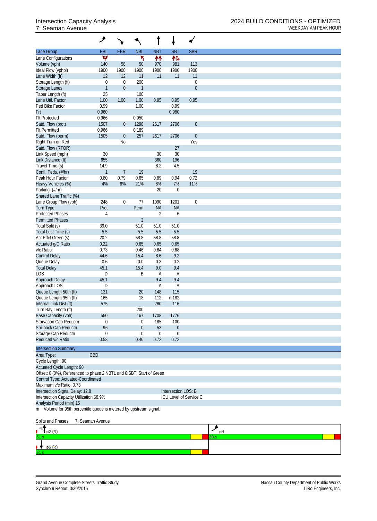|                                                                      | ۸                |                  |                  |                  |                     |                        |
|----------------------------------------------------------------------|------------------|------------------|------------------|------------------|---------------------|------------------------|
| Lane Group                                                           | EBL              | <b>EBR</b>       | <b>NBL</b>       | <b>NBT</b>       | <b>SBT</b>          | <b>SBR</b>             |
| Lane Configurations                                                  | v                |                  | ۲                | 忭                | 伟                   |                        |
| Volume (vph)                                                         | 140              | 58               | 50               | 970              | 981                 | 113                    |
| Ideal Flow (vphpl)                                                   | 1900             | 1900             | 1900             | 1900             | 1900                | 1900                   |
| Lane Width (ft)                                                      | 12               | 12               | 11               | 11               | 11                  | 11                     |
| Storage Length (ft)                                                  | $\boldsymbol{0}$ | $\mathbf 0$      | 200              |                  |                     | 0                      |
| Storage Lanes                                                        | $\mathbf{1}$     | $\boldsymbol{0}$ | $\mathbf{1}$     |                  |                     | $\boldsymbol{0}$       |
| Taper Length (ft)                                                    | 25               |                  | 100              |                  |                     |                        |
| Lane Util. Factor                                                    | 1.00             | 1.00             | 1.00             | 0.95             | 0.95                | 0.95                   |
| Ped Bike Factor                                                      | 0.99             |                  | 1.00             |                  | 0.99                |                        |
| Frt                                                                  | 0.960            |                  |                  |                  | 0.980               |                        |
| <b>Flt Protected</b>                                                 | 0.966            |                  | 0.950            |                  |                     |                        |
| Satd. Flow (prot)                                                    | 1507             | $\boldsymbol{0}$ | 1298             | 2617             | 2706                | $\boldsymbol{0}$       |
| <b>Flt Permitted</b>                                                 | 0.966            |                  | 0.189            |                  |                     |                        |
| Satd. Flow (perm)                                                    | 1505             | $\overline{0}$   | 257              | 2617             | 2706                | $\boldsymbol{0}$       |
| Right Turn on Red                                                    |                  | N <sub>0</sub>   |                  |                  |                     | Yes                    |
| Satd. Flow (RTOR)                                                    |                  |                  |                  |                  | 27                  |                        |
| Link Speed (mph)                                                     | 30               |                  |                  | 30               | 30                  |                        |
| Link Distance (ft)                                                   | 655              |                  |                  | 360              | 196                 |                        |
| Travel Time (s)                                                      | 14.9             |                  |                  | 8.2              | 4.5                 |                        |
| Confl. Peds. (#/hr)                                                  | $\mathbf{1}$     | $\overline{7}$   | 19               |                  |                     | 19                     |
| Peak Hour Factor                                                     | 0.80             | 0.79             | 0.65             | 0.89             | 0.94                | 0.72                   |
| Heavy Vehicles (%)                                                   | 4%               | 6%               | 21%              | 8%               | 7%                  | 11%                    |
| Parking (#/hr)                                                       |                  |                  |                  | 20               | $\boldsymbol{0}$    |                        |
| Shared Lane Traffic (%)                                              |                  |                  |                  |                  |                     |                        |
| Lane Group Flow (vph)                                                | 248              | $\mathbf 0$      | 77               | 1090             | 1201                | $\boldsymbol{0}$       |
| <b>Turn Type</b>                                                     | Prot             |                  | Perm             | <b>NA</b>        | <b>NA</b>           |                        |
| <b>Protected Phases</b>                                              | $\overline{4}$   |                  |                  | $\overline{2}$   | 6                   |                        |
| <b>Permitted Phases</b>                                              |                  |                  | $\overline{2}$   |                  |                     |                        |
| Total Split (s)                                                      | 39.0             |                  | 51.0             | 51.0             | 51.0                |                        |
| Total Lost Time (s)                                                  | 5.5              |                  | 5.5              | 5.5              | 5.5                 |                        |
|                                                                      |                  |                  | 58.8             | 58.8             | 58.8                |                        |
| Act Effct Green (s)                                                  | 20.2             |                  | 0.65             |                  |                     |                        |
| Actuated g/C Ratio                                                   | 0.22             |                  |                  | 0.65             | 0.65                |                        |
| v/c Ratio                                                            | 0.73             |                  | 0.46             | 0.64             | 0.68                |                        |
| <b>Control Delay</b>                                                 | 44.6             |                  | 15.4             | 8.6              | 9.2                 |                        |
| Queue Delay                                                          | 0.6              |                  | 0.0              | 0.3              | 0.2                 |                        |
| <b>Total Delay</b>                                                   | 45.1             |                  | 15.4             | 9.0              | 9.4                 |                        |
| LOS                                                                  | D                |                  | Β                | A                | A                   |                        |
| Approach Delay                                                       | 45.1             |                  |                  | 9.4              | 9.4                 |                        |
| Approach LOS                                                         | D                |                  |                  | A                | A                   |                        |
| Queue Length 50th (ft)                                               | 131              |                  | 20               | 148              | 115                 |                        |
| Queue Length 95th (ft)                                               | 165              |                  | 18               | 112              | m182                |                        |
| Internal Link Dist (ft)                                              | 575              |                  |                  | 280              | 116                 |                        |
| Turn Bay Length (ft)                                                 |                  |                  | 200              |                  |                     |                        |
| Base Capacity (vph)                                                  | 560              |                  | 167              | 1708             | 1776                |                        |
| Starvation Cap Reductn                                               | $\boldsymbol{0}$ |                  | 0                | 185              | 100                 |                        |
| Spillback Cap Reductn                                                | 96               |                  | $\boldsymbol{0}$ | 53               | $\boldsymbol{0}$    |                        |
| Storage Cap Reductn                                                  | $\boldsymbol{0}$ |                  | $\boldsymbol{0}$ | $\boldsymbol{0}$ | $\boldsymbol{0}$    |                        |
| Reduced v/c Ratio                                                    | 0.53             |                  | 0.46             | 0.72             | 0.72                |                        |
|                                                                      |                  |                  |                  |                  |                     |                        |
| <b>Intersection Summary</b>                                          |                  |                  |                  |                  |                     |                        |
| Area Type:                                                           | CBD              |                  |                  |                  |                     |                        |
| Cycle Length: 90                                                     |                  |                  |                  |                  |                     |                        |
| Actuated Cycle Length: 90                                            |                  |                  |                  |                  |                     |                        |
| Offset: 0 (0%), Referenced to phase 2:NBTL and 6:SBT, Start of Green |                  |                  |                  |                  |                     |                        |
| Control Type: Actuated-Coordinated                                   |                  |                  |                  |                  |                     |                        |
| Maximum v/c Ratio: 0.73                                              |                  |                  |                  |                  |                     |                        |
| Intersection Signal Delay: 12.8                                      |                  |                  |                  |                  | Intersection LOS: B |                        |
| Intersection Capacity Utilization 68.9%                              |                  |                  |                  |                  |                     | ICU Level of Service C |
| Analysis Period (min) 15                                             |                  |                  |                  |                  |                     |                        |
| m Volume for 95th percentile queue is metered by upstream signal.    |                  |                  |                  |                  |                     |                        |
|                                                                      |                  |                  |                  |                  |                     |                        |
| Splits and Phases:                                                   | 7: Seaman Avenue |                  |                  |                  |                     |                        |
|                                                                      |                  |                  |                  |                  |                     |                        |

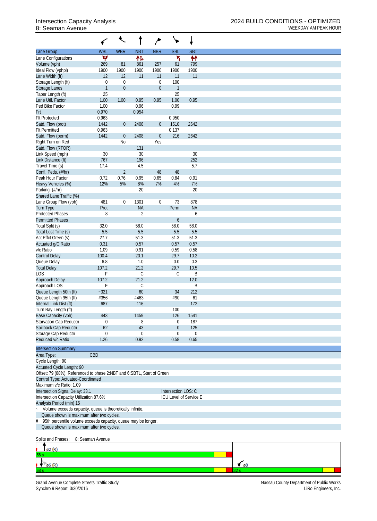|                                                                                                           | ✓                 | €                | t                           | ∕                                    | ↘                   |                        |  |
|-----------------------------------------------------------------------------------------------------------|-------------------|------------------|-----------------------------|--------------------------------------|---------------------|------------------------|--|
| Lane Group                                                                                                | <b>WBL</b>        | <b>WBR</b>       | <b>NBT</b>                  | <b>NBR</b>                           | <b>SBL</b>          | <b>SBT</b>             |  |
| Lane Configurations                                                                                       | Y                 |                  | 怍                           |                                      | ۲                   | ↟↟                     |  |
| Volume (vph)                                                                                              | 269               | 81               | 861                         | 257                                  | 61                  | 799                    |  |
| Ideal Flow (vphpl)                                                                                        | 1900              | 1900             | 1900                        | 1900                                 | 1900                | 1900                   |  |
| Lane Width (ft)                                                                                           | 12                | 12               | 11                          | 11                                   | 11                  | 11                     |  |
| Storage Length (ft)<br><b>Storage Lanes</b>                                                               | 0<br>$\mathbf{1}$ | $\boldsymbol{0}$ |                             | $\boldsymbol{0}$<br>$\boldsymbol{0}$ | 100                 |                        |  |
| Taper Length (ft)                                                                                         | 25                | $\theta$         |                             |                                      | $\mathbf{1}$<br>25  |                        |  |
| Lane Util. Factor                                                                                         | 1.00              | 1.00             | 0.95                        | 0.95                                 | 1.00                | 0.95                   |  |
| Ped Bike Factor                                                                                           | 1.00              |                  | 0.96                        |                                      | 0.99                |                        |  |
| Frt                                                                                                       | 0.970             |                  | 0.954                       |                                      |                     |                        |  |
| <b>Flt Protected</b>                                                                                      | 0.963             |                  |                             |                                      | 0.950               |                        |  |
| Satd. Flow (prot)                                                                                         | 1442              | $\overline{0}$   | 2408                        | $\boldsymbol{0}$                     | 1510                | 2642                   |  |
| <b>Flt Permitted</b>                                                                                      | 0.963             |                  |                             |                                      | 0.137               |                        |  |
| Satd. Flow (perm)                                                                                         | 1442              | 0                | 2408                        | $\boldsymbol{0}$                     | 216                 | 2642                   |  |
| Right Turn on Red                                                                                         |                   | N <sub>0</sub>   |                             | Yes                                  |                     |                        |  |
| Satd. Flow (RTOR)                                                                                         |                   |                  | 131                         |                                      |                     |                        |  |
| Link Speed (mph)                                                                                          | 30                |                  | 30                          |                                      |                     | 30                     |  |
| Link Distance (ft)                                                                                        | 767               |                  | 196                         |                                      |                     | 252                    |  |
| Travel Time (s)                                                                                           | 17.4              |                  | 4.5                         |                                      |                     | 5.7                    |  |
| Confl. Peds. (#/hr)                                                                                       |                   | $\overline{2}$   |                             | 48                                   | 48                  |                        |  |
| Peak Hour Factor                                                                                          | 0.72              | 0.76             | 0.95                        | 0.65                                 | 0.84                | 0.91                   |  |
| Heavy Vehicles (%)                                                                                        | 12%               | 5%               | 8%                          | 7%                                   | 4%                  | 7%                     |  |
| Parking (#/hr)                                                                                            |                   |                  | 20                          |                                      |                     | 20                     |  |
| Shared Lane Traffic (%)                                                                                   |                   |                  |                             |                                      |                     |                        |  |
| Lane Group Flow (vph)                                                                                     | 481               | $\mathbf{0}$     | 1301                        | $\boldsymbol{0}$                     | 73                  | 878<br><b>NA</b>       |  |
| Turn Type<br><b>Protected Phases</b>                                                                      | Prot<br>8         |                  | <b>NA</b><br>$\overline{2}$ |                                      | Perm                | 6                      |  |
| <b>Permitted Phases</b>                                                                                   |                   |                  |                             |                                      | $\boldsymbol{6}$    |                        |  |
| Total Split (s)                                                                                           | 32.0              |                  | 58.0                        |                                      | 58.0                | 58.0                   |  |
| Total Lost Time (s)                                                                                       | 5.5               |                  | 5.5                         |                                      | 5.5                 | 5.5                    |  |
| Act Effct Green (s)                                                                                       | 27.7              |                  | 51.3                        |                                      | 51.3                | 51.3                   |  |
| Actuated g/C Ratio                                                                                        | 0.31              |                  | 0.57                        |                                      | 0.57                | 0.57                   |  |
| v/c Ratio                                                                                                 | 1.09              |                  | 0.91                        |                                      | 0.59                | 0.58                   |  |
| <b>Control Delay</b>                                                                                      | 100.4             |                  | 20.1                        |                                      | 29.7                | 10.2                   |  |
| Queue Delay                                                                                               | 6.8               |                  | 1.0                         |                                      | 0.0                 | 0.3                    |  |
| <b>Total Delay</b>                                                                                        | 107.2             |                  | 21.2                        |                                      | 29.7                | 10.5                   |  |
| LOS                                                                                                       | F                 |                  | С                           |                                      | С                   | B                      |  |
| Approach Delay                                                                                            | 107.2             |                  | 21.2                        |                                      |                     | 12.0                   |  |
| Approach LOS                                                                                              | F                 |                  | С                           |                                      |                     | B                      |  |
| Queue Length 50th (ft)                                                                                    | $-321$            |                  | 60                          |                                      | 34                  | 212                    |  |
| Queue Length 95th (ft)                                                                                    | #356              |                  | #463                        |                                      | #90                 | 61                     |  |
| Internal Link Dist (ft)                                                                                   | 687               |                  | 116                         |                                      |                     | 172                    |  |
| Turn Bay Length (ft)                                                                                      |                   |                  |                             |                                      | 100                 |                        |  |
| Base Capacity (vph)<br>Starvation Cap Reductn                                                             | 443               |                  | 1459                        |                                      | 126                 | 1541                   |  |
| Spillback Cap Reductn                                                                                     | 0<br>62           |                  | 8<br>43                     |                                      | 0<br>0              | 187<br>125             |  |
| Storage Cap Reductn                                                                                       | $\boldsymbol{0}$  |                  | $\mathbf 0$                 |                                      | 0                   | $\boldsymbol{0}$       |  |
| Reduced v/c Ratio                                                                                         | 1.26              |                  | 0.92                        |                                      | 0.58                | 0.65                   |  |
|                                                                                                           |                   |                  |                             |                                      |                     |                        |  |
| <b>Intersection Summary</b>                                                                               |                   |                  |                             |                                      |                     |                        |  |
| Area Type:                                                                                                | CBD               |                  |                             |                                      |                     |                        |  |
| Cycle Length: 90                                                                                          |                   |                  |                             |                                      |                     |                        |  |
| Actuated Cycle Length: 90                                                                                 |                   |                  |                             |                                      |                     |                        |  |
| Offset: 79 (88%), Referenced to phase 2:NBT and 6:SBTL, Start of Green                                    |                   |                  |                             |                                      |                     |                        |  |
| Control Type: Actuated-Coordinated                                                                        |                   |                  |                             |                                      |                     |                        |  |
| Maximum v/c Ratio: 1.09                                                                                   |                   |                  |                             |                                      |                     |                        |  |
| Intersection Signal Delay: 33.1                                                                           |                   |                  |                             |                                      | Intersection LOS: C |                        |  |
| Intersection Capacity Utilization 87.6%                                                                   |                   |                  |                             |                                      |                     | ICU Level of Service E |  |
| Analysis Period (min) 15                                                                                  |                   |                  |                             |                                      |                     |                        |  |
| Volume exceeds capacity, queue is theoretically infinite.<br>$\ddot{\phantom{0}}$                         |                   |                  |                             |                                      |                     |                        |  |
| Queue shown is maximum after two cycles.<br>95th percentile volume exceeds capacity, queue may be longer. |                   |                  |                             |                                      |                     |                        |  |
| #<br>Queue shown is maximum after two cycles.                                                             |                   |                  |                             |                                      |                     |                        |  |
|                                                                                                           |                   |                  |                             |                                      |                     |                        |  |
| Splits and Phases:                                                                                        | 8: Seaman Avenue  |                  |                             |                                      |                     |                        |  |
|                                                                                                           |                   |                  |                             |                                      |                     |                        |  |
| ø2 (R)                                                                                                    |                   |                  |                             |                                      |                     |                        |  |

Grand Avenue Complete Streets Traffic Study Nassau County Department of Public Works Synchro 9 Report, 3/30/2016 LiRo Engineers, Inc.

 $\downarrow$  6 (R)

 $\frac{1}{\sqrt{68}}$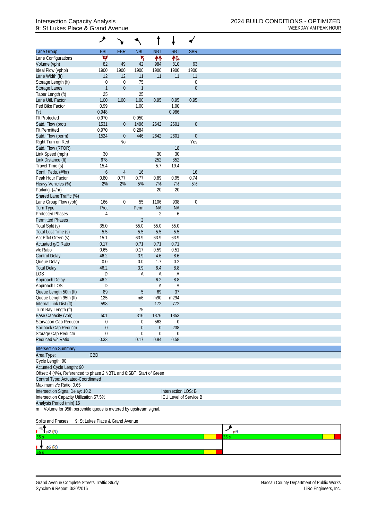## 9: St Lukes Place & Grand Avenue WEEKDAY AM PEAK HOUR

|                                                                      | ۸                                |                  |                  |                  |                     |                               |
|----------------------------------------------------------------------|----------------------------------|------------------|------------------|------------------|---------------------|-------------------------------|
| Lane Group                                                           | EBL                              | <b>EBR</b>       | <b>NBL</b>       | <b>NBT</b>       | <b>SBT</b>          | <b>SBR</b>                    |
| Lane Configurations                                                  | v                                |                  | ኻ                | ↟↟               | 伟                   |                               |
| Volume (vph)                                                         | 82                               | 49               | 42               | 984              | 810                 | 63                            |
| Ideal Flow (vphpl)                                                   | 1900                             | 1900             | 1900             | 1900             | 1900                | 1900                          |
| Lane Width (ft)                                                      | 12                               | 12               | 11               | 11               | 11                  | 11                            |
| Storage Length (ft)                                                  | $\boldsymbol{0}$                 | $\mathbf 0$      | 75               |                  |                     | $\boldsymbol{0}$              |
| Storage Lanes                                                        | $\mathbf{1}$                     | $\boldsymbol{0}$ | $\mathbf{1}$     |                  |                     | $\boldsymbol{0}$              |
| Taper Length (ft)                                                    | 25                               |                  | 25               |                  |                     |                               |
| Lane Util. Factor                                                    | 1.00                             | 1.00             | 1.00             | 0.95             | 0.95                | 0.95                          |
| Ped Bike Factor                                                      | 0.99                             |                  | 1.00             |                  | 1.00                |                               |
| Frt                                                                  | 0.948                            |                  |                  |                  | 0.986               |                               |
| <b>Flt Protected</b>                                                 | 0.970                            |                  | 0.950            |                  |                     |                               |
| Satd. Flow (prot)                                                    | 1531                             | $\overline{0}$   | 1496             | 2642             | 2601                | $\boldsymbol{0}$              |
| <b>Flt Permitted</b>                                                 | 0.970                            |                  | 0.284            |                  |                     |                               |
| Satd. Flow (perm)                                                    | 1524                             | $\overline{0}$   | 446              | 2642             | 2601                | $\boldsymbol{0}$              |
| Right Turn on Red                                                    |                                  | <b>No</b>        |                  |                  |                     | Yes                           |
| Satd. Flow (RTOR)                                                    |                                  |                  |                  |                  | 18                  |                               |
| Link Speed (mph)<br>Link Distance (ft)                               | 30                               |                  |                  | 30<br>252        | 30<br>852           |                               |
| Travel Time (s)                                                      | 678<br>15.4                      |                  |                  | 5.7              | 19.4                |                               |
| Confl. Peds. (#/hr)                                                  | $\boldsymbol{6}$                 | $\overline{4}$   | 16               |                  |                     | 16                            |
| Peak Hour Factor                                                     | 0.80                             | 0.77             | 0.77             | 0.89             | 0.95                | 0.74                          |
| Heavy Vehicles (%)                                                   | 2%                               | 2%               | 5%               | 7%               | 7%                  | 5%                            |
| Parking (#/hr)                                                       |                                  |                  |                  | 20               | 20                  |                               |
| Shared Lane Traffic (%)                                              |                                  |                  |                  |                  |                     |                               |
| Lane Group Flow (vph)                                                | 166                              | $\mathbf 0$      | 55               | 1106             | 938                 | $\boldsymbol{0}$              |
| <b>Turn Type</b>                                                     | Prot                             |                  | Perm             | <b>NA</b>        | <b>NA</b>           |                               |
| <b>Protected Phases</b>                                              | $\overline{4}$                   |                  |                  | $\overline{2}$   | 6                   |                               |
| <b>Permitted Phases</b>                                              |                                  |                  | $\overline{2}$   |                  |                     |                               |
| Total Split (s)                                                      | 35.0                             |                  | 55.0             | 55.0             | 55.0                |                               |
| Total Lost Time (s)                                                  | 5.5                              |                  | 5.5              | 5.5              | 5.5                 |                               |
| Act Effct Green (s)                                                  | 15.1                             |                  | 63.9             | 63.9             | 63.9                |                               |
| Actuated g/C Ratio                                                   | 0.17                             |                  | 0.71             | 0.71             | 0.71                |                               |
| v/c Ratio                                                            | 0.65                             |                  | 0.17             | 0.59             | 0.51                |                               |
| <b>Control Delay</b>                                                 | 46.2                             |                  | 3.9              | 4.6              | 8.6                 |                               |
| Queue Delay                                                          | 0.0                              |                  | 0.0              | 1.7              | 0.2                 |                               |
| <b>Total Delay</b>                                                   | 46.2                             |                  | 3.9              | 6.4              | $8.8\,$             |                               |
| <b>LOS</b>                                                           | D                                |                  | Α                | A                | A                   |                               |
| Approach Delay                                                       | 46.2                             |                  |                  | 6.2              | $8.8\,$             |                               |
| Approach LOS                                                         | D                                |                  |                  | A                | A                   |                               |
| Queue Length 50th (ft)                                               | 89                               |                  | 5                | 69               | 37                  |                               |
| Queue Length 95th (ft)                                               | 125                              |                  | m6               | m90              | m294                |                               |
| Internal Link Dist (ft)                                              | 598                              |                  |                  | 172              | 772                 |                               |
| Turn Bay Length (ft)                                                 |                                  |                  | 75               |                  |                     |                               |
| Base Capacity (vph)                                                  | 501                              |                  | 316              | 1876             | 1853                |                               |
| Starvation Cap Reductn                                               | 0                                |                  | 0                | 563              | $\mathbf 0$         |                               |
| Spillback Cap Reductn                                                | $\boldsymbol{0}$                 |                  | $\boldsymbol{0}$ | $\boldsymbol{0}$ | 238                 |                               |
| Storage Cap Reductn                                                  | $\boldsymbol{0}$                 |                  | $\boldsymbol{0}$ | $\mathbf 0$      | $\mathbf 0$         |                               |
| Reduced v/c Ratio                                                    | 0.33                             |                  | 0.17             | 0.84             | 0.58                |                               |
| <b>Intersection Summary</b>                                          |                                  |                  |                  |                  |                     |                               |
| Area Type:                                                           | CBD                              |                  |                  |                  |                     |                               |
| Cycle Length: 90                                                     |                                  |                  |                  |                  |                     |                               |
| <b>Actuated Cycle Length: 90</b>                                     |                                  |                  |                  |                  |                     |                               |
| Offset: 4 (4%), Referenced to phase 2:NBTL and 6:SBT, Start of Green |                                  |                  |                  |                  |                     |                               |
| Control Type: Actuated-Coordinated                                   |                                  |                  |                  |                  |                     |                               |
| Maximum v/c Ratio: 0.65                                              |                                  |                  |                  |                  |                     |                               |
| Intersection Signal Delay: 10.2                                      |                                  |                  |                  |                  | Intersection LOS: B |                               |
| Intersection Capacity Utilization 57.5%                              |                                  |                  |                  |                  |                     | <b>ICU Level of Service B</b> |
| Analysis Period (min) 15                                             |                                  |                  |                  |                  |                     |                               |
| m Volume for 95th percentile queue is metered by upstream signal.    |                                  |                  |                  |                  |                     |                               |
|                                                                      |                                  |                  |                  |                  |                     |                               |
| Splits and Phases:                                                   | 9: St Lukes Place & Grand Avenue |                  |                  |                  |                     |                               |

| $\mathfrak{g}(R)$<br>ъ. | 684 |
|-------------------------|-----|
| 55s                     |     |
| , .<br>ø6 (R)           |     |
| 55 s                    |     |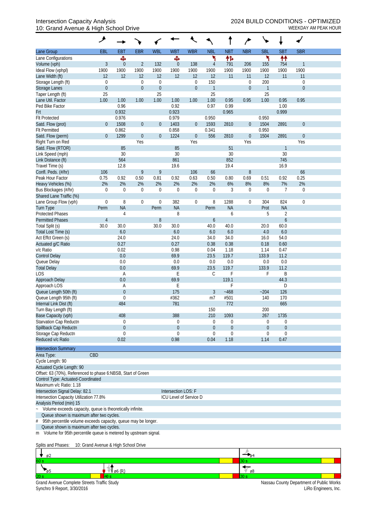#### Intersection Capacity Analysis<br>10: Grand Avenue & High School Drive<br>WEEKDAY AM PEAK HOUR 10: Grand Avenue & High School Drive

|                                                                                                                | ۶                     |              |                                      |                             |                     |                                 |                         |             |                                 | ↘                   |                |                                    |  |
|----------------------------------------------------------------------------------------------------------------|-----------------------|--------------|--------------------------------------|-----------------------------|---------------------|---------------------------------|-------------------------|-------------|---------------------------------|---------------------|----------------|------------------------------------|--|
| Lane Group                                                                                                     | EBL                   | <b>EBT</b>   | <b>EBR</b>                           | <b>WBL</b>                  | <b>WBT</b>          | <b>WBR</b>                      | <b>NBL</b>              | <b>NBT</b>  | <b>NBR</b>                      | <b>SBL</b>          | <b>SBT</b>     | <b>SBR</b>                         |  |
| Lane Configurations                                                                                            |                       | Ф            |                                      |                             | Ф                   |                                 | ۲                       | 怍           |                                 | ۲                   | ₩              |                                    |  |
| Volume (vph)                                                                                                   | 3                     | $\theta$     | $\overline{2}$                       | 132                         | 0                   | 138                             | $\overline{4}$          | 791         | 206                             | 155                 | 754            | $\mathbf{1}$                       |  |
| Ideal Flow (vphpl)                                                                                             | 1900                  | 1900         | 1900                                 | 1900                        | 1900                | 1900                            | 1900                    | 1900        | 1900                            | 1900                | 1900           | 1900                               |  |
| Lane Width (ft)                                                                                                | 12                    | 12           | 12                                   | 12                          | 12                  | 12                              | 12<br>150               | 11          | 11                              | 12                  | 11             | 11                                 |  |
| Storage Length (ft)<br><b>Storage Lanes</b>                                                                    | 0<br>$\boldsymbol{0}$ |              | $\boldsymbol{0}$<br>$\boldsymbol{0}$ | $\mathbf 0$<br>$\mathbf{0}$ |                     | $\boldsymbol{0}$<br>$\mathbf 0$ | $\overline{\mathbf{1}}$ |             | $\mathbf 0$<br>$\boldsymbol{0}$ | 200<br>$\mathbf{1}$ |                | $\boldsymbol{0}$<br>$\overline{0}$ |  |
| Taper Length (ft)                                                                                              | 25                    |              |                                      | 25                          |                     |                                 | 25                      |             |                                 | 25                  |                |                                    |  |
| Lane Util. Factor                                                                                              | 1.00                  | 1.00         | 1.00                                 | 1.00                        | 1.00                | 1.00                            | 1.00                    | 0.95        | 0.95                            | 1.00                | 0.95           | 0.95                               |  |
| Ped Bike Factor                                                                                                |                       | 0.96         |                                      |                             | 0.92                |                                 | 0.97                    | 0.99        |                                 |                     | 1.00           |                                    |  |
| Frt                                                                                                            |                       | 0.932        |                                      |                             | 0.923               |                                 |                         | 0.965       |                                 |                     | 0.999          |                                    |  |
| <b>Flt Protected</b>                                                                                           |                       | 0.976        |                                      |                             | 0.979               |                                 | 0.950                   |             |                                 | 0.950               |                |                                    |  |
| Satd. Flow (prot)                                                                                              | $\mathbf 0$           | 1508         | $\boldsymbol{0}$                     | $\mathbf{0}$                | 1403                | $\overline{0}$                  | 1593                    | 2810        | $\boldsymbol{0}$                | 1504                | 2891           | $\mathbf{0}$                       |  |
| <b>Flt Permitted</b>                                                                                           |                       | 0.862        |                                      |                             | 0.858               |                                 | 0.341                   |             |                                 | 0.950               |                |                                    |  |
| Satd. Flow (perm)                                                                                              | $\mathbf{0}$          | 1299         | $\boldsymbol{0}$                     | $\mathbf{0}$                | 1224                | $\boldsymbol{0}$                | 556                     | 2810        | $\boldsymbol{0}$                | 1504                | 2891           | $\mathbf{0}$                       |  |
| Right Turn on Red                                                                                              |                       |              | Yes                                  |                             |                     | Yes                             |                         |             | Yes                             |                     |                | Yes                                |  |
| Satd. Flow (RTOR)                                                                                              |                       | 85           |                                      |                             | 85                  |                                 |                         | 51          |                                 |                     | $\mathbf{1}$   |                                    |  |
| Link Speed (mph)<br>Link Distance (ft)                                                                         |                       | 30<br>564    |                                      |                             | 30<br>861           |                                 |                         | 30<br>852   |                                 |                     | 30<br>745      |                                    |  |
| Travel Time (s)                                                                                                |                       | 12.8         |                                      |                             | 19.6                |                                 |                         | 19.4        |                                 |                     | 16.9           |                                    |  |
| Confl. Peds. (#/hr)                                                                                            | 106                   |              | 9                                    | 9                           |                     | 106                             | 66                      |             | $8\,$                           |                     |                | 66                                 |  |
| Peak Hour Factor                                                                                               | 0.75                  | 0.92         | 0.50                                 | 0.81                        | 0.92                | 0.63                            | 0.50                    | 0.80        | 0.69                            | 0.51                | 0.92           | 0.25                               |  |
| Heavy Vehicles (%)                                                                                             | 2%                    | 2%           | 2%                                   | 2%                          | 2%                  | 2%                              | 2%                      | 6%          | 8%                              | 8%                  | 7%             | 2%                                 |  |
| Bus Blockages (#/hr)                                                                                           | 0                     | $\mathbf 0$  | 0                                    | $\boldsymbol{0}$            | $\overline{0}$      | $\boldsymbol{0}$                | $\mathbf 0$             | 3           | $\boldsymbol{0}$                | $\mathbf 0$         | $\overline{7}$ | $\mathbf 0$                        |  |
| Shared Lane Traffic (%)                                                                                        |                       |              |                                      |                             |                     |                                 |                         |             |                                 |                     |                |                                    |  |
| Lane Group Flow (vph)                                                                                          | $\boldsymbol{0}$      | 8            | 0                                    | $\boldsymbol{0}$            | 382                 | $\mathbf 0$                     | 8                       | 1288        | $\boldsymbol{0}$                | 304                 | 824            | $\mathbf 0$                        |  |
| <b>Turn Type</b>                                                                                               | Perm                  | <b>NA</b>    |                                      | Perm                        | <b>NA</b>           |                                 | Perm                    | <b>NA</b>   |                                 | Prot                | <b>NA</b>      |                                    |  |
| <b>Protected Phases</b>                                                                                        |                       | 4            |                                      |                             | 8                   |                                 |                         | 6           |                                 | 5                   | $\sqrt{2}$     |                                    |  |
| <b>Permitted Phases</b>                                                                                        | $\overline{4}$        |              |                                      | 8                           |                     |                                 | $\boldsymbol{6}$        |             |                                 |                     | 6              |                                    |  |
| Total Split (s)                                                                                                | 30.0                  | 30.0         |                                      | 30.0                        | 30.0                |                                 | 40.0                    | 40.0        |                                 | 20.0                | 60.0           |                                    |  |
| Total Lost Time (s)<br>Act Effct Green (s)                                                                     |                       | 6.0<br>24.0  |                                      |                             | 6.0<br>24.0         |                                 | 6.0<br>34.0             | 6.0<br>34.0 |                                 | 4.0<br>16.0         | 6.0<br>54.0    |                                    |  |
| Actuated g/C Ratio                                                                                             |                       | 0.27         |                                      |                             | 0.27                |                                 | 0.38                    | 0.38        |                                 | 0.18                | 0.60           |                                    |  |
| v/c Ratio                                                                                                      |                       | 0.02         |                                      |                             | 0.98                |                                 | 0.04                    | 1.18        |                                 | 1.14                | 0.47           |                                    |  |
| <b>Control Delay</b>                                                                                           |                       | 0.0          |                                      |                             | 69.9                |                                 | 23.5                    | 119.7       |                                 | 133.9               | 11.2           |                                    |  |
| Queue Delay                                                                                                    |                       | 0.0          |                                      |                             | 0.0                 |                                 | 0.0                     | 0.0         |                                 | 0.0                 | 0.0            |                                    |  |
| <b>Total Delay</b>                                                                                             |                       | 0.0          |                                      |                             | 69.9                |                                 | 23.5                    | 119.7       |                                 | 133.9               | 11.2           |                                    |  |
| LOS                                                                                                            |                       | A            |                                      |                             | Ε                   |                                 | С                       | F           |                                 | F                   | B              |                                    |  |
| Approach Delay                                                                                                 |                       | 0.0          |                                      |                             | 69.9                |                                 |                         | 119.1       |                                 |                     | 44.3           |                                    |  |
| Approach LOS                                                                                                   |                       | A            |                                      |                             | Ε                   |                                 |                         | F           |                                 |                     | D              |                                    |  |
| Queue Length 50th (ft)                                                                                         |                       | $\theta$     |                                      |                             | 175                 |                                 | 3                       | $-468$      |                                 | ~204                | 126            |                                    |  |
| Queue Length 95th (ft)                                                                                         |                       | $\mathbf 0$  |                                      |                             | #362                |                                 | m <sub>7</sub>          | #501        |                                 | 140                 | 170            |                                    |  |
| Internal Link Dist (ft)<br>Turn Bay Length (ft)                                                                |                       | 484          |                                      |                             | 781                 |                                 | 150                     | 772         |                                 | 200                 | 665            |                                    |  |
| Base Capacity (vph)                                                                                            |                       | 408          |                                      |                             | 388                 |                                 | 210                     | 1093        |                                 | 267                 | 1735           |                                    |  |
| Starvation Cap Reductn                                                                                         |                       | 0            |                                      |                             | 0                   |                                 | 0                       | 0           |                                 | 0                   | 0              |                                    |  |
| Spillback Cap Reductn                                                                                          |                       | $\mathbf{0}$ |                                      |                             | $\mathbf 0$         |                                 | $\overline{0}$          | 0           |                                 | $\overline{0}$      | $\mathbf 0$    |                                    |  |
| Storage Cap Reductn                                                                                            |                       | $\theta$     |                                      |                             | $\Omega$            |                                 | 0                       | 0           |                                 | 0                   | $\mathbf 0$    |                                    |  |
| Reduced v/c Ratio                                                                                              |                       | 0.02         |                                      |                             | 0.98                |                                 | 0.04                    | 1.18        |                                 | 1.14                | 0.47           |                                    |  |
| <b>Intersection Summary</b>                                                                                    |                       |              |                                      |                             |                     |                                 |                         |             |                                 |                     |                |                                    |  |
| Area Type:                                                                                                     | CBD                   |              |                                      |                             |                     |                                 |                         |             |                                 |                     |                |                                    |  |
| Cycle Length: 90                                                                                               |                       |              |                                      |                             |                     |                                 |                         |             |                                 |                     |                |                                    |  |
| Actuated Cycle Length: 90                                                                                      |                       |              |                                      |                             |                     |                                 |                         |             |                                 |                     |                |                                    |  |
| Offset: 63 (70%), Referenced to phase 6:NBSB, Start of Green                                                   |                       |              |                                      |                             |                     |                                 |                         |             |                                 |                     |                |                                    |  |
| Control Type: Actuated-Coordinated                                                                             |                       |              |                                      |                             |                     |                                 |                         |             |                                 |                     |                |                                    |  |
| Maximum v/c Ratio: 1.18                                                                                        |                       |              |                                      |                             |                     |                                 |                         |             |                                 |                     |                |                                    |  |
| Intersection Signal Delay: 82.1                                                                                |                       |              |                                      |                             | Intersection LOS: F |                                 |                         |             |                                 |                     |                |                                    |  |
| Intersection Capacity Utilization 77.8%                                                                        |                       |              |                                      |                             |                     | ICU Level of Service D          |                         |             |                                 |                     |                |                                    |  |
| Analysis Period (min) 15                                                                                       |                       |              |                                      |                             |                     |                                 |                         |             |                                 |                     |                |                                    |  |
| Volume exceeds capacity, queue is theoretically infinite.                                                      |                       |              |                                      |                             |                     |                                 |                         |             |                                 |                     |                |                                    |  |
| Queue shown is maximum after two cycles.<br>95th percentile volume exceeds capacity, queue may be longer.<br># |                       |              |                                      |                             |                     |                                 |                         |             |                                 |                     |                |                                    |  |
| Queue shown is maximum after two cycles.                                                                       |                       |              |                                      |                             |                     |                                 |                         |             |                                 |                     |                |                                    |  |
| m Volume for 95th percentile queue is metered by upstream signal.                                              |                       |              |                                      |                             |                     |                                 |                         |             |                                 |                     |                |                                    |  |
|                                                                                                                |                       |              |                                      |                             |                     |                                 |                         |             |                                 |                     |                |                                    |  |
| Splits and Phases: 10: Grand Avenue & High School Drive                                                        |                       |              |                                      |                             |                     |                                 |                         |             |                                 |                     |                |                                    |  |

| <b>ø2</b>                                   |               |                                          |                      |
|---------------------------------------------|---------------|------------------------------------------|----------------------|
| 60 s                                        |               | 30 s                                     |                      |
|                                             | $\circ$ 6 (R) | ø8                                       |                      |
| 20s                                         |               |                                          |                      |
| Grand Avenue Complete Streets Traffic Study |               | Nassau County Department of Public Works |                      |
| Synchro 9 Report, 3/30/2016                 |               |                                          | LiRo Engineers, Inc. |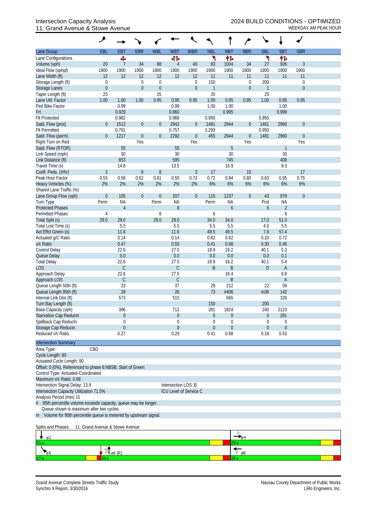## 11: Grand Avenue & Stowe Avenue Weekbay American Changes and Muslim Muslim Muslim Muslim Muslim Muslim Muslim Muslim Muslim Muslim Muslim Muslim Muslim Muslim Muslim Muslim Muslim Muslim Muslim Muslim Muslim Muslim Muslim

| Lane Group                                                        | EBL                             | <b>EBT</b>               | <b>EBR</b>       | <b>WBL</b>             | <b>WBT</b>          | <b>WBR</b>             | <b>NBL</b>           | <b>NBT</b>               | <b>NBR</b>             | <b>SBL</b>           | <b>SBT</b>       | <b>SBR</b>       |  |
|-------------------------------------------------------------------|---------------------------------|--------------------------|------------------|------------------------|---------------------|------------------------|----------------------|--------------------------|------------------------|----------------------|------------------|------------------|--|
| Lane Configurations                                               |                                 | Ф                        |                  |                        | बीर्क               |                        | ۲                    | 怍                        |                        | ۲                    | 伟                |                  |  |
| Volume (vph)                                                      | 20                              | 7                        | 34               | 88                     | $\overline{4}$      | 40                     | 83                   | 1004                     | 34                     | 27                   | 926              | 3                |  |
| Ideal Flow (vphpl)                                                | 1900                            | 1900                     | 1900             | 1900                   | 1900                | 1900                   | 1900                 | 1900                     | 1900                   | 1900                 | 1900             | 1900             |  |
| Lane Width (ft)                                                   | 12                              | 12                       | 12               | 12                     | 12                  | 12                     | 11                   | 11                       | 11                     | 11                   | 11               | 11               |  |
| Storage Length (ft)                                               | $\boldsymbol{0}$                |                          | $\boldsymbol{0}$ | $\mathbf 0$            |                     | $\mathbf 0$            | 150                  |                          | $\boldsymbol{0}$       | 200                  |                  | $\boldsymbol{0}$ |  |
| <b>Storage Lanes</b>                                              | $\boldsymbol{0}$<br>25          |                          | $\boldsymbol{0}$ | $\boldsymbol{0}$<br>25 |                     | $\mathbf 0$            | $\overline{1}$<br>25 |                          | $\boldsymbol{0}$       | $\overline{1}$<br>25 |                  | $\boldsymbol{0}$ |  |
| Taper Length (ft)<br>Lane Util. Factor                            | 1.00                            | 1.00                     | 1.00             | 0.95                   | 0.95                | 0.95                   | 1.00                 | 0.95                     | 0.95                   | 1.00                 | 0.95             | 0.95             |  |
| Ped Bike Factor                                                   |                                 | 0.99                     |                  |                        | 0.99                |                        | 1.00                 | 1.00                     |                        |                      | 1.00             |                  |  |
| Frt                                                               |                                 | 0.929                    |                  |                        | 0.960               |                        |                      | 0.995                    |                        |                      | 0.999            |                  |  |
| <b>Flt Protected</b>                                              |                                 | 0.982                    |                  |                        | 0.966               |                        | 0.950                |                          |                        | 0.950                |                  |                  |  |
| Satd. Flow (prot)                                                 | $\theta$                        | 1512                     | $\boldsymbol{0}$ | $\boldsymbol{0}$       | 2942                | $\overline{0}$         | 1481                 | 2944                     | $\boldsymbol{0}$       | 1481                 | 2960             | $\boldsymbol{0}$ |  |
| <b>Flt Permitted</b>                                              |                                 | 0.791                    |                  |                        | 0.757               |                        | 0.293                |                          |                        | 0.950                |                  |                  |  |
| Satd. Flow (perm)                                                 | $\theta$                        | 1217                     | $\boldsymbol{0}$ | $\boldsymbol{0}$       | 2292                | $\boldsymbol{0}$       | 455                  | 2944                     | $\boldsymbol{0}$       | 1481                 | 2960             | $\boldsymbol{0}$ |  |
| Right Turn on Red                                                 |                                 |                          | Yes              |                        |                     | Yes                    |                      |                          | Yes                    |                      |                  | Yes              |  |
| Satd. Flow (RTOR)                                                 |                                 | 55                       |                  |                        | 55                  |                        |                      | 5                        |                        |                      | $\mathbf{1}$     |                  |  |
| Link Speed (mph)                                                  |                                 | 30                       |                  |                        | 30                  |                        |                      | 30                       |                        |                      | 30               |                  |  |
| Link Distance (ft)                                                |                                 | 653                      |                  |                        | 595                 |                        |                      | 745                      |                        |                      | 408              |                  |  |
| Travel Time (s)                                                   |                                 | 14.8                     |                  |                        | 13.5                |                        |                      | 16.9                     |                        |                      | 9.3              |                  |  |
| Confl. Peds. (#/hr)<br>Peak Hour Factor                           | $\mathfrak{Z}$<br>0.53          | 0.58                     | $\, 8$<br>0.62   | 8<br>0.61              | 0.50                | $\mathfrak{Z}$<br>0.73 | 17<br>0.72           | 0.84                     | 15<br>0.80             | 0.63                 | 0.95             | 17<br>0.75       |  |
| Heavy Vehicles (%)                                                | 2%                              | 2%                       | 2%               | 2%                     | 2%                  | 2%                     | 6%                   | 6%                       | 6%                     | 6%                   | 6%               | 6%               |  |
| Shared Lane Traffic (%)                                           |                                 |                          |                  |                        |                     |                        |                      |                          |                        |                      |                  |                  |  |
| Lane Group Flow (vph)                                             | $\boldsymbol{0}$                | 105                      | $\boldsymbol{0}$ | $\boldsymbol{0}$       | 207                 | $\overline{0}$         | 115                  | 1237                     | $\mathbf 0$            | 43                   | 979              | $\mathbf{0}$     |  |
| Turn Type                                                         | Perm                            | <b>NA</b>                |                  | Perm                   | <b>NA</b>           |                        | Perm                 | <b>NA</b>                |                        | Prot                 | <b>NA</b>        |                  |  |
| <b>Protected Phases</b>                                           |                                 | $\overline{4}$           |                  |                        | $\, 8$              |                        |                      | $\boldsymbol{6}$         |                        | 5                    | $\overline{2}$   |                  |  |
| <b>Permitted Phases</b>                                           | $\overline{4}$                  |                          |                  | 8                      |                     |                        | 6                    |                          |                        |                      | 6                |                  |  |
| Total Split (s)                                                   | 29.0                            | 29.0                     |                  | 29.0                   | 29.0                |                        | 34.0                 | 34.0                     |                        | 17.0                 | 51.0             |                  |  |
| Total Lost Time (s)                                               |                                 | 5.5                      |                  |                        | 5.5                 |                        | 5.5                  | 5.5                      |                        | 4.0                  | 5.5              |                  |  |
| Act Effct Green (s)                                               |                                 | 11.6                     |                  |                        | 11.6                |                        | 49.5                 | 49.5                     |                        | 7.8                  | 57.4             |                  |  |
| Actuated g/C Ratio                                                |                                 | 0.14                     |                  |                        | 0.14                |                        | 0.62                 | 0.62                     |                        | 0.10                 | 0.72             |                  |  |
| v/c Ratio                                                         |                                 | 0.47                     |                  |                        | 0.55                |                        | 0.41                 | 0.68                     |                        | 0.30                 | 0.46             |                  |  |
| <b>Control Delay</b>                                              |                                 | 22.6                     |                  |                        | 27.5                |                        | 18.9                 | 16.2                     |                        | 40.1                 | 5.3              |                  |  |
| Queue Delay<br><b>Total Delay</b>                                 |                                 | 0.0<br>22.6              |                  |                        | 0.0<br>27.5         |                        | 0.0<br>18.9          | 0.0<br>16.2              |                        | 0.0<br>40.1          | 0.1<br>5.4       |                  |  |
| <b>LOS</b>                                                        |                                 | $\mathsf C$              |                  |                        | $\mathsf C$         |                        | B                    | B                        |                        | $\mathsf{D}$         | A                |                  |  |
| Approach Delay                                                    |                                 | 22.6                     |                  |                        | 27.5                |                        |                      | 16.4                     |                        |                      | 6.8              |                  |  |
| Approach LOS                                                      |                                 | $\mathsf C$              |                  |                        | $\mathsf{C}$        |                        |                      | B                        |                        |                      | A                |                  |  |
| Queue Length 50th (ft)                                            |                                 | 23                       |                  |                        | 37                  |                        | 29                   | 212                      |                        | 22                   | 59               |                  |  |
| Queue Length 95th (ft)                                            |                                 | 28                       |                  |                        | 26                  |                        | 73                   | #406                     |                        | m36                  | 142              |                  |  |
| Internal Link Dist (ft)                                           |                                 | 573                      |                  |                        | 515                 |                        |                      | 665                      |                        |                      | 328              |                  |  |
| Turn Bay Length (ft)                                              |                                 |                          |                  |                        |                     |                        | 150                  |                          |                        | 200                  |                  |                  |  |
| Base Capacity (vph)                                               |                                 | 396                      |                  |                        | 712                 |                        | 281                  | 1824                     |                        | 240                  | 2123             |                  |  |
| Starvation Cap Reductn                                            |                                 | $\boldsymbol{0}$         |                  |                        | $\boldsymbol{0}$    |                        | $\theta$             | $\boldsymbol{0}$         |                        | $\boldsymbol{0}$     | 291              |                  |  |
| Spillback Cap Reductn                                             |                                 | $\mathbf 0$              |                  |                        | 0                   |                        | $\Omega$             | 0                        |                        | 0                    | $\mathbf 0$      |                  |  |
| Storage Cap Reductn<br>Reduced v/c Ratio                          |                                 | $\boldsymbol{0}$         |                  |                        | $\mathbf 0$         |                        | $\theta$             | $\boldsymbol{0}$<br>0.68 |                        | $\overline{0}$       | $\boldsymbol{0}$ |                  |  |
|                                                                   |                                 | 0.27                     |                  |                        | 0.29                |                        | 0.41                 |                          |                        | 0.18                 | 0.53             |                  |  |
| <b>Intersection Summary</b>                                       |                                 |                          |                  |                        |                     |                        |                      |                          |                        |                      |                  |                  |  |
| Area Type:                                                        | CBD                             |                          |                  |                        |                     |                        |                      |                          |                        |                      |                  |                  |  |
| Cycle Length: 80                                                  |                                 |                          |                  |                        |                     |                        |                      |                          |                        |                      |                  |                  |  |
| Actuated Cycle Length: 80                                         |                                 |                          |                  |                        |                     |                        |                      |                          |                        |                      |                  |                  |  |
| Offset: 0 (0%), Referenced to phase 6:NBSB, Start of Green        |                                 |                          |                  |                        |                     |                        |                      |                          |                        |                      |                  |                  |  |
| Control Type: Actuated-Coordinated<br>Maximum v/c Ratio: 0.68     |                                 |                          |                  |                        |                     |                        |                      |                          |                        |                      |                  |                  |  |
| Intersection Signal Delay: 13.9                                   |                                 |                          |                  |                        | Intersection LOS: B |                        |                      |                          |                        |                      |                  |                  |  |
| Intersection Capacity Utilization 71.5%                           |                                 |                          |                  |                        |                     | ICU Level of Service C |                      |                          |                        |                      |                  |                  |  |
| Analysis Period (min) 15                                          |                                 |                          |                  |                        |                     |                        |                      |                          |                        |                      |                  |                  |  |
| # 95th percentile volume exceeds capacity, queue may be longer.   |                                 |                          |                  |                        |                     |                        |                      |                          |                        |                      |                  |                  |  |
| Queue shown is maximum after two cycles.                          |                                 |                          |                  |                        |                     |                        |                      |                          |                        |                      |                  |                  |  |
| m Volume for 95th percentile queue is metered by upstream signal. |                                 |                          |                  |                        |                     |                        |                      |                          |                        |                      |                  |                  |  |
| Splits and Phases:                                                | 11: Grand Avenue & Stowe Avenue |                          |                  |                        |                     |                        |                      |                          |                        |                      |                  |                  |  |
|                                                                   |                                 |                          |                  |                        |                     |                        |                      |                          |                        |                      |                  |                  |  |
| ø2<br>51 s.                                                       |                                 |                          |                  |                        |                     |                        |                      | 29 s                     |                        |                      |                  |                  |  |
|                                                                   |                                 |                          |                  |                        |                     |                        |                      |                          |                        |                      |                  |                  |  |
| $\frac{1}{95}$                                                    |                                 | $\mathbf{M}_{\rho 6(R)}$ |                  |                        |                     |                        |                      |                          | $\overline{\sqrt{68}}$ |                      |                  |                  |  |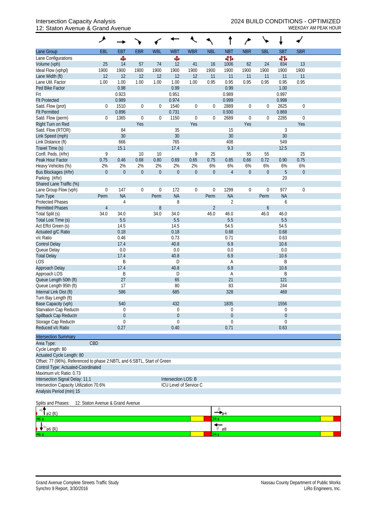## 12: Staton Avenue & Grand Avenue WEEKDAY AM PEAK HOUR

|                                                                         | ۶                                |                  |                  |                  |                       |                        |                  |                         |                  |                  | ۰                |                  |  |
|-------------------------------------------------------------------------|----------------------------------|------------------|------------------|------------------|-----------------------|------------------------|------------------|-------------------------|------------------|------------------|------------------|------------------|--|
| Lane Group                                                              | EBL                              | EBT              | <b>EBR</b>       | <b>WBL</b>       | <b>WBT</b>            | <b>WBR</b>             | <b>NBL</b>       | <b>NBT</b>              | <b>NBR</b>       | <b>SBL</b>       | <b>SBT</b>       | <b>SBR</b>       |  |
| Lane Configurations                                                     |                                  | Ф                |                  |                  | Ф                     |                        |                  | 41                      |                  |                  | 41               |                  |  |
| Volume (vph)                                                            | 25                               | 14               | 57               | 74               | 12                    | 41                     | 16               | 1006                    | 62               | 24               | 834              | 13               |  |
| Ideal Flow (vphpl)                                                      | 1900                             | 1900             | 1900             | 1900             | 1900                  | 1900                   | 1900             | 1900                    | 1900             | 1900             | 1900             | 1900             |  |
| Lane Width (ft)                                                         | 12                               | 12               | 12               | 12               | 12                    | 12                     | 11               | 11                      | 11               | 11               | 11               | 11               |  |
| Lane Util. Factor<br>Ped Bike Factor                                    | 1.00                             | 1.00<br>0.98     | 1.00             | 1.00             | 1.00<br>0.99          | 1.00                   | 0.95             | 0.95<br>0.99            | 0.95             | 0.95             | 0.95<br>1.00     | 0.95             |  |
| Frt                                                                     |                                  | 0.923            |                  |                  | 0.951                 |                        |                  | 0.989                   |                  |                  | 0.997            |                  |  |
| <b>Flt Protected</b>                                                    |                                  | 0.989            |                  |                  | 0.974                 |                        |                  | 0.999                   |                  |                  | 0.998            |                  |  |
| Satd. Flow (prot)                                                       | $\boldsymbol{0}$                 | 1510             | $\boldsymbol{0}$ | 0                | 1540                  | $\boldsymbol{0}$       | $\boldsymbol{0}$ | 2889                    | $\boldsymbol{0}$ | 0                | 2625             | $\boldsymbol{0}$ |  |
| <b>Flt Permitted</b>                                                    |                                  | 0.896            |                  |                  | 0.731                 |                        |                  | 0.930                   |                  |                  | 0.869            |                  |  |
| Satd. Flow (perm)                                                       | 0                                | 1365             | $\boldsymbol{0}$ | $\boldsymbol{0}$ | 1150                  | $\boldsymbol{0}$       | $\overline{0}$   | 2689                    | $\boldsymbol{0}$ | $\boldsymbol{0}$ | 2285             | $\boldsymbol{0}$ |  |
| Right Turn on Red                                                       |                                  |                  | Yes              |                  |                       | Yes                    |                  |                         | Yes              |                  |                  | Yes              |  |
| Satd. Flow (RTOR)                                                       |                                  | 84               |                  |                  | 35                    |                        |                  | 15                      |                  |                  | 3                |                  |  |
| Link Speed (mph)                                                        |                                  | 30               |                  |                  | 30                    |                        |                  | 30                      |                  |                  | 30               |                  |  |
| Link Distance (ft)                                                      |                                  | 666              |                  |                  | 765                   |                        |                  | 408                     |                  |                  | 549              |                  |  |
| Travel Time (s)<br>Confl. Peds. (#/hr)                                  | 9                                | 15.1             | 10               |                  | 17.4                  | 9                      |                  | 9.3                     | 55               |                  | 12.5             | 25               |  |
| Peak Hour Factor                                                        | 0.75                             | 0.46             | 0.68             | 10<br>0.80       | 0.69                  | 0.65                   | 25<br>0.75       | 0.85                    | 0.66             | 55<br>0.72       | 0.90             | 0.75             |  |
| Heavy Vehicles (%)                                                      | 2%                               | 2%               | 2%               | 2%               | 2%                    | 2%                     | 6%               | 6%                      | 6%               | 6%               | 6%               | 6%               |  |
| Bus Blockages (#/hr)                                                    | $\mathbf 0$                      | $\boldsymbol{0}$ | $\boldsymbol{0}$ | $\boldsymbol{0}$ | $\boldsymbol{0}$      | $\boldsymbol{0}$       | $\boldsymbol{0}$ | $\sqrt{4}$              | $\boldsymbol{0}$ | $\boldsymbol{0}$ | 5                | $\boldsymbol{0}$ |  |
| Parking (#/hr)                                                          |                                  |                  |                  |                  |                       |                        |                  |                         |                  |                  | 20               |                  |  |
| Shared Lane Traffic (%)                                                 |                                  |                  |                  |                  |                       |                        |                  |                         |                  |                  |                  |                  |  |
| Lane Group Flow (vph)                                                   | $\boldsymbol{0}$                 | 147              | $\boldsymbol{0}$ | $\mathbf 0$      | 172                   | $\boldsymbol{0}$       | $\boldsymbol{0}$ | 1299                    | $\boldsymbol{0}$ | 0                | 977              | $\mathbf 0$      |  |
| <b>Turn Type</b>                                                        | Perm                             | <b>NA</b>        |                  | Perm             | <b>NA</b>             |                        | Perm             | <b>NA</b>               |                  | Perm             | <b>NA</b>        |                  |  |
| <b>Protected Phases</b>                                                 |                                  | $\overline{4}$   |                  |                  | 8                     |                        |                  | $\sqrt{2}$              |                  |                  | 6                |                  |  |
| <b>Permitted Phases</b>                                                 | $\overline{4}$                   |                  |                  | $\, 8$           |                       |                        | $\overline{2}$   |                         |                  | $\mathfrak b$    |                  |                  |  |
| Total Split (s)                                                         | 34.0                             | 34.0             |                  | 34.0             | 34.0                  |                        | 46.0             | 46.0                    |                  | 46.0             | 46.0             |                  |  |
| Total Lost Time (s)                                                     |                                  | 5.5              |                  |                  | 5.5                   |                        |                  | 5.5                     |                  |                  | 5.5              |                  |  |
| Act Effct Green (s)                                                     |                                  | 14.5             |                  |                  | 14.5                  |                        |                  | 54.5                    |                  |                  | 54.5<br>0.68     |                  |  |
| Actuated g/C Ratio<br>v/c Ratio                                         |                                  | 0.18<br>0.46     |                  |                  | 0.18<br>0.73          |                        |                  | 0.68<br>0.71            |                  |                  | 0.63             |                  |  |
| <b>Control Delay</b>                                                    |                                  | 17.4             |                  |                  | 40.8                  |                        |                  | 6.9                     |                  |                  | 10.6             |                  |  |
| Queue Delay                                                             |                                  | 0.0              |                  |                  | 0.0                   |                        |                  | 0.0                     |                  |                  | 0.0              |                  |  |
| <b>Total Delay</b>                                                      |                                  | 17.4             |                  |                  | 40.8                  |                        |                  | 6.9                     |                  |                  | 10.6             |                  |  |
| LOS                                                                     |                                  | B                |                  |                  | D                     |                        |                  | Α                       |                  |                  | B                |                  |  |
| Approach Delay                                                          |                                  | 17.4             |                  |                  | 40.8                  |                        |                  | 6.9                     |                  |                  | 10.6             |                  |  |
| Approach LOS                                                            |                                  | B                |                  |                  | D                     |                        |                  | Α                       |                  |                  | B                |                  |  |
| Queue Length 50th (ft)                                                  |                                  | 27               |                  |                  | 65                    |                        |                  | 21                      |                  |                  | 121              |                  |  |
| Queue Length 95th (ft)                                                  |                                  | 17               |                  |                  | 80                    |                        |                  | 83                      |                  |                  | 244              |                  |  |
| Internal Link Dist (ft)                                                 |                                  | 586              |                  |                  | 685                   |                        |                  | 328                     |                  |                  | 469              |                  |  |
| Turn Bay Length (ft)                                                    |                                  | 540              |                  |                  |                       |                        |                  | 1835                    |                  |                  |                  |                  |  |
| Base Capacity (vph)<br>Starvation Cap Reductn                           |                                  | $\overline{0}$   |                  |                  | 432<br>$\overline{0}$ |                        |                  | 0                       |                  |                  | 1556<br>0        |                  |  |
| Spillback Cap Reductn                                                   |                                  | $\overline{0}$   |                  |                  | $\boldsymbol{0}$      |                        |                  | 0                       |                  |                  | $\boldsymbol{0}$ |                  |  |
| Storage Cap Reductn                                                     |                                  | 0                |                  |                  | 0                     |                        |                  | 0                       |                  |                  | 0                |                  |  |
| Reduced v/c Ratio                                                       |                                  | 0.27             |                  |                  | 0.40                  |                        |                  | 0.71                    |                  |                  | 0.63             |                  |  |
| <b>Intersection Summary</b>                                             |                                  |                  |                  |                  |                       |                        |                  |                         |                  |                  |                  |                  |  |
| Area Type:                                                              | CBD                              |                  |                  |                  |                       |                        |                  |                         |                  |                  |                  |                  |  |
| Cycle Length: 80                                                        |                                  |                  |                  |                  |                       |                        |                  |                         |                  |                  |                  |                  |  |
| Actuated Cycle Length: 80                                               |                                  |                  |                  |                  |                       |                        |                  |                         |                  |                  |                  |                  |  |
| Offset: 77 (96%), Referenced to phase 2:NBTL and 6:SBTL, Start of Green |                                  |                  |                  |                  |                       |                        |                  |                         |                  |                  |                  |                  |  |
| Control Type: Actuated-Coordinated                                      |                                  |                  |                  |                  |                       |                        |                  |                         |                  |                  |                  |                  |  |
| Maximum v/c Ratio: 0.73                                                 |                                  |                  |                  |                  |                       |                        |                  |                         |                  |                  |                  |                  |  |
| Intersection Signal Delay: 11.1                                         |                                  |                  |                  |                  | Intersection LOS: B   |                        |                  |                         |                  |                  |                  |                  |  |
| Intersection Capacity Utilization 70.6%                                 |                                  |                  |                  |                  |                       | ICU Level of Service C |                  |                         |                  |                  |                  |                  |  |
| Analysis Period (min) 15                                                |                                  |                  |                  |                  |                       |                        |                  |                         |                  |                  |                  |                  |  |
| Splits and Phases:                                                      | 12: Staton Avenue & Grand Avenue |                  |                  |                  |                       |                        |                  |                         |                  |                  |                  |                  |  |
| ø2 (R)                                                                  |                                  |                  |                  |                  |                       |                        |                  |                         |                  |                  |                  |                  |  |
|                                                                         |                                  |                  |                  |                  |                       |                        |                  |                         |                  |                  |                  |                  |  |
|                                                                         |                                  |                  |                  |                  |                       |                        |                  |                         |                  |                  |                  |                  |  |
| $\varphi$ 6 (R)                                                         |                                  |                  |                  |                  |                       |                        |                  | $\sqrt{\phantom{a}}$ ø8 |                  |                  |                  |                  |  |

134 s

46 s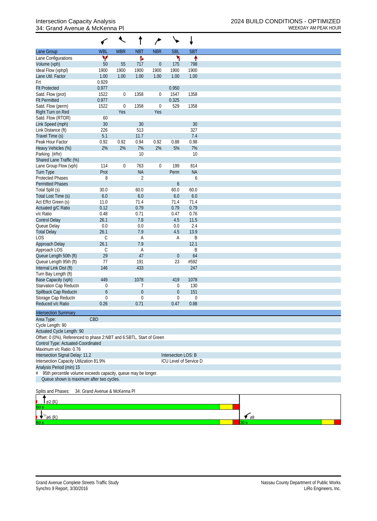## 34: Grand Avenue & McKenna PI and the McChannel Control of the MCEKDAY AM PEAK HOUR

|                                                                      |                               | $\overline{\phantom{a}}$ | t                | م                |                     | ↓                      |             |
|----------------------------------------------------------------------|-------------------------------|--------------------------|------------------|------------------|---------------------|------------------------|-------------|
| Lane Group                                                           | <b>WBL</b>                    | <b>WBR</b>               | <b>NBT</b>       | <b>NBR</b>       | <b>SBL</b>          | <b>SBT</b>             |             |
| Lane Configurations                                                  | ۷                             |                          | Ъ                |                  | ኻ                   | ↟                      |             |
| Volume (vph)                                                         | 50                            | 55                       | 717              | $\mathbf{0}$     | 175                 | 798                    |             |
| Ideal Flow (vphpl)                                                   | 1900                          | 1900                     | 1900             | 1900             | 1900                | 1900                   |             |
| Lane Util. Factor                                                    | 1.00                          | 1.00                     | 1.00             | 1.00             | 1.00                | 1.00                   |             |
| Frt                                                                  | 0.929                         |                          |                  |                  |                     |                        |             |
| <b>Flt Protected</b>                                                 | 0.977                         |                          |                  |                  | 0.950               |                        |             |
| Satd. Flow (prot)                                                    | 1522<br>0.977                 | $\pmb{0}$                | 1358             | $\boldsymbol{0}$ | 1547                | 1358                   |             |
| <b>Flt Permitted</b><br>Satd. Flow (perm)                            | 1522                          | $\boldsymbol{0}$         | 1358             | $\boldsymbol{0}$ | 0.325<br>529        | 1358                   |             |
| Right Turn on Red                                                    |                               | Yes                      |                  | Yes              |                     |                        |             |
| Satd. Flow (RTOR)                                                    | 60                            |                          |                  |                  |                     |                        |             |
| Link Speed (mph)                                                     | 30                            |                          | 30               |                  |                     | 30                     |             |
| Link Distance (ft)                                                   | 226                           |                          | 513              |                  |                     | 327                    |             |
| Travel Time (s)                                                      | 5.1                           |                          | 11.7             |                  |                     | 7.4                    |             |
| Peak Hour Factor                                                     | 0.92                          | 0.92                     | 0.94             | 0.92             | 0.88                | 0.98                   |             |
| Heavy Vehicles (%)                                                   | 2%                            | 2%                       | 7%               | 2%               | 5%                  | 7%                     |             |
| Parking (#/hr)                                                       |                               |                          | 10               |                  |                     | 10                     |             |
| Shared Lane Traffic (%)                                              |                               |                          |                  |                  |                     |                        |             |
| Lane Group Flow (vph)                                                | 114                           | $\boldsymbol{0}$         | 763              | $\mathbf 0$      | 199                 | 814                    |             |
| <b>Turn Type</b>                                                     | Prot                          |                          | <b>NA</b>        |                  | Perm                | <b>NA</b>              |             |
| <b>Protected Phases</b>                                              | 8                             |                          | $\sqrt{2}$       |                  |                     | 6                      |             |
| <b>Permitted Phases</b>                                              |                               |                          |                  |                  | $\boldsymbol{6}$    |                        |             |
| Total Split (s)                                                      | 30.0                          |                          | 60.0             |                  | 60.0                | 60.0                   |             |
| Total Lost Time (s)                                                  | $6.0\,$                       |                          | 6.0              |                  | 6.0                 | 6.0                    |             |
| Act Effct Green (s)                                                  | 11.0<br>0.12                  |                          | 71.4<br>0.79     |                  | 71.4<br>0.79        | 71.4<br>0.79           |             |
| Actuated g/C Ratio<br>v/c Ratio                                      | 0.48                          |                          | 0.71             |                  | 0.47                | 0.76                   |             |
| <b>Control Delay</b>                                                 | 26.1                          |                          | 7.8              |                  | 4.5                 | 11.5                   |             |
| Queue Delay                                                          | 0.0                           |                          | 0.0              |                  | 0.0                 | 2.4                    |             |
| <b>Total Delay</b>                                                   | 26.1                          |                          | 7.9              |                  | 4.5                 | 13.9                   |             |
| <b>LOS</b>                                                           | $\mathsf C$                   |                          | А                |                  | A                   | B                      |             |
| Approach Delay                                                       | 26.1                          |                          | 7.9              |                  |                     | 12.1                   |             |
| Approach LOS                                                         | $\mathsf C$                   |                          | Α                |                  |                     | B                      |             |
| Queue Length 50th (ft)                                               | 29                            |                          | 47               |                  | $\boldsymbol{0}$    | 64                     |             |
| Queue Length 95th (ft)                                               | 77                            |                          | 191              |                  | 23                  | #592                   |             |
| Internal Link Dist (ft)                                              | 146                           |                          | 433              |                  |                     | 247                    |             |
| Turn Bay Length (ft)                                                 |                               |                          |                  |                  |                     |                        |             |
| Base Capacity (vph)                                                  | 449                           |                          | 1078             |                  | 419                 | 1078                   |             |
| Starvation Cap Reductn                                               | 0                             |                          | 7                |                  | 0                   | 130                    |             |
| Spillback Cap Reductn                                                | 6                             |                          | $\boldsymbol{0}$ |                  | $\overline{0}$      | 151                    |             |
| Storage Cap Reductn                                                  | $\mathbf 0$                   |                          | $\boldsymbol{0}$ |                  | $\mathbf{0}$        | $\boldsymbol{0}$       |             |
| Reduced v/c Ratio                                                    | 0.26                          |                          | 0.71             |                  | 0.47                | 0.88                   |             |
| <b>Intersection Summary</b>                                          |                               |                          |                  |                  |                     |                        |             |
| Area Type:                                                           | CBD                           |                          |                  |                  |                     |                        |             |
| Cycle Length: 90                                                     |                               |                          |                  |                  |                     |                        |             |
| Actuated Cycle Length: 90                                            |                               |                          |                  |                  |                     |                        |             |
| Offset: 0 (0%), Referenced to phase 2:NBT and 6:SBTL, Start of Green |                               |                          |                  |                  |                     |                        |             |
| Control Type: Actuated-Coordinated                                   |                               |                          |                  |                  |                     |                        |             |
| Maximum v/c Ratio: 0.76                                              |                               |                          |                  |                  |                     |                        |             |
| Intersection Signal Delay: 11.2                                      |                               |                          |                  |                  | Intersection LOS: B |                        |             |
| Intersection Capacity Utilization 81.9%                              |                               |                          |                  |                  |                     | ICU Level of Service D |             |
| Analysis Period (min) 15                                             |                               |                          |                  |                  |                     |                        |             |
| 95th percentile volume exceeds capacity, queue may be longer.<br>#   |                               |                          |                  |                  |                     |                        |             |
| Queue shown is maximum after two cycles.                             |                               |                          |                  |                  |                     |                        |             |
| Splits and Phases:                                                   | 34: Grand Avenue & McKenna Pl |                          |                  |                  |                     |                        |             |
| ø2 (R)                                                               |                               |                          |                  |                  |                     |                        |             |
|                                                                      |                               |                          |                  |                  |                     |                        |             |
|                                                                      |                               |                          |                  |                  |                     |                        | $\sim$ $68$ |
| $\emptyset$ 6 (R)                                                    |                               |                          |                  |                  |                     |                        |             |

0.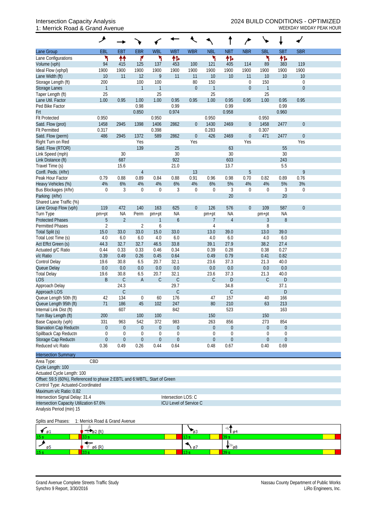## 1: Merrick Road & Grand Avenue WEEKDAY MIDDAY PEAK HOUR

|                                                                             | ᢣ                                    |                                  |                        |                                      |                                      |                  |                                    |                                      |                  |                                 |                                 |                  |  |
|-----------------------------------------------------------------------------|--------------------------------------|----------------------------------|------------------------|--------------------------------------|--------------------------------------|------------------|------------------------------------|--------------------------------------|------------------|---------------------------------|---------------------------------|------------------|--|
| Lane Group                                                                  | EBL                                  | EBT                              | <b>EBR</b>             | <b>WBL</b>                           | <b>WBT</b>                           | <b>WBR</b>       | <b>NBL</b>                         | <b>NBT</b>                           | <b>NBR</b>       | <b>SBL</b>                      | <b>SBT</b>                      | <b>SBR</b>       |  |
| Lane Configurations                                                         | ۲                                    | ↟↟                               | ۴                      | ۲                                    | 怍                                    |                  | ۲                                  | 怍                                    |                  | ۲                               | 怍                               |                  |  |
| Volume (vph)                                                                | 94                                   | 415                              | 125                    | 137                                  | 453                                  | 100              | 121                                | 405                                  | 114              | 89                              | 383                             | 119              |  |
| Ideal Flow (vphpl)                                                          | 1900                                 | 1900                             | 1900                   | 1900                                 | 1900                                 | 1900             | 1900                               | 1900                                 | 1900             | 1900                            | 1900                            | 1900             |  |
| Lane Width (ft)                                                             | 10                                   | 11                               | 12                     | $\overline{9}$                       | 11                                   | 11               | 10                                 | 10                                   | 11               | 10                              | 10                              | 10               |  |
| Storage Length (ft)                                                         | 200                                  |                                  | 100                    | 100                                  |                                      | 80               | 150                                |                                      | $\boldsymbol{0}$ | 150                             |                                 | $\boldsymbol{0}$ |  |
| Storage Lanes                                                               | $\mathbf{1}$                         |                                  | $\mathbf{1}$           | $\mathbf{1}$                         |                                      | $\overline{0}$   | $\overline{1}$                     |                                      | $\theta$         | $\mathbf{1}$                    |                                 | $\boldsymbol{0}$ |  |
| Taper Length (ft)                                                           | 25                                   |                                  |                        | 25                                   |                                      |                  | 25                                 |                                      |                  | 25                              |                                 |                  |  |
| Lane Util. Factor                                                           | 1.00                                 | 0.95                             | 1.00                   | 1.00                                 | 0.95                                 | 0.95             | 1.00                               | 0.95                                 | 0.95             | 1.00                            | 0.95                            | 0.95             |  |
| Ped Bike Factor                                                             |                                      |                                  | 0.98                   |                                      | 0.99                                 |                  |                                    | 0.99                                 |                  |                                 | 0.99                            |                  |  |
| Frt                                                                         |                                      |                                  | 0.850                  |                                      | 0.974                                |                  |                                    | 0.958                                |                  |                                 | 0.960                           |                  |  |
| <b>Flt Protected</b>                                                        | 0.950                                |                                  |                        | 0.950                                |                                      |                  | 0.950                              |                                      |                  | 0.950                           |                                 |                  |  |
| Satd. Flow (prot)                                                           | 1458                                 | 2945                             | 1398                   | 1406                                 | 2862                                 | $\overline{0}$   | 1430                               | 2469                                 | $\theta$         | 1458                            | 2477                            | $\boldsymbol{0}$ |  |
| <b>Flt Permitted</b>                                                        | 0.317                                |                                  |                        | 0.398                                |                                      |                  | 0.283                              |                                      |                  | 0.307                           |                                 |                  |  |
| Satd. Flow (perm)                                                           | 486                                  | 2945                             | 1372                   | 589                                  | 2862                                 | $\boldsymbol{0}$ | 426                                | 2469                                 | $\boldsymbol{0}$ | 471                             | 2477                            | $\boldsymbol{0}$ |  |
| Right Turn on Red                                                           |                                      |                                  | Yes                    |                                      |                                      | Yes              |                                    |                                      | Yes              |                                 |                                 | Yes              |  |
| Satd. Flow (RTOR)                                                           |                                      |                                  | 139                    |                                      | 25                                   |                  |                                    | 63                                   |                  |                                 | 55                              |                  |  |
| Link Speed (mph)                                                            |                                      | 30                               |                        |                                      | 30                                   |                  |                                    | 30                                   |                  |                                 | 30                              |                  |  |
| Link Distance (ft)                                                          |                                      | 687                              |                        |                                      | 922                                  |                  |                                    | 603                                  |                  |                                 | 243                             |                  |  |
| Travel Time (s)                                                             |                                      | 15.6                             |                        |                                      | 21.0                                 |                  |                                    | 13.7                                 |                  |                                 | 5.5                             | 9                |  |
| Confl. Peds. (#/hr)<br>Peak Hour Factor                                     | 0.79                                 | 0.88                             | $\overline{4}$<br>0.89 | 0.84                                 | 0.88                                 | 13<br>0.91       | 0.96                               | 0.98                                 | 5<br>0.70        | 0.82                            | 0.89                            | 0.76             |  |
| Heavy Vehicles (%)                                                          | 4%                                   | 6%                               | 4%                     | 4%                                   | 6%                                   | 4%               | 6%                                 | 5%                                   | 4%               | 4%                              | 5%                              | 3%               |  |
| Bus Blockages (#/hr)                                                        | $\mathbf 0$                          | 3                                | $\mathbf 0$            | $\mathbf 0$                          | 3                                    | $\mathbf 0$      | $\mathbf 0$                        | 3                                    | $\mathbf 0$      | $\mathbf 0$                     | 3                               | $\boldsymbol{0}$ |  |
| Parking (#/hr)                                                              |                                      |                                  |                        |                                      |                                      |                  |                                    | 20                                   |                  |                                 | 20                              |                  |  |
| Shared Lane Traffic (%)                                                     |                                      |                                  |                        |                                      |                                      |                  |                                    |                                      |                  |                                 |                                 |                  |  |
| Lane Group Flow (vph)                                                       | 119                                  | 472                              | 140                    | 163                                  | 625                                  | $\mathbf 0$      | 126                                | 576                                  | $\theta$         | 109                             | 587                             | $\mathbf 0$      |  |
| Turn Type                                                                   | pm+pt                                | <b>NA</b>                        | Perm                   | pm+pt                                | <b>NA</b>                            |                  | pm+pt                              | <b>NA</b>                            |                  | pm+pt                           | <b>NA</b>                       |                  |  |
| <b>Protected Phases</b>                                                     | $\overline{5}$                       | $\overline{2}$                   |                        | $\mathbf{1}$                         | $\boldsymbol{6}$                     |                  | $\overline{7}$                     | $\overline{4}$                       |                  | 3                               | 8                               |                  |  |
| <b>Permitted Phases</b>                                                     | $\overline{2}$                       |                                  | $\overline{2}$         | 6                                    |                                      |                  | 4                                  |                                      |                  | 8                               |                                 |                  |  |
| Total Split (s)                                                             | 15.0                                 | 33.0                             | 33.0                   | 15.0                                 | 33.0                                 |                  | 13.0                               | 39.0                                 |                  | 13.0                            | 39.0                            |                  |  |
| Total Lost Time (s)                                                         | 4.0                                  | 6.0                              | 6.0                    | 4.0                                  | 6.0                                  |                  | 4.0                                | 6.0                                  |                  | 4.0                             | 6.0                             |                  |  |
| Act Effct Green (s)                                                         | 44.3                                 | 32.7                             | 32.7                   | 46.5                                 | 33.8                                 |                  | 39.1                               | 27.9                                 |                  | 38.2                            | 27.4                            |                  |  |
| Actuated g/C Ratio                                                          | 0.44                                 | 0.33                             | 0.33                   | 0.46                                 | 0.34                                 |                  | 0.39                               | 0.28                                 |                  | 0.38                            | 0.27                            |                  |  |
| v/c Ratio                                                                   | 0.39                                 | 0.49                             | 0.26                   | 0.45                                 | 0.64                                 |                  | 0.49                               | 0.79                                 |                  | 0.41                            | 0.82                            |                  |  |
| <b>Control Delay</b>                                                        | 19.6                                 | 30.8                             | 6.5                    | 20.7                                 | 32.1                                 |                  | 23.6                               | 37.3                                 |                  | 21.3                            | 40.0                            |                  |  |
| Queue Delay                                                                 | 0.0                                  | 0.0                              | 0.0                    | $0.0\,$                              | 0.0                                  |                  | 0.0                                | 0.0                                  |                  | 0.0                             | 0.0                             |                  |  |
| <b>Total Delay</b>                                                          | 19.6                                 | 30.8                             | 6.5                    | 20.7                                 | 32.1                                 |                  | 23.6                               | 37.3                                 |                  | 21.3                            | 40.0                            |                  |  |
| <b>LOS</b>                                                                  | $\sf B$                              | $\mathsf C$                      | $\mathsf A$            | $\mathsf C$                          | $\mathsf C$                          |                  | $\mathsf{C}$                       | D                                    |                  | $\mathsf{C}$                    | ${\sf D}$                       |                  |  |
| Approach Delay                                                              |                                      | 24.3                             |                        |                                      | 29.7                                 |                  |                                    | 34.8                                 |                  |                                 | 37.1                            |                  |  |
| Approach LOS                                                                |                                      | $\mathsf C$                      |                        |                                      | $\mathsf C$                          |                  |                                    | $\mathsf C$                          |                  |                                 | D                               |                  |  |
| Queue Length 50th (ft)                                                      | 42                                   | 134                              | $\boldsymbol{0}$       | 60                                   | 176                                  |                  | 47                                 | 157                                  |                  | 40                              | 166                             |                  |  |
| Queue Length 95th (ft)                                                      | 71                                   | 186                              | 45                     | 102                                  | 247                                  |                  | 80                                 | 210                                  |                  | 63                              | 213                             |                  |  |
| Internal Link Dist (ft)                                                     |                                      | 607                              |                        |                                      | 842                                  |                  |                                    | 523                                  |                  |                                 | 163                             |                  |  |
| Turn Bay Length (ft)                                                        | 200                                  |                                  | 100                    | 100                                  |                                      |                  | 150                                |                                      |                  | 150                             |                                 |                  |  |
| Base Capacity (vph)                                                         | 331                                  | 963                              | 542                    | 372                                  | 983                                  |                  | 263                                | 856                                  |                  | 273                             | 854                             |                  |  |
| Starvation Cap Reductn                                                      | $\boldsymbol{0}$                     | $\boldsymbol{0}$                 | $\boldsymbol{0}$       | $\boldsymbol{0}$                     | $\boldsymbol{0}$                     |                  | $\overline{0}$                     | $\boldsymbol{0}$                     |                  | $\boldsymbol{0}$                | $\boldsymbol{0}$                |                  |  |
| Spillback Cap Reductn<br>Storage Cap Reductn                                | $\boldsymbol{0}$<br>$\boldsymbol{0}$ | $\mathbf{0}$<br>$\boldsymbol{0}$ | 0<br>$\boldsymbol{0}$  | $\boldsymbol{0}$<br>$\boldsymbol{0}$ | $\boldsymbol{0}$<br>$\boldsymbol{0}$ |                  | $\overline{0}$<br>$\boldsymbol{0}$ | $\boldsymbol{0}$<br>$\boldsymbol{0}$ |                  | $\mathbf 0$<br>$\boldsymbol{0}$ | $\mathbf 0$<br>$\boldsymbol{0}$ |                  |  |
| Reduced v/c Ratio                                                           | 0.36                                 | 0.49                             | 0.26                   | 0.44                                 | 0.64                                 |                  | 0.48                               | 0.67                                 |                  | 0.40                            | 0.69                            |                  |  |
| <b>Intersection Summary</b>                                                 |                                      |                                  |                        |                                      |                                      |                  |                                    |                                      |                  |                                 |                                 |                  |  |
| Area Type:                                                                  | CBD                                  |                                  |                        |                                      |                                      |                  |                                    |                                      |                  |                                 |                                 |                  |  |
| Cycle Length: 100                                                           |                                      |                                  |                        |                                      |                                      |                  |                                    |                                      |                  |                                 |                                 |                  |  |
| Actuated Cycle Length: 100                                                  |                                      |                                  |                        |                                      |                                      |                  |                                    |                                      |                  |                                 |                                 |                  |  |
| Offset: 59.5 (60%), Referenced to phase 2: EBTL and 6: WBTL, Start of Green |                                      |                                  |                        |                                      |                                      |                  |                                    |                                      |                  |                                 |                                 |                  |  |
| Control Type: Actuated-Coordinated                                          |                                      |                                  |                        |                                      |                                      |                  |                                    |                                      |                  |                                 |                                 |                  |  |
| Maximum v/c Ratio: 0.82                                                     |                                      |                                  |                        |                                      |                                      |                  |                                    |                                      |                  |                                 |                                 |                  |  |
| Intersection Signal Delay: 31.4                                             |                                      |                                  |                        |                                      | Intersection LOS: C                  |                  |                                    |                                      |                  |                                 |                                 |                  |  |
| Intersection Capacity Utilization 67.6%                                     |                                      |                                  |                        |                                      | ICU Level of Service C               |                  |                                    |                                      |                  |                                 |                                 |                  |  |

Analysis Period (min) 15

Splits and Phases: 1: Merrick Road & Grand Avenue

| LD 1 | . |   |    |
|------|---|---|----|
|      |   | o | ø8 |
| 15   |   |   |    |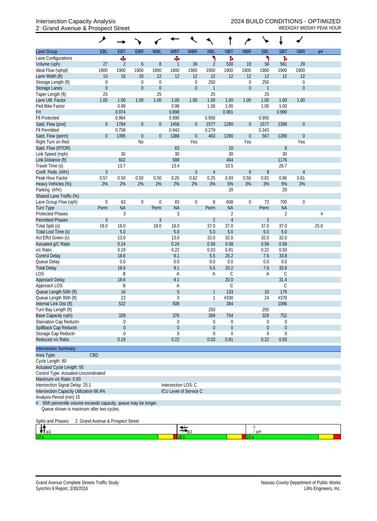## 2: Grand Avenue & Prospect Street WEEKDAY MIDDAY PEAK HOUR

|                                                                                                                                       | ۸                |                |                  |                  |                        |                               |                |                  |                  | ╰╸              |                  |                  |      |
|---------------------------------------------------------------------------------------------------------------------------------------|------------------|----------------|------------------|------------------|------------------------|-------------------------------|----------------|------------------|------------------|-----------------|------------------|------------------|------|
| Lane Group                                                                                                                            | EBL              | <b>EBT</b>     | <b>EBR</b>       | <b>WBL</b>       | <b>WBT</b>             | <b>WBR</b>                    | <b>NBL</b>     | <b>NBT</b>       | <b>NBR</b>       | <b>SBL</b>      | <b>SBT</b>       | <b>SBR</b>       | Ø4   |
| Lane Configurations                                                                                                                   |                  | Ф              |                  |                  | Ф                      |                               | ۲              | ħ                |                  | ۲               | ħ                |                  |      |
| Volume (vph)                                                                                                                          | 27               | $\overline{2}$ | $\boldsymbol{6}$ | 8                | $\mathbf{1}$           | 39                            | $\overline{2}$ | 530              | 19               | 58              | 561              | 29               |      |
| Ideal Flow (vphpl)                                                                                                                    | 1900             | 1900           | 1900             | 1900             | 1900                   | 1900                          | 1900           | 1900             | 1900             | 1900            | 1900             | 1900             |      |
| Lane Width (ft)                                                                                                                       | 10               | 16             | 10               | 12               | 12                     | 12                            | 12             | 12               | 12               | 12              | 12               | 12               |      |
| Storage Length (ft)                                                                                                                   | 0                |                | $\boldsymbol{0}$ | $\mathbf 0$      |                        | $\boldsymbol{0}$              | 250            |                  | $\boldsymbol{0}$ | 250             |                  | $\boldsymbol{0}$ |      |
| Storage Lanes                                                                                                                         | $\boldsymbol{0}$ |                | $\boldsymbol{0}$ | $\mathbf{0}$     |                        | $\overline{0}$                | $\mathbf{1}$   |                  | $\mathbf 0$      | $\mathbf{1}$    |                  | $\overline{0}$   |      |
| Taper Length (ft)                                                                                                                     | 25               |                |                  | 25               |                        |                               | 25             |                  |                  | 25              |                  |                  |      |
| Lane Util. Factor                                                                                                                     | 1.00             | 1.00           | 1.00             | 1.00             | 1.00                   | 1.00                          | 1.00           | 1.00             | 1.00             | 1.00            | 1.00             | 1.00             |      |
| Ped Bike Factor                                                                                                                       |                  | 0.99           |                  |                  | 0.98                   |                               | 1.00           | 1.00             |                  | 1.00            | 1.00             |                  |      |
| Frt                                                                                                                                   |                  | 0.974          |                  |                  | 0.898                  |                               |                | 0.991            |                  |                 | 0.990            |                  |      |
| <b>Flt Protected</b><br>Satd. Flow (prot)                                                                                             | $\theta$         | 0.964<br>1784  | $\boldsymbol{0}$ | $\theta$         | 0.990<br>1458          | $\boldsymbol{0}$              | 0.950<br>1577  | 1290             | $\mathbf 0$      | 0.950<br>1577   | 1289             | $\mathbf{0}$     |      |
| <b>Flt Permitted</b>                                                                                                                  |                  | 0.758          |                  |                  | 0.943                  |                               | 0.279          |                  |                  | 0.343           |                  |                  |      |
| Satd. Flow (perm)                                                                                                                     | $\theta$         | 1395           | $\boldsymbol{0}$ | $\boldsymbol{0}$ | 1388                   | $\boldsymbol{0}$              | 463            | 1290             | $\mathbf 0$      | 567             | 1289             | $\mathbf{0}$     |      |
| Right Turn on Red                                                                                                                     |                  |                | N <sub>0</sub>   |                  |                        | Yes                           |                |                  | Yes              |                 |                  | Yes              |      |
| Satd. Flow (RTOR)                                                                                                                     |                  |                |                  |                  | 63                     |                               |                | 10               |                  |                 | $\boldsymbol{6}$ |                  |      |
| Link Speed (mph)                                                                                                                      |                  | 30             |                  |                  | 30                     |                               |                | 30               |                  |                 | 30               |                  |      |
| Link Distance (ft)                                                                                                                    |                  | 602            |                  |                  | 588                    |                               |                | 464              |                  |                 | 1176             |                  |      |
| Travel Time (s)                                                                                                                       |                  | 13.7           |                  |                  | 13.4                   |                               |                | 10.5             |                  |                 | 26.7             |                  |      |
| Confl. Peds. (#/hr)                                                                                                                   | $\mathfrak{Z}$   |                |                  |                  |                        | 3                             | $\overline{4}$ |                  | 9                | 9               |                  | $\overline{4}$   |      |
| Peak Hour Factor                                                                                                                      | 0.57             | 0.50           | 0.50             | 0.50             | 0.25                   | 0.62                          | 0.25           | 0.93             | 0.50             | 0.81            | 0.86             | 0.61             |      |
| Heavy Vehicles (%)                                                                                                                    | 2%               | 2%             | 2%               | 2%               | 2%                     | 2%                            | 3%             | 5%               | 3%               | 3%              | 5%               | 3%               |      |
| Parking (#/hr)                                                                                                                        |                  |                |                  |                  |                        |                               |                | 20               |                  |                 | 20               |                  |      |
| Shared Lane Traffic (%)                                                                                                               |                  |                |                  |                  |                        |                               |                |                  |                  |                 |                  |                  |      |
| Lane Group Flow (vph)                                                                                                                 | $\boldsymbol{0}$ | 63             | $\boldsymbol{0}$ | $\mathbf 0$      | 83                     | $\mathbf 0$                   | 8              | 608              | $\boldsymbol{0}$ | 72              | 700              | $\mathbf 0$      |      |
| Turn Type                                                                                                                             | Perm             | <b>NA</b>      |                  | Perm             | <b>NA</b>              |                               | Perm           | <b>NA</b>        |                  | Perm            | <b>NA</b>        |                  |      |
| <b>Protected Phases</b>                                                                                                               |                  | 3              |                  |                  | 3                      |                               |                | 2                |                  |                 | $\overline{2}$   |                  | 4    |
| <b>Permitted Phases</b>                                                                                                               | $\mathfrak{Z}$   |                |                  | $\overline{3}$   |                        |                               | $\overline{2}$ | $\overline{4}$   |                  | $\overline{2}$  |                  |                  |      |
| Total Split (s)                                                                                                                       | 18.0             | 18.0           |                  | 18.0             | 18.0                   |                               | 37.0           | 37.0             |                  | 37.0            | 37.0             |                  | 25.0 |
| Total Lost Time (s)                                                                                                                   |                  | 5.0            |                  |                  | 5.0                    |                               | 5.0            | 5.0              |                  | 5.0             | 5.0              |                  |      |
| Act Effct Green (s)                                                                                                                   |                  | 13.0           |                  |                  | 13.0                   |                               | 32.0           | 32.0             |                  | 32.0            | 32.0             |                  |      |
| Actuated g/C Ratio<br>v/c Ratio                                                                                                       |                  | 0.24<br>0.19   |                  |                  | 0.24<br>0.22           |                               | 0.58<br>0.03   | 0.58<br>0.81     |                  | 0.58<br>0.22    | 0.58<br>0.93     |                  |      |
| <b>Control Delay</b>                                                                                                                  |                  | 18.6           |                  |                  | 9.1                    |                               | 5.5            | 20.2             |                  | 7.6             | 33.8             |                  |      |
| Queue Delay                                                                                                                           |                  | 0.0            |                  |                  | 0.0                    |                               | 0.0            | 0.0              |                  | 0.0             | 0.0              |                  |      |
| <b>Total Delay</b>                                                                                                                    |                  | 18.6           |                  |                  | 9.1                    |                               | 5.5            | 20.2             |                  | 7.6             | 33.8             |                  |      |
| <b>LOS</b>                                                                                                                            |                  | B              |                  |                  | Α                      |                               | Α              | $\mathsf C$      |                  | Α               | C                |                  |      |
| Approach Delay                                                                                                                        |                  | 18.6           |                  |                  | 9.1                    |                               |                | 20.0             |                  |                 | 31.4             |                  |      |
| Approach LOS                                                                                                                          |                  | B              |                  |                  | A                      |                               |                | С                |                  |                 | С                |                  |      |
| Queue Length 50th (ft)                                                                                                                |                  | 16             |                  |                  | 5                      |                               | 1              | 133              |                  | 10 <sup>1</sup> | 179              |                  |      |
| Queue Length 95th (ft)                                                                                                                |                  | 23             |                  |                  | 0                      |                               | $\mathbf 1$    | #330             |                  | 24              | #378             |                  |      |
| Internal Link Dist (ft)                                                                                                               |                  | 522            |                  |                  | 508                    |                               |                | 384              |                  |                 | 1096             |                  |      |
| Turn Bay Length (ft)                                                                                                                  |                  |                |                  |                  |                        |                               | 250            |                  |                  | 250             |                  |                  |      |
| Base Capacity (vph)                                                                                                                   |                  | 329            |                  |                  | 376                    |                               | 269            | 754              |                  | 329             | 752              |                  |      |
| Starvation Cap Reductn                                                                                                                |                  | 0              |                  |                  | 0                      |                               | 0              | $\boldsymbol{0}$ |                  | 0               | 0                |                  |      |
| Spillback Cap Reductn                                                                                                                 |                  | $\mathbf{0}$   |                  |                  | $\mathbf 0$            |                               | $\theta$       | $\boldsymbol{0}$ |                  | $\overline{0}$  | $\theta$         |                  |      |
| Storage Cap Reductn                                                                                                                   |                  | $\Omega$       |                  |                  | 0                      |                               | $\mathbf 0$    | $\mathbf 0$      |                  | 0               | $\mathbf 0$      |                  |      |
| Reduced v/c Ratio                                                                                                                     |                  | 0.19           |                  |                  | 0.22                   |                               | 0.03           | 0.81             |                  | 0.22            | 0.93             |                  |      |
| <b>Intersection Summary</b>                                                                                                           |                  |                |                  |                  |                        |                               |                |                  |                  |                 |                  |                  |      |
| CBD<br>Area Type:                                                                                                                     |                  |                |                  |                  |                        |                               |                |                  |                  |                 |                  |                  |      |
| Cycle Length: 80                                                                                                                      |                  |                |                  |                  |                        |                               |                |                  |                  |                 |                  |                  |      |
| Actuated Cycle Length: 55                                                                                                             |                  |                |                  |                  |                        |                               |                |                  |                  |                 |                  |                  |      |
| Control Type: Actuated-Uncoordinated                                                                                                  |                  |                |                  |                  |                        |                               |                |                  |                  |                 |                  |                  |      |
| Maximum v/c Ratio: 0.93                                                                                                               |                  |                |                  |                  |                        |                               |                |                  |                  |                 |                  |                  |      |
| Intersection Signal Delay: 25.1                                                                                                       |                  |                |                  |                  | Intersection LOS: C    |                               |                |                  |                  |                 |                  |                  |      |
| Intersection Capacity Utilization 66.4%                                                                                               |                  |                |                  |                  | ICU Level of Service C |                               |                |                  |                  |                 |                  |                  |      |
| Analysis Period (min) 15<br>95th percentile volume exceeds capacity, queue may be longer.<br>Queue shown is maximum after two cycles. |                  |                |                  |                  |                        |                               |                |                  |                  |                 |                  |                  |      |
| Splits and Phases:<br>2: Grand Avenue & Prospect Street                                                                               |                  |                |                  |                  |                        |                               |                |                  |                  |                 |                  |                  |      |
| PT 02                                                                                                                                 |                  |                |                  |                  |                        | $\overline{\mathcal{F}}_{g3}$ |                |                  |                  | ø4              |                  |                  |      |
|                                                                                                                                       |                  |                |                  |                  |                        |                               |                |                  | 25s              |                 |                  |                  |      |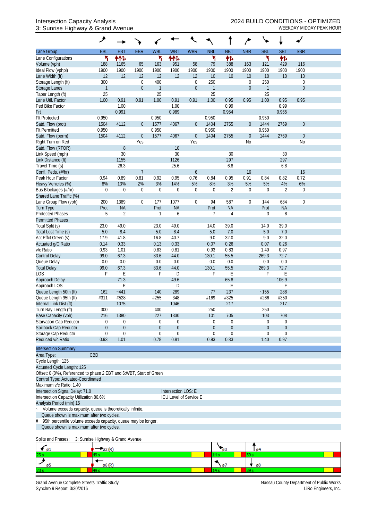#### 3: Sunrise Highway & Grand Avenue WEEKDAY MIDDAY PEAK HOUR

|                                                                     | ۸            |                  |                  |                  |                        |                  |                |                  |                  |                |                  |                  |  |
|---------------------------------------------------------------------|--------------|------------------|------------------|------------------|------------------------|------------------|----------------|------------------|------------------|----------------|------------------|------------------|--|
| Lane Group                                                          | <b>EBL</b>   | <b>EBT</b>       | <b>EBR</b>       | <b>WBL</b>       | <b>WBT</b>             | <b>WBR</b>       | <b>NBL</b>     | <b>NBT</b>       | <b>NBR</b>       | <b>SBL</b>     | <b>SBT</b>       | <b>SBR</b>       |  |
| Lane Configurations                                                 | ۲            | ተተኈ              |                  | ۲                | ተተኈ                    |                  | ۲              | 怍                |                  |                | 怍                |                  |  |
| Volume (vph)                                                        | 188          | 1165             | 65               | 163              | 951                    | 58               | 79             | 388              | 163              | 121            | 429              | 116              |  |
| Ideal Flow (vphpl)                                                  | 1900         | 1900             | 1900             | 1900             | 1900                   | 1900             | 1900           | 1900             | 1900             | 1900           | 1900             | 1900             |  |
| Lane Width (ft)                                                     | 12           | 12               | 12               | 12               | 12                     | 12               | 10             | 10               | 10               | 10             | 10               | 10               |  |
| Storage Length (ft)                                                 | 300          |                  | $\mathbf 0$      | 400              |                        | $\mathbf 0$      | 250            |                  | $\mathbf 0$      | 250            |                  | $\mathbf 0$      |  |
| Storage Lanes                                                       | $\mathbf{1}$ |                  | $\boldsymbol{0}$ | $\overline{1}$   |                        | $\boldsymbol{0}$ | $\overline{1}$ |                  | $\theta$         | $\mathbf{1}$   |                  | $\theta$         |  |
| Taper Length (ft)                                                   | 25           |                  |                  | 25               |                        |                  | 25             |                  |                  | 25             |                  |                  |  |
| Lane Util. Factor                                                   | 1.00         | 0.91             | 0.91             | 1.00             | 0.91                   | 0.91             | 1.00           | 0.95             | 0.95             | 1.00           | 0.95             | 0.95             |  |
| Ped Bike Factor<br>Frt                                              |              | 1.00             |                  |                  | 1.00                   |                  |                | 0.99<br>0.954    |                  |                | 0.99             |                  |  |
| <b>Flt Protected</b>                                                | 0.950        | 0.991            |                  | 0.950            | 0.989                  |                  | 0.950          |                  |                  | 0.950          | 0.965            |                  |  |
| Satd. Flow (prot)                                                   | 1504         | 4112             | $\boldsymbol{0}$ | 1577             | 4067                   | $\overline{0}$   | 1404           | 2755             | $\boldsymbol{0}$ | 1444           | 2769             | $\boldsymbol{0}$ |  |
| <b>Flt Permitted</b>                                                | 0.950        |                  |                  | 0.950            |                        |                  | 0.950          |                  |                  | 0.950          |                  |                  |  |
| Satd. Flow (perm)                                                   | 1504         | 4112             | $\boldsymbol{0}$ | 1577             | 4067                   | $\boldsymbol{0}$ | 1404           | 2755             | $\theta$         | 1444           | 2769             | $\theta$         |  |
| Right Turn on Red                                                   |              |                  | Yes              |                  |                        | Yes              |                |                  | <b>No</b>        |                |                  | No               |  |
| Satd. Flow (RTOR)                                                   |              | 8                |                  |                  | 10                     |                  |                |                  |                  |                |                  |                  |  |
| Link Speed (mph)                                                    |              | 30               |                  |                  | 30                     |                  |                | 30               |                  |                | 30               |                  |  |
| Link Distance (ft)                                                  |              | 1155             |                  |                  | 1126                   |                  |                | 297              |                  |                | 297              |                  |  |
| Travel Time (s)                                                     |              | 26.3             |                  |                  | 25.6                   |                  |                | 6.8              |                  |                | 6.8              |                  |  |
| Confl. Peds. (#/hr)                                                 |              |                  | $\overline{7}$   |                  |                        | $\boldsymbol{6}$ |                |                  | 16               |                |                  | 16               |  |
| Peak Hour Factor                                                    | 0.94         | 0.89             | 0.81             | 0.92             | 0.95                   | 0.76             | 0.84           | 0.95             | 0.91             | 0.84           | 0.82             | 0.72             |  |
| Heavy Vehicles (%)                                                  | 8%           | 13%              | 2%               | 3%               | 14%                    | 5%               | 8%             | 3%               | 5%               | 5%             | 4%               | $6\%$            |  |
| Bus Blockages (#/hr)                                                | $\mathbf 0$  | $\mathbf 0$      | $\boldsymbol{0}$ | $\mathbf 0$      | $\mathbf 0$            | $\mathbf 0$      | $\mathbf 0$    | $\overline{2}$   | $\mathbf 0$      | $\mathbf 0$    | $\overline{2}$   | $\mathbf 0$      |  |
| Shared Lane Traffic (%)                                             |              |                  |                  |                  |                        |                  |                |                  |                  |                |                  |                  |  |
| Lane Group Flow (vph)                                               | 200          | 1389             | $\boldsymbol{0}$ | 177              | 1077                   | $\boldsymbol{0}$ | 94             | 587              | $\boldsymbol{0}$ | 144            | 684              | $\boldsymbol{0}$ |  |
| Turn Type                                                           | Prot         | <b>NA</b>        |                  | Prot             | <b>NA</b>              |                  | Prot           | <b>NA</b>        |                  | Prot           | <b>NA</b>        |                  |  |
| <b>Protected Phases</b>                                             | 5            | $\overline{2}$   |                  | 1                | 6                      |                  | 7              | $\overline{4}$   |                  | 3              | 8                |                  |  |
| <b>Permitted Phases</b>                                             |              |                  |                  |                  |                        |                  |                |                  |                  |                |                  |                  |  |
| Total Split (s)                                                     | 23.0         | 49.0             |                  | 23.0             | 49.0                   |                  | 14.0           | 39.0             |                  | 14.0           | 39.0             |                  |  |
| Total Lost Time (s)                                                 | 5.0          | 8.4<br>41.8      |                  | 5.0<br>16.8      | 8.4<br>40.7            |                  | 5.0<br>9.0     | 7.0<br>32.0      |                  | 5.0<br>9.0     | 7.0<br>32.0      |                  |  |
| Act Effct Green (s)<br>Actuated g/C Ratio                           | 17.9<br>0.14 | 0.33             |                  | 0.13             | 0.33                   |                  | 0.07           | 0.26             |                  | 0.07           | 0.26             |                  |  |
| v/c Ratio                                                           | 0.93         | 1.01             |                  | 0.83             | 0.81                   |                  | 0.93           | 0.83             |                  | 1.40           | 0.97             |                  |  |
| <b>Control Delay</b>                                                | 99.0         | 67.3             |                  | 83.6             | 44.0                   |                  | 130.1          | 55.5             |                  | 269.3          | 72.7             |                  |  |
| Queue Delay                                                         | 0.0          | 0.0              |                  | 0.0              | 0.0                    |                  | 0.0            | 0.0              |                  | 0.0            | 0.0              |                  |  |
| <b>Total Delay</b>                                                  | 99.0         | 67.3             |                  | 83.6             | 44.0                   |                  | 130.1          | 55.5             |                  | 269.3          | 72.7             |                  |  |
| LOS                                                                 | F            | E                |                  | F                | D                      |                  | F              | E                |                  | F              | E                |                  |  |
| Approach Delay                                                      |              | 71.3             |                  |                  | 49.6                   |                  |                | 65.8             |                  |                | 106.9            |                  |  |
| Approach LOS                                                        |              | E                |                  |                  | D                      |                  |                | Ε                |                  |                | F                |                  |  |
| Queue Length 50th (ft)                                              | 162          | $-441$           |                  | 140              | 289                    |                  | 77             | 237              |                  | ~155           | 288              |                  |  |
| Queue Length 95th (ft)                                              | #311         | #528             |                  | #255             | 348                    |                  | #169           | #325             |                  | #266           | #350             |                  |  |
| Internal Link Dist (ft)                                             |              | 1075             |                  |                  | 1046                   |                  |                | 217              |                  |                | 217              |                  |  |
| Turn Bay Length (ft)                                                | 300          |                  |                  | 400              |                        |                  | 250            |                  |                  | 250            |                  |                  |  |
| Base Capacity (vph)                                                 | 216          | 1380             |                  | 227              | 1330                   |                  | 101            | 705              |                  | 103            | 708              |                  |  |
| Starvation Cap Reductn                                              | 0            | $\boldsymbol{0}$ |                  | $\boldsymbol{0}$ | 0                      |                  | $\mathbf 0$    | $\boldsymbol{0}$ |                  | $\mathbf 0$    | $\boldsymbol{0}$ |                  |  |
| Spillback Cap Reductn                                               | 0            | $\theta$         |                  | $\theta$         | $\boldsymbol{0}$       |                  | $\overline{0}$ | $\boldsymbol{0}$ |                  | $\overline{0}$ | $\theta$         |                  |  |
| Storage Cap Reductn                                                 | 0            | $\mathbf 0$      |                  | $\mathbf 0$      | $\mathbf 0$            |                  | $\mathbf 0$    | 0                |                  | 0              | $\mathbf 0$      |                  |  |
| Reduced v/c Ratio                                                   | 0.93         | 1.01             |                  | 0.78             | 0.81                   |                  | 0.93           | 0.83             |                  | 1.40           | 0.97             |                  |  |
| <b>Intersection Summary</b>                                         |              |                  |                  |                  |                        |                  |                |                  |                  |                |                  |                  |  |
| CBD<br>Area Type:                                                   |              |                  |                  |                  |                        |                  |                |                  |                  |                |                  |                  |  |
| Cycle Length: 125                                                   |              |                  |                  |                  |                        |                  |                |                  |                  |                |                  |                  |  |
| Actuated Cycle Length: 125                                          |              |                  |                  |                  |                        |                  |                |                  |                  |                |                  |                  |  |
| Offset: 0 (0%), Referenced to phase 2:EBT and 6:WBT, Start of Green |              |                  |                  |                  |                        |                  |                |                  |                  |                |                  |                  |  |
| Control Type: Actuated-Coordinated                                  |              |                  |                  |                  |                        |                  |                |                  |                  |                |                  |                  |  |
| Maximum v/c Ratio: 1.40                                             |              |                  |                  |                  |                        |                  |                |                  |                  |                |                  |                  |  |
| Intersection Signal Delay: 71.0                                     |              |                  |                  |                  | Intersection LOS: E    |                  |                |                  |                  |                |                  |                  |  |
| Intersection Capacity Utilization 86.6%                             |              |                  |                  |                  | ICU Level of Service E |                  |                |                  |                  |                |                  |                  |  |
| Analysis Period (min) 15                                            |              |                  |                  |                  |                        |                  |                |                  |                  |                |                  |                  |  |
| Volume exceeds capacity, queue is theoretically infinite.<br>$\sim$ |              |                  |                  |                  |                        |                  |                |                  |                  |                |                  |                  |  |
| Queue shown is maximum after two cycles.                            |              |                  |                  |                  |                        |                  |                |                  |                  |                |                  |                  |  |
| 95th percentile volume exceeds capacity, queue may be longer.<br>#  |              |                  |                  |                  |                        |                  |                |                  |                  |                |                  |                  |  |
| Queue shown is maximum after two cycles.                            |              |                  |                  |                  |                        |                  |                |                  |                  |                |                  |                  |  |

#### Splits and Phases: 3: Sunrise Highway & Grand Avenue

| Ø1              |           |     |    |
|-----------------|-----------|-----|----|
| 23 s            |           |     |    |
|                 | <b>Am</b> | , ט | ø8 |
| 23 <sub>s</sub> |           |     |    |

Grand Avenue Complete Streets Traffic Study<br>Synchro 9 Report, 3/30/2016<br>LiRo Engineers, Inc. Synchro 9 Report, 3/30/2016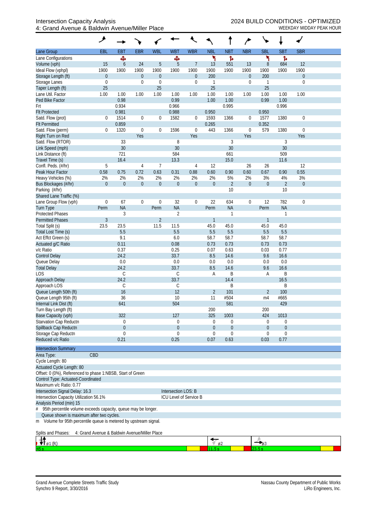|                                                                       | ۶                                             |                  |                  |                   |                        |                  |                      |                  |                  |                    |                  |                  |  |
|-----------------------------------------------------------------------|-----------------------------------------------|------------------|------------------|-------------------|------------------------|------------------|----------------------|------------------|------------------|--------------------|------------------|------------------|--|
| Lane Group                                                            | EBL                                           | <b>EBT</b>       | <b>EBR</b>       | <b>WBL</b>        | <b>WBT</b>             | <b>WBR</b>       | <b>NBL</b>           | <b>NBT</b>       | <b>NBR</b>       | <b>SBL</b>         | <b>SBT</b>       | <b>SBR</b>       |  |
| Lane Configurations                                                   |                                               | Ф                |                  |                   | Ф                      |                  | ኻ                    | Ъ                |                  | ۲                  | Ъ                |                  |  |
| Volume (vph)                                                          | 15                                            | 6                | 24               | 5                 | 5                      | $\overline{7}$   | 13                   | 551              | 13               | 8                  | 684              | 12               |  |
| Ideal Flow (vphpl)                                                    | 1900                                          | 1900             | 1900             | 1900              | 1900                   | 1900             | 1900                 | 1900             | 1900             | 1900               | 1900             | 1900             |  |
| Storage Length (ft)                                                   | $\boldsymbol{0}$                              |                  | $\boldsymbol{0}$ | $\theta$          |                        | $\boldsymbol{0}$ | 200                  |                  | $\boldsymbol{0}$ | 200                |                  | $\boldsymbol{0}$ |  |
| Storage Lanes                                                         | $\mathbf 0$<br>25                             |                  | $\boldsymbol{0}$ | $\mathbf 0$<br>25 |                        | $\boldsymbol{0}$ | $\mathbf 1$<br>25    |                  | $\boldsymbol{0}$ | $\mathbf{1}$<br>25 |                  | $\mathbf 0$      |  |
| Taper Length (ft)<br>Lane Util. Factor                                | 1.00                                          | 1.00             | 1.00             | 1.00              | 1.00                   | 1.00             | 1.00                 | 1.00             | 1.00             | 1.00               | 1.00             | 1.00             |  |
| Ped Bike Factor                                                       |                                               | 0.98             |                  |                   | 0.99                   |                  | 1.00                 | 1.00             |                  | 0.99               | 1.00             |                  |  |
| Frt                                                                   |                                               | 0.934            |                  |                   | 0.966                  |                  |                      | 0.995            |                  |                    | 0.996            |                  |  |
| <b>Flt Protected</b>                                                  |                                               | 0.981            |                  |                   | 0.988                  |                  | 0.950                |                  |                  | 0.950              |                  |                  |  |
| Satd. Flow (prot)                                                     | 0                                             | 1514             | $\boldsymbol{0}$ | $\boldsymbol{0}$  | 1582                   | $\overline{0}$   | 1593                 | 1366             | $\boldsymbol{0}$ | 1577               | 1380             | $\boldsymbol{0}$ |  |
| <b>Flt Permitted</b>                                                  |                                               | 0.859            |                  |                   |                        |                  | 0.265                |                  |                  | 0.352              |                  |                  |  |
| Satd. Flow (perm)                                                     | 0                                             | 1320             | $\boldsymbol{0}$ | $\boldsymbol{0}$  | 1596                   | $\boldsymbol{0}$ | 443                  | 1366             | $\mathbf 0$      | 579                | 1380             | 0                |  |
| Right Turn on Red                                                     |                                               |                  | Yes              |                   |                        | Yes              |                      |                  | Yes              |                    |                  | Yes              |  |
| Satd. Flow (RTOR)                                                     |                                               | 33               |                  |                   | 8                      |                  |                      | 3                |                  |                    | $\mathfrak{Z}$   |                  |  |
| Link Speed (mph)<br>Link Distance (ft)                                |                                               | 30<br>721        |                  |                   | 30<br>584              |                  |                      | 30<br>661        |                  |                    | 30<br>509        |                  |  |
| Travel Time (s)                                                       |                                               | 16.4             |                  |                   | 13.3                   |                  |                      | 15.0             |                  |                    | 11.6             |                  |  |
| Confl. Peds. (#/hr)                                                   | 5                                             |                  | 4                | $\overline{7}$    |                        | 4                | 12                   |                  | 26               | 26                 |                  | 12               |  |
| Peak Hour Factor                                                      | 0.58                                          | 0.75             | 0.72             | 0.63              | 0.31                   | 0.88             | 0.60                 | 0.90             | 0.60             | 0.67               | 0.90             | 0.55             |  |
| Heavy Vehicles (%)                                                    | 2%                                            | 2%               | 2%               | 2%                | 2%                     | 2%               | 2%                   | 5%               | 2%               | 3%                 | 4%               | 3%               |  |
| Bus Blockages (#/hr)                                                  | $\theta$                                      | $\boldsymbol{0}$ | $\boldsymbol{0}$ | $\boldsymbol{0}$  | $\mathbf 0$            | $\mathbf 0$      | $\theta$             | $\overline{2}$   | $\boldsymbol{0}$ | $\boldsymbol{0}$   | $\overline{2}$   | $\boldsymbol{0}$ |  |
| Parking (#/hr)                                                        |                                               |                  |                  |                   |                        |                  |                      | 10               |                  |                    | 10               |                  |  |
| Shared Lane Traffic (%)                                               |                                               |                  |                  |                   |                        |                  |                      |                  |                  |                    |                  |                  |  |
| Lane Group Flow (vph)                                                 | $\boldsymbol{0}$                              | 67               | $\boldsymbol{0}$ | $\mathbf 0$       | 32                     | $\boldsymbol{0}$ | 22                   | 634              | $\boldsymbol{0}$ | 12                 | 782              | $\mathbf 0$      |  |
| Turn Type                                                             | Perm                                          | <b>NA</b>        |                  | Perm              | <b>NA</b>              |                  | Perm                 | <b>NA</b>        |                  | Perm               | <b>NA</b>        |                  |  |
| <b>Protected Phases</b>                                               |                                               | 3                |                  |                   | $\overline{2}$         |                  |                      | 1                |                  |                    | $\mathbf{1}$     |                  |  |
| <b>Permitted Phases</b>                                               | $\mathfrak{Z}$                                |                  |                  | $\overline{2}$    |                        |                  | $\mathbf{1}$         |                  |                  | $\mathbf{1}$       |                  |                  |  |
| Total Split (s)<br>Total Lost Time (s)                                | 23.5                                          | 23.5<br>5.5      |                  | 11.5              | 11.5<br>5.5            |                  | 45.0<br>5.5          | 45.0<br>5.5      |                  | 45.0<br>5.5        | 45.0<br>5.5      |                  |  |
| Act Effct Green (s)                                                   |                                               | 9.1              |                  |                   | 6.0                    |                  | 58.7                 | 58.7             |                  | 58.7               | 58.7             |                  |  |
| Actuated g/C Ratio                                                    |                                               | 0.11             |                  |                   | 0.08                   |                  | 0.73                 | 0.73             |                  | 0.73               | 0.73             |                  |  |
| v/c Ratio                                                             |                                               | 0.37             |                  |                   | 0.25                   |                  | 0.07                 | 0.63             |                  | 0.03               | 0.77             |                  |  |
| <b>Control Delay</b>                                                  |                                               | 24.2             |                  |                   | 33.7                   |                  | 8.5                  | 14.6             |                  | 9.6                | 16.6             |                  |  |
| Queue Delay                                                           |                                               | 0.0              |                  |                   | 0.0                    |                  | 0.0                  | 0.0              |                  | 0.0                | 0.0              |                  |  |
| <b>Total Delay</b>                                                    |                                               | 24.2             |                  |                   | 33.7                   |                  | 8.5                  | 14.6             |                  | 9.6                | 16.6             |                  |  |
| LOS                                                                   |                                               | C                |                  |                   | $\mathcal{C}$          |                  | Α                    | Β                |                  | A                  | B                |                  |  |
| Approach Delay                                                        |                                               | 24.2             |                  |                   | 33.7                   |                  |                      | 14.4             |                  |                    | 16.5             |                  |  |
| Approach LOS<br>Queue Length 50th (ft)                                |                                               | C<br>16          |                  |                   | C<br>12                |                  |                      | Β<br>101         |                  | $\overline{2}$     | Β<br>100         |                  |  |
| Queue Length 95th (ft)                                                |                                               | 36               |                  |                   | 10                     |                  | $\overline{2}$<br>11 | #504             |                  | m4                 | #665             |                  |  |
| Internal Link Dist (ft)                                               |                                               | 641              |                  |                   | 504                    |                  |                      | 581              |                  |                    | 429              |                  |  |
| Turn Bay Length (ft)                                                  |                                               |                  |                  |                   |                        |                  | 200                  |                  |                  | 200                |                  |                  |  |
| Base Capacity (vph)                                                   |                                               | 322              |                  |                   | 127                    |                  | 325                  | 1003             |                  | 424                | 1013             |                  |  |
| Starvation Cap Reductn                                                |                                               | 0                |                  |                   | 0                      |                  | 0                    | 0                |                  | 0                  | 0                |                  |  |
| Spillback Cap Reductn                                                 |                                               | $\boldsymbol{0}$ |                  |                   | 0                      |                  | $\theta$             | $\boldsymbol{0}$ |                  | $\overline{0}$     | $\boldsymbol{0}$ |                  |  |
| Storage Cap Reductn                                                   |                                               | $\mathbf 0$      |                  |                   | 0                      |                  | $\theta$             | 0                |                  | $\Omega$           | $\boldsymbol{0}$ |                  |  |
| Reduced v/c Ratio                                                     |                                               | 0.21             |                  |                   | 0.25                   |                  | 0.07                 | 0.63             |                  | 0.03               | 0.77             |                  |  |
| <b>Intersection Summary</b>                                           |                                               |                  |                  |                   |                        |                  |                      |                  |                  |                    |                  |                  |  |
| Area Type:                                                            | CBD                                           |                  |                  |                   |                        |                  |                      |                  |                  |                    |                  |                  |  |
| Cycle Length: 80                                                      |                                               |                  |                  |                   |                        |                  |                      |                  |                  |                    |                  |                  |  |
| Actuated Cycle Length: 80                                             |                                               |                  |                  |                   |                        |                  |                      |                  |                  |                    |                  |                  |  |
| Offset: 0 (0%), Referenced to phase 1:NBSB, Start of Green            |                                               |                  |                  |                   |                        |                  |                      |                  |                  |                    |                  |                  |  |
| Control Type: Actuated-Coordinated<br>Maximum v/c Ratio: 0.77         |                                               |                  |                  |                   |                        |                  |                      |                  |                  |                    |                  |                  |  |
| Intersection Signal Delay: 16.3                                       |                                               |                  |                  |                   | Intersection LOS: B    |                  |                      |                  |                  |                    |                  |                  |  |
| Intersection Capacity Utilization 56.1%                               |                                               |                  |                  |                   | ICU Level of Service B |                  |                      |                  |                  |                    |                  |                  |  |
| Analysis Period (min) 15                                              |                                               |                  |                  |                   |                        |                  |                      |                  |                  |                    |                  |                  |  |
| 95th percentile volume exceeds capacity, queue may be longer.<br>$\#$ |                                               |                  |                  |                   |                        |                  |                      |                  |                  |                    |                  |                  |  |
| Queue shown is maximum after two cycles.                              |                                               |                  |                  |                   |                        |                  |                      |                  |                  |                    |                  |                  |  |
| Volume for 95th percentile queue is metered by upstream signal.<br>m  |                                               |                  |                  |                   |                        |                  |                      |                  |                  |                    |                  |                  |  |
|                                                                       |                                               |                  |                  |                   |                        |                  |                      |                  |                  |                    |                  |                  |  |
| Splits and Phases:<br>da.                                             | 4: Grand Avenue & Baldwin Avenue/Miller Place |                  |                  |                   |                        |                  |                      |                  |                  |                    |                  |                  |  |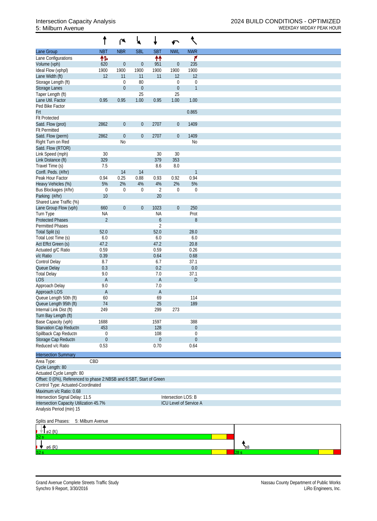|                                                                      |                   | r                | ₩                |                  | $\blacktriangleright$ | ९                      |
|----------------------------------------------------------------------|-------------------|------------------|------------------|------------------|-----------------------|------------------------|
| Lane Group                                                           | <b>NBT</b>        | <b>NBR</b>       | <b>SBL</b>       | <b>SBT</b>       | <b>NWL</b>            | <b>NWR</b>             |
| Lane Configurations                                                  | 怍                 |                  |                  | ₩                |                       | ۴                      |
| Volume (vph)                                                         | 620               | $\boldsymbol{0}$ | $\boldsymbol{0}$ | 951              | $\boldsymbol{0}$      | 235                    |
| Ideal Flow (vphpl)                                                   | 1900              | 1900             | 1900             | 1900             | 1900                  | 1900                   |
| Lane Width (ft)                                                      | 12                | 11               | 11               | 11               | 12                    | 12                     |
| Storage Length (ft)                                                  |                   | $\mathbf 0$      | 80               |                  | $\mathbf 0$           | $\mathbf 0$            |
| <b>Storage Lanes</b>                                                 |                   | $\mathbf{0}$     | $\theta$         |                  | $\boldsymbol{0}$      | $\mathbf{1}$           |
| Taper Length (ft)                                                    |                   |                  | 25               |                  | 25                    |                        |
| Lane Util. Factor                                                    | 0.95              | 0.95             | 1.00             | 0.95             | 1.00                  | 1.00                   |
| Ped Bike Factor                                                      |                   |                  |                  |                  |                       |                        |
| Frt                                                                  |                   |                  |                  |                  |                       | 0.865                  |
| <b>Flt Protected</b>                                                 |                   |                  |                  |                  |                       |                        |
| Satd. Flow (prot)                                                    | 2862              | $\boldsymbol{0}$ | $\boldsymbol{0}$ | 2707             | $\boldsymbol{0}$      | 1409                   |
| <b>Flt Permitted</b>                                                 |                   |                  |                  |                  |                       |                        |
| Satd. Flow (perm)                                                    | 2862              | $\theta$         | $\boldsymbol{0}$ | 2707             | $\boldsymbol{0}$      | 1409                   |
| Right Turn on Red                                                    |                   | N <sub>0</sub>   |                  |                  |                       | N <sub>0</sub>         |
| Satd. Flow (RTOR)                                                    |                   |                  |                  |                  |                       |                        |
| Link Speed (mph)                                                     | 30                |                  |                  | 30               | 30                    |                        |
| Link Distance (ft)                                                   | 329               |                  |                  | 379              | 353                   |                        |
| Travel Time (s)                                                      | 7.5               |                  |                  | 8.6              | 8.0                   |                        |
| Confl. Peds. (#/hr)                                                  |                   | 14               | 14               |                  |                       | $\mathbf{1}$           |
| Peak Hour Factor                                                     | 0.94              | 0.25             | 0.88             | 0.93             | 0.92                  | 0.94                   |
| Heavy Vehicles (%)                                                   | 5%                | 2%               | 4%               | 4%               | 2%                    | 5%                     |
| Bus Blockages (#/hr)                                                 | $\boldsymbol{0}$  | $\mathbf 0$      | $\mathbf 0$      | $\overline{2}$   | $\mathbf 0$           | $\boldsymbol{0}$       |
| Parking (#/hr)                                                       | 10                |                  |                  | 20               |                       |                        |
| Shared Lane Traffic (%)                                              |                   |                  |                  |                  |                       |                        |
| Lane Group Flow (vph)                                                | 660               | $\boldsymbol{0}$ | $\boldsymbol{0}$ | 1023             | $\boldsymbol{0}$      | 250                    |
| Turn Type                                                            | <b>NA</b>         |                  |                  | <b>NA</b>        |                       | Prot                   |
| <b>Protected Phases</b>                                              | $\overline{2}$    |                  |                  | $\boldsymbol{6}$ |                       | $8\,$                  |
| <b>Permitted Phases</b>                                              |                   |                  |                  | $\overline{2}$   |                       |                        |
| Total Split (s)                                                      | 52.0              |                  |                  | 52.0             |                       | 28.0                   |
| Total Lost Time (s)                                                  | 6.0               |                  |                  | 6.0<br>47.2      |                       | 6.0                    |
| Act Effct Green (s)                                                  | 47.2<br>0.59      |                  |                  | 0.59             |                       | 20.8<br>0.26           |
| Actuated g/C Ratio<br>v/c Ratio                                      | 0.39              |                  |                  | 0.64             |                       | 0.68                   |
| <b>Control Delay</b>                                                 | 8.7               |                  |                  | 6.7              |                       | 37.1                   |
| Queue Delay                                                          | 0.3               |                  |                  | 0.2              |                       | 0.0                    |
| <b>Total Delay</b>                                                   | 9.0               |                  |                  | 7.0              |                       | 37.1                   |
| <b>LOS</b>                                                           | $\mathsf{A}$      |                  |                  | $\overline{A}$   |                       | D                      |
| Approach Delay                                                       | 9.0               |                  |                  | 7.0              |                       |                        |
| Approach LOS                                                         | $\mathsf{A}$      |                  |                  | $\mathsf A$      |                       |                        |
| Queue Length 50th (ft)                                               | 60                |                  |                  | 69               |                       | 114                    |
| Queue Length 95th (ft)                                               | 74                |                  |                  | 25               |                       | 189                    |
| Internal Link Dist (ft)                                              | 249               |                  |                  | 299              | 273                   |                        |
| Turn Bay Length (ft)                                                 |                   |                  |                  |                  |                       |                        |
| Base Capacity (vph)                                                  | 1688              |                  |                  | 1597             |                       | 388                    |
| <b>Starvation Cap Reductn</b>                                        | 453               |                  |                  | 128              |                       | $\boldsymbol{0}$       |
| Spillback Cap Reductn                                                | $\boldsymbol{0}$  |                  |                  | 108              |                       | $\mathbf 0$            |
| Storage Cap Reductn                                                  | $\boldsymbol{0}$  |                  |                  | $\mathbf{0}$     |                       | $\mathbf 0$            |
| Reduced v/c Ratio                                                    | 0.53              |                  |                  | 0.70             |                       | 0.64                   |
|                                                                      |                   |                  |                  |                  |                       |                        |
| <b>Intersection Summary</b>                                          |                   |                  |                  |                  |                       |                        |
| Area Type:                                                           | CBD               |                  |                  |                  |                       |                        |
| Cycle Length: 80                                                     |                   |                  |                  |                  |                       |                        |
| Actuated Cycle Length: 80                                            |                   |                  |                  |                  |                       |                        |
| Offset: 0 (0%), Referenced to phase 2:NBSB and 6:SBT, Start of Green |                   |                  |                  |                  |                       |                        |
| Control Type: Actuated-Coordinated                                   |                   |                  |                  |                  |                       |                        |
| Maximum v/c Ratio: 0.68                                              |                   |                  |                  |                  |                       |                        |
| Intersection Signal Delay: 11.5                                      |                   |                  |                  |                  | Intersection LOS: B   |                        |
| Intersection Capacity Utilization 45.7%                              |                   |                  |                  |                  |                       | ICU Level of Service A |
| Analysis Period (min) 15                                             |                   |                  |                  |                  |                       |                        |
|                                                                      |                   |                  |                  |                  |                       |                        |
| Splits and Phases:                                                   | 5: Milburn Avenue |                  |                  |                  |                       |                        |
| $\pm$   $\beta$ 2 (R)                                                |                   |                  |                  |                  |                       |                        |
|                                                                      |                   |                  |                  |                  |                       |                        |
|                                                                      |                   |                  |                  |                  |                       |                        |
| ø6 (R)                                                               |                   |                  |                  |                  |                       |                        |

52 s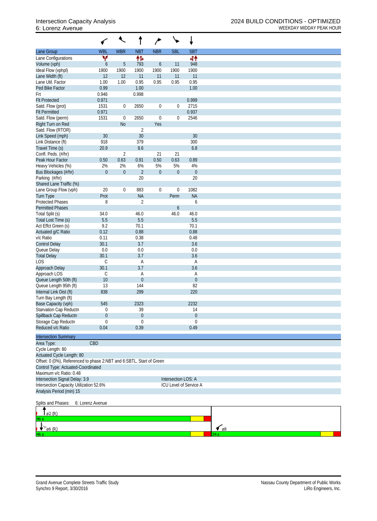|                                                                      |                  | ↖                |                  |                  | ╰╸                  |                        |                      |
|----------------------------------------------------------------------|------------------|------------------|------------------|------------------|---------------------|------------------------|----------------------|
| Lane Group                                                           | <b>WBL</b>       | <b>WBR</b>       | <b>NBT</b>       | <b>NBR</b>       | <b>SBL</b>          | <b>SBT</b>             |                      |
| Lane Configurations                                                  | ۷                |                  | 伟                |                  |                     | 44                     |                      |
| Volume (vph)                                                         | 6                | $\overline{5}$   | 793              | $\boldsymbol{6}$ | 11                  | 948                    |                      |
| Ideal Flow (vphpl)                                                   | 1900             | 1900             | 1900             | 1900             | 1900                | 1900                   |                      |
| Lane Width (ft)                                                      | 12               | 12               | 11               | 11               | 11                  | 11                     |                      |
| Lane Util. Factor                                                    | 1.00             | 1.00             | 0.95             | 0.95             | 0.95                | 0.95                   |                      |
| Ped Bike Factor<br>Frt                                               | 0.99<br>0.946    |                  | 1.00<br>0.998    |                  |                     | 1.00                   |                      |
| <b>Flt Protected</b>                                                 | 0.971            |                  |                  |                  |                     | 0.999                  |                      |
| Satd. Flow (prot)                                                    | 1531             | 0                | 2650             | $\boldsymbol{0}$ | $\boldsymbol{0}$    | 2715                   |                      |
| <b>Flt Permitted</b>                                                 | 0.971            |                  |                  |                  |                     | 0.937                  |                      |
| Satd. Flow (perm)                                                    | 1531             | $\boldsymbol{0}$ | 2650             | $\boldsymbol{0}$ | $\boldsymbol{0}$    | 2546                   |                      |
| Right Turn on Red                                                    |                  | No               |                  | Yes              |                     |                        |                      |
| Satd. Flow (RTOR)                                                    |                  |                  | $\overline{2}$   |                  |                     |                        |                      |
| Link Speed (mph)                                                     | 30               |                  | 30               |                  |                     | 30                     |                      |
| Link Distance (ft)                                                   | 918              |                  | 379              |                  |                     | 300<br>6.8             |                      |
| Travel Time (s)<br>Confl. Peds. (#/hr)                               | 20.9             | $\overline{2}$   | 8.6              | 21               | 21                  |                        |                      |
| Peak Hour Factor                                                     | 0.50             | 0.63             | 0.91             | 0.50             | 0.63                | 0.89                   |                      |
| Heavy Vehicles (%)                                                   | 2%               | 2%               | 6%               | 5%               | 5%                  | 4%                     |                      |
| Bus Blockages (#/hr)                                                 | $\boldsymbol{0}$ | $\boldsymbol{0}$ | $\sqrt{2}$       | $\boldsymbol{0}$ | $\boldsymbol{0}$    | $\boldsymbol{0}$       |                      |
| Parking (#/hr)                                                       |                  |                  | 20               |                  |                     | 20                     |                      |
| Shared Lane Traffic (%)                                              |                  |                  |                  |                  |                     |                        |                      |
| Lane Group Flow (vph)                                                | 20               | $\boldsymbol{0}$ | 883              | $\boldsymbol{0}$ | $\boldsymbol{0}$    | 1082                   |                      |
| Turn Type                                                            | Prot             |                  | <b>NA</b>        |                  | Perm                | <b>NA</b>              |                      |
| <b>Protected Phases</b>                                              | 8                |                  | $\sqrt{2}$       |                  |                     | 6                      |                      |
| <b>Permitted Phases</b>                                              |                  |                  |                  |                  | $\boldsymbol{6}$    |                        |                      |
| Total Split (s)                                                      | 34.0             |                  | 46.0             |                  | 46.0                | 46.0                   |                      |
| Total Lost Time (s)                                                  | 5.5<br>9.2       |                  | 5.5<br>70.1      |                  |                     | 5.5<br>70.1            |                      |
| Act Effct Green (s)<br>Actuated g/C Ratio                            | 0.12             |                  | 0.88             |                  |                     | 0.88                   |                      |
| v/c Ratio                                                            | 0.11             |                  | 0.38             |                  |                     | 0.48                   |                      |
| <b>Control Delay</b>                                                 | 30.1             |                  | 3.7              |                  |                     | 3.6                    |                      |
| Queue Delay                                                          | 0.0              |                  | 0.0              |                  |                     | $0.0\,$                |                      |
| <b>Total Delay</b>                                                   | 30.1             |                  | 3.7              |                  |                     | 3.6                    |                      |
| LOS                                                                  | $\mathsf C$      |                  | A                |                  |                     | A                      |                      |
| Approach Delay                                                       | 30.1             |                  | 3.7              |                  |                     | 3.6                    |                      |
| Approach LOS                                                         | С                |                  | Α                |                  |                     | Α                      |                      |
| Queue Length 50th (ft)                                               | 10               |                  | $\boldsymbol{0}$ |                  |                     | $\boldsymbol{0}$       |                      |
| Queue Length 95th (ft)                                               | 13               |                  | 144              |                  |                     | 82                     |                      |
| Internal Link Dist (ft)<br>Turn Bay Length (ft)                      | 838              |                  | 299              |                  |                     | 220                    |                      |
| Base Capacity (vph)                                                  | 545              |                  | 2323             |                  |                     | 2232                   |                      |
| Starvation Cap Reductn                                               | 0                |                  | 39               |                  |                     | 14                     |                      |
| Spillback Cap Reductn                                                | $\mathbf 0$      |                  | $\theta$         |                  |                     | $\mathbf 0$            |                      |
| Storage Cap Reductn                                                  | $\mathbf 0$      |                  | $\mathbf 0$      |                  |                     | $\mathbf 0$            |                      |
| Reduced v/c Ratio                                                    | 0.04             |                  | 0.39             |                  |                     | 0.49                   |                      |
|                                                                      |                  |                  |                  |                  |                     |                        |                      |
| <b>Intersection Summary</b>                                          |                  |                  |                  |                  |                     |                        |                      |
| Area Type:<br>Cycle Length: 80                                       | CBD              |                  |                  |                  |                     |                        |                      |
| Actuated Cycle Length: 80                                            |                  |                  |                  |                  |                     |                        |                      |
| Offset: 0 (0%), Referenced to phase 2:NBT and 6:SBTL, Start of Green |                  |                  |                  |                  |                     |                        |                      |
| Control Type: Actuated-Coordinated                                   |                  |                  |                  |                  |                     |                        |                      |
| Maximum v/c Ratio: 0.48                                              |                  |                  |                  |                  |                     |                        |                      |
| Intersection Signal Delay: 3.9                                       |                  |                  |                  |                  | Intersection LOS: A |                        |                      |
| Intersection Capacity Utilization 52.6%                              |                  |                  |                  |                  |                     | ICU Level of Service A |                      |
| Analysis Period (min) 15                                             |                  |                  |                  |                  |                     |                        |                      |
| Splits and Phases:                                                   | 6: Lorenz Avenue |                  |                  |                  |                     |                        |                      |
| ø2 (R)                                                               |                  |                  |                  |                  |                     |                        |                      |
|                                                                      |                  |                  |                  |                  |                     |                        |                      |
| ø6 (R)                                                               |                  |                  |                  |                  |                     |                        | $\epsilon$ $\beta$ 8 |
|                                                                      |                  |                  |                  |                  |                     |                        |                      |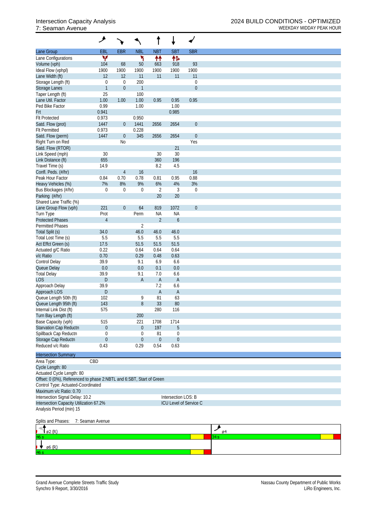|                                                                      | ᢣ                |                  |                  |                |                     |                        |         |
|----------------------------------------------------------------------|------------------|------------------|------------------|----------------|---------------------|------------------------|---------|
| Lane Group                                                           | EBL              | <b>EBR</b>       | <b>NBL</b>       | <b>NBT</b>     | <b>SBT</b>          | <b>SBR</b>             |         |
| Lane Configurations                                                  | v                |                  | ۲                | 忭              | 伟                   |                        |         |
| Volume (vph)                                                         | 104              | 68               | 50               | 663            | 918                 | 93                     |         |
| Ideal Flow (vphpl)                                                   | 1900             | 1900             | 1900             | 1900           | 1900                | 1900                   |         |
| Lane Width (ft)                                                      | 12               | 12               | 11               | 11             | 11                  | 11                     |         |
| Storage Length (ft)                                                  | 0                | $\boldsymbol{0}$ | 200              |                |                     | $\boldsymbol{0}$       |         |
| Storage Lanes                                                        | $\mathbf{1}$     | $\theta$         | $\mathbf{1}$     |                |                     | $\boldsymbol{0}$       |         |
| Taper Length (ft)                                                    | 25               |                  | 100              |                |                     |                        |         |
| Lane Util. Factor                                                    | 1.00             | 1.00             | 1.00             | 0.95           | 0.95                | 0.95                   |         |
| Ped Bike Factor                                                      | 0.99             |                  | 1.00             |                | 1.00                |                        |         |
| Frt                                                                  | 0.941            |                  |                  |                | 0.985               |                        |         |
| <b>Flt Protected</b>                                                 | 0.973            |                  | 0.950            |                |                     |                        |         |
| Satd. Flow (prot)                                                    | 1447             | $\overline{0}$   | 1441             | 2656           | 2654                | $\boldsymbol{0}$       |         |
| <b>Flt Permitted</b>                                                 | 0.973            |                  | 0.228            |                |                     |                        |         |
| Satd. Flow (perm)                                                    | 1447             | $\boldsymbol{0}$ | 345              | 2656           | 2654                | $\boldsymbol{0}$       |         |
| Right Turn on Red                                                    |                  | No               |                  |                |                     | Yes                    |         |
| Satd. Flow (RTOR)                                                    |                  |                  |                  |                | 21                  |                        |         |
| Link Speed (mph)                                                     | 30               |                  |                  | 30             | 30                  |                        |         |
| Link Distance (ft)                                                   | 655              |                  |                  | 360            | 196                 |                        |         |
| Travel Time (s)                                                      | 14.9             |                  |                  | 8.2            | 4.5                 |                        |         |
| Confl. Peds. (#/hr)                                                  |                  | $\overline{4}$   | 16               |                |                     | 16                     |         |
| Peak Hour Factor                                                     | 0.84             | 0.70             | 0.78             | 0.81           | 0.95                | 0.88                   |         |
| Heavy Vehicles (%)                                                   | 7%               | 8%               | 9%               | 6%             | 4%                  | 3%                     |         |
| Bus Blockages (#/hr)                                                 | 0                | $\mathbf 0$      | $\boldsymbol{0}$ | $\overline{2}$ | 3                   | $\boldsymbol{0}$       |         |
| Parking (#/hr)                                                       |                  |                  |                  | 20             | 20                  |                        |         |
| Shared Lane Traffic (%)                                              |                  |                  |                  |                |                     |                        |         |
| Lane Group Flow (vph)                                                | 221              | $\boldsymbol{0}$ | 64               | 819            | 1072                | $\boldsymbol{0}$       |         |
| Turn Type                                                            | Prot             |                  | Perm             | <b>NA</b>      | <b>NA</b>           |                        |         |
| <b>Protected Phases</b>                                              | $\overline{4}$   |                  |                  | $\overline{2}$ | $\boldsymbol{6}$    |                        |         |
| <b>Permitted Phases</b>                                              |                  |                  | $\overline{2}$   |                |                     |                        |         |
| Total Split (s)                                                      | 34.0             |                  | 46.0             | 46.0           | 46.0                |                        |         |
| Total Lost Time (s)                                                  | 5.5              |                  | 5.5              | 5.5            | 5.5                 |                        |         |
| Act Effct Green (s)                                                  | 17.5             |                  | 51.5             | 51.5           | 51.5                |                        |         |
| Actuated g/C Ratio                                                   | 0.22             |                  | 0.64             | 0.64           | 0.64                |                        |         |
| v/c Ratio                                                            | 0.70             |                  | 0.29             | 0.48           | 0.63                |                        |         |
| Control Delay                                                        | 39.9             |                  | 9.1              | 6.9            | 6.6                 |                        |         |
| Queue Delay                                                          | 0.0              |                  | 0.0              | 0.1            | 0.0                 |                        |         |
| <b>Total Delay</b>                                                   | 39.9             |                  | 9.1              | 7.0            | 6.6                 |                        |         |
| <b>LOS</b>                                                           | D                |                  | A                | A              | $\overline{A}$      |                        |         |
| Approach Delay                                                       | 39.9             |                  |                  | 7.2            | 6.6                 |                        |         |
| Approach LOS                                                         | D                |                  |                  | A              | $\overline{A}$      |                        |         |
| Queue Length 50th (ft)                                               | 102              |                  | 9                | 81             | 63                  |                        |         |
| Queue Length 95th (ft)                                               | 143              |                  | 8                | 33             | 80                  |                        |         |
| Internal Link Dist (ft)                                              | 575              |                  |                  | 280            | 116                 |                        |         |
| Turn Bay Length (ft)                                                 |                  |                  | 200              |                |                     |                        |         |
| Base Capacity (vph)                                                  | 515              |                  | 221              | 1708           | 1714                |                        |         |
| Starvation Cap Reductn                                               | 0                |                  | $\boldsymbol{0}$ | 197            | 5                   |                        |         |
| Spillback Cap Reductn                                                | 0                |                  | 0                | 81             | 0                   |                        |         |
| Storage Cap Reductn                                                  | $\boldsymbol{0}$ |                  | $\boldsymbol{0}$ | $\theta$       | $\boldsymbol{0}$    |                        |         |
| Reduced v/c Ratio                                                    | 0.43             |                  | 0.29             | 0.54           | 0.63                |                        |         |
| <b>Intersection Summary</b>                                          |                  |                  |                  |                |                     |                        |         |
| Area Type:                                                           | CBD              |                  |                  |                |                     |                        |         |
| Cycle Length: 80                                                     |                  |                  |                  |                |                     |                        |         |
| Actuated Cycle Length: 80                                            |                  |                  |                  |                |                     |                        |         |
| Offset: 0 (0%), Referenced to phase 2:NBTL and 6:SBT, Start of Green |                  |                  |                  |                |                     |                        |         |
| Control Type: Actuated-Coordinated                                   |                  |                  |                  |                |                     |                        |         |
| Maximum v/c Ratio: 0.70                                              |                  |                  |                  |                |                     |                        |         |
| Intersection Signal Delay: 10.2                                      |                  |                  |                  |                | Intersection LOS: B |                        |         |
| Intersection Capacity Utilization 67.2%                              |                  |                  |                  |                |                     | ICU Level of Service C |         |
| Analysis Period (min) 15                                             |                  |                  |                  |                |                     |                        |         |
|                                                                      |                  |                  |                  |                |                     |                        |         |
| Splits and Phases:                                                   | 7: Seaman Avenue |                  |                  |                |                     |                        |         |
|                                                                      |                  |                  |                  |                |                     |                        |         |
| ø2 (R)                                                               |                  |                  |                  |                |                     |                        | ↗<br>ø4 |
|                                                                      |                  |                  |                  |                |                     |                        | 34 s    |

 $\frac{1}{\cancel{66}}$  (R)

6ء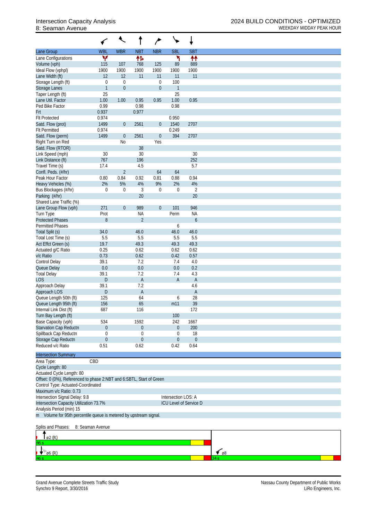|                                                                                                   | ✓                 |                   |                  | $\rightarrow$          | $\checkmark$        |                        |             |
|---------------------------------------------------------------------------------------------------|-------------------|-------------------|------------------|------------------------|---------------------|------------------------|-------------|
| Lane Group                                                                                        | <b>WBL</b>        | <b>WBR</b>        | <b>NBT</b>       | <b>NBR</b>             | <b>SBL</b>          | <b>SBT</b>             |             |
| Lane Configurations                                                                               | ۳                 |                   | 怍                |                        | ۲                   | ↟↟                     |             |
| Volume (vph)                                                                                      | 115               | 107               | 768              | 125                    | 89                  | 889                    |             |
| Ideal Flow (vphpl)                                                                                | 1900              | 1900              | 1900             | 1900                   | 1900                | 1900                   |             |
| Lane Width (ft)<br>Storage Length (ft)                                                            | 12<br>$\mathbf 0$ | 12<br>$\mathbf 0$ | 11               | 11<br>$\boldsymbol{0}$ | 11<br>100           | 11                     |             |
| <b>Storage Lanes</b>                                                                              | $\mathbf{1}$      | $\boldsymbol{0}$  |                  | $\boldsymbol{0}$       | 1                   |                        |             |
| Taper Length (ft)                                                                                 | 25                |                   |                  |                        | 25                  |                        |             |
| Lane Util. Factor                                                                                 | 1.00              | 1.00              | 0.95             | 0.95                   | 1.00                | 0.95                   |             |
| Ped Bike Factor                                                                                   | 0.99              |                   | 0.98             |                        | 0.98                |                        |             |
| Frt                                                                                               | 0.937             |                   | 0.977            |                        |                     |                        |             |
| <b>Flt Protected</b>                                                                              | 0.974             |                   |                  |                        | 0.950               |                        |             |
| Satd. Flow (prot)                                                                                 | 1499              | $\mathbf 0$       | 2561             | $\boldsymbol{0}$       | 1540                | 2707                   |             |
| <b>Flt Permitted</b>                                                                              | 0.974             |                   |                  |                        | 0.249               |                        |             |
| Satd. Flow (perm)                                                                                 | 1499              | $\boldsymbol{0}$  | 2561             | $\boldsymbol{0}$       | 394                 | 2707                   |             |
| Right Turn on Red                                                                                 |                   | N <sub>0</sub>    |                  | Yes                    |                     |                        |             |
| Satd. Flow (RTOR)                                                                                 |                   |                   | 38               |                        |                     |                        |             |
| Link Speed (mph)                                                                                  | 30                |                   | 30               |                        |                     | 30                     |             |
| Link Distance (ft)                                                                                | 767               |                   | 196              |                        |                     | 252                    |             |
| Travel Time (s)                                                                                   | 17.4              |                   | 4.5              |                        |                     | 5.7                    |             |
| Confl. Peds. (#/hr)                                                                               |                   | $\overline{2}$    |                  | 64                     | 64                  |                        |             |
| Peak Hour Factor                                                                                  | 0.80              | 0.84              | 0.92             | 0.81                   | 0.88                | 0.94                   |             |
| Heavy Vehicles (%)                                                                                | 2%                | 5%                | 4%               | 9%                     | 2%                  | 4%                     |             |
| Bus Blockages (#/hr)<br>Parking (#/hr)                                                            | $\mathbf 0$       | $\boldsymbol{0}$  | 3<br>20          | $\boldsymbol{0}$       | $\boldsymbol{0}$    | $\overline{2}$<br>20   |             |
| Shared Lane Traffic (%)                                                                           |                   |                   |                  |                        |                     |                        |             |
| Lane Group Flow (vph)                                                                             | 271               | $\boldsymbol{0}$  | 989              | $\boldsymbol{0}$       | 101                 | 946                    |             |
| Turn Type                                                                                         | Prot              |                   | <b>NA</b>        |                        | Perm                | <b>NA</b>              |             |
| <b>Protected Phases</b>                                                                           | $8\,$             |                   | $\overline{2}$   |                        |                     | 6                      |             |
| <b>Permitted Phases</b>                                                                           |                   |                   |                  |                        | 6                   |                        |             |
| Total Split (s)                                                                                   | 34.0              |                   | 46.0             |                        | 46.0                | 46.0                   |             |
| Total Lost Time (s)                                                                               | 5.5               |                   | 5.5              |                        | 5.5                 | 5.5                    |             |
| Act Effct Green (s)                                                                               | 19.7              |                   | 49.3             |                        | 49.3                | 49.3                   |             |
| Actuated g/C Ratio                                                                                | 0.25              |                   | 0.62             |                        | 0.62                | 0.62                   |             |
| v/c Ratio                                                                                         | 0.73              |                   | 0.62             |                        | 0.42                | 0.57                   |             |
| Control Delay                                                                                     | 39.1              |                   | 7.2              |                        | 7.4                 | 4.0                    |             |
| Queue Delay                                                                                       | 0.0               |                   | 0.0              |                        | 0.0                 | 0.2                    |             |
| <b>Total Delay</b>                                                                                | 39.1              |                   | 7.2              |                        | 7.4                 | 4.3                    |             |
| <b>LOS</b>                                                                                        | D                 |                   | A                |                        | A                   | $\mathsf{A}$           |             |
| Approach Delay                                                                                    | 39.1              |                   | 7.2              |                        |                     | 4.6                    |             |
| Approach LOS                                                                                      | D                 |                   | A                |                        |                     | $\mathsf{A}$           |             |
| Queue Length 50th (ft)                                                                            | 125               |                   | 64<br>65         |                        | 6                   | 28<br>39               |             |
| Queue Length 95th (ft)<br>Internal Link Dist (ft)                                                 | 156<br>687        |                   | 116              |                        | m11                 | 172                    |             |
| Turn Bay Length (ft)                                                                              |                   |                   |                  |                        | 100                 |                        |             |
| Base Capacity (vph)                                                                               | 534               |                   | 1592             |                        | 242                 | 1667                   |             |
| Starvation Cap Reductn                                                                            | $\theta$          |                   | $\boldsymbol{0}$ |                        | $\mathbf 0$         | 200                    |             |
| Spillback Cap Reductn                                                                             | $\mathbf 0$       |                   | 0                |                        | 0                   | 18                     |             |
| Storage Cap Reductn                                                                               | $\mathbf 0$       |                   | $\boldsymbol{0}$ |                        | 0                   | $\theta$               |             |
| Reduced v/c Ratio                                                                                 | 0.51              |                   | 0.62             |                        | 0.42                | 0.64                   |             |
|                                                                                                   |                   |                   |                  |                        |                     |                        |             |
| <b>Intersection Summary</b>                                                                       |                   |                   |                  |                        |                     |                        |             |
| Area Type:                                                                                        | CBD               |                   |                  |                        |                     |                        |             |
| Cycle Length: 80                                                                                  |                   |                   |                  |                        |                     |                        |             |
| Actuated Cycle Length: 80<br>Offset: 0 (0%), Referenced to phase 2:NBT and 6:SBTL, Start of Green |                   |                   |                  |                        |                     |                        |             |
| Control Type: Actuated-Coordinated                                                                |                   |                   |                  |                        |                     |                        |             |
| Maximum v/c Ratio: 0.73                                                                           |                   |                   |                  |                        |                     |                        |             |
| Intersection Signal Delay: 9.8                                                                    |                   |                   |                  |                        | Intersection LOS: A |                        |             |
| Intersection Capacity Utilization 73.7%                                                           |                   |                   |                  |                        |                     | ICU Level of Service D |             |
| Analysis Period (min) 15                                                                          |                   |                   |                  |                        |                     |                        |             |
| m Volume for 95th percentile queue is metered by upstream signal.                                 |                   |                   |                  |                        |                     |                        |             |
| Splits and Phases:                                                                                | 8: Seaman Avenue  |                   |                  |                        |                     |                        |             |
| $\varnothing$ 2 $(R)$                                                                             |                   |                   |                  |                        |                     |                        |             |
| 96.                                                                                               |                   |                   |                  |                        |                     |                        |             |
| $\emptyset$ 6 (R)                                                                                 |                   |                   |                  |                        |                     |                        | $\sim$ $68$ |
|                                                                                                   |                   |                   |                  |                        |                     |                        |             |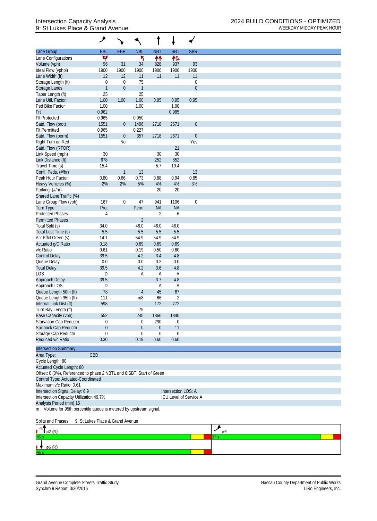## 9: St Lukes Place & Grand Avenue WEEKDAY MIDDAY PEAK HOUR

|                                                                      | ۶                                | `∙               |                  |                  |                     |                  |  |  |  |  |  |
|----------------------------------------------------------------------|----------------------------------|------------------|------------------|------------------|---------------------|------------------|--|--|--|--|--|
| Lane Group                                                           | <b>EBL</b>                       | <b>EBR</b>       | <b>NBL</b>       | <b>NBT</b>       | <b>SBT</b>          | <b>SBR</b>       |  |  |  |  |  |
| Lane Configurations                                                  | ۷                                |                  | ۲                | ₩                | 怍                   |                  |  |  |  |  |  |
| Volume (vph)                                                         | 96                               | 31               | 34               | 828              | 937                 | 93               |  |  |  |  |  |
| Ideal Flow (vphpl)                                                   | 1900                             | 1900             | 1900             | 1900             | 1900                | 1900             |  |  |  |  |  |
| Lane Width (ft)                                                      | 12                               | 12               | 11               | 11               | 11                  | 11               |  |  |  |  |  |
| Storage Length (ft)                                                  | $\boldsymbol{0}$                 | $\mathbf 0$      | 75               |                  |                     | $\mathbf 0$      |  |  |  |  |  |
| Storage Lanes                                                        | $\mathbf{1}$                     | $\mathbf 0$      | $\mathbf{1}$     |                  |                     | $\boldsymbol{0}$ |  |  |  |  |  |
| Taper Length (ft)                                                    | 25                               |                  | 25               |                  |                     |                  |  |  |  |  |  |
| Lane Util. Factor                                                    | 1.00                             | 1.00             | 1.00             | 0.95             | 0.95                | 0.95             |  |  |  |  |  |
| Ped Bike Factor                                                      | 1.00                             |                  | 1.00             |                  | 1.00                |                  |  |  |  |  |  |
| Frt                                                                  | 0.962                            |                  |                  |                  | 0.985               |                  |  |  |  |  |  |
| <b>Flt Protected</b>                                                 | 0.965                            |                  | 0.950            |                  |                     |                  |  |  |  |  |  |
| Satd. Flow (prot)                                                    | 1551                             | $\theta$         | 1496             | 2718             | 2671                | $\boldsymbol{0}$ |  |  |  |  |  |
| <b>Flt Permitted</b>                                                 | 0.965                            |                  | 0.227            |                  |                     |                  |  |  |  |  |  |
| Satd. Flow (perm)                                                    | 1551                             | $\boldsymbol{0}$ | 357              | 2718             | 2671                | $\boldsymbol{0}$ |  |  |  |  |  |
| Right Turn on Red                                                    |                                  | <b>No</b>        |                  |                  |                     | Yes              |  |  |  |  |  |
| Satd. Flow (RTOR)                                                    |                                  |                  |                  |                  | 21                  |                  |  |  |  |  |  |
| Link Speed (mph)                                                     | 30                               |                  |                  | 30               | 30                  |                  |  |  |  |  |  |
| Link Distance (ft)                                                   | 678                              |                  |                  | 252              | 852                 |                  |  |  |  |  |  |
| Travel Time (s)                                                      | 15.4                             |                  |                  | 5.7              | 19.4                |                  |  |  |  |  |  |
| Confl. Peds. (#/hr)                                                  |                                  | $\mathbf{1}$     | 13               |                  |                     | 13               |  |  |  |  |  |
| Peak Hour Factor                                                     | 0.80                             | 0.66             | 0.73             | 0.88             | 0.94                | 0.85             |  |  |  |  |  |
| Heavy Vehicles (%)                                                   | 2%                               | 2%               | 5%               | 4%               | 4%                  | 3%               |  |  |  |  |  |
| Parking (#/hr)                                                       |                                  |                  |                  | 20               | 20                  |                  |  |  |  |  |  |
| Shared Lane Traffic (%)                                              |                                  |                  |                  |                  |                     |                  |  |  |  |  |  |
| Lane Group Flow (vph)                                                | 167                              | $\boldsymbol{0}$ | 47               | 941              | 1106                | $\mathbf 0$      |  |  |  |  |  |
| Turn Type                                                            | Prot                             |                  | Perm             | <b>NA</b>        | <b>NA</b>           |                  |  |  |  |  |  |
| <b>Protected Phases</b>                                              | $\overline{4}$                   |                  |                  | $\overline{2}$   | 6                   |                  |  |  |  |  |  |
| <b>Permitted Phases</b>                                              |                                  |                  | $\overline{2}$   |                  |                     |                  |  |  |  |  |  |
|                                                                      |                                  |                  |                  |                  |                     |                  |  |  |  |  |  |
| Total Split (s)                                                      | 34.0                             |                  | 46.0             | 46.0             | 46.0                |                  |  |  |  |  |  |
| Total Lost Time (s)                                                  | 5.5                              |                  | 5.5              | 5.5              | 5.5                 |                  |  |  |  |  |  |
| Act Effct Green (s)                                                  | 14.1                             |                  | 54.9             | 54.9             | 54.9                |                  |  |  |  |  |  |
| Actuated g/C Ratio                                                   | 0.18                             |                  | 0.69             | 0.69             | 0.69                |                  |  |  |  |  |  |
| v/c Ratio                                                            | 0.61                             |                  | 0.19             | 0.50             | 0.60                |                  |  |  |  |  |  |
| <b>Control Delay</b>                                                 | 39.5                             |                  | 4.2              | 3.4              | 4.8                 |                  |  |  |  |  |  |
| Queue Delay                                                          | 0.0                              |                  | 0.0              | 0.2              | 0.0                 |                  |  |  |  |  |  |
| <b>Total Delay</b>                                                   | 39.5                             |                  | 4.2              | 3.6              | 4.8                 |                  |  |  |  |  |  |
| <b>LOS</b>                                                           | D                                |                  | Α                | A                | A                   |                  |  |  |  |  |  |
| Approach Delay                                                       | 39.5                             |                  |                  | 3.7              | 4.8                 |                  |  |  |  |  |  |
| Approach LOS                                                         | D                                |                  |                  | Α                | A                   |                  |  |  |  |  |  |
| Queue Length 50th (ft)                                               | 78                               |                  | $\overline{4}$   | 45               | 67                  |                  |  |  |  |  |  |
| Queue Length 95th (ft)                                               | 111                              |                  | m8               | 66               | 2                   |                  |  |  |  |  |  |
| Internal Link Dist (ft)                                              | 598                              |                  |                  | 172              | 772                 |                  |  |  |  |  |  |
| Turn Bay Length (ft)                                                 |                                  |                  | 75               |                  |                     |                  |  |  |  |  |  |
| Base Capacity (vph)                                                  | 552                              |                  | 245              | 1866             | 1840                |                  |  |  |  |  |  |
| <b>Starvation Cap Reductn</b>                                        | $\boldsymbol{0}$                 |                  | 0                | 290              | $\boldsymbol{0}$    |                  |  |  |  |  |  |
| Spillback Cap Reductn                                                | $\boldsymbol{0}$                 |                  | $\boldsymbol{0}$ | $\theta$         | 11                  |                  |  |  |  |  |  |
| Storage Cap Reductn                                                  | $\boldsymbol{0}$                 |                  | 0                | $\boldsymbol{0}$ | $\boldsymbol{0}$    |                  |  |  |  |  |  |
| Reduced v/c Ratio                                                    | 0.30                             |                  | 0.19             | 0.60             | 0.60                |                  |  |  |  |  |  |
|                                                                      |                                  |                  |                  |                  |                     |                  |  |  |  |  |  |
| <b>Intersection Summary</b>                                          |                                  |                  |                  |                  |                     |                  |  |  |  |  |  |
| Area Type:                                                           | CBD                              |                  |                  |                  |                     |                  |  |  |  |  |  |
| Cycle Length: 80                                                     |                                  |                  |                  |                  |                     |                  |  |  |  |  |  |
| Actuated Cycle Length: 80                                            |                                  |                  |                  |                  |                     |                  |  |  |  |  |  |
| Offset: 0 (0%), Referenced to phase 2:NBTL and 6:SBT, Start of Green |                                  |                  |                  |                  |                     |                  |  |  |  |  |  |
| Control Type: Actuated-Coordinated                                   |                                  |                  |                  |                  |                     |                  |  |  |  |  |  |
| Maximum v/c Ratio: 0.61                                              |                                  |                  |                  |                  |                     |                  |  |  |  |  |  |
| Intersection Signal Delay: 6.9                                       |                                  |                  |                  |                  | Intersection LOS: A |                  |  |  |  |  |  |
| Intersection Capacity Utilization 49.7%<br>ICU Level of Service A    |                                  |                  |                  |                  |                     |                  |  |  |  |  |  |
| Analysis Period (min) 15                                             |                                  |                  |                  |                  |                     |                  |  |  |  |  |  |
| m Volume for 95th percentile queue is metered by upstream signal.    |                                  |                  |                  |                  |                     |                  |  |  |  |  |  |
|                                                                      |                                  |                  |                  |                  |                     |                  |  |  |  |  |  |
| Splits and Phases:                                                   | 9: St Lukes Place & Grand Avenue |                  |                  |                  |                     |                  |  |  |  |  |  |
|                                                                      |                                  |                  |                  |                  |                     |                  |  |  |  |  |  |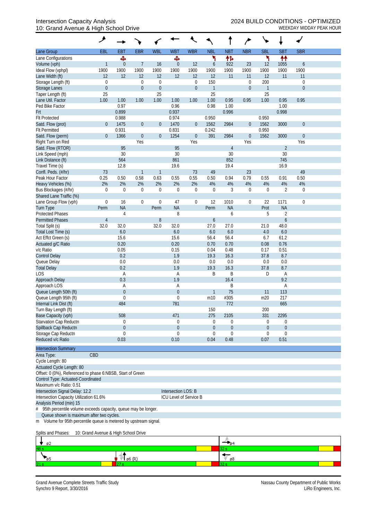## 10: Grand Avenue & High School Drive WEEKDAY MIDDAY PEAK HOUR

|                                                                                                                | ᢣ                |                              |                  |                  |                        |                  |                     |                  |                  | ↘                |                     |                  |  |
|----------------------------------------------------------------------------------------------------------------|------------------|------------------------------|------------------|------------------|------------------------|------------------|---------------------|------------------|------------------|------------------|---------------------|------------------|--|
| Lane Group                                                                                                     | EBL              | EBT                          | <b>EBR</b>       | <b>WBL</b>       | <b>WBT</b>             | <b>WBR</b>       | <b>NBL</b>          | <b>NBT</b>       | <b>NBR</b>       | <b>SBL</b>       | <b>SBT</b>          | <b>SBR</b>       |  |
| Lane Configurations                                                                                            |                  | Ф                            |                  |                  | Ф                      |                  | ۲                   | 怍                |                  | ۲                | 林                   |                  |  |
| Volume (vph)                                                                                                   | $\mathbf{1}$     | $\theta$                     | $\overline{7}$   | 16               | $\boldsymbol{0}$       | 12               | 6                   | 922              | 23               | 12               | 1055                | 6                |  |
| Ideal Flow (vphpl)                                                                                             | 1900             | 1900                         | 1900             | 1900             | 1900                   | 1900             | 1900                | 1900             | 1900             | 1900             | 1900                | 1900             |  |
| Lane Width (ft)                                                                                                | 12               | 12                           | 12               | 12               | 12                     | 12               | 12                  | 11               | 11               | 12               | 11                  | 11               |  |
| Storage Length (ft)                                                                                            | $\boldsymbol{0}$ |                              | $\boldsymbol{0}$ | $\boldsymbol{0}$ |                        | $\boldsymbol{0}$ | 150                 |                  | $\boldsymbol{0}$ | 200              |                     | 0                |  |
| Storage Lanes                                                                                                  | $\mathbf 0$      |                              | $\boldsymbol{0}$ | $\boldsymbol{0}$ |                        | $\mathbf 0$      | $\overline{1}$      |                  | $\mathbf{0}$     | $\mathbf{1}$     |                     | $\mathbf{0}$     |  |
| Taper Length (ft)                                                                                              | 25               |                              |                  | 25               |                        |                  | 25                  |                  |                  | 25               |                     |                  |  |
| Lane Util. Factor                                                                                              | 1.00             | 1.00                         | 1.00             | 1.00             | 1.00                   | 1.00             | 1.00                | 0.95             | 0.95             | 1.00             | 0.95                | 0.95             |  |
| Ped Bike Factor                                                                                                |                  | 0.97<br>0.899                |                  |                  | 0.96<br>0.937          |                  | 0.98                | 1.00<br>0.996    |                  |                  | 1.00<br>0.998       |                  |  |
| <b>Frt</b><br><b>Flt Protected</b>                                                                             |                  | 0.988                        |                  |                  | 0.974                  |                  | 0.950               |                  |                  | 0.950            |                     |                  |  |
| Satd. Flow (prot)                                                                                              | $\mathbf 0$      | 1475                         | $\boldsymbol{0}$ | $\theta$         | 1470                   | $\overline{0}$   | 1562                | 2984             | $\mathbf 0$      | 1562             | 3000                | $\mathbf{0}$     |  |
| <b>Flt Permitted</b>                                                                                           |                  | 0.931                        |                  |                  | 0.831                  |                  | 0.242               |                  |                  | 0.950            |                     |                  |  |
| Satd. Flow (perm)                                                                                              | $\theta$         | 1366                         | $\boldsymbol{0}$ | $\boldsymbol{0}$ | 1254                   | $\overline{0}$   | 391                 | 2984             | $\mathbf 0$      | 1562             | 3000                | $\boldsymbol{0}$ |  |
| Right Turn on Red                                                                                              |                  |                              | Yes              |                  |                        | Yes              |                     |                  | Yes              |                  |                     | Yes              |  |
| Satd. Flow (RTOR)                                                                                              |                  | 95                           |                  |                  | 95                     |                  |                     | $\overline{4}$   |                  |                  | $\overline{2}$      |                  |  |
| Link Speed (mph)                                                                                               |                  | 30                           |                  |                  | 30                     |                  |                     | 30               |                  |                  | 30                  |                  |  |
| Link Distance (ft)                                                                                             |                  | 564                          |                  |                  | 861                    |                  |                     | 852              |                  |                  | 745                 |                  |  |
| Travel Time (s)                                                                                                |                  | 12.8                         |                  |                  | 19.6                   |                  |                     | 19.4             |                  |                  | 16.9                |                  |  |
| Confl. Peds. (#/hr)                                                                                            | 73               |                              | $\mathbf{1}$     | 1                |                        | 73               | 49                  |                  | 23               |                  |                     | 49               |  |
| Peak Hour Factor                                                                                               | 0.25             | 0.50                         | 0.58             | 0.63             | 0.55                   | 0.55             | 0.50                | 0.94             | 0.79             | 0.55             | 0.91                | 0.50             |  |
| Heavy Vehicles (%)                                                                                             | 2%               | 2%                           | 2%               | 2%               | 2%                     | 2%               | 4%                  | 4%               | 4%               | 4%               | 4%                  | 4%               |  |
| Bus Blockages (#/hr)                                                                                           | $\mathbf 0$      | $\mathbf 0$                  | $\boldsymbol{0}$ | $\boldsymbol{0}$ | $\mathbf 0$            | $\boldsymbol{0}$ | $\overline{0}$      | 3                | $\theta$         | $\Omega$         | $\overline{2}$      | 0                |  |
| Shared Lane Traffic (%)                                                                                        |                  |                              |                  |                  |                        |                  |                     |                  |                  |                  |                     |                  |  |
| Lane Group Flow (vph)                                                                                          | $\boldsymbol{0}$ | 16                           | $\boldsymbol{0}$ | $\mathbf 0$      | 47                     | $\boldsymbol{0}$ | 12                  | 1010             | $\boldsymbol{0}$ | 22               | 1171                | $\mathbf 0$      |  |
| <b>Turn Type</b>                                                                                               | Perm             | <b>NA</b>                    |                  | Perm             | <b>NA</b>              |                  | Perm                | <b>NA</b>        |                  | Prot             | <b>NA</b>           |                  |  |
| <b>Protected Phases</b>                                                                                        |                  | 4                            |                  |                  | 8                      |                  |                     | 6                |                  | 5                | $\overline{2}$      |                  |  |
| <b>Permitted Phases</b>                                                                                        | $\overline{4}$   |                              |                  | 8                |                        |                  | $\boldsymbol{6}$    |                  |                  |                  | $\boldsymbol{6}$    |                  |  |
| Total Split (s)                                                                                                | 32.0             | 32.0                         |                  | 32.0             | 32.0                   |                  | 27.0                | 27.0             |                  | 21.0             | 48.0                |                  |  |
| Total Lost Time (s)<br>Act Effct Green (s)                                                                     |                  | 6.0<br>15.6                  |                  |                  | 6.0<br>15.6            |                  | 6.0<br>56.4         | 6.0<br>56.4      |                  | 4.0<br>6.7       | 6.0<br>61.2         |                  |  |
| Actuated g/C Ratio                                                                                             |                  | 0.20                         |                  |                  | 0.20                   |                  | 0.70                | 0.70             |                  | 0.08             | 0.76                |                  |  |
| v/c Ratio                                                                                                      |                  | 0.05                         |                  |                  | 0.15                   |                  | 0.04                | 0.48             |                  | 0.17             | 0.51                |                  |  |
| <b>Control Delay</b>                                                                                           |                  | 0.2                          |                  |                  | 1.9                    |                  | 19.3                | 16.3             |                  | 37.8             | 8.7                 |                  |  |
| Queue Delay                                                                                                    |                  | 0.0                          |                  |                  | 0.0                    |                  | 0.0                 | 0.0              |                  | 0.0              | 0.0                 |                  |  |
| <b>Total Delay</b>                                                                                             |                  | 0.2                          |                  |                  | 1.9                    |                  | 19.3                | 16.3             |                  | 37.8             | 8.7                 |                  |  |
| LOS                                                                                                            |                  | Α                            |                  |                  | A                      |                  | B                   | Β                |                  | D                | Α                   |                  |  |
| Approach Delay                                                                                                 |                  | 0.3                          |                  |                  | 1.9                    |                  |                     | 16.4             |                  |                  | 9.2                 |                  |  |
| Approach LOS                                                                                                   |                  | A                            |                  |                  | Α                      |                  |                     | Β                |                  |                  | Α                   |                  |  |
| Queue Length 50th (ft)                                                                                         |                  | $\boldsymbol{0}$             |                  |                  | $\boldsymbol{0}$       |                  | $\mathbf{1}$        | 75               |                  | 11               | 113                 |                  |  |
| Queue Length 95th (ft)                                                                                         |                  | $\mathbf 0$                  |                  |                  | $\mathbf 0$            |                  | m10                 | #305             |                  | m20              | 217                 |                  |  |
| Internal Link Dist (ft)                                                                                        |                  | 484                          |                  |                  | 781                    |                  |                     | 772              |                  |                  | 665                 |                  |  |
| Turn Bay Length (ft)                                                                                           |                  |                              |                  |                  |                        |                  | 150                 |                  |                  | 200              |                     |                  |  |
| Base Capacity (vph)                                                                                            |                  | 508                          |                  |                  | 471                    |                  | 275                 | 2105             |                  | 331              | 2295                |                  |  |
| Starvation Cap Reductn                                                                                         |                  | 0                            |                  |                  | 0                      |                  | 0                   | $\boldsymbol{0}$ |                  | 0                | 0                   |                  |  |
| Spillback Cap Reductn                                                                                          |                  | $\boldsymbol{0}$<br>$\Omega$ |                  |                  | $\boldsymbol{0}$<br>0  |                  | $\theta$            | $\boldsymbol{0}$ |                  | $\boldsymbol{0}$ | $\mathbf 0$         |                  |  |
| Storage Cap Reductn<br>Reduced v/c Ratio                                                                       |                  | 0.03                         |                  |                  | 0.10                   |                  | $\mathbf 0$<br>0.04 | 0<br>0.48        |                  | 0<br>0.07        | $\mathbf 0$<br>0.51 |                  |  |
|                                                                                                                |                  |                              |                  |                  |                        |                  |                     |                  |                  |                  |                     |                  |  |
| <b>Intersection Summary</b><br>CBD<br>Area Type:                                                               |                  |                              |                  |                  |                        |                  |                     |                  |                  |                  |                     |                  |  |
| Cycle Length: 80                                                                                               |                  |                              |                  |                  |                        |                  |                     |                  |                  |                  |                     |                  |  |
| Actuated Cycle Length: 80                                                                                      |                  |                              |                  |                  |                        |                  |                     |                  |                  |                  |                     |                  |  |
| Offset: 0 (0%), Referenced to phase 6:NBSB, Start of Green                                                     |                  |                              |                  |                  |                        |                  |                     |                  |                  |                  |                     |                  |  |
| Control Type: Actuated-Coordinated                                                                             |                  |                              |                  |                  |                        |                  |                     |                  |                  |                  |                     |                  |  |
| Maximum v/c Ratio: 0.51                                                                                        |                  |                              |                  |                  |                        |                  |                     |                  |                  |                  |                     |                  |  |
| Intersection Signal Delay: 12.2                                                                                |                  |                              |                  |                  | Intersection LOS: B    |                  |                     |                  |                  |                  |                     |                  |  |
| Intersection Capacity Utilization 61.6%                                                                        |                  |                              |                  |                  | ICU Level of Service B |                  |                     |                  |                  |                  |                     |                  |  |
| Analysis Period (min) 15                                                                                       |                  |                              |                  |                  |                        |                  |                     |                  |                  |                  |                     |                  |  |
| 95th percentile volume exceeds capacity, queue may be longer.<br>#<br>Queue shown is maximum after two cycles. |                  |                              |                  |                  |                        |                  |                     |                  |                  |                  |                     |                  |  |

m Volume for 95th percentile queue is metered by upstream signal.

Splits and Phases: 10: Grand Avenue & High School Drive

| ø2  |    |  |
|-----|----|--|
| 48. |    |  |
|     | ø8 |  |
| 21. |    |  |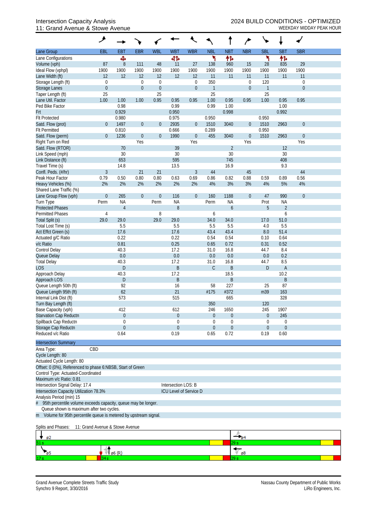#### 11: Grand Avenue & Stowe Avenue

|                                                                   | ᢣ                                        |                     |                  |                        |                     |                        |                |                  |                               |                      |                |                  |  |
|-------------------------------------------------------------------|------------------------------------------|---------------------|------------------|------------------------|---------------------|------------------------|----------------|------------------|-------------------------------|----------------------|----------------|------------------|--|
| Lane Group                                                        | EBL                                      | EBT                 | <b>EBR</b>       | <b>WBL</b>             | <b>WBT</b>          | <b>WBR</b>             | <b>NBL</b>     | <b>NBT</b>       | <b>NBR</b>                    | <b>SBL</b>           | <b>SBT</b>     | <b>SBR</b>       |  |
| Lane Configurations                                               |                                          | Ф                   |                  |                        | 41                  |                        | ۲              | 怍                |                               | ۲                    | 怍              |                  |  |
| Volume (vph)                                                      | 87                                       | $8\,$               | 111              | 48                     | 11                  | 27                     | 138            | 960              | 15                            | 28                   | 835            | 29               |  |
| Ideal Flow (vphpl)                                                | 1900                                     | 1900                | 1900             | 1900                   | 1900                | 1900                   | 1900           | 1900             | 1900                          | 1900                 | 1900           | 1900             |  |
| Lane Width (ft)                                                   | 12                                       | 12                  | 12               | 12                     | 12                  | 12                     | 11             | 11               | 11                            | 11                   | 11             | 11               |  |
| Storage Length (ft)                                               | $\mathbf 0$                              |                     | $\boldsymbol{0}$ | $\mathbf 0$            |                     | $\overline{0}$         | 350            |                  | $\boldsymbol{0}$              | 120                  |                | $\mathbf 0$      |  |
| <b>Storage Lanes</b>                                              | $\mathbf 0$<br>25                        |                     | $\boldsymbol{0}$ | $\boldsymbol{0}$<br>25 |                     | $\overline{0}$         | $\overline{1}$ |                  | $\mathbf{0}$                  | $\overline{1}$<br>25 |                | $\mathbf 0$      |  |
| Taper Length (ft)<br>Lane Util. Factor                            | 1.00                                     | 1.00                | 1.00             | 0.95                   | 0.95                | 0.95                   | 25<br>1.00     | 0.95             | 0.95                          | 1.00                 | 0.95           | 0.95             |  |
| Ped Bike Factor                                                   |                                          | 0.98                |                  |                        | 0.99                |                        | 0.99           | 1.00             |                               |                      | 1.00           |                  |  |
| Frt                                                               |                                          | 0.929               |                  |                        | 0.950               |                        |                | 0.998            |                               |                      | 0.992          |                  |  |
| <b>Flt Protected</b>                                              |                                          | 0.980               |                  |                        | 0.975               |                        | 0.950          |                  |                               | 0.950                |                |                  |  |
| Satd. Flow (prot)                                                 | $\theta$                                 | 1497                | $\boldsymbol{0}$ | $\boldsymbol{0}$       | 2935                | $\mathbf 0$            | 1510           | 3040             | $\theta$                      | 1510                 | 2963           | $\boldsymbol{0}$ |  |
| <b>Flt Permitted</b>                                              |                                          | 0.810               |                  |                        | 0.666               |                        | 0.289          |                  |                               | 0.950                |                |                  |  |
| Satd. Flow (perm)                                                 | $\theta$                                 | 1236                | $\boldsymbol{0}$ | $\boldsymbol{0}$       | 1990                | $\boldsymbol{0}$       | 455            | 3040             | $\boldsymbol{0}$              | 1510                 | 2963           | $\boldsymbol{0}$ |  |
| Right Turn on Red                                                 |                                          |                     | Yes              |                        |                     | Yes                    |                |                  | Yes                           |                      |                | Yes              |  |
| Satd. Flow (RTOR)                                                 |                                          | 70                  |                  |                        | 39                  |                        |                | $\overline{2}$   |                               |                      | 12             |                  |  |
| Link Speed (mph)                                                  |                                          | 30                  |                  |                        | 30<br>595           |                        |                | 30<br>745        |                               |                      | 30             |                  |  |
| Link Distance (ft)<br>Travel Time (s)                             |                                          | 653<br>14.8         |                  |                        | 13.5                |                        |                | 16.9             |                               |                      | 408<br>9.3     |                  |  |
| Confl. Peds. (#/hr)                                               | $\mathfrak{Z}$                           |                     | 21               | 21                     |                     | $\mathfrak{Z}$         | 44             |                  | 45                            |                      |                | 44               |  |
| Peak Hour Factor                                                  | 0.79                                     | 0.50                | 0.80             | 0.80                   | 0.63                | 0.69                   | 0.86           | 0.82             | 0.88                          | 0.59                 | 0.89           | 0.56             |  |
| Heavy Vehicles (%)                                                | 2%                                       | 2%                  | 2%               | 2%                     | 2%                  | 2%                     | 4%             | 3%               | 3%                            | 4%                   | 5%             | 4%               |  |
| Shared Lane Traffic (%)                                           |                                          |                     |                  |                        |                     |                        |                |                  |                               |                      |                |                  |  |
| Lane Group Flow (vph)                                             | $\boldsymbol{0}$                         | 265                 | $\boldsymbol{0}$ | $\boldsymbol{0}$       | 116                 | $\mathbf 0$            | 160            | 1188             | $\theta$                      | 47                   | 990            | $\mathbf 0$      |  |
| Turn Type                                                         | Perm                                     | <b>NA</b>           |                  | Perm                   | <b>NA</b>           |                        | Perm           | <b>NA</b>        |                               | Prot                 | <b>NA</b>      |                  |  |
| <b>Protected Phases</b>                                           |                                          | $\overline{4}$      |                  |                        | $8\,$               |                        |                | $\boldsymbol{6}$ |                               | 5                    | $\overline{2}$ |                  |  |
| <b>Permitted Phases</b>                                           | 4                                        |                     |                  | 8                      |                     |                        | 6              |                  |                               |                      | 6              |                  |  |
| Total Split (s)                                                   | 29.0                                     | 29.0                |                  | 29.0                   | 29.0                |                        | 34.0           | 34.0             |                               | 17.0                 | 51.0           |                  |  |
| Total Lost Time (s)<br>Act Effct Green (s)                        |                                          | 5.5<br>17.6         |                  |                        | 5.5<br>17.6         |                        | 5.5<br>43.4    | 5.5<br>43.4      |                               | 4.0<br>8.0           | 5.5<br>51.4    |                  |  |
| Actuated g/C Ratio                                                |                                          | 0.22                |                  |                        | 0.22                |                        | 0.54           | 0.54             |                               | 0.10                 | 0.64           |                  |  |
| v/c Ratio                                                         |                                          | 0.81                |                  |                        | 0.25                |                        | 0.65           | 0.72             |                               | 0.31                 | 0.52           |                  |  |
| Control Delay                                                     |                                          | 40.3                |                  |                        | 17.2                |                        | 31.0           | 16.8             |                               | 44.7                 | 8.4            |                  |  |
| Queue Delay                                                       |                                          | 0.0                 |                  |                        | 0.0                 |                        | 0.0            | 0.0              |                               | 0.0                  | 0.2            |                  |  |
| <b>Total Delay</b>                                                |                                          | 40.3                |                  |                        | 17.2                |                        | 31.0           | 16.8             |                               | 44.7                 | 8.5            |                  |  |
| <b>LOS</b>                                                        |                                          | $\mathsf D$         |                  |                        | B                   |                        | $\mathsf C$    | B                |                               | $\mathsf{D}$         | $\mathsf A$    |                  |  |
| Approach Delay                                                    |                                          | 40.3                |                  |                        | 17.2                |                        |                | 18.5             |                               |                      | 10.2           |                  |  |
| Approach LOS                                                      |                                          | $\mathsf D$         |                  |                        | B                   |                        |                | B                |                               |                      | B              |                  |  |
| Queue Length 50th (ft)<br>Queue Length 95th (ft)                  |                                          | 92<br>62            |                  |                        | 16<br>21            |                        | 58<br>#175     | 227<br>#372      |                               | 25<br>m39            | 87<br>163      |                  |  |
| Internal Link Dist (ft)                                           |                                          | 573                 |                  |                        | 515                 |                        |                | 665              |                               |                      | 328            |                  |  |
| Turn Bay Length (ft)                                              |                                          |                     |                  |                        |                     |                        | 350            |                  |                               | 120                  |                |                  |  |
| Base Capacity (vph)                                               |                                          | 412                 |                  |                        | 612                 |                        | 246            | 1650             |                               | 245                  | 1907           |                  |  |
| <b>Starvation Cap Reductn</b>                                     |                                          | $\overline{0}$      |                  |                        | $\boldsymbol{0}$    |                        | $\theta$       | $\boldsymbol{0}$ |                               | $\boldsymbol{0}$     | 245            |                  |  |
| Spillback Cap Reductn                                             |                                          | $\Omega$            |                  |                        | $\mathbf 0$         |                        | $\Omega$       | $\boldsymbol{0}$ |                               | 0                    | $\mathbf 0$    |                  |  |
| Storage Cap Reductn                                               |                                          | $\overline{0}$      |                  |                        | $\theta$            |                        | $\overline{0}$ | $\mathbf 0$      |                               | $\overline{0}$       | $\theta$       |                  |  |
| Reduced v/c Ratio                                                 |                                          | 0.64                |                  |                        | 0.19                |                        | 0.65           | 0.72             |                               | 0.19                 | 0.60           |                  |  |
| <b>Intersection Summary</b>                                       |                                          |                     |                  |                        |                     |                        |                |                  |                               |                      |                |                  |  |
| Area Type:                                                        | CBD                                      |                     |                  |                        |                     |                        |                |                  |                               |                      |                |                  |  |
| Cycle Length: 80                                                  |                                          |                     |                  |                        |                     |                        |                |                  |                               |                      |                |                  |  |
| Actuated Cycle Length: 80                                         |                                          |                     |                  |                        |                     |                        |                |                  |                               |                      |                |                  |  |
| Offset: 0 (0%), Referenced to phase 6:NBSB, Start of Green        |                                          |                     |                  |                        |                     |                        |                |                  |                               |                      |                |                  |  |
| Control Type: Actuated-Coordinated                                |                                          |                     |                  |                        |                     |                        |                |                  |                               |                      |                |                  |  |
| Maximum v/c Ratio: 0.81<br>Intersection Signal Delay: 17.4        |                                          |                     |                  |                        | Intersection LOS: B |                        |                |                  |                               |                      |                |                  |  |
| Intersection Capacity Utilization 78.3%                           |                                          |                     |                  |                        |                     | ICU Level of Service D |                |                  |                               |                      |                |                  |  |
| Analysis Period (min) 15                                          |                                          |                     |                  |                        |                     |                        |                |                  |                               |                      |                |                  |  |
| # 95th percentile volume exceeds capacity, queue may be longer.   |                                          |                     |                  |                        |                     |                        |                |                  |                               |                      |                |                  |  |
|                                                                   | Queue shown is maximum after two cycles. |                     |                  |                        |                     |                        |                |                  |                               |                      |                |                  |  |
| m Volume for 95th percentile queue is metered by upstream signal. |                                          |                     |                  |                        |                     |                        |                |                  |                               |                      |                |                  |  |
| Splits and Phases:                                                | 11: Grand Avenue & Stowe Avenue          |                     |                  |                        |                     |                        |                |                  |                               |                      |                |                  |  |
| ø2                                                                |                                          |                     |                  |                        |                     |                        |                |                  |                               |                      |                |                  |  |
|                                                                   |                                          |                     |                  |                        |                     |                        |                | 29 s             |                               |                      |                |                  |  |
| 65                                                                |                                          | $\sqrt[n]{\log(n)}$ |                  |                        |                     |                        |                |                  | $\sqrt{\phantom{a}}_{\rm g8}$ |                      |                |                  |  |
|                                                                   |                                          |                     |                  |                        |                     |                        |                |                  |                               |                      |                |                  |  |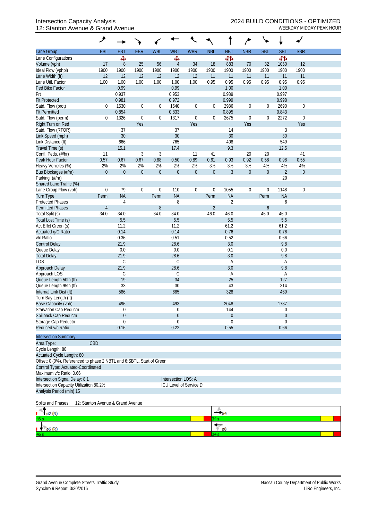## 12: Stanton Avenue & Grand Avenue WEEKDAY MIDDAY PEAK HOUR

|                                                                       | ۸              |                            |                  |                  |                              |                  |                  |                      | ∕                |                  |                         |                  |  |
|-----------------------------------------------------------------------|----------------|----------------------------|------------------|------------------|------------------------------|------------------|------------------|----------------------|------------------|------------------|-------------------------|------------------|--|
| Lane Group                                                            | EBL            | <b>EBT</b>                 | <b>EBR</b>       | <b>WBL</b>       | <b>WBT</b>                   | <b>WBR</b>       | <b>NBL</b>       | <b>NBT</b>           | <b>NBR</b>       | <b>SBL</b>       | <b>SBT</b>              | <b>SBR</b>       |  |
| Lane Configurations                                                   |                | Ф                          |                  |                  | Ф                            |                  |                  | 412                  |                  |                  | 41                      |                  |  |
| Volume (vph)                                                          | 17             | 8                          | 25               | 56               | $\overline{4}$               | 34               | 18               | 883                  | 70               | 32               | 1050                    | 12               |  |
| Ideal Flow (vphpl)                                                    | 1900           | 1900                       | 1900             | 1900             | 1900                         | 1900             | 1900             | 1900                 | 1900             | 1900             | 1900                    | 1900             |  |
| Lane Width (ft)                                                       | 12             | 12                         | 12               | 12               | 12                           | 12               | 11               | 11                   | 11               | 11               | 11                      | 11               |  |
| Lane Util. Factor                                                     | 1.00           | 1.00                       | 1.00             | 1.00             | 1.00                         | 1.00             | 0.95             | 0.95                 | 0.95             | 0.95             | 0.95                    | 0.95             |  |
| Ped Bike Factor                                                       |                | 0.99                       |                  |                  | 0.99                         |                  |                  | 1.00                 |                  |                  | 1.00                    |                  |  |
| Frt                                                                   |                | 0.937                      |                  |                  | 0.953                        |                  |                  | 0.989                |                  |                  | 0.997                   |                  |  |
| <b>Flt Protected</b>                                                  |                | 0.981                      |                  |                  | 0.972                        |                  |                  | 0.999                |                  |                  | 0.998                   |                  |  |
| Satd. Flow (prot)                                                     | $\mathbf 0$    | 1530                       | $\boldsymbol{0}$ | $\boldsymbol{0}$ | 1540                         | 0                | $\overline{0}$   | 2986                 | $\boldsymbol{0}$ | $\boldsymbol{0}$ | 2690                    | $\boldsymbol{0}$ |  |
| <b>Flt Permitted</b>                                                  |                | 0.854                      |                  |                  | 0.833                        |                  |                  | 0.895                |                  |                  | 0.843                   |                  |  |
| Satd. Flow (perm)                                                     | $\mathbf{0}$   | 1326                       | $\mathbf 0$      | $\boldsymbol{0}$ | 1317                         | $\boldsymbol{0}$ | $\mathbf 0$      | 2675                 | $\boldsymbol{0}$ | $\boldsymbol{0}$ | 2272                    | $\boldsymbol{0}$ |  |
| Right Turn on Red                                                     |                |                            | Yes              |                  |                              | Yes              |                  |                      | Yes              |                  |                         | Yes              |  |
| Satd. Flow (RTOR)                                                     |                | 37                         |                  |                  | 37                           |                  |                  | 14                   |                  |                  | 3                       |                  |  |
| Link Speed (mph)                                                      |                | 30                         |                  |                  | 30                           |                  |                  | 30                   |                  |                  | 30                      |                  |  |
| Link Distance (ft)                                                    |                | 666<br>15.1                |                  |                  | 765<br>17.4                  |                  |                  | 408<br>9.3           |                  |                  | 549                     |                  |  |
| Travel Time (s)<br>Confl. Peds. (#/hr)                                | 11             |                            | 3                | $\mathfrak{Z}$   |                              | 11               | 41               |                      | 20               | 20               | 12.5                    | 41               |  |
| Peak Hour Factor                                                      | 0.57           | 0.67                       | 0.67             | 0.88             | 0.50                         | 0.89             | 0.61             | 0.93                 | 0.92             | 0.58             | 0.98                    | 0.55             |  |
| Heavy Vehicles (%)                                                    | 2%             | 2%                         | 2%               | 2%               | 2%                           | 2%               | 3%               | 3%                   | 3%               | 4%               | 4%                      | 4%               |  |
| Bus Blockages (#/hr)                                                  | $\mathbf 0$    | $\mathbf 0$                | $\boldsymbol{0}$ | $\overline{0}$   | $\mathbf 0$                  | $\overline{0}$   | $\mathbf 0$      | 3                    | $\boldsymbol{0}$ | $\mathbf 0$      | $\overline{2}$          | $\mathbf 0$      |  |
| Parking (#/hr)                                                        |                |                            |                  |                  |                              |                  |                  |                      |                  |                  | 20                      |                  |  |
| Shared Lane Traffic (%)                                               |                |                            |                  |                  |                              |                  |                  |                      |                  |                  |                         |                  |  |
| Lane Group Flow (vph)                                                 | $\mathbf 0$    | 79                         | $\boldsymbol{0}$ | $\mathbf 0$      | 110                          | 0                | $\boldsymbol{0}$ | 1055                 | $\boldsymbol{0}$ | $\boldsymbol{0}$ | 1148                    | $\mathbf 0$      |  |
| Turn Type                                                             | Perm           | <b>NA</b>                  |                  | Perm             | <b>NA</b>                    |                  | Perm             | <b>NA</b>            |                  | Perm             | <b>NA</b>               |                  |  |
| <b>Protected Phases</b>                                               |                | 4                          |                  |                  | 8                            |                  |                  | $\sqrt{2}$           |                  |                  | 6                       |                  |  |
| <b>Permitted Phases</b>                                               | $\overline{4}$ |                            |                  | $8\,$            |                              |                  | $\overline{2}$   |                      |                  | 6                |                         |                  |  |
| Total Split (s)                                                       | 34.0           | 34.0                       |                  | 34.0             | 34.0                         |                  | 46.0             | 46.0                 |                  | 46.0             | 46.0                    |                  |  |
| Total Lost Time (s)                                                   |                | 5.5                        |                  |                  | 5.5                          |                  |                  | 5.5                  |                  |                  | 5.5                     |                  |  |
| Act Effct Green (s)                                                   |                | 11.2                       |                  |                  | 11.2                         |                  |                  | 61.2                 |                  |                  | 61.2                    |                  |  |
| Actuated g/C Ratio                                                    |                | 0.14                       |                  |                  | 0.14                         |                  |                  | 0.76                 |                  |                  | 0.76                    |                  |  |
| v/c Ratio                                                             |                | 0.36                       |                  |                  | 0.51                         |                  |                  | 0.52                 |                  |                  | 0.66                    |                  |  |
| <b>Control Delay</b>                                                  |                | 21.9                       |                  |                  | 28.6                         |                  |                  | 3.0                  |                  |                  | 9.8                     |                  |  |
| Queue Delay                                                           |                | 0.0                        |                  |                  | 0.0                          |                  |                  | 0.1                  |                  |                  | 0.0                     |                  |  |
| <b>Total Delay</b>                                                    |                | 21.9                       |                  |                  | 28.6                         |                  |                  | 3.0                  |                  |                  | 9.8                     |                  |  |
| LOS                                                                   |                | $\mathsf C$                |                  |                  | C                            |                  |                  | Α                    |                  |                  | Α                       |                  |  |
| Approach Delay                                                        |                | 21.9                       |                  |                  | 28.6                         |                  |                  | 3.0                  |                  |                  | 9.8                     |                  |  |
| Approach LOS                                                          |                | $\mathsf C$                |                  |                  | С                            |                  |                  | Α                    |                  |                  | Α                       |                  |  |
| Queue Length 50th (ft)                                                |                | 19                         |                  |                  | 34                           |                  |                  | 25                   |                  |                  | 127                     |                  |  |
| Queue Length 95th (ft)                                                |                | 33                         |                  |                  | 30                           |                  |                  | 43                   |                  |                  | 314                     |                  |  |
| Internal Link Dist (ft)                                               |                | 586                        |                  |                  | 685                          |                  |                  | 328                  |                  |                  | 469                     |                  |  |
| Turn Bay Length (ft)                                                  |                |                            |                  |                  |                              |                  |                  |                      |                  |                  |                         |                  |  |
| Base Capacity (vph)                                                   |                | 496                        |                  |                  | 493                          |                  |                  | 2048                 |                  |                  | 1737                    |                  |  |
| Starvation Cap Reductn                                                |                | 0                          |                  |                  | $\Omega$                     |                  |                  | 144                  |                  |                  | 0                       |                  |  |
| Spillback Cap Reductn                                                 |                | $\overline{0}$<br>$\Omega$ |                  |                  | $\boldsymbol{0}$<br>$\theta$ |                  |                  | 0                    |                  |                  | $\mathbf 0$<br>$\theta$ |                  |  |
| Storage Cap Reductn<br>Reduced v/c Ratio                              |                | 0.16                       |                  |                  | 0.22                         |                  |                  | 0<br>0.55            |                  |                  | 0.66                    |                  |  |
|                                                                       |                |                            |                  |                  |                              |                  |                  |                      |                  |                  |                         |                  |  |
| <b>Intersection Summary</b>                                           |                |                            |                  |                  |                              |                  |                  |                      |                  |                  |                         |                  |  |
| Area Type:                                                            | CBD            |                            |                  |                  |                              |                  |                  |                      |                  |                  |                         |                  |  |
| Cycle Length: 80                                                      |                |                            |                  |                  |                              |                  |                  |                      |                  |                  |                         |                  |  |
| Actuated Cycle Length: 80                                             |                |                            |                  |                  |                              |                  |                  |                      |                  |                  |                         |                  |  |
| Offset: 0 (0%), Referenced to phase 2:NBTL and 6:SBTL, Start of Green |                |                            |                  |                  |                              |                  |                  |                      |                  |                  |                         |                  |  |
| Control Type: Actuated-Coordinated                                    |                |                            |                  |                  |                              |                  |                  |                      |                  |                  |                         |                  |  |
| Maximum v/c Ratio: 0.66                                               |                |                            |                  |                  |                              |                  |                  |                      |                  |                  |                         |                  |  |
| Intersection Signal Delay: 8.1                                        |                |                            |                  |                  | Intersection LOS: A          |                  |                  |                      |                  |                  |                         |                  |  |
| Intersection Capacity Utilization 80.2%                               |                |                            |                  |                  | ICU Level of Service D       |                  |                  |                      |                  |                  |                         |                  |  |
| Analysis Period (min) 15                                              |                |                            |                  |                  |                              |                  |                  |                      |                  |                  |                         |                  |  |
| Splits and Phases:<br>12: Stanton Avenue & Grand Avenue               |                |                            |                  |                  |                              |                  |                  |                      |                  |                  |                         |                  |  |
|                                                                       |                |                            |                  |                  |                              |                  |                  |                      |                  |                  |                         |                  |  |
| ø2 (R)                                                                |                |                            |                  |                  |                              |                  | 34 s             | $\rightarrow$ 04     |                  |                  |                         |                  |  |
|                                                                       |                |                            |                  |                  |                              |                  |                  | $\overline{\psi}$ ø8 |                  |                  |                         |                  |  |
| $\emptyset$ 6 (R)                                                     |                |                            |                  |                  |                              |                  |                  |                      |                  |                  |                         |                  |  |

 $34s$ 

 $46 s$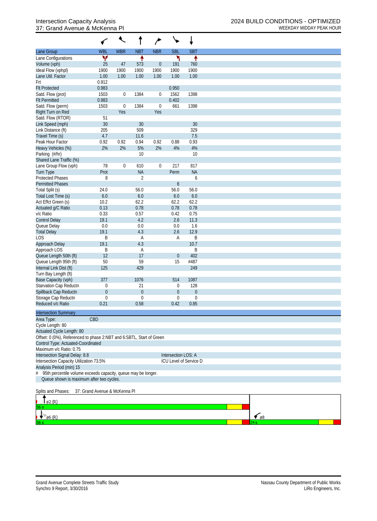## 37: Grand Avenue & McKenna PI and the McChannel Company of the MCEKDAY MIDDAY PEAK HOUR

|                                                                      |                               | $\overline{\mathcal{L}}$ | î                | م                |                     | ↓                      |                      |
|----------------------------------------------------------------------|-------------------------------|--------------------------|------------------|------------------|---------------------|------------------------|----------------------|
| Lane Group                                                           | <b>WBL</b>                    | <b>WBR</b>               | <b>NBT</b>       | <b>NBR</b>       | <b>SBL</b>          | <b>SBT</b>             |                      |
| Lane Configurations                                                  | ۷                             |                          | ↟                |                  | ኻ                   | ↟                      |                      |
| Volume (vph)                                                         | 25                            | 47                       | 573              | $\mathbf{0}$     | 191                 | 760                    |                      |
| Ideal Flow (vphpl)                                                   | 1900                          | 1900                     | 1900             | 1900             | 1900                | 1900                   |                      |
| Lane Util. Factor                                                    | 1.00                          | 1.00                     | 1.00             | 1.00             | 1.00                | 1.00                   |                      |
| Frt                                                                  | 0.912                         |                          |                  |                  |                     |                        |                      |
| <b>Flt Protected</b>                                                 | 0.983                         |                          |                  |                  | 0.950               |                        |                      |
| Satd. Flow (prot)                                                    | 1503                          | $\pmb{0}$                | 1384             | $\boldsymbol{0}$ | 1562                | 1398                   |                      |
| <b>Flt Permitted</b>                                                 | 0.983                         |                          |                  |                  | 0.402               |                        |                      |
| Satd. Flow (perm)                                                    | 1503                          | $\boldsymbol{0}$         | 1384             | $\boldsymbol{0}$ | 661                 | 1398                   |                      |
| Right Turn on Red                                                    |                               | Yes                      |                  | Yes              |                     |                        |                      |
| Satd. Flow (RTOR)                                                    | 51                            |                          |                  |                  |                     |                        |                      |
| Link Speed (mph)                                                     | 30                            |                          | 30               |                  |                     | 30                     |                      |
| Link Distance (ft)                                                   | 205                           |                          | 509              |                  |                     | 329                    |                      |
| Travel Time (s)                                                      | 4.7                           |                          | 11.6             |                  |                     | 7.5                    |                      |
| Peak Hour Factor                                                     | 0.92                          | 0.92                     | 0.94             | 0.92             | 0.88                | 0.93                   |                      |
| Heavy Vehicles (%)                                                   | 2%                            | 2%                       | 5%               | 2%               | 4%                  | $4%$                   |                      |
| Parking (#/hr)                                                       |                               |                          | 10               |                  |                     | 10                     |                      |
| Shared Lane Traffic (%)                                              |                               |                          |                  |                  |                     |                        |                      |
| Lane Group Flow (vph)                                                | 78                            | $\boldsymbol{0}$         | 610              | $\mathbf 0$      | 217                 | 817                    |                      |
| <b>Turn Type</b>                                                     | Prot                          |                          | <b>NA</b>        |                  | Perm                | <b>NA</b>              |                      |
| <b>Protected Phases</b>                                              | 8                             |                          | $\sqrt{2}$       |                  |                     | 6                      |                      |
| <b>Permitted Phases</b>                                              |                               |                          |                  |                  | 6                   |                        |                      |
| Total Split (s)                                                      | 24.0                          |                          | 56.0             |                  | 56.0                | 56.0                   |                      |
| Total Lost Time (s)                                                  | $6.0\,$                       |                          | 6.0              |                  | 6.0                 | 6.0                    |                      |
| Act Effct Green (s)                                                  | 10.2                          |                          | 62.2             |                  | 62.2                | 62.2                   |                      |
| Actuated g/C Ratio                                                   | 0.13                          |                          | 0.78             |                  | 0.78                | 0.78                   |                      |
| v/c Ratio                                                            | 0.33                          |                          | 0.57             |                  | 0.42                | 0.75                   |                      |
| <b>Control Delay</b>                                                 | 19.1                          |                          | 4.2              |                  | 2.6                 | 11.3                   |                      |
| Queue Delay                                                          | 0.0                           |                          | $0.0\,$          |                  | 0.0                 | 1.6                    |                      |
| <b>Total Delay</b>                                                   | 19.1                          |                          | 4.3              |                  | 2.6                 | 12.9                   |                      |
| <b>LOS</b>                                                           | $\sf B$                       |                          | Α                |                  | A                   | B                      |                      |
| Approach Delay                                                       | 19.1                          |                          | 4.3              |                  |                     | 10.7                   |                      |
| Approach LOS                                                         | B                             |                          | Α                |                  |                     | B                      |                      |
| Queue Length 50th (ft)                                               | 12                            |                          | 17               |                  | $\boldsymbol{0}$    | 402<br>#487            |                      |
| Queue Length 95th (ft)                                               | 50<br>125                     |                          | 59<br>429        |                  | 15                  | 249                    |                      |
| Internal Link Dist (ft)                                              |                               |                          |                  |                  |                     |                        |                      |
| Turn Bay Length (ft)<br>Base Capacity (vph)                          | 377                           |                          | 1076             |                  | 514                 | 1087                   |                      |
| Starvation Cap Reductn                                               | 0                             |                          | 21               |                  | 0                   | 128                    |                      |
| Spillback Cap Reductn                                                | $\theta$                      |                          | $\boldsymbol{0}$ |                  | $\overline{0}$      | $\theta$               |                      |
| Storage Cap Reductn                                                  | 0                             |                          | $\mathbf 0$      |                  | $\overline{0}$      | $\boldsymbol{0}$       |                      |
| Reduced v/c Ratio                                                    | 0.21                          |                          | 0.58             |                  | 0.42                | 0.85                   |                      |
|                                                                      |                               |                          |                  |                  |                     |                        |                      |
| <b>Intersection Summary</b>                                          |                               |                          |                  |                  |                     |                        |                      |
| Area Type:                                                           | CBD                           |                          |                  |                  |                     |                        |                      |
| Cycle Length: 80                                                     |                               |                          |                  |                  |                     |                        |                      |
| Actuated Cycle Length: 80                                            |                               |                          |                  |                  |                     |                        |                      |
| Offset: 0 (0%), Referenced to phase 2:NBT and 6:SBTL, Start of Green |                               |                          |                  |                  |                     |                        |                      |
| Control Type: Actuated-Coordinated                                   |                               |                          |                  |                  |                     |                        |                      |
| Maximum v/c Ratio: 0.75                                              |                               |                          |                  |                  |                     |                        |                      |
| Intersection Signal Delay: 8.8                                       |                               |                          |                  |                  | Intersection LOS: A |                        |                      |
| Intersection Capacity Utilization 73.5%                              |                               |                          |                  |                  |                     | ICU Level of Service D |                      |
| Analysis Period (min) 15                                             |                               |                          |                  |                  |                     |                        |                      |
| 95th percentile volume exceeds capacity, queue may be longer.<br>#   |                               |                          |                  |                  |                     |                        |                      |
| Queue shown is maximum after two cycles.                             |                               |                          |                  |                  |                     |                        |                      |
| Splits and Phases:                                                   | 37: Grand Avenue & McKenna Pl |                          |                  |                  |                     |                        |                      |
|                                                                      |                               |                          |                  |                  |                     |                        |                      |
| ø2 (R)                                                               |                               |                          |                  |                  |                     |                        |                      |
|                                                                      |                               |                          |                  |                  |                     |                        |                      |
| $\emptyset$ 6 (R)                                                    |                               |                          |                  |                  |                     |                        | $\epsilon$ $\beta$ 8 |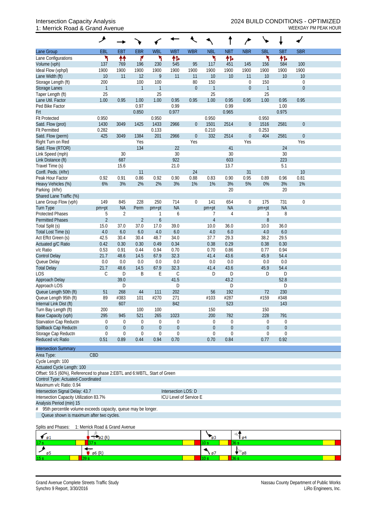## 1: Merrick Road & Grand Avenue WEEKDAY PM PEAK HOUR

|                                                                                                         | ۶                              |                             |                     |                       |                        |                         |                     |                  |                         |              |                  |                         |  |
|---------------------------------------------------------------------------------------------------------|--------------------------------|-----------------------------|---------------------|-----------------------|------------------------|-------------------------|---------------------|------------------|-------------------------|--------------|------------------|-------------------------|--|
| Lane Group                                                                                              | EBL                            | <b>EBT</b>                  | <b>EBR</b>          | <b>WBL</b>            | <b>WBT</b>             | <b>WBR</b>              | <b>NBL</b>          | <b>NBT</b>       | <b>NBR</b>              | <b>SBL</b>   | <b>SBT</b>       | <b>SBR</b>              |  |
| Lane Configurations                                                                                     | ۲                              | 忭                           | ۴                   | ۲                     | 伟                      |                         | ۲                   | 怍                |                         | ۲            | 伟                |                         |  |
| Volume (vph)                                                                                            | 137                            | 769                         | 196                 | 230                   | 545                    | 95                      | 117                 | 451              | 145                     | 156          | 584              | 100                     |  |
| Ideal Flow (vphpl)                                                                                      | 1900                           | 1900                        | 1900                | 1900                  | 1900                   | 1900                    | 1900                | 1900             | 1900                    | 1900         | 1900             | 1900                    |  |
| Lane Width (ft)<br>Storage Length (ft)                                                                  | 10<br>200                      | 11                          | 12<br>100           | $\overline{9}$<br>100 | 11                     | 11<br>80                | 10<br>150           | 10               | 11<br>$\boldsymbol{0}$  | 10<br>150    | 10               | 10<br>$\boldsymbol{0}$  |  |
| <b>Storage Lanes</b>                                                                                    | $\mathbf{1}$                   |                             | $\mathbf{1}$        | $\mathbf{1}$          |                        | $\mathbf 0$             | $\mathbf{1}$        |                  | $\mathbf{0}$            | $\mathbf{1}$ |                  | $\mathbf{0}$            |  |
| Taper Length (ft)                                                                                       | 25                             |                             |                     | 25                    |                        |                         | 25                  |                  |                         | 25           |                  |                         |  |
| Lane Util. Factor                                                                                       | 1.00                           | 0.95                        | 1.00                | 1.00                  | 0.95                   | 0.95                    | 1.00                | 0.95             | 0.95                    | 1.00         | 0.95             | 0.95                    |  |
| Ped Bike Factor                                                                                         |                                |                             | 0.97                |                       | 0.99                   |                         |                     | 0.99             |                         |              | 1.00             |                         |  |
| <b>Frt</b>                                                                                              |                                |                             | 0.850               |                       | 0.977                  |                         |                     | 0.965            |                         |              | 0.975            |                         |  |
| <b>Flt Protected</b>                                                                                    | 0.950                          |                             |                     | 0.950                 |                        |                         | 0.950               |                  |                         | 0.950        |                  |                         |  |
| Satd. Flow (prot)                                                                                       | 1430                           | 3049                        | 1425                | 1433                  | 2966                   | $\overline{0}$          | 1501                | 2514             | $\mathbf{0}$            | 1516         | 2581             | $\mathbf{0}$            |  |
| <b>Flt Permitted</b>                                                                                    | 0.282                          |                             |                     | 0.133                 |                        |                         | 0.210               |                  |                         | 0.253        |                  |                         |  |
| Satd. Flow (perm)<br>Right Turn on Red                                                                  | 425                            | 3049                        | 1384<br>Yes         | 201                   | 2966                   | $\boldsymbol{0}$<br>Yes | 332                 | 2514             | $\boldsymbol{0}$<br>Yes | 404          | 2581             | $\boldsymbol{0}$<br>Yes |  |
| Satd. Flow (RTOR)                                                                                       |                                |                             | 134                 |                       | 22                     |                         |                     | 41               |                         |              | 24               |                         |  |
| Link Speed (mph)                                                                                        |                                | 30                          |                     |                       | 30                     |                         |                     | 30               |                         |              | $30\,$           |                         |  |
| Link Distance (ft)                                                                                      |                                | 687                         |                     |                       | 922                    |                         |                     | 603              |                         |              | 223              |                         |  |
| Travel Time (s)                                                                                         |                                | 15.6                        |                     |                       | 21.0                   |                         |                     | 13.7             |                         |              | 5.1              |                         |  |
| Confl. Peds. (#/hr)                                                                                     |                                |                             | 11                  |                       |                        | 24                      |                     |                  | 31                      |              |                  | 10                      |  |
| Peak Hour Factor                                                                                        | 0.92                           | 0.91                        | 0.86                | 0.92                  | 0.90                   | 0.88                    | 0.83                | 0.90             | 0.95                    | 0.89         | 0.96             | 0.81                    |  |
| Heavy Vehicles (%)                                                                                      | 6%                             | 3%                          | 2%                  | 2%                    | 3%                     | 1%                      | 1%                  | 3%               | 5%                      | 0%           | 3%               | 1%                      |  |
| Parking (#/hr)                                                                                          |                                |                             |                     |                       |                        |                         |                     | 20               |                         |              | 20               |                         |  |
| Shared Lane Traffic (%)                                                                                 |                                |                             |                     |                       |                        |                         |                     |                  |                         |              |                  |                         |  |
| Lane Group Flow (vph)                                                                                   | 149                            | 845                         | 228                 | 250                   | 714<br><b>NA</b>       | $\mathbf 0$             | 141                 | 654              | $\boldsymbol{0}$        | 175          | 731<br><b>NA</b> | $\mathbf 0$             |  |
| <b>Turn Type</b><br><b>Protected Phases</b>                                                             | pm+pt<br>5                     | <b>NA</b><br>$\overline{2}$ | Perm                | pm+pt                 | 6                      |                         | $pm+pt$<br>7        | <b>NA</b><br>4   |                         | pm+pt<br>3   | 8                |                         |  |
| <b>Permitted Phases</b>                                                                                 | $\overline{2}$                 |                             | $\overline{2}$      | 6                     |                        |                         | $\overline{4}$      |                  |                         | 8            |                  |                         |  |
| Total Split (s)                                                                                         | 15.0                           | 37.0                        | 37.0                | 17.0                  | 39.0                   |                         | 10.0                | 36.0             |                         | 10.0         | 36.0             |                         |  |
| Total Lost Time (s)                                                                                     | 4.0                            | 6.0                         | 6.0                 | 4.0                   | 6.0                    |                         | 4.0                 | 6.0              |                         | 4.0          | 6.0              |                         |  |
| Act Effct Green (s)                                                                                     | 42.5                           | 30.4                        | 30.4                | 48.7                  | 34.0                   |                         | 37.7                | 29.3             |                         | 38.2         | 29.5             |                         |  |
| Actuated g/C Ratio                                                                                      | 0.42                           | 0.30                        | 0.30                | 0.49                  | 0.34                   |                         | 0.38                | 0.29             |                         | 0.38         | 0.30             |                         |  |
| v/c Ratio                                                                                               | 0.53                           | 0.91                        | 0.44                | 0.94                  | 0.70                   |                         | 0.70                | 0.86             |                         | 0.77         | 0.94             |                         |  |
| <b>Control Delay</b>                                                                                    | 21.7                           | 48.6                        | 14.5                | 67.9                  | 32.3                   |                         | 41.4                | 43.6             |                         | 45.9         | 54.4             |                         |  |
| Queue Delay                                                                                             | 0.0                            | 0.0                         | 0.0                 | 0.0                   | 0.0                    |                         | 0.0                 | 0.0              |                         | 0.0          | 0.0              |                         |  |
| <b>Total Delay</b><br><b>LOS</b>                                                                        | 21.7<br>С                      | 48.6<br>D                   | 14.5<br>Β           | 67.9<br>Е             | 32.3<br>$\mathcal{C}$  |                         | 41.4<br>D           | 43.6<br>D        |                         | 45.9<br>D    | 54.4<br>D        |                         |  |
| Approach Delay                                                                                          |                                | 39.0                        |                     |                       | 41.5                   |                         |                     | 43.2             |                         |              | 52.8             |                         |  |
| Approach LOS                                                                                            |                                | D                           |                     |                       | D                      |                         |                     | D                |                         |              | D                |                         |  |
| Queue Length 50th (ft)                                                                                  | 51                             | 268                         | 44                  | 111                   | 202                    |                         | 56                  | 192              |                         | 72           | 230              |                         |  |
| Queue Length 95th (ft)                                                                                  | 89                             | #383                        | 101                 | #270                  | 271                    |                         | #103                | #287             |                         | #159         | #348             |                         |  |
| Internal Link Dist (ft)                                                                                 |                                | 607                         |                     |                       | 842                    |                         |                     | 523              |                         |              | 143              |                         |  |
| Turn Bay Length (ft)                                                                                    | 200                            |                             | 100                 | 100                   |                        |                         | 150                 |                  |                         | 150          |                  |                         |  |
| Base Capacity (vph)                                                                                     | 295                            | 945                         | 521                 | 265                   | 1023                   |                         | 200                 | 782              |                         | 228          | 791              |                         |  |
| Starvation Cap Reductn                                                                                  | 0                              | 0                           | 0                   | $\boldsymbol{0}$      | 0                      |                         | 0                   | 0                |                         | $\mathbf 0$  | 0                |                         |  |
| Spillback Cap Reductn                                                                                   | $\mathbf{0}$                   | $\mathbf{0}$                | $\mathbf 0$         | $\theta$              | $\boldsymbol{0}$       |                         | $\theta$            | $\boldsymbol{0}$ |                         | $\mathbf 0$  | $\mathbf{0}$     |                         |  |
| Storage Cap Reductn<br>Reduced v/c Ratio                                                                | 0<br>0.51                      | $\mathbf 0$<br>0.89         | $\mathbf 0$<br>0.44 | $\mathbf 0$<br>0.94   | $\mathbf 0$<br>0.70    |                         | $\mathbf 0$<br>0.70 | 0<br>0.84        |                         | 0<br>0.77    | 0<br>0.92        |                         |  |
|                                                                                                         |                                |                             |                     |                       |                        |                         |                     |                  |                         |              |                  |                         |  |
| <b>Intersection Summary</b>                                                                             |                                |                             |                     |                       |                        |                         |                     |                  |                         |              |                  |                         |  |
| Area Type:                                                                                              | CBD                            |                             |                     |                       |                        |                         |                     |                  |                         |              |                  |                         |  |
| Cycle Length: 100                                                                                       |                                |                             |                     |                       |                        |                         |                     |                  |                         |              |                  |                         |  |
| Actuated Cycle Length: 100<br>Offset: 59.5 (60%), Referenced to phase 2:EBTL and 6:WBTL, Start of Green |                                |                             |                     |                       |                        |                         |                     |                  |                         |              |                  |                         |  |
| Control Type: Actuated-Coordinated                                                                      |                                |                             |                     |                       |                        |                         |                     |                  |                         |              |                  |                         |  |
| Maximum v/c Ratio: 0.94                                                                                 |                                |                             |                     |                       |                        |                         |                     |                  |                         |              |                  |                         |  |
| Intersection Signal Delay: 43.7                                                                         |                                |                             |                     |                       | Intersection LOS: D    |                         |                     |                  |                         |              |                  |                         |  |
| Intersection Capacity Utilization 83.7%                                                                 |                                |                             |                     |                       | ICU Level of Service E |                         |                     |                  |                         |              |                  |                         |  |
| Analysis Period (min) 15                                                                                |                                |                             |                     |                       |                        |                         |                     |                  |                         |              |                  |                         |  |
| 95th percentile volume exceeds capacity, queue may be longer.                                           |                                |                             |                     |                       |                        |                         |                     |                  |                         |              |                  |                         |  |
| Queue shown is maximum after two cycles.                                                                |                                |                             |                     |                       |                        |                         |                     |                  |                         |              |                  |                         |  |
| Splits and Phases:                                                                                      | 1: Merrick Road & Grand Avenue |                             |                     |                       |                        |                         |                     |                  |                         |              |                  |                         |  |
| $\emptyset$ 1                                                                                           | $\varphi$ 2 (R)                |                             |                     |                       |                        |                         | 63                  |                  | 0 <sup>4</sup>          |              |                  |                         |  |
|                                                                                                         | 37 s                           |                             |                     |                       |                        |                         | 10 s                | 36 s             |                         |              |                  |                         |  |
| ø5                                                                                                      | ø6 (R)                         |                             |                     |                       |                        |                         | ø7                  |                  | $\mathfrak{g}_8$        |              |                  |                         |  |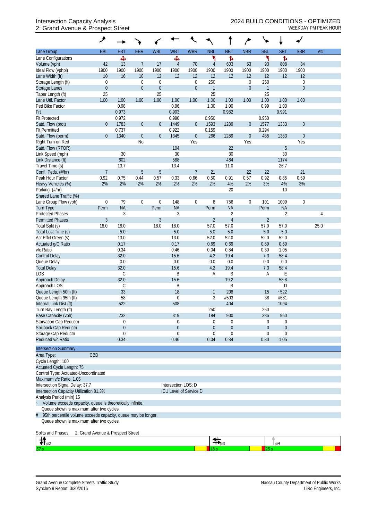## 2: Grand Avenue & Prospect Street WEEKDAY PM PEAK HOUR

|                                                                   | ۸                                 |               |                  |                   |                     |                        |                      |                                      |                  |                     |                              |                |                 |
|-------------------------------------------------------------------|-----------------------------------|---------------|------------------|-------------------|---------------------|------------------------|----------------------|--------------------------------------|------------------|---------------------|------------------------------|----------------|-----------------|
| Lane Group                                                        | EBL                               | <b>EBT</b>    | <b>EBR</b>       | <b>WBL</b>        | <b>WBT</b>          | <b>WBR</b>             | <b>NBL</b>           | <b>NBT</b>                           | <b>NBR</b>       | <b>SBL</b>          | <b>SBT</b>                   | <b>SBR</b>     | $\varnothing$ 4 |
| Lane Configurations                                               |                                   | ф             |                  |                   | Ф                   |                        | ۲                    | Ъ                                    |                  | ١                   | ħ                            |                |                 |
| Volume (vph)                                                      | 42                                | 13            | $\overline{7}$   | 17                | $\overline{4}$      | 70                     | $\overline{4}$       | 603                                  | 53               | 93                  | 808                          | 34             |                 |
| Ideal Flow (vphpl)                                                | 1900                              | 1900          | 1900             | 1900              | 1900                | 1900                   | 1900                 | 1900                                 | 1900             | 1900                | 1900                         | 1900           |                 |
| Lane Width (ft)                                                   | 10                                | 16            | 10               | 12                | 12                  | 12                     | 12                   | 12                                   | 12               | 12                  | 12                           | 12             |                 |
| Storage Length (ft)                                               | $\mathbf 0$                       |               | $\mathbf 0$      | $\mathbf 0$       |                     | $\boldsymbol{0}$       | 250                  |                                      | $\boldsymbol{0}$ | 250                 |                              | $\mathbf 0$    |                 |
| Storage Lanes<br>Taper Length (ft)                                | $\boldsymbol{0}$<br>25            |               | $\boldsymbol{0}$ | $\mathbf 0$<br>25 |                     | $\boldsymbol{0}$       | $\overline{1}$<br>25 |                                      | $\boldsymbol{0}$ | $\mathbf{1}$<br>25  |                              | $\overline{0}$ |                 |
| Lane Util. Factor                                                 | 1.00                              | 1.00          | 1.00             | 1.00              | 1.00                | 1.00                   | 1.00                 | 1.00                                 | 1.00             | 1.00                | 1.00                         | 1.00           |                 |
| Ped Bike Factor                                                   |                                   | 0.98          |                  |                   | 0.96                |                        | 1.00                 | 1.00                                 |                  | 0.99                | 1.00                         |                |                 |
| Frt                                                               |                                   | 0.973         |                  |                   | 0.903               |                        |                      | 0.982                                |                  |                     | 0.991                        |                |                 |
| <b>Flt Protected</b>                                              |                                   | 0.972         |                  |                   | 0.990               |                        | 0.950                |                                      |                  | 0.950               |                              |                |                 |
| Satd. Flow (prot)                                                 | $\theta$                          | 1783          | $\boldsymbol{0}$ | $\theta$          | 1449                | $\overline{0}$         | 1593                 | 1289                                 | $\boldsymbol{0}$ | 1577                | 1383                         | $\mathbf{0}$   |                 |
| <b>Flt Permitted</b>                                              |                                   | 0.737         |                  |                   | 0.922               |                        | 0.159                |                                      |                  | 0.294               |                              |                |                 |
| Satd. Flow (perm)                                                 | $\theta$                          | 1340          | $\boldsymbol{0}$ | $\boldsymbol{0}$  | 1345                | $\boldsymbol{0}$       | 266                  | 1289                                 | $\boldsymbol{0}$ | 485                 | 1383                         | $\theta$       |                 |
| Right Turn on Red                                                 |                                   |               | N <sub>o</sub>   |                   |                     | Yes                    |                      |                                      | Yes              |                     |                              | Yes            |                 |
| Satd. Flow (RTOR)                                                 |                                   |               |                  |                   | 104                 |                        |                      | 22                                   |                  |                     | 5                            |                |                 |
| Link Speed (mph)                                                  |                                   | 30            |                  |                   | 30                  |                        |                      | 30                                   |                  |                     | 30                           |                |                 |
| Link Distance (ft)<br>Travel Time (s)                             |                                   | 602<br>13.7   |                  |                   | 588<br>13.4         |                        |                      | 484<br>11.0                          |                  |                     | 1174<br>26.7                 |                |                 |
| Confl. Peds. (#/hr)                                               | $\overline{7}$                    |               | 5                | 5                 |                     | $\overline{7}$         | 21                   |                                      | 22               | 22                  |                              | 21             |                 |
| Peak Hour Factor                                                  | 0.92                              | 0.75          | 0.44             | 0.57              | 0.33                | 0.66                   | 0.50                 | 0.91                                 | 0.57             | 0.92                | 0.85                         | 0.59           |                 |
| Heavy Vehicles (%)                                                | 2%                                | 2%            | 2%               | 2%                | 2%                  | 2%                     | 2%                   | 4%                                   | 2%               | 3%                  | 4%                           | 3%             |                 |
| Parking (#/hr)                                                    |                                   |               |                  |                   |                     |                        |                      | 20                                   |                  |                     | 10                           |                |                 |
| Shared Lane Traffic (%)                                           |                                   |               |                  |                   |                     |                        |                      |                                      |                  |                     |                              |                |                 |
| Lane Group Flow (vph)                                             | $\boldsymbol{0}$                  | 79            | $\boldsymbol{0}$ | $\mathbf 0$       | 148                 | $\mathbf 0$            | 8                    | 756                                  | $\boldsymbol{0}$ | 101                 | 1009                         | 0              |                 |
| <b>Turn Type</b>                                                  | Perm                              | <b>NA</b>     |                  | Perm              | <b>NA</b>           |                        | Perm                 | <b>NA</b>                            |                  | Perm                | <b>NA</b>                    |                |                 |
| <b>Protected Phases</b>                                           |                                   | 3             |                  |                   | 3                   |                        |                      | $\overline{2}$                       |                  |                     | $\overline{2}$               |                | 4               |
| <b>Permitted Phases</b>                                           | $\mathfrak{Z}$                    |               |                  | 3                 |                     |                        | $\overline{2}$       | $\overline{4}$                       |                  | $\overline{2}$      |                              |                |                 |
| Total Split (s)                                                   | 18.0                              | 18.0          |                  | 18.0              | 18.0                |                        | 57.0                 | 57.0                                 |                  | 57.0                | 57.0                         |                | 25.0            |
| Total Lost Time (s)                                               |                                   | 5.0           |                  |                   | 5.0                 |                        | 5.0                  | 5.0                                  |                  | 5.0                 | 5.0                          |                |                 |
| Act Effct Green (s)                                               |                                   | 13.0          |                  |                   | 13.0                |                        | 52.0                 | 52.0                                 |                  | 52.0                | 52.0                         |                |                 |
| Actuated g/C Ratio<br>v/c Ratio                                   |                                   | 0.17<br>0.34  |                  |                   | 0.17<br>0.46        |                        | 0.69<br>0.04         | 0.69<br>0.84                         |                  | 0.69<br>0.30        | 0.69<br>1.05                 |                |                 |
| <b>Control Delay</b>                                              |                                   | 32.0          |                  |                   | 15.6                |                        | 4.2                  | 19.4                                 |                  | 7.3                 | 58.4                         |                |                 |
| Queue Delay                                                       |                                   | 0.0           |                  |                   | 0.0                 |                        | 0.0                  | 0.0                                  |                  | 0.0                 | 0.0                          |                |                 |
| <b>Total Delay</b>                                                |                                   | 32.0          |                  |                   | 15.6                |                        | 4.2                  | 19.4                                 |                  | 7.3                 | 58.4                         |                |                 |
| <b>LOS</b>                                                        |                                   | $\mathsf C$   |                  |                   | B                   |                        | Α                    | B                                    |                  | Α                   | Ε                            |                |                 |
| Approach Delay                                                    |                                   | 32.0          |                  |                   | 15.6                |                        |                      | 19.2                                 |                  |                     | 53.8                         |                |                 |
| Approach LOS                                                      |                                   | $\mathsf C$   |                  |                   | Β                   |                        |                      | Β                                    |                  |                     | D                            |                |                 |
| Queue Length 50th (ft)                                            |                                   | 33            |                  |                   | 18                  |                        | 1                    | 208                                  |                  | 15                  | $-522$                       |                |                 |
| Queue Length 95th (ft)                                            |                                   | 58            |                  |                   | $\mathbf 0$         |                        | 3                    | #503                                 |                  | 38                  | #681                         |                |                 |
| Internal Link Dist (ft)                                           |                                   | 522           |                  |                   | 508                 |                        |                      | 404                                  |                  |                     | 1094                         |                |                 |
| Turn Bay Length (ft)                                              |                                   |               |                  |                   |                     |                        | 250                  |                                      |                  | 250                 |                              |                |                 |
| Base Capacity (vph)                                               |                                   | 232           |                  |                   | 319                 |                        | 184                  | 900                                  |                  | 336                 | 960                          |                |                 |
| Starvation Cap Reductn<br>Spillback Cap Reductn                   |                                   | 0<br>$\theta$ |                  |                   | 0<br>$\theta$       |                        | 0<br>$\overline{0}$  | $\boldsymbol{0}$<br>$\boldsymbol{0}$ |                  | 0<br>$\overline{0}$ | $\boldsymbol{0}$<br>$\theta$ |                |                 |
| Storage Cap Reductn                                               |                                   | 0             |                  |                   | 0                   |                        | $\mathbf 0$          | 0                                    |                  | 0                   | $\mathbf 0$                  |                |                 |
| Reduced v/c Ratio                                                 |                                   | 0.34          |                  |                   | 0.46                |                        | 0.04                 | 0.84                                 |                  | 0.30                | 1.05                         |                |                 |
|                                                                   |                                   |               |                  |                   |                     |                        |                      |                                      |                  |                     |                              |                |                 |
| <b>Intersection Summary</b>                                       |                                   |               |                  |                   |                     |                        |                      |                                      |                  |                     |                              |                |                 |
| Area Type:                                                        | CBD                               |               |                  |                   |                     |                        |                      |                                      |                  |                     |                              |                |                 |
| Cycle Length: 100                                                 |                                   |               |                  |                   |                     |                        |                      |                                      |                  |                     |                              |                |                 |
| Actuated Cycle Length: 75<br>Control Type: Actuated-Uncoordinated |                                   |               |                  |                   |                     |                        |                      |                                      |                  |                     |                              |                |                 |
| Maximum v/c Ratio: 1.05                                           |                                   |               |                  |                   |                     |                        |                      |                                      |                  |                     |                              |                |                 |
| Intersection Signal Delay: 37.7                                   |                                   |               |                  |                   | Intersection LOS: D |                        |                      |                                      |                  |                     |                              |                |                 |
| Intersection Capacity Utilization 81.3%                           |                                   |               |                  |                   |                     | ICU Level of Service D |                      |                                      |                  |                     |                              |                |                 |
| Analysis Period (min) 15                                          |                                   |               |                  |                   |                     |                        |                      |                                      |                  |                     |                              |                |                 |
| Volume exceeds capacity, queue is theoretically infinite.         |                                   |               |                  |                   |                     |                        |                      |                                      |                  |                     |                              |                |                 |
| Queue shown is maximum after two cycles.                          |                                   |               |                  |                   |                     |                        |                      |                                      |                  |                     |                              |                |                 |
| 95th percentile volume exceeds capacity, queue may be longer.     |                                   |               |                  |                   |                     |                        |                      |                                      |                  |                     |                              |                |                 |
| Queue shown is maximum after two cycles.                          |                                   |               |                  |                   |                     |                        |                      |                                      |                  |                     |                              |                |                 |
| Splits and Phases:                                                | 2: Grand Avenue & Prospect Street |               |                  |                   |                     |                        |                      |                                      |                  |                     |                              |                |                 |
| 'Tø2                                                              |                                   |               |                  |                   |                     |                        |                      | $\mathcal{F}_{63}$                   |                  |                     | ø4                           |                |                 |
|                                                                   |                                   |               |                  |                   |                     |                        | 18 s                 |                                      |                  | 125 s               |                              |                |                 |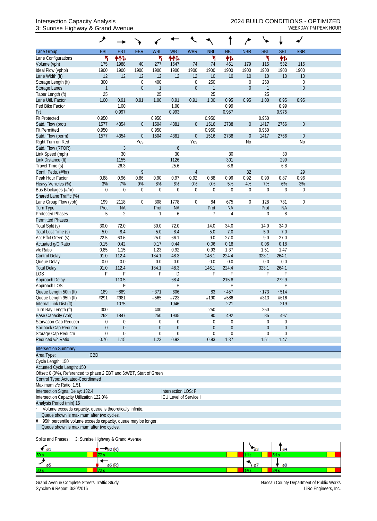### 3: Sunrise Highway & Grand Avenue WEEKDAY PM PEAK HOUR

|                                                                    | ۶                                                                   |                  |                  |                  |                        |                  |                  |                  |                  | ╰                |                  |                  |  |
|--------------------------------------------------------------------|---------------------------------------------------------------------|------------------|------------------|------------------|------------------------|------------------|------------------|------------------|------------------|------------------|------------------|------------------|--|
| Lane Group                                                         | EBL                                                                 | EBT              | <b>EBR</b>       | <b>WBL</b>       | <b>WBT</b>             | <b>WBR</b>       | <b>NBL</b>       | <b>NBT</b>       | <b>NBR</b>       | <b>SBL</b>       | <b>SBT</b>       | <b>SBR</b>       |  |
| Lane Configurations                                                | ۲                                                                   | ተተኈ              |                  | ۲                | ተተኈ                    |                  | ۲                | 怍                |                  | ٦                | 伟                |                  |  |
| Volume (vph)                                                       | 175                                                                 | 1988             | 40               | 277              | 1647                   | 74               | 74               | 461              | 179              | 115              | 532              | 115              |  |
| Ideal Flow (vphpl)                                                 | 1900                                                                | 1900             | 1900             | 1900             | 1900                   | 1900             | 1900             | 1900             | 1900             | 1900             | 1900             | 1900             |  |
| Lane Width (ft)                                                    | 12                                                                  | 12               | 12               | 12               | 12                     | 12               | 10               | 10               | 10               | 10               | 10               | 10               |  |
| Storage Length (ft)                                                | 300                                                                 |                  | 0                | 400              |                        | 0                | 250              |                  | $\boldsymbol{0}$ | 250              |                  | 0                |  |
| Storage Lanes                                                      | $\mathbf{1}$                                                        |                  | $\boldsymbol{0}$ | $\mathbf{1}$     |                        | $\mathbf 0$      | $\overline{1}$   |                  | $\mathbf{0}$     | $\mathbf{1}$     |                  | $\mathbf 0$      |  |
| Taper Length (ft)                                                  | 25                                                                  |                  |                  | 25               |                        |                  | 25               |                  |                  | 25               |                  |                  |  |
| Lane Util. Factor                                                  | 1.00                                                                | 0.91             | 0.91             | 1.00             | 0.91                   | 0.91             | 1.00             | 0.95             | 0.95             | 1.00             | 0.95             | 0.95             |  |
| Ped Bike Factor                                                    |                                                                     | 1.00             |                  |                  | 1.00                   |                  |                  | 0.99             |                  |                  | 0.99             |                  |  |
| Frt                                                                |                                                                     | 0.997            |                  |                  | 0.993                  |                  |                  | 0.957            |                  |                  | 0.975            |                  |  |
| <b>Flt Protected</b>                                               | 0.950                                                               |                  |                  | 0.950            |                        |                  | 0.950            |                  |                  | 0.950            |                  |                  |  |
| Satd. Flow (prot)                                                  | 1577                                                                | 4354             | $\boldsymbol{0}$ | 1504             | 4381                   | $\boldsymbol{0}$ | 1516             | 2738             | $\mathbf 0$      | 1417             | 2766             | $\mathbf 0$      |  |
| <b>Flt Permitted</b>                                               | 0.950                                                               |                  |                  | 0.950            |                        |                  | 0.950            |                  |                  | 0.950            |                  |                  |  |
| Satd. Flow (perm)                                                  | 1577                                                                | 4354             | $\boldsymbol{0}$ | 1504             | 4381                   | $\boldsymbol{0}$ | 1516             | 2738             | $\mathbf 0$      | 1417             | 2766             | $\boldsymbol{0}$ |  |
| Right Turn on Red                                                  |                                                                     |                  | Yes              |                  |                        | Yes              |                  |                  | No               |                  |                  | No               |  |
| Satd. Flow (RTOR)                                                  |                                                                     | $\mathfrak{Z}$   |                  |                  | $\boldsymbol{6}$       |                  |                  |                  |                  |                  |                  |                  |  |
| Link Speed (mph)                                                   |                                                                     | 30               |                  |                  | 30                     |                  |                  | 30               |                  |                  | 30               |                  |  |
| Link Distance (ft)                                                 |                                                                     | 1155             |                  |                  | 1126                   |                  |                  | 301              |                  |                  | 299              |                  |  |
| Travel Time (s)                                                    |                                                                     | 26.3             |                  |                  | 25.6                   |                  |                  | 6.8              |                  |                  | 6.8              |                  |  |
| Confl. Peds. (#/hr)                                                |                                                                     |                  | 9                |                  |                        | 4                |                  |                  | 32               |                  |                  | 29               |  |
| Peak Hour Factor                                                   | 0.88                                                                | 0.96             | 0.86             | 0.90             | 0.97                   | 0.92             | 0.88             | 0.96             | 0.92             | 0.90             | 0.87             | 0.96             |  |
| Heavy Vehicles (%)                                                 | 3%                                                                  | 7%               | $0\%$            | 8%               | $6\%$                  | 0%               | 0%               | 5%               | 4%               | 7%               | 6%               | 3%               |  |
| Bus Blockages (#/hr)                                               | $\mathbf 0$                                                         | $\mathbf 0$      | $\mathbf 0$      | $\boldsymbol{0}$ | $\mathbf 0$            | 0                | $\overline{0}$   | $\boldsymbol{0}$ | $\boldsymbol{0}$ | $\overline{0}$   | 3                | 0                |  |
| Shared Lane Traffic (%)                                            |                                                                     |                  |                  |                  |                        |                  |                  |                  |                  |                  |                  |                  |  |
| Lane Group Flow (vph)                                              | 199                                                                 | 2118             | $\boldsymbol{0}$ | 308              | 1778                   | $\mathbf 0$      | 84               | 675              | $\boldsymbol{0}$ | 128              | 731              | $\mathbf 0$      |  |
| <b>Turn Type</b>                                                   | Prot                                                                | <b>NA</b>        |                  | Prot             | <b>NA</b>              |                  | Prot             | <b>NA</b>        |                  | Prot             | <b>NA</b>        |                  |  |
| <b>Protected Phases</b>                                            | 5                                                                   | $\overline{2}$   |                  | 1                | 6                      |                  | 7                | 4                |                  | 3                | 8                |                  |  |
| <b>Permitted Phases</b>                                            |                                                                     |                  |                  |                  |                        |                  |                  |                  |                  |                  |                  |                  |  |
|                                                                    |                                                                     | 72.0             |                  |                  |                        |                  |                  | 34.0             |                  |                  | 34.0             |                  |  |
| Total Split (s)                                                    | 30.0                                                                |                  |                  | 30.0             | 72.0                   |                  | 14.0             |                  |                  | 14.0             |                  |                  |  |
| Total Lost Time (s)                                                | $5.0\,$                                                             | 8.4              |                  | 5.0              | 8.4                    |                  | 5.0              | 7.0              |                  | 5.0              | 7.0              |                  |  |
| Act Effct Green (s)                                                | 22.5                                                                | 63.6             |                  | 25.0             | 66.1                   |                  | 9.0              | 27.0             |                  | 9.0              | 27.0             |                  |  |
| Actuated g/C Ratio                                                 | 0.15                                                                | 0.42             |                  | 0.17             | 0.44                   |                  | 0.06             | 0.18             |                  | 0.06             | 0.18             |                  |  |
| v/c Ratio                                                          | 0.85                                                                | 1.15             |                  | 1.23             | 0.92                   |                  | 0.93             | 1.37             |                  | 1.51             | 1.47             |                  |  |
| <b>Control Delay</b>                                               | 91.0                                                                | 112.4            |                  | 184.1            | 48.3                   |                  | 146.1            | 224.4            |                  | 323.1            | 264.1            |                  |  |
| Queue Delay                                                        | 0.0                                                                 | 0.0              |                  | 0.0              | 0.0                    |                  | 0.0              | 0.0              |                  | 0.0              | 0.0              |                  |  |
| <b>Total Delay</b>                                                 | 91.0                                                                | 112.4            |                  | 184.1            | 48.3                   |                  | 146.1            | 224.4            |                  | 323.1            | 264.1            |                  |  |
| LOS                                                                | F                                                                   | F                |                  | F                | D                      |                  | F                | F                |                  | F                | F                |                  |  |
| Approach Delay                                                     |                                                                     | 110.5            |                  |                  | 68.4                   |                  |                  | 215.8            |                  |                  | 272.9            |                  |  |
| Approach LOS                                                       |                                                                     | F                |                  |                  | Е                      |                  |                  |                  |                  |                  | F                |                  |  |
| Queue Length 50th (ft)                                             | 189                                                                 | $-889$           |                  | $-371$           | 606                    |                  | 83               | $-457$           |                  | ~173             | $-514$           |                  |  |
| Queue Length 95th (ft)                                             | #291                                                                | #981             |                  | #565             | #723                   |                  | #190             | #586             |                  | #313             | #616             |                  |  |
| Internal Link Dist (ft)                                            |                                                                     | 1075             |                  |                  | 1046                   |                  |                  | 221              |                  |                  | 219              |                  |  |
| Turn Bay Length (ft)                                               | 300                                                                 |                  |                  | 400              |                        |                  | 250              |                  |                  | 250              |                  |                  |  |
| Base Capacity (vph)                                                | 262                                                                 | 1847             |                  | 250              | 1935                   |                  | 90               | 492              |                  | 85               | 497              |                  |  |
| Starvation Cap Reductn                                             | 0                                                                   | $\boldsymbol{0}$ |                  | $\mathbf 0$      | 0                      |                  | 0                | $\boldsymbol{0}$ |                  | $\mathbf 0$      | $\boldsymbol{0}$ |                  |  |
| Spillback Cap Reductn                                              | $\boldsymbol{0}$                                                    | $\boldsymbol{0}$ |                  | $\theta$         | $\boldsymbol{0}$       |                  | $\boldsymbol{0}$ | $\boldsymbol{0}$ |                  | $\boldsymbol{0}$ | $\mathbf 0$      |                  |  |
| Storage Cap Reductn                                                | 0                                                                   | $\mathbf 0$      |                  | $\boldsymbol{0}$ | 0                      |                  | $\mathbf 0$      | 0                |                  | 0                | $\mathbf 0$      |                  |  |
| Reduced v/c Ratio                                                  | 0.76                                                                | 1.15             |                  | 1.23             | 0.92                   |                  | 0.93             | 1.37             |                  | 1.51             | 1.47             |                  |  |
| <b>Intersection Summary</b>                                        |                                                                     |                  |                  |                  |                        |                  |                  |                  |                  |                  |                  |                  |  |
|                                                                    | CBD                                                                 |                  |                  |                  |                        |                  |                  |                  |                  |                  |                  |                  |  |
| Area Type:                                                         |                                                                     |                  |                  |                  |                        |                  |                  |                  |                  |                  |                  |                  |  |
| Cycle Length: 150                                                  |                                                                     |                  |                  |                  |                        |                  |                  |                  |                  |                  |                  |                  |  |
| Actuated Cycle Length: 150                                         |                                                                     |                  |                  |                  |                        |                  |                  |                  |                  |                  |                  |                  |  |
|                                                                    | Offset: 0 (0%), Referenced to phase 2:EBT and 6:WBT, Start of Green |                  |                  |                  |                        |                  |                  |                  |                  |                  |                  |                  |  |
| Control Type: Actuated-Coordinated                                 |                                                                     |                  |                  |                  |                        |                  |                  |                  |                  |                  |                  |                  |  |
| Maximum v/c Ratio: 1.51                                            |                                                                     |                  |                  |                  |                        |                  |                  |                  |                  |                  |                  |                  |  |
| Intersection Signal Delay: 132.4                                   |                                                                     |                  |                  |                  | Intersection LOS: F    |                  |                  |                  |                  |                  |                  |                  |  |
| Intersection Capacity Utilization 122.0%                           |                                                                     |                  |                  |                  | ICU Level of Service H |                  |                  |                  |                  |                  |                  |                  |  |
| Analysis Period (min) 15                                           |                                                                     |                  |                  |                  |                        |                  |                  |                  |                  |                  |                  |                  |  |
| Volume exceeds capacity, queue is theoretically infinite.          |                                                                     |                  |                  |                  |                        |                  |                  |                  |                  |                  |                  |                  |  |
| Queue shown is maximum after two cycles.                           |                                                                     |                  |                  |                  |                        |                  |                  |                  |                  |                  |                  |                  |  |
| 95th percentile volume exceeds capacity, queue may be longer.<br># |                                                                     |                  |                  |                  |                        |                  |                  |                  |                  |                  |                  |                  |  |
| Queue shown is maximum after two cycles.                           |                                                                     |                  |                  |                  |                        |                  |                  |                  |                  |                  |                  |                  |  |

Splits and Phases: 3: Sunrise Highway & Grand Avenue

| $\blacksquare$ 01 | -102 (K | മാ   | ø          |
|-------------------|---------|------|------------|
| 30 s              |         | .    |            |
|                   | ø6 (R   | ነ 07 | $\sqrt{8}$ |
| 30 <sub>5</sub>   |         |      |            |

Grand Avenue Complete Streets Traffic Study<br>Synchro 9 Report, 3/30/2016<br>LiRo Engineers, Inc. Synchro 9 Report, 3/30/2016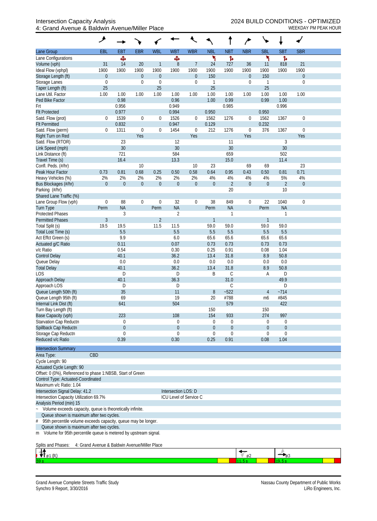|                                                                                                                | ۸                |                  |                         |                      |                        |                         |                         |                  |                    | ╰╸                               |                             |                    |  |
|----------------------------------------------------------------------------------------------------------------|------------------|------------------|-------------------------|----------------------|------------------------|-------------------------|-------------------------|------------------|--------------------|----------------------------------|-----------------------------|--------------------|--|
| Lane Group                                                                                                     | EBL              | <b>EB1</b>       | <b>EBR</b>              | <b>WBL</b>           | <b>WBT</b>             | <b>WBR</b>              | <b>NBL</b>              | <b>NBT</b>       | <b>NBR</b>         | <b>SBL</b>                       | <b>SBT</b>                  | <b>SBR</b>         |  |
| Lane Configurations                                                                                            |                  | Ф                |                         |                      | Ф                      |                         | ۲                       | ħ                |                    | ۲                                | ħ                           |                    |  |
| Volume (vph)<br>Ideal Flow (vphpl)                                                                             | 31<br>1900       | 14<br>1900       | 20<br>1900              | $\mathbf{1}$<br>1900 | 8<br>1900              | $\overline{7}$<br>1900  | 24<br>1900              | 727<br>1900      | 36<br>1900         | 11<br>1900                       | 818<br>1900                 | 21<br>1900         |  |
| Storage Length (ft)                                                                                            | $\theta$         |                  | $\boldsymbol{0}$        | $\boldsymbol{0}$     |                        | $\boldsymbol{0}$        | 150                     |                  | $\theta$           | 150                              |                             | $\boldsymbol{0}$   |  |
| Storage Lanes                                                                                                  | $\mathbf 0$      |                  | $\mathbf 0$             | $\boldsymbol{0}$     |                        | 0                       | $\mathbf{1}$            |                  | $\mathbf 0$        | 1                                |                             | $\mathbf 0$        |  |
| Taper Length (ft)                                                                                              | 25               |                  |                         | 25                   |                        |                         | 25                      |                  |                    | 25                               |                             |                    |  |
| Lane Util. Factor                                                                                              | 1.00             | 1.00<br>0.98     | 1.00                    | 1.00                 | 1.00<br>0.96           | 1.00                    | 1.00<br>1.00            | 1.00             | 1.00               | 1.00<br>0.99                     | 1.00                        | 1.00               |  |
| Ped Bike Factor<br>Frt                                                                                         |                  | 0.956            |                         |                      | 0.949                  |                         |                         | 0.99<br>0.985    |                    |                                  | 1.00<br>0.996               |                    |  |
| <b>Flt Protected</b>                                                                                           |                  | 0.977            |                         |                      | 0.994                  |                         | 0.950                   |                  |                    | 0.950                            |                             |                    |  |
| Satd. Flow (prot)                                                                                              | $\mathbf 0$      | 1539             | $\boldsymbol{0}$        | $\boldsymbol{0}$     | 1526                   | 0                       | 1562                    | 1276             | $\mathbf 0$        | 1562                             | 1367                        | $\boldsymbol{0}$   |  |
| <b>Flt Permitted</b>                                                                                           |                  | 0.832            |                         |                      | 0.947                  |                         | 0.129                   |                  |                    | 0.232                            |                             |                    |  |
| Satd. Flow (perm)                                                                                              | $\mathbf 0$      | 1311             | $\boldsymbol{0}$<br>Yes | $\boldsymbol{0}$     | 1454                   | $\boldsymbol{0}$<br>Yes | 212                     | 1276             | $\mathbf 0$<br>Yes | 376                              | 1367                        | $\mathbf 0$<br>Yes |  |
| Right Turn on Red<br>Satd. Flow (RTOR)                                                                         |                  | 23               |                         |                      | 12                     |                         |                         | 11               |                    |                                  | 3                           |                    |  |
| Link Speed (mph)                                                                                               |                  | 30               |                         |                      | 30                     |                         |                         | 30               |                    |                                  | 30                          |                    |  |
| Link Distance (ft)                                                                                             |                  | 721              |                         |                      | 584                    |                         |                         | 659              |                    |                                  | 502                         |                    |  |
| Travel Time (s)                                                                                                |                  | 16.4             |                         |                      | 13.3                   |                         |                         | 15.0             |                    |                                  | 11.4                        |                    |  |
| Confl. Peds. (#/hr)                                                                                            |                  |                  | 10                      |                      |                        | 10                      | 23                      |                  | 69                 | 69                               |                             | 23                 |  |
| Peak Hour Factor<br>Heavy Vehicles (%)                                                                         | 0.73<br>2%       | 0.81<br>2%       | 0.68<br>2%              | 0.25<br>2%           | 0.50<br>2%             | 0.58<br>2%              | 0.64<br>4%              | 0.95<br>4%       | 0.43<br>4%         | 0.50<br>4%                       | 0.81<br>5%                  | 0.71<br>4%         |  |
| Bus Blockages (#/hr)                                                                                           | $\overline{0}$   | $\overline{0}$   | $\mathbf{0}$            | $\theta$             | $\overline{0}$         | $\mathbf 0$             | $\overline{0}$          | $\overline{2}$   | $\theta$           | $\overline{0}$                   | $\overline{2}$              | $\Omega$           |  |
| Parking (#/hr)                                                                                                 |                  |                  |                         |                      |                        |                         |                         | 20               |                    |                                  | 10                          |                    |  |
| Shared Lane Traffic (%)                                                                                        |                  |                  |                         |                      |                        |                         |                         |                  |                    |                                  |                             |                    |  |
| Lane Group Flow (vph)                                                                                          | $\boldsymbol{0}$ | 88               | $\boldsymbol{0}$        | $\boldsymbol{0}$     | 32                     | $\mathbf 0$             | 38                      | 849              | $\boldsymbol{0}$   | 22                               | 1040                        | $\mathbf 0$        |  |
| <b>Turn Type</b>                                                                                               | Perm             | <b>NA</b>        |                         | Perm                 | <b>NA</b>              |                         | Perm                    | <b>NA</b>        |                    | Perm                             | <b>NA</b>                   |                    |  |
| <b>Protected Phases</b><br><b>Permitted Phases</b>                                                             | $\overline{3}$   | 3                |                         | $\overline{2}$       | $\overline{2}$         |                         | $\mathbf{1}$            | 1                |                    | $\mathbf{1}$                     | 1                           |                    |  |
| Total Split (s)                                                                                                | 19.5             | 19.5             |                         | 11.5                 | 11.5                   |                         | 59.0                    | 59.0             |                    | 59.0                             | 59.0                        |                    |  |
| Total Lost Time (s)                                                                                            |                  | 5.5              |                         |                      | 5.5                    |                         | 5.5                     | 5.5              |                    | 5.5                              | 5.5                         |                    |  |
| Act Effct Green (s)                                                                                            |                  | 9.9              |                         |                      | 6.0                    |                         | 65.6                    | 65.6             |                    | 65.6                             | 65.6                        |                    |  |
| Actuated g/C Ratio                                                                                             |                  | 0.11             |                         |                      | 0.07                   |                         | 0.73                    | 0.73             |                    | 0.73                             | 0.73                        |                    |  |
| v/c Ratio                                                                                                      |                  | 0.54             |                         |                      | 0.30                   |                         | 0.25                    | 0.91             |                    | 0.08                             | 1.04                        |                    |  |
| <b>Control Delay</b><br>Queue Delay                                                                            |                  | 40.1<br>0.0      |                         |                      | 36.2<br>0.0            |                         | 13.4<br>0.0             | 31.8<br>0.0      |                    | 8.9<br>0.0                       | 50.8<br>0.0                 |                    |  |
| <b>Total Delay</b>                                                                                             |                  | 40.1             |                         |                      | 36.2                   |                         | 13.4                    | 31.8             |                    | 8.9                              | 50.8                        |                    |  |
| <b>LOS</b>                                                                                                     |                  | D                |                         |                      | D                      |                         | B                       | C                |                    | A                                | D                           |                    |  |
| Approach Delay                                                                                                 |                  | 40.1             |                         |                      | 36.3                   |                         |                         | 31.0             |                    |                                  | 49.9                        |                    |  |
| Approach LOS                                                                                                   |                  | D                |                         |                      | D                      |                         |                         | C                |                    |                                  | D                           |                    |  |
| Queue Length 50th (ft)<br>Queue Length 95th (ft)                                                               |                  | 35<br>69         |                         |                      | 11<br>19               |                         | 8<br>20                 | $-522$<br>#788   |                    | $\overline{4}$<br>m <sub>6</sub> | $-714$<br>#845              |                    |  |
| Internal Link Dist (ft)                                                                                        |                  | 641              |                         |                      | 504                    |                         |                         | 579              |                    |                                  | 422                         |                    |  |
| Turn Bay Length (ft)                                                                                           |                  |                  |                         |                      |                        |                         | 150                     |                  |                    | 150                              |                             |                    |  |
| Base Capacity (vph)                                                                                            |                  | 223              |                         |                      | 108                    |                         | 154                     | 933              |                    | 274                              | 997                         |                    |  |
| Starvation Cap Reductn                                                                                         |                  | 0                |                         |                      | 0                      |                         | 0                       | 0                |                    | $\mathbf 0$                      | $\mathbf 0$                 |                    |  |
| Spillback Cap Reductn<br>Storage Cap Reductn                                                                   |                  | $\mathbf 0$<br>0 |                         |                      | $\mathbf{0}$<br>0      |                         | $\theta$<br>$\mathbf 0$ | $\mathbf 0$<br>0 |                    | $\mathbf 0$<br>0                 | $\mathbf{0}$<br>$\mathbf 0$ |                    |  |
| Reduced v/c Ratio                                                                                              |                  | 0.39             |                         |                      | 0.30                   |                         | 0.25                    | 0.91             |                    | 0.08                             | 1.04                        |                    |  |
| <b>Intersection Summary</b>                                                                                    |                  |                  |                         |                      |                        |                         |                         |                  |                    |                                  |                             |                    |  |
| Area Type:                                                                                                     | CBD              |                  |                         |                      |                        |                         |                         |                  |                    |                                  |                             |                    |  |
| Cycle Length: 90                                                                                               |                  |                  |                         |                      |                        |                         |                         |                  |                    |                                  |                             |                    |  |
| Actuated Cycle Length: 90                                                                                      |                  |                  |                         |                      |                        |                         |                         |                  |                    |                                  |                             |                    |  |
| Offset: 0 (0%), Referenced to phase 1:NBSB, Start of Green                                                     |                  |                  |                         |                      |                        |                         |                         |                  |                    |                                  |                             |                    |  |
| Control Type: Actuated-Coordinated<br>Maximum v/c Ratio: 1.04                                                  |                  |                  |                         |                      |                        |                         |                         |                  |                    |                                  |                             |                    |  |
| Intersection Signal Delay: 41.2                                                                                |                  |                  |                         |                      | Intersection LOS: D    |                         |                         |                  |                    |                                  |                             |                    |  |
| Intersection Capacity Utilization 69.7%                                                                        |                  |                  |                         |                      | ICU Level of Service C |                         |                         |                  |                    |                                  |                             |                    |  |
| Analysis Period (min) 15                                                                                       |                  |                  |                         |                      |                        |                         |                         |                  |                    |                                  |                             |                    |  |
| Volume exceeds capacity, queue is theoretically infinite.                                                      |                  |                  |                         |                      |                        |                         |                         |                  |                    |                                  |                             |                    |  |
| Queue shown is maximum after two cycles.                                                                       |                  |                  |                         |                      |                        |                         |                         |                  |                    |                                  |                             |                    |  |
| 95th percentile volume exceeds capacity, queue may be longer.<br>#<br>Queue shown is maximum after two cycles. |                  |                  |                         |                      |                        |                         |                         |                  |                    |                                  |                             |                    |  |
| Volume for 95th percentile queue is metered by upstream signal.<br>m                                           |                  |                  |                         |                      |                        |                         |                         |                  |                    |                                  |                             |                    |  |
| Splits and Phases:<br>4: Grand Avenue & Baldwin Avenue/Miller Place                                            |                  |                  |                         |                      |                        |                         |                         |                  |                    |                                  |                             |                    |  |
| $^{\prime\prime}$ ø1 (R)                                                                                       |                  |                  |                         |                      |                        |                         |                         |                  | $\mathfrak{g}_2$   |                                  | ™ø3                         |                    |  |
|                                                                                                                |                  |                  |                         |                      |                        |                         |                         |                  | 11.5 s             |                                  | 19.5 s                      |                    |  |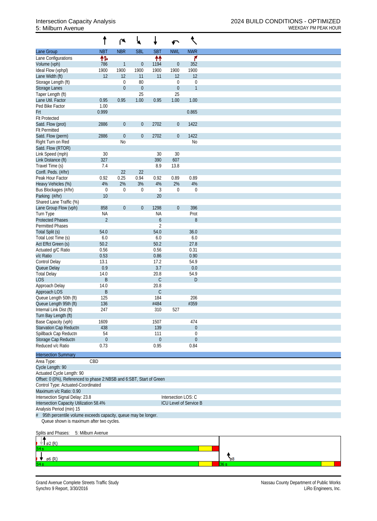|                                                                      |                  | r              | ₹                | t                |                     |                        |
|----------------------------------------------------------------------|------------------|----------------|------------------|------------------|---------------------|------------------------|
| Lane Group                                                           | <b>NBT</b>       | <b>NBR</b>     | <b>SBL</b>       | <b>SBT</b>       | <b>NWL</b>          | <b>NWR</b>             |
| Lane Configurations                                                  | 怍                |                |                  | ↟↟               |                     | ۴                      |
| Volume (vph)                                                         | 786              | 1              | $\boldsymbol{0}$ | 1194             | $\pmb{0}$           | 352                    |
| Ideal Flow (vphpl)                                                   | 1900             | 1900           | 1900             | 1900             | 1900                | 1900                   |
| Lane Width (ft)                                                      | 12               | 12             | 11               | 11               | 12                  | 12                     |
| Storage Length (ft)                                                  |                  | $\mathbf 0$    | 80               |                  | $\boldsymbol{0}$    | $\boldsymbol{0}$       |
| Storage Lanes                                                        |                  | $\mathbf 0$    | $\boldsymbol{0}$ |                  | $\boldsymbol{0}$    | $\mathbf{1}$           |
| Taper Length (ft)                                                    |                  |                | 25               |                  | 25                  |                        |
| Lane Util. Factor                                                    | 0.95             | 0.95           | 1.00             | 0.95             | 1.00                | 1.00                   |
| Ped Bike Factor                                                      | 1.00             |                |                  |                  |                     |                        |
| Frt                                                                  | 0.999            |                |                  |                  |                     | 0.865                  |
| <b>Flt Protected</b>                                                 |                  |                |                  |                  |                     |                        |
| Satd. Flow (prot)                                                    | 2886             | $\overline{0}$ | $\boldsymbol{0}$ | 2702             | $\overline{0}$      | 1422                   |
| <b>Flt Permitted</b>                                                 |                  |                |                  |                  |                     |                        |
| Satd. Flow (perm)                                                    | 2886             | $\overline{0}$ | $\boldsymbol{0}$ | 2702             | $\boldsymbol{0}$    | 1422                   |
| Right Turn on Red                                                    |                  | N <sub>0</sub> |                  |                  |                     | N <sub>0</sub>         |
| Satd. Flow (RTOR)                                                    |                  |                |                  |                  |                     |                        |
| Link Speed (mph)                                                     | 30               |                |                  | 30               | 30                  |                        |
| Link Distance (ft)                                                   | 327              |                |                  | 390              | 607                 |                        |
| Travel Time (s)                                                      | 7.4              |                |                  | 8.9              | 13.8                |                        |
| Confl. Peds. (#/hr)                                                  |                  | 22             | 22               |                  |                     |                        |
| Peak Hour Factor                                                     | 0.92             | 0.25           | 0.94             | 0.92             | 0.89                | 0.89                   |
| Heavy Vehicles (%)                                                   | 4%               | 2%             | 3%               | 4%               | 2%                  | 4%                     |
| Bus Blockages (#/hr)                                                 | $\mathbf 0$      | $\mathbf 0$    | $\boldsymbol{0}$ | 3                | $\boldsymbol{0}$    | $\boldsymbol{0}$       |
| Parking (#/hr)                                                       | 10               |                |                  | 20               |                     |                        |
| Shared Lane Traffic (%)                                              |                  |                |                  |                  |                     |                        |
| Lane Group Flow (vph)                                                | 858              | $\overline{0}$ | $\boldsymbol{0}$ | 1298             | $\boldsymbol{0}$    | 396                    |
|                                                                      | <b>NA</b>        |                |                  | <b>NA</b>        |                     | Prot                   |
| Turn Type<br><b>Protected Phases</b>                                 | $\overline{2}$   |                |                  | $\boldsymbol{6}$ |                     | $\, 8$                 |
| <b>Permitted Phases</b>                                              |                  |                |                  | $\overline{2}$   |                     |                        |
|                                                                      | 54.0             |                |                  | 54.0             |                     | 36.0                   |
| Total Split (s)<br>Total Lost Time (s)                               | 6.0              |                |                  | 6.0              |                     | 6.0                    |
|                                                                      |                  |                |                  | 50.2             |                     |                        |
| Act Effct Green (s)                                                  | 50.2             |                |                  |                  |                     | 27.8                   |
| Actuated g/C Ratio                                                   | 0.56             |                |                  | 0.56             |                     | 0.31                   |
| v/c Ratio                                                            | 0.53             |                |                  | 0.86             |                     | 0.90                   |
| Control Delay                                                        | 13.1             |                |                  | 17.2             |                     | 54.9                   |
| Queue Delay                                                          | 0.9              |                |                  | 3.7              |                     | 0.0                    |
| <b>Total Delay</b>                                                   | 14.0             |                |                  | 20.8             |                     | 54.9                   |
| <b>LOS</b>                                                           | $\sf B$          |                |                  | $\mathsf C$      |                     | $\mathsf D$            |
| Approach Delay                                                       | 14.0             |                |                  | 20.8             |                     |                        |
| Approach LOS                                                         | $\sf B$          |                |                  | $\mathsf C$      |                     |                        |
| Queue Length 50th (ft)                                               | 125              |                |                  | 184              |                     | 206                    |
| Queue Length 95th (ft)                                               | 136              |                |                  | #484             |                     | #359                   |
| Internal Link Dist (ft)                                              | 247              |                |                  | 310              | 527                 |                        |
| Turn Bay Length (ft)                                                 |                  |                |                  |                  |                     |                        |
| Base Capacity (vph)                                                  | 1609             |                |                  | 1507             |                     | 474                    |
| Starvation Cap Reductn                                               | 438              |                |                  | 139              |                     | $\boldsymbol{0}$       |
| Spillback Cap Reductn                                                | 54               |                |                  | 111              |                     | 0                      |
| Storage Cap Reductn                                                  | $\boldsymbol{0}$ |                |                  | $\theta$         |                     | $\boldsymbol{0}$       |
| Reduced v/c Ratio                                                    | 0.73             |                |                  | 0.95             |                     | 0.84                   |
|                                                                      |                  |                |                  |                  |                     |                        |
| <b>Intersection Summary</b>                                          |                  |                |                  |                  |                     |                        |
| Area Type:                                                           | CBD              |                |                  |                  |                     |                        |
| Cycle Length: 90                                                     |                  |                |                  |                  |                     |                        |
| Actuated Cycle Length: 90                                            |                  |                |                  |                  |                     |                        |
| Offset: 0 (0%), Referenced to phase 2:NBSB and 6:SBT, Start of Green |                  |                |                  |                  |                     |                        |
| Control Type: Actuated-Coordinated                                   |                  |                |                  |                  |                     |                        |
| Maximum v/c Ratio: 0.90                                              |                  |                |                  |                  |                     |                        |
| Intersection Signal Delay: 23.8                                      |                  |                |                  |                  | Intersection LOS: C |                        |
| Intersection Capacity Utilization 58.4%                              |                  |                |                  |                  |                     | ICU Level of Service B |
| Analysis Period (min) 15                                             |                  |                |                  |                  |                     |                        |
| 95th percentile volume exceeds capacity, queue may be longer.<br>#   |                  |                |                  |                  |                     |                        |
| Queue shown is maximum after two cycles.                             |                  |                |                  |                  |                     |                        |
|                                                                      |                  |                |                  |                  |                     |                        |

Splits and Phases: 5: Milburn Avenue  $\parallel$  ø2 (R)  $\frac{1}{\sqrt{2}}$ ↓ ø6 (R) 43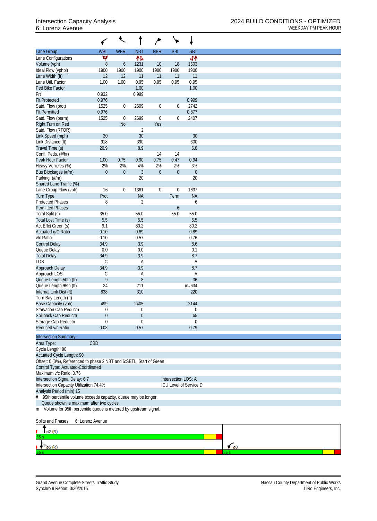| <b>WBR</b><br><b>WBL</b><br><b>NBT</b><br><b>NBR</b><br><b>SBL</b><br><b>SBT</b><br>۷<br>帏<br>44<br>1503<br>$8\,$<br>$\boldsymbol{6}$<br>1231<br>10<br>18<br>1900<br>1900<br>1900<br>1900<br>1900<br>1900<br>12<br>12<br>11<br>11<br>11<br>11<br>0.95<br>0.95<br>0.95<br>Lane Util. Factor<br>1.00<br>1.00<br>0.95<br>Ped Bike Factor<br>1.00<br>1.00<br>0.932<br>0.999<br>Frt<br>0.976<br>0.999<br><b>Flt Protected</b><br>2699<br>$\boldsymbol{0}$<br>2742<br>Satd. Flow (prot)<br>1525<br>$\boldsymbol{0}$<br>0<br>0.877<br>0.976<br><b>Flt Permitted</b><br>1525<br>$\mathbf 0$<br>2699<br>$\mathbf 0$<br>2407<br>Satd. Flow (perm)<br>0<br><b>No</b><br>Yes<br>Right Turn on Red<br>Satd. Flow (RTOR)<br>$\overline{2}$<br>30<br>30<br>30<br>Link Speed (mph)<br>Link Distance (ft)<br>918<br>390<br>300<br>8.9<br>6.8<br>20.9<br>Travel Time (s)<br>Confl. Peds. (#/hr)<br>14<br>14<br>1.00<br>0.75<br>0.75<br>0.47<br>0.94<br>Peak Hour Factor<br>0.90<br>Heavy Vehicles (%)<br>2%<br>2%<br>4%<br>2%<br>2%<br>3%<br>$\overline{0}$<br>$\mathbf{0}$<br>$\mathfrak{Z}$<br>$\boldsymbol{0}$<br>$\boldsymbol{0}$<br>Bus Blockages (#/hr)<br>$\theta$<br>20<br>Parking (#/hr)<br>20<br>Shared Lane Traffic (%)<br>1637<br>1381<br>$\boldsymbol{0}$<br>$\boldsymbol{0}$<br>Lane Group Flow (vph)<br>16<br>$\mathbf 0$<br><b>NA</b><br><b>Turn Type</b><br>Prot<br><b>NA</b><br>Perm<br><b>Protected Phases</b><br>8<br>2<br>6<br><b>Permitted Phases</b><br>6<br>55.0<br>55.0<br>55.0<br>Total Split (s)<br>35.0<br>5.5<br>5.5<br>5.5<br>Total Lost Time (s)<br>80.2<br>Act Effct Green (s)<br>9.1<br>80.2<br>0.89<br>0.10<br>0.89<br>Actuated g/C Ratio<br>v/c Ratio<br>0.10<br>0.57<br>0.76<br>3.9<br>34.9<br>8.6<br><b>Control Delay</b><br>Queue Delay<br>0.0<br>0.0<br>0.1<br>3.9<br>8.7<br><b>Total Delay</b><br>34.9<br><b>LOS</b><br>$\mathsf C$<br>A<br>Α<br>34.9<br>3.9<br>8.7<br>Approach Delay<br>Approach LOS<br>С<br>A<br>Α<br>9<br>36<br>Queue Length 50th (ft)<br>$8\,$<br>Queue Length 95th (ft)<br>24<br>211<br>m#634<br>Internal Link Dist (ft)<br>838<br>310<br>220<br>Turn Bay Length (ft)<br>Base Capacity (vph)<br>499<br>2405<br>2144<br>Starvation Cap Reductn<br>0<br>$\overline{0}$<br>0<br>65<br>Spillback Cap Reductn<br>$\mathbf{0}$<br>$\boldsymbol{0}$<br>Storage Cap Reductn<br>$\Omega$<br>$\mathbf 0$<br>$\mathbf 0$<br>Reduced v/c Ratio<br>0.79<br>0.03<br>0.57<br>CBD<br>Offset: 0 (0%), Referenced to phase 2:NBT and 6:SBTL, Start of Green<br>Control Type: Actuated-Coordinated<br>Intersection Signal Delay: 6.7<br>Intersection LOS: A<br>Intersection Capacity Utilization 74.4%<br>ICU Level of Service D<br>95th percentile volume exceeds capacity, queue may be longer.<br>Queue shown is maximum after two cycles.<br>Volume for 95th percentile queue is metered by upstream signal.<br>6: Lorenz Avenue |                             | $\ddot{\phantom{0}}$ |  | $\sqrt{2}$ |  |
|--------------------------------------------------------------------------------------------------------------------------------------------------------------------------------------------------------------------------------------------------------------------------------------------------------------------------------------------------------------------------------------------------------------------------------------------------------------------------------------------------------------------------------------------------------------------------------------------------------------------------------------------------------------------------------------------------------------------------------------------------------------------------------------------------------------------------------------------------------------------------------------------------------------------------------------------------------------------------------------------------------------------------------------------------------------------------------------------------------------------------------------------------------------------------------------------------------------------------------------------------------------------------------------------------------------------------------------------------------------------------------------------------------------------------------------------------------------------------------------------------------------------------------------------------------------------------------------------------------------------------------------------------------------------------------------------------------------------------------------------------------------------------------------------------------------------------------------------------------------------------------------------------------------------------------------------------------------------------------------------------------------------------------------------------------------------------------------------------------------------------------------------------------------------------------------------------------------------------------------------------------------------------------------------------------------------------------------------------------------------------------------------------------------------------------------------------------------------------------------------------------------------------------------------------------------------------------------------------------------------------------------------------------------------------------------------------------------------------------------------------------------------------------------------------------------------------------------------------------------|-----------------------------|----------------------|--|------------|--|
|                                                                                                                                                                                                                                                                                                                                                                                                                                                                                                                                                                                                                                                                                                                                                                                                                                                                                                                                                                                                                                                                                                                                                                                                                                                                                                                                                                                                                                                                                                                                                                                                                                                                                                                                                                                                                                                                                                                                                                                                                                                                                                                                                                                                                                                                                                                                                                                                                                                                                                                                                                                                                                                                                                                                                                                                                                                              | Lane Group                  |                      |  |            |  |
|                                                                                                                                                                                                                                                                                                                                                                                                                                                                                                                                                                                                                                                                                                                                                                                                                                                                                                                                                                                                                                                                                                                                                                                                                                                                                                                                                                                                                                                                                                                                                                                                                                                                                                                                                                                                                                                                                                                                                                                                                                                                                                                                                                                                                                                                                                                                                                                                                                                                                                                                                                                                                                                                                                                                                                                                                                                              | Lane Configurations         |                      |  |            |  |
|                                                                                                                                                                                                                                                                                                                                                                                                                                                                                                                                                                                                                                                                                                                                                                                                                                                                                                                                                                                                                                                                                                                                                                                                                                                                                                                                                                                                                                                                                                                                                                                                                                                                                                                                                                                                                                                                                                                                                                                                                                                                                                                                                                                                                                                                                                                                                                                                                                                                                                                                                                                                                                                                                                                                                                                                                                                              | Volume (vph)                |                      |  |            |  |
|                                                                                                                                                                                                                                                                                                                                                                                                                                                                                                                                                                                                                                                                                                                                                                                                                                                                                                                                                                                                                                                                                                                                                                                                                                                                                                                                                                                                                                                                                                                                                                                                                                                                                                                                                                                                                                                                                                                                                                                                                                                                                                                                                                                                                                                                                                                                                                                                                                                                                                                                                                                                                                                                                                                                                                                                                                                              | Ideal Flow (vphpl)          |                      |  |            |  |
|                                                                                                                                                                                                                                                                                                                                                                                                                                                                                                                                                                                                                                                                                                                                                                                                                                                                                                                                                                                                                                                                                                                                                                                                                                                                                                                                                                                                                                                                                                                                                                                                                                                                                                                                                                                                                                                                                                                                                                                                                                                                                                                                                                                                                                                                                                                                                                                                                                                                                                                                                                                                                                                                                                                                                                                                                                                              | Lane Width (ft)             |                      |  |            |  |
|                                                                                                                                                                                                                                                                                                                                                                                                                                                                                                                                                                                                                                                                                                                                                                                                                                                                                                                                                                                                                                                                                                                                                                                                                                                                                                                                                                                                                                                                                                                                                                                                                                                                                                                                                                                                                                                                                                                                                                                                                                                                                                                                                                                                                                                                                                                                                                                                                                                                                                                                                                                                                                                                                                                                                                                                                                                              |                             |                      |  |            |  |
|                                                                                                                                                                                                                                                                                                                                                                                                                                                                                                                                                                                                                                                                                                                                                                                                                                                                                                                                                                                                                                                                                                                                                                                                                                                                                                                                                                                                                                                                                                                                                                                                                                                                                                                                                                                                                                                                                                                                                                                                                                                                                                                                                                                                                                                                                                                                                                                                                                                                                                                                                                                                                                                                                                                                                                                                                                                              |                             |                      |  |            |  |
|                                                                                                                                                                                                                                                                                                                                                                                                                                                                                                                                                                                                                                                                                                                                                                                                                                                                                                                                                                                                                                                                                                                                                                                                                                                                                                                                                                                                                                                                                                                                                                                                                                                                                                                                                                                                                                                                                                                                                                                                                                                                                                                                                                                                                                                                                                                                                                                                                                                                                                                                                                                                                                                                                                                                                                                                                                                              |                             |                      |  |            |  |
|                                                                                                                                                                                                                                                                                                                                                                                                                                                                                                                                                                                                                                                                                                                                                                                                                                                                                                                                                                                                                                                                                                                                                                                                                                                                                                                                                                                                                                                                                                                                                                                                                                                                                                                                                                                                                                                                                                                                                                                                                                                                                                                                                                                                                                                                                                                                                                                                                                                                                                                                                                                                                                                                                                                                                                                                                                                              |                             |                      |  |            |  |
|                                                                                                                                                                                                                                                                                                                                                                                                                                                                                                                                                                                                                                                                                                                                                                                                                                                                                                                                                                                                                                                                                                                                                                                                                                                                                                                                                                                                                                                                                                                                                                                                                                                                                                                                                                                                                                                                                                                                                                                                                                                                                                                                                                                                                                                                                                                                                                                                                                                                                                                                                                                                                                                                                                                                                                                                                                                              |                             |                      |  |            |  |
|                                                                                                                                                                                                                                                                                                                                                                                                                                                                                                                                                                                                                                                                                                                                                                                                                                                                                                                                                                                                                                                                                                                                                                                                                                                                                                                                                                                                                                                                                                                                                                                                                                                                                                                                                                                                                                                                                                                                                                                                                                                                                                                                                                                                                                                                                                                                                                                                                                                                                                                                                                                                                                                                                                                                                                                                                                                              |                             |                      |  |            |  |
|                                                                                                                                                                                                                                                                                                                                                                                                                                                                                                                                                                                                                                                                                                                                                                                                                                                                                                                                                                                                                                                                                                                                                                                                                                                                                                                                                                                                                                                                                                                                                                                                                                                                                                                                                                                                                                                                                                                                                                                                                                                                                                                                                                                                                                                                                                                                                                                                                                                                                                                                                                                                                                                                                                                                                                                                                                                              |                             |                      |  |            |  |
|                                                                                                                                                                                                                                                                                                                                                                                                                                                                                                                                                                                                                                                                                                                                                                                                                                                                                                                                                                                                                                                                                                                                                                                                                                                                                                                                                                                                                                                                                                                                                                                                                                                                                                                                                                                                                                                                                                                                                                                                                                                                                                                                                                                                                                                                                                                                                                                                                                                                                                                                                                                                                                                                                                                                                                                                                                                              |                             |                      |  |            |  |
|                                                                                                                                                                                                                                                                                                                                                                                                                                                                                                                                                                                                                                                                                                                                                                                                                                                                                                                                                                                                                                                                                                                                                                                                                                                                                                                                                                                                                                                                                                                                                                                                                                                                                                                                                                                                                                                                                                                                                                                                                                                                                                                                                                                                                                                                                                                                                                                                                                                                                                                                                                                                                                                                                                                                                                                                                                                              |                             |                      |  |            |  |
|                                                                                                                                                                                                                                                                                                                                                                                                                                                                                                                                                                                                                                                                                                                                                                                                                                                                                                                                                                                                                                                                                                                                                                                                                                                                                                                                                                                                                                                                                                                                                                                                                                                                                                                                                                                                                                                                                                                                                                                                                                                                                                                                                                                                                                                                                                                                                                                                                                                                                                                                                                                                                                                                                                                                                                                                                                                              |                             |                      |  |            |  |
|                                                                                                                                                                                                                                                                                                                                                                                                                                                                                                                                                                                                                                                                                                                                                                                                                                                                                                                                                                                                                                                                                                                                                                                                                                                                                                                                                                                                                                                                                                                                                                                                                                                                                                                                                                                                                                                                                                                                                                                                                                                                                                                                                                                                                                                                                                                                                                                                                                                                                                                                                                                                                                                                                                                                                                                                                                                              |                             |                      |  |            |  |
|                                                                                                                                                                                                                                                                                                                                                                                                                                                                                                                                                                                                                                                                                                                                                                                                                                                                                                                                                                                                                                                                                                                                                                                                                                                                                                                                                                                                                                                                                                                                                                                                                                                                                                                                                                                                                                                                                                                                                                                                                                                                                                                                                                                                                                                                                                                                                                                                                                                                                                                                                                                                                                                                                                                                                                                                                                                              |                             |                      |  |            |  |
|                                                                                                                                                                                                                                                                                                                                                                                                                                                                                                                                                                                                                                                                                                                                                                                                                                                                                                                                                                                                                                                                                                                                                                                                                                                                                                                                                                                                                                                                                                                                                                                                                                                                                                                                                                                                                                                                                                                                                                                                                                                                                                                                                                                                                                                                                                                                                                                                                                                                                                                                                                                                                                                                                                                                                                                                                                                              |                             |                      |  |            |  |
|                                                                                                                                                                                                                                                                                                                                                                                                                                                                                                                                                                                                                                                                                                                                                                                                                                                                                                                                                                                                                                                                                                                                                                                                                                                                                                                                                                                                                                                                                                                                                                                                                                                                                                                                                                                                                                                                                                                                                                                                                                                                                                                                                                                                                                                                                                                                                                                                                                                                                                                                                                                                                                                                                                                                                                                                                                                              |                             |                      |  |            |  |
|                                                                                                                                                                                                                                                                                                                                                                                                                                                                                                                                                                                                                                                                                                                                                                                                                                                                                                                                                                                                                                                                                                                                                                                                                                                                                                                                                                                                                                                                                                                                                                                                                                                                                                                                                                                                                                                                                                                                                                                                                                                                                                                                                                                                                                                                                                                                                                                                                                                                                                                                                                                                                                                                                                                                                                                                                                                              |                             |                      |  |            |  |
|                                                                                                                                                                                                                                                                                                                                                                                                                                                                                                                                                                                                                                                                                                                                                                                                                                                                                                                                                                                                                                                                                                                                                                                                                                                                                                                                                                                                                                                                                                                                                                                                                                                                                                                                                                                                                                                                                                                                                                                                                                                                                                                                                                                                                                                                                                                                                                                                                                                                                                                                                                                                                                                                                                                                                                                                                                                              |                             |                      |  |            |  |
|                                                                                                                                                                                                                                                                                                                                                                                                                                                                                                                                                                                                                                                                                                                                                                                                                                                                                                                                                                                                                                                                                                                                                                                                                                                                                                                                                                                                                                                                                                                                                                                                                                                                                                                                                                                                                                                                                                                                                                                                                                                                                                                                                                                                                                                                                                                                                                                                                                                                                                                                                                                                                                                                                                                                                                                                                                                              |                             |                      |  |            |  |
|                                                                                                                                                                                                                                                                                                                                                                                                                                                                                                                                                                                                                                                                                                                                                                                                                                                                                                                                                                                                                                                                                                                                                                                                                                                                                                                                                                                                                                                                                                                                                                                                                                                                                                                                                                                                                                                                                                                                                                                                                                                                                                                                                                                                                                                                                                                                                                                                                                                                                                                                                                                                                                                                                                                                                                                                                                                              |                             |                      |  |            |  |
|                                                                                                                                                                                                                                                                                                                                                                                                                                                                                                                                                                                                                                                                                                                                                                                                                                                                                                                                                                                                                                                                                                                                                                                                                                                                                                                                                                                                                                                                                                                                                                                                                                                                                                                                                                                                                                                                                                                                                                                                                                                                                                                                                                                                                                                                                                                                                                                                                                                                                                                                                                                                                                                                                                                                                                                                                                                              |                             |                      |  |            |  |
|                                                                                                                                                                                                                                                                                                                                                                                                                                                                                                                                                                                                                                                                                                                                                                                                                                                                                                                                                                                                                                                                                                                                                                                                                                                                                                                                                                                                                                                                                                                                                                                                                                                                                                                                                                                                                                                                                                                                                                                                                                                                                                                                                                                                                                                                                                                                                                                                                                                                                                                                                                                                                                                                                                                                                                                                                                                              |                             |                      |  |            |  |
|                                                                                                                                                                                                                                                                                                                                                                                                                                                                                                                                                                                                                                                                                                                                                                                                                                                                                                                                                                                                                                                                                                                                                                                                                                                                                                                                                                                                                                                                                                                                                                                                                                                                                                                                                                                                                                                                                                                                                                                                                                                                                                                                                                                                                                                                                                                                                                                                                                                                                                                                                                                                                                                                                                                                                                                                                                                              |                             |                      |  |            |  |
|                                                                                                                                                                                                                                                                                                                                                                                                                                                                                                                                                                                                                                                                                                                                                                                                                                                                                                                                                                                                                                                                                                                                                                                                                                                                                                                                                                                                                                                                                                                                                                                                                                                                                                                                                                                                                                                                                                                                                                                                                                                                                                                                                                                                                                                                                                                                                                                                                                                                                                                                                                                                                                                                                                                                                                                                                                                              |                             |                      |  |            |  |
|                                                                                                                                                                                                                                                                                                                                                                                                                                                                                                                                                                                                                                                                                                                                                                                                                                                                                                                                                                                                                                                                                                                                                                                                                                                                                                                                                                                                                                                                                                                                                                                                                                                                                                                                                                                                                                                                                                                                                                                                                                                                                                                                                                                                                                                                                                                                                                                                                                                                                                                                                                                                                                                                                                                                                                                                                                                              |                             |                      |  |            |  |
|                                                                                                                                                                                                                                                                                                                                                                                                                                                                                                                                                                                                                                                                                                                                                                                                                                                                                                                                                                                                                                                                                                                                                                                                                                                                                                                                                                                                                                                                                                                                                                                                                                                                                                                                                                                                                                                                                                                                                                                                                                                                                                                                                                                                                                                                                                                                                                                                                                                                                                                                                                                                                                                                                                                                                                                                                                                              |                             |                      |  |            |  |
|                                                                                                                                                                                                                                                                                                                                                                                                                                                                                                                                                                                                                                                                                                                                                                                                                                                                                                                                                                                                                                                                                                                                                                                                                                                                                                                                                                                                                                                                                                                                                                                                                                                                                                                                                                                                                                                                                                                                                                                                                                                                                                                                                                                                                                                                                                                                                                                                                                                                                                                                                                                                                                                                                                                                                                                                                                                              |                             |                      |  |            |  |
|                                                                                                                                                                                                                                                                                                                                                                                                                                                                                                                                                                                                                                                                                                                                                                                                                                                                                                                                                                                                                                                                                                                                                                                                                                                                                                                                                                                                                                                                                                                                                                                                                                                                                                                                                                                                                                                                                                                                                                                                                                                                                                                                                                                                                                                                                                                                                                                                                                                                                                                                                                                                                                                                                                                                                                                                                                                              |                             |                      |  |            |  |
|                                                                                                                                                                                                                                                                                                                                                                                                                                                                                                                                                                                                                                                                                                                                                                                                                                                                                                                                                                                                                                                                                                                                                                                                                                                                                                                                                                                                                                                                                                                                                                                                                                                                                                                                                                                                                                                                                                                                                                                                                                                                                                                                                                                                                                                                                                                                                                                                                                                                                                                                                                                                                                                                                                                                                                                                                                                              |                             |                      |  |            |  |
|                                                                                                                                                                                                                                                                                                                                                                                                                                                                                                                                                                                                                                                                                                                                                                                                                                                                                                                                                                                                                                                                                                                                                                                                                                                                                                                                                                                                                                                                                                                                                                                                                                                                                                                                                                                                                                                                                                                                                                                                                                                                                                                                                                                                                                                                                                                                                                                                                                                                                                                                                                                                                                                                                                                                                                                                                                                              |                             |                      |  |            |  |
|                                                                                                                                                                                                                                                                                                                                                                                                                                                                                                                                                                                                                                                                                                                                                                                                                                                                                                                                                                                                                                                                                                                                                                                                                                                                                                                                                                                                                                                                                                                                                                                                                                                                                                                                                                                                                                                                                                                                                                                                                                                                                                                                                                                                                                                                                                                                                                                                                                                                                                                                                                                                                                                                                                                                                                                                                                                              |                             |                      |  |            |  |
|                                                                                                                                                                                                                                                                                                                                                                                                                                                                                                                                                                                                                                                                                                                                                                                                                                                                                                                                                                                                                                                                                                                                                                                                                                                                                                                                                                                                                                                                                                                                                                                                                                                                                                                                                                                                                                                                                                                                                                                                                                                                                                                                                                                                                                                                                                                                                                                                                                                                                                                                                                                                                                                                                                                                                                                                                                                              |                             |                      |  |            |  |
|                                                                                                                                                                                                                                                                                                                                                                                                                                                                                                                                                                                                                                                                                                                                                                                                                                                                                                                                                                                                                                                                                                                                                                                                                                                                                                                                                                                                                                                                                                                                                                                                                                                                                                                                                                                                                                                                                                                                                                                                                                                                                                                                                                                                                                                                                                                                                                                                                                                                                                                                                                                                                                                                                                                                                                                                                                                              |                             |                      |  |            |  |
|                                                                                                                                                                                                                                                                                                                                                                                                                                                                                                                                                                                                                                                                                                                                                                                                                                                                                                                                                                                                                                                                                                                                                                                                                                                                                                                                                                                                                                                                                                                                                                                                                                                                                                                                                                                                                                                                                                                                                                                                                                                                                                                                                                                                                                                                                                                                                                                                                                                                                                                                                                                                                                                                                                                                                                                                                                                              |                             |                      |  |            |  |
|                                                                                                                                                                                                                                                                                                                                                                                                                                                                                                                                                                                                                                                                                                                                                                                                                                                                                                                                                                                                                                                                                                                                                                                                                                                                                                                                                                                                                                                                                                                                                                                                                                                                                                                                                                                                                                                                                                                                                                                                                                                                                                                                                                                                                                                                                                                                                                                                                                                                                                                                                                                                                                                                                                                                                                                                                                                              |                             |                      |  |            |  |
|                                                                                                                                                                                                                                                                                                                                                                                                                                                                                                                                                                                                                                                                                                                                                                                                                                                                                                                                                                                                                                                                                                                                                                                                                                                                                                                                                                                                                                                                                                                                                                                                                                                                                                                                                                                                                                                                                                                                                                                                                                                                                                                                                                                                                                                                                                                                                                                                                                                                                                                                                                                                                                                                                                                                                                                                                                                              |                             |                      |  |            |  |
|                                                                                                                                                                                                                                                                                                                                                                                                                                                                                                                                                                                                                                                                                                                                                                                                                                                                                                                                                                                                                                                                                                                                                                                                                                                                                                                                                                                                                                                                                                                                                                                                                                                                                                                                                                                                                                                                                                                                                                                                                                                                                                                                                                                                                                                                                                                                                                                                                                                                                                                                                                                                                                                                                                                                                                                                                                                              |                             |                      |  |            |  |
|                                                                                                                                                                                                                                                                                                                                                                                                                                                                                                                                                                                                                                                                                                                                                                                                                                                                                                                                                                                                                                                                                                                                                                                                                                                                                                                                                                                                                                                                                                                                                                                                                                                                                                                                                                                                                                                                                                                                                                                                                                                                                                                                                                                                                                                                                                                                                                                                                                                                                                                                                                                                                                                                                                                                                                                                                                                              |                             |                      |  |            |  |
|                                                                                                                                                                                                                                                                                                                                                                                                                                                                                                                                                                                                                                                                                                                                                                                                                                                                                                                                                                                                                                                                                                                                                                                                                                                                                                                                                                                                                                                                                                                                                                                                                                                                                                                                                                                                                                                                                                                                                                                                                                                                                                                                                                                                                                                                                                                                                                                                                                                                                                                                                                                                                                                                                                                                                                                                                                                              |                             |                      |  |            |  |
|                                                                                                                                                                                                                                                                                                                                                                                                                                                                                                                                                                                                                                                                                                                                                                                                                                                                                                                                                                                                                                                                                                                                                                                                                                                                                                                                                                                                                                                                                                                                                                                                                                                                                                                                                                                                                                                                                                                                                                                                                                                                                                                                                                                                                                                                                                                                                                                                                                                                                                                                                                                                                                                                                                                                                                                                                                                              |                             |                      |  |            |  |
|                                                                                                                                                                                                                                                                                                                                                                                                                                                                                                                                                                                                                                                                                                                                                                                                                                                                                                                                                                                                                                                                                                                                                                                                                                                                                                                                                                                                                                                                                                                                                                                                                                                                                                                                                                                                                                                                                                                                                                                                                                                                                                                                                                                                                                                                                                                                                                                                                                                                                                                                                                                                                                                                                                                                                                                                                                                              |                             |                      |  |            |  |
|                                                                                                                                                                                                                                                                                                                                                                                                                                                                                                                                                                                                                                                                                                                                                                                                                                                                                                                                                                                                                                                                                                                                                                                                                                                                                                                                                                                                                                                                                                                                                                                                                                                                                                                                                                                                                                                                                                                                                                                                                                                                                                                                                                                                                                                                                                                                                                                                                                                                                                                                                                                                                                                                                                                                                                                                                                                              |                             |                      |  |            |  |
|                                                                                                                                                                                                                                                                                                                                                                                                                                                                                                                                                                                                                                                                                                                                                                                                                                                                                                                                                                                                                                                                                                                                                                                                                                                                                                                                                                                                                                                                                                                                                                                                                                                                                                                                                                                                                                                                                                                                                                                                                                                                                                                                                                                                                                                                                                                                                                                                                                                                                                                                                                                                                                                                                                                                                                                                                                                              |                             |                      |  |            |  |
|                                                                                                                                                                                                                                                                                                                                                                                                                                                                                                                                                                                                                                                                                                                                                                                                                                                                                                                                                                                                                                                                                                                                                                                                                                                                                                                                                                                                                                                                                                                                                                                                                                                                                                                                                                                                                                                                                                                                                                                                                                                                                                                                                                                                                                                                                                                                                                                                                                                                                                                                                                                                                                                                                                                                                                                                                                                              |                             |                      |  |            |  |
|                                                                                                                                                                                                                                                                                                                                                                                                                                                                                                                                                                                                                                                                                                                                                                                                                                                                                                                                                                                                                                                                                                                                                                                                                                                                                                                                                                                                                                                                                                                                                                                                                                                                                                                                                                                                                                                                                                                                                                                                                                                                                                                                                                                                                                                                                                                                                                                                                                                                                                                                                                                                                                                                                                                                                                                                                                                              | <b>Intersection Summary</b> |                      |  |            |  |
|                                                                                                                                                                                                                                                                                                                                                                                                                                                                                                                                                                                                                                                                                                                                                                                                                                                                                                                                                                                                                                                                                                                                                                                                                                                                                                                                                                                                                                                                                                                                                                                                                                                                                                                                                                                                                                                                                                                                                                                                                                                                                                                                                                                                                                                                                                                                                                                                                                                                                                                                                                                                                                                                                                                                                                                                                                                              | Area Type:                  |                      |  |            |  |
|                                                                                                                                                                                                                                                                                                                                                                                                                                                                                                                                                                                                                                                                                                                                                                                                                                                                                                                                                                                                                                                                                                                                                                                                                                                                                                                                                                                                                                                                                                                                                                                                                                                                                                                                                                                                                                                                                                                                                                                                                                                                                                                                                                                                                                                                                                                                                                                                                                                                                                                                                                                                                                                                                                                                                                                                                                                              | Cycle Length: 90            |                      |  |            |  |
|                                                                                                                                                                                                                                                                                                                                                                                                                                                                                                                                                                                                                                                                                                                                                                                                                                                                                                                                                                                                                                                                                                                                                                                                                                                                                                                                                                                                                                                                                                                                                                                                                                                                                                                                                                                                                                                                                                                                                                                                                                                                                                                                                                                                                                                                                                                                                                                                                                                                                                                                                                                                                                                                                                                                                                                                                                                              | Actuated Cycle Length: 90   |                      |  |            |  |
|                                                                                                                                                                                                                                                                                                                                                                                                                                                                                                                                                                                                                                                                                                                                                                                                                                                                                                                                                                                                                                                                                                                                                                                                                                                                                                                                                                                                                                                                                                                                                                                                                                                                                                                                                                                                                                                                                                                                                                                                                                                                                                                                                                                                                                                                                                                                                                                                                                                                                                                                                                                                                                                                                                                                                                                                                                                              |                             |                      |  |            |  |
|                                                                                                                                                                                                                                                                                                                                                                                                                                                                                                                                                                                                                                                                                                                                                                                                                                                                                                                                                                                                                                                                                                                                                                                                                                                                                                                                                                                                                                                                                                                                                                                                                                                                                                                                                                                                                                                                                                                                                                                                                                                                                                                                                                                                                                                                                                                                                                                                                                                                                                                                                                                                                                                                                                                                                                                                                                                              |                             |                      |  |            |  |
|                                                                                                                                                                                                                                                                                                                                                                                                                                                                                                                                                                                                                                                                                                                                                                                                                                                                                                                                                                                                                                                                                                                                                                                                                                                                                                                                                                                                                                                                                                                                                                                                                                                                                                                                                                                                                                                                                                                                                                                                                                                                                                                                                                                                                                                                                                                                                                                                                                                                                                                                                                                                                                                                                                                                                                                                                                                              | Maximum v/c Ratio: 0.76     |                      |  |            |  |
|                                                                                                                                                                                                                                                                                                                                                                                                                                                                                                                                                                                                                                                                                                                                                                                                                                                                                                                                                                                                                                                                                                                                                                                                                                                                                                                                                                                                                                                                                                                                                                                                                                                                                                                                                                                                                                                                                                                                                                                                                                                                                                                                                                                                                                                                                                                                                                                                                                                                                                                                                                                                                                                                                                                                                                                                                                                              |                             |                      |  |            |  |
|                                                                                                                                                                                                                                                                                                                                                                                                                                                                                                                                                                                                                                                                                                                                                                                                                                                                                                                                                                                                                                                                                                                                                                                                                                                                                                                                                                                                                                                                                                                                                                                                                                                                                                                                                                                                                                                                                                                                                                                                                                                                                                                                                                                                                                                                                                                                                                                                                                                                                                                                                                                                                                                                                                                                                                                                                                                              |                             |                      |  |            |  |
|                                                                                                                                                                                                                                                                                                                                                                                                                                                                                                                                                                                                                                                                                                                                                                                                                                                                                                                                                                                                                                                                                                                                                                                                                                                                                                                                                                                                                                                                                                                                                                                                                                                                                                                                                                                                                                                                                                                                                                                                                                                                                                                                                                                                                                                                                                                                                                                                                                                                                                                                                                                                                                                                                                                                                                                                                                                              | Analysis Period (min) 15    |                      |  |            |  |
|                                                                                                                                                                                                                                                                                                                                                                                                                                                                                                                                                                                                                                                                                                                                                                                                                                                                                                                                                                                                                                                                                                                                                                                                                                                                                                                                                                                                                                                                                                                                                                                                                                                                                                                                                                                                                                                                                                                                                                                                                                                                                                                                                                                                                                                                                                                                                                                                                                                                                                                                                                                                                                                                                                                                                                                                                                                              | #                           |                      |  |            |  |
|                                                                                                                                                                                                                                                                                                                                                                                                                                                                                                                                                                                                                                                                                                                                                                                                                                                                                                                                                                                                                                                                                                                                                                                                                                                                                                                                                                                                                                                                                                                                                                                                                                                                                                                                                                                                                                                                                                                                                                                                                                                                                                                                                                                                                                                                                                                                                                                                                                                                                                                                                                                                                                                                                                                                                                                                                                                              |                             |                      |  |            |  |
|                                                                                                                                                                                                                                                                                                                                                                                                                                                                                                                                                                                                                                                                                                                                                                                                                                                                                                                                                                                                                                                                                                                                                                                                                                                                                                                                                                                                                                                                                                                                                                                                                                                                                                                                                                                                                                                                                                                                                                                                                                                                                                                                                                                                                                                                                                                                                                                                                                                                                                                                                                                                                                                                                                                                                                                                                                                              | m                           |                      |  |            |  |
|                                                                                                                                                                                                                                                                                                                                                                                                                                                                                                                                                                                                                                                                                                                                                                                                                                                                                                                                                                                                                                                                                                                                                                                                                                                                                                                                                                                                                                                                                                                                                                                                                                                                                                                                                                                                                                                                                                                                                                                                                                                                                                                                                                                                                                                                                                                                                                                                                                                                                                                                                                                                                                                                                                                                                                                                                                                              |                             |                      |  |            |  |
|                                                                                                                                                                                                                                                                                                                                                                                                                                                                                                                                                                                                                                                                                                                                                                                                                                                                                                                                                                                                                                                                                                                                                                                                                                                                                                                                                                                                                                                                                                                                                                                                                                                                                                                                                                                                                                                                                                                                                                                                                                                                                                                                                                                                                                                                                                                                                                                                                                                                                                                                                                                                                                                                                                                                                                                                                                                              | Splits and Phases:          |                      |  |            |  |
|                                                                                                                                                                                                                                                                                                                                                                                                                                                                                                                                                                                                                                                                                                                                                                                                                                                                                                                                                                                                                                                                                                                                                                                                                                                                                                                                                                                                                                                                                                                                                                                                                                                                                                                                                                                                                                                                                                                                                                                                                                                                                                                                                                                                                                                                                                                                                                                                                                                                                                                                                                                                                                                                                                                                                                                                                                                              | $\varnothing$ 2 $(R)$       |                      |  |            |  |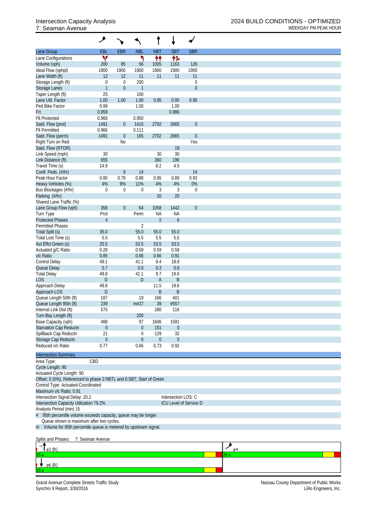|                                                                      | ۸                |                  |                |                  |                     |                        |
|----------------------------------------------------------------------|------------------|------------------|----------------|------------------|---------------------|------------------------|
| Lane Group                                                           | EBL              | <b>EBR</b>       | <b>NBL</b>     | <b>NBT</b>       | <b>SBT</b>          | <b>SBR</b>             |
| Lane Configurations                                                  | v                |                  | ۲              | ↟↟               | 伟                   |                        |
| Volume (vph)                                                         | 200              | 85               | 56             | 1005             | 1163                | 126                    |
| Ideal Flow (vphpl)                                                   | 1900             | 1900             | 1900           | 1900             | 1900                | 1900                   |
| Lane Width (ft)                                                      | 12               | 12               | 11             | 11               | 11                  | 11                     |
| Storage Length (ft)                                                  | 0                | $\mathbf{0}$     | 200            |                  |                     | $\boldsymbol{0}$       |
| <b>Storage Lanes</b>                                                 | $\mathbf{1}$     | $\theta$         | $\mathbf{1}$   |                  |                     | $\boldsymbol{0}$       |
| Taper Length (ft)<br>Lane Util. Factor                               | 25<br>1.00       | 1.00             | 100<br>1.00    | 0.95             | 0.95                | 0.95                   |
| Ped Bike Factor                                                      | 0.99             |                  | 1.00           |                  | 1.00                |                        |
| Frt                                                                  | 0.959            |                  |                |                  | 0.986               |                        |
| <b>Flt Protected</b>                                                 | 0.966            |                  | 0.950          |                  |                     |                        |
| Satd. Flow (prot)                                                    | 1491             | $\overline{0}$   | 1415           | 2702             | 2665                | $\boldsymbol{0}$       |
| <b>Flt Permitted</b>                                                 | 0.966            |                  | 0.111          |                  |                     |                        |
| Satd. Flow (perm)                                                    | 1491             | 0                | 165            | 2702             | 2665                | $\boldsymbol{0}$       |
| Right Turn on Red                                                    |                  | N <sub>0</sub>   |                |                  |                     | Yes                    |
| Satd. Flow (RTOR)                                                    |                  |                  |                |                  | 19                  |                        |
| Link Speed (mph)                                                     | 30               |                  |                | 30               | 30                  |                        |
| Link Distance (ft)                                                   | 655              |                  |                | 360              | 196                 |                        |
| Travel Time (s)                                                      | 14.9             |                  |                | 8.2              | 4.5                 |                        |
| Confl. Peds. (#/hr)                                                  |                  | 8                | 14             |                  |                     | 14                     |
| Peak Hour Factor                                                     | 0.80             | 0.79             | 0.88           | 0.95             | 0.89                | 0.93                   |
| Heavy Vehicles (%)                                                   | 4%               | 9%               | 11%            | 4%               | 4%                  | $0\%$                  |
| Bus Blockages (#/hr)                                                 | 0                | $\mathbf{0}$     | $\mathbf 0$    | 3                | 3                   | $\boldsymbol{0}$       |
| Parking (#/hr)                                                       |                  |                  |                | 20               | 20                  |                        |
| Shared Lane Traffic (%)                                              |                  |                  |                |                  |                     |                        |
| Lane Group Flow (vph)                                                | 358              | $\boldsymbol{0}$ | 64             | 1058             | 1442                | $\boldsymbol{0}$       |
| Turn Type                                                            | Prot             |                  | Perm           | <b>NA</b>        | <b>NA</b>           |                        |
| <b>Protected Phases</b><br><b>Permitted Phases</b>                   | $\overline{4}$   |                  | $\overline{2}$ | $\overline{2}$   | $\boldsymbol{6}$    |                        |
| Total Split (s)                                                      | 35.0             |                  | 55.0           | 55.0             | 55.0                |                        |
| Total Lost Time (s)                                                  | 5.5              |                  | 5.5            | 5.5              | 5.5                 |                        |
| Act Effct Green (s)                                                  | 25.5             |                  | 53.5           | 53.5             | 53.5                |                        |
| Actuated g/C Ratio                                                   | 0.28             |                  | 0.59           | 0.59             | 0.59                |                        |
| v/c Ratio                                                            | 0.85             |                  | 0.66           | 0.66             | 0.91                |                        |
| Control Delay                                                        | 49.1             |                  | 41.1           | 9.4              | 18.8                |                        |
| Queue Delay                                                          | 0.7              |                  | 0.0            | 0.3              | 0.8                 |                        |
| <b>Total Delay</b>                                                   | 49.8             |                  | 41.1           | 9.7              | 19.6                |                        |
| LOS                                                                  | D                |                  | D              | A                | B                   |                        |
| Approach Delay                                                       | 49.8             |                  |                | 11.5             | 19.6                |                        |
| Approach LOS                                                         | D                |                  |                | B                | B                   |                        |
| Queue Length 50th (ft)                                               | 187              |                  | 19             | 166              | 401                 |                        |
| Queue Length 95th (ft)                                               | 239              |                  | m#27           | 39               | #557                |                        |
| Internal Link Dist (ft)                                              | 575              |                  |                | 280              | 116                 |                        |
| Turn Bay Length (ft)                                                 |                  |                  | 200            |                  |                     |                        |
| Base Capacity (vph)                                                  | 488              |                  | 97             | 1606             | 1591                |                        |
| Starvation Cap Reductn                                               | $\boldsymbol{0}$ |                  | $\theta$       | 151              | $\boldsymbol{0}$    |                        |
| Spillback Cap Reductn                                                | 21               |                  | $\mathbf 0$    | 129              | 32                  |                        |
| Storage Cap Reductn                                                  | $\boldsymbol{0}$ |                  | $\theta$       | $\boldsymbol{0}$ | $\boldsymbol{0}$    |                        |
| Reduced v/c Ratio                                                    | 0.77             |                  | 0.66           | 0.73             | 0.92                |                        |
| <b>Intersection Summary</b>                                          |                  |                  |                |                  |                     |                        |
| Area Type:                                                           | CBD              |                  |                |                  |                     |                        |
| Cycle Length: 90                                                     |                  |                  |                |                  |                     |                        |
| Actuated Cycle Length: 90                                            |                  |                  |                |                  |                     |                        |
| Offset: 0 (0%), Referenced to phase 2:NBTL and 6:SBT, Start of Green |                  |                  |                |                  |                     |                        |
| Control Type: Actuated-Coordinated                                   |                  |                  |                |                  |                     |                        |
| Maximum v/c Ratio: 0.91                                              |                  |                  |                |                  |                     |                        |
| Intersection Signal Delay: 20.2                                      |                  |                  |                |                  | Intersection LOS: C |                        |
| Intersection Capacity Utilization 79.2%                              |                  |                  |                |                  |                     | ICU Level of Service D |
| Analysis Period (min) 15                                             |                  |                  |                |                  |                     |                        |
| 95th percentile volume exceeds capacity, queue may be longer.<br>#   |                  |                  |                |                  |                     |                        |
| Queue shown is maximum after two cycles.                             |                  |                  |                |                  |                     |                        |
| m Volume for 95th percentile queue is metered by upstream signal.    |                  |                  |                |                  |                     |                        |
| Splits and Phases:                                                   | 7: Seaman Avenue |                  |                |                  |                     |                        |
|                                                                      |                  |                  |                |                  |                     |                        |
|                                                                      |                  |                  |                |                  |                     |                        |

| $\sqrt{92}$ (R) |  |  |
|-----------------|--|--|
| 55 s            |  |  |
| $\sqrt{96}$ (R) |  |  |
| 55 s            |  |  |

Grand Avenue Complete Streets Traffic Study Nassau County Department of Public Works Synchro 9 Report, 3/30/2016 LiRo Engineers, Inc.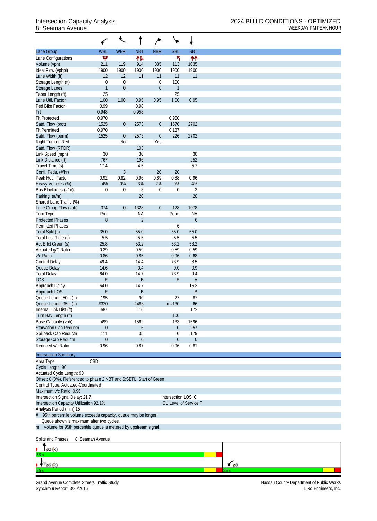|                                                                      |                        |                   |                | ∕                      |                     |                        |
|----------------------------------------------------------------------|------------------------|-------------------|----------------|------------------------|---------------------|------------------------|
| Lane Group                                                           | <b>WBL</b>             | <b>WBR</b>        | <b>NBT</b>     | <b>NBR</b>             | <b>SBL</b>          | <b>SBT</b>             |
| Lane Configurations                                                  | W                      |                   | 伟              |                        | ۲                   | ↟↟                     |
| Volume (vph)                                                         | 211                    | 119               | 914            | 335                    | 113                 | 1035                   |
| Ideal Flow (vphpl)                                                   | 1900                   | 1900              | 1900           | 1900                   | 1900                | 1900                   |
| Lane Width (ft)<br>Storage Length (ft)                               | 12<br>$\boldsymbol{0}$ | 12<br>$\mathbf 0$ | 11             | 11<br>$\boldsymbol{0}$ | 11<br>100           | 11                     |
| <b>Storage Lanes</b>                                                 | $\mathbf{1}$           | $\boldsymbol{0}$  |                | $\boldsymbol{0}$       | $\mathbf{1}$        |                        |
| Taper Length (ft)                                                    | 25                     |                   |                |                        | 25                  |                        |
| Lane Util. Factor                                                    | 1.00                   | 1.00              | 0.95           | 0.95                   | 1.00                | 0.95                   |
| Ped Bike Factor                                                      | 0.99                   |                   | 0.98           |                        |                     |                        |
| Frt                                                                  | 0.948                  |                   | 0.958          |                        |                     |                        |
| <b>Flt Protected</b>                                                 | 0.970                  |                   |                |                        | 0.950               |                        |
| Satd. Flow (prot)                                                    | 1525                   | $\overline{0}$    | 2573           | $\boldsymbol{0}$       | 1570                | 2702                   |
| <b>Flt Permitted</b>                                                 | 0.970                  |                   |                |                        | 0.137               |                        |
| Satd. Flow (perm)                                                    | 1525                   | $\boldsymbol{0}$  | 2573           | $\boldsymbol{0}$       | 226                 | 2702                   |
| Right Turn on Red                                                    |                        | N <sub>0</sub>    |                | Yes                    |                     |                        |
| Satd. Flow (RTOR)                                                    |                        |                   | 103            |                        |                     |                        |
| Link Speed (mph)                                                     | 30                     |                   | 30             |                        |                     | 30                     |
| Link Distance (ft)                                                   | 767                    |                   | 196            |                        |                     | 252<br>5.7             |
| Travel Time (s)<br>Confl. Peds. (#/hr)                               | 17.4                   | $\mathfrak{Z}$    | 4.5            | 20                     | 20                  |                        |
| Peak Hour Factor                                                     | 0.92                   | 0.82              | 0.96           | 0.89                   | 0.88                | 0.96                   |
| Heavy Vehicles (%)                                                   | 4%                     | 0%                | 3%             | 2%                     | 0%                  | 4%                     |
| Bus Blockages (#/hr)                                                 | $\boldsymbol{0}$       | $\mathbf 0$       | 3              | $\boldsymbol{0}$       | $\boldsymbol{0}$    | 3                      |
| Parking (#/hr)                                                       |                        |                   | 20             |                        |                     | 20                     |
| Shared Lane Traffic (%)                                              |                        |                   |                |                        |                     |                        |
| Lane Group Flow (vph)                                                | 374                    | $\boldsymbol{0}$  | 1328           | $\boldsymbol{0}$       | 128                 | 1078                   |
| Turn Type                                                            | Prot                   |                   | <b>NA</b>      |                        | Perm                | <b>NA</b>              |
| <b>Protected Phases</b>                                              | 8                      |                   | $\overline{2}$ |                        |                     | $\boldsymbol{6}$       |
| <b>Permitted Phases</b>                                              |                        |                   |                |                        | 6                   |                        |
| Total Split (s)                                                      | 35.0                   |                   | 55.0           |                        | 55.0                | 55.0                   |
| Total Lost Time (s)                                                  | 5.5                    |                   | 5.5            |                        | 5.5                 | 5.5                    |
| Act Effct Green (s)                                                  | 25.8                   |                   | 53.2           |                        | 53.2                | 53.2                   |
| Actuated g/C Ratio                                                   | 0.29                   |                   | 0.59           |                        | 0.59                | 0.59                   |
| v/c Ratio                                                            | 0.86                   |                   | 0.85           |                        | 0.96                | 0.68                   |
| <b>Control Delay</b>                                                 | 49.4                   |                   | 14.4           |                        | 73.9                | 8.5                    |
| Queue Delay                                                          | 14.6                   |                   | 0.4            |                        | 0.0                 | 0.9                    |
| <b>Total Delay</b>                                                   | 64.0                   |                   | 14.7           |                        | 73.9                | 9.4                    |
| <b>LOS</b>                                                           | Ε                      |                   | B              |                        | E                   | $\mathsf A$            |
| Approach Delay                                                       | 64.0                   |                   | 14.7           |                        |                     | 16.3                   |
| Approach LOS                                                         | Ε                      |                   | B              |                        |                     | B                      |
| Queue Length 50th (ft)                                               | 195                    |                   | 90<br>#486     |                        | 27                  | 87                     |
| Queue Length 95th (ft)<br>Internal Link Dist (ft)                    | #320<br>687            |                   | 116            |                        | m#130               | 66<br>172              |
| Turn Bay Length (ft)                                                 |                        |                   |                |                        | 100                 |                        |
| Base Capacity (vph)                                                  | 499                    |                   | 1562           |                        | 133                 | 1596                   |
| Starvation Cap Reductn                                               | $\boldsymbol{0}$       |                   | 6              |                        | $\boldsymbol{0}$    | 257                    |
| Spillback Cap Reductn                                                | 111                    |                   | 35             |                        | 0                   | 179                    |
| Storage Cap Reductn                                                  | $\boldsymbol{0}$       |                   | $\theta$       |                        | $\theta$            | $\boldsymbol{0}$       |
| Reduced v/c Ratio                                                    | 0.96                   |                   | 0.87           |                        | 0.96                | 0.81                   |
|                                                                      |                        |                   |                |                        |                     |                        |
| <b>Intersection Summary</b>                                          |                        |                   |                |                        |                     |                        |
| Area Type:                                                           | CBD                    |                   |                |                        |                     |                        |
| Cycle Length: 90                                                     |                        |                   |                |                        |                     |                        |
| Actuated Cycle Length: 90                                            |                        |                   |                |                        |                     |                        |
| Offset: 0 (0%), Referenced to phase 2:NBT and 6:SBTL, Start of Green |                        |                   |                |                        |                     |                        |
| Control Type: Actuated-Coordinated<br>Maximum v/c Ratio: 0.96        |                        |                   |                |                        |                     |                        |
| Intersection Signal Delay: 21.7                                      |                        |                   |                |                        | Intersection LOS: C |                        |
| Intersection Capacity Utilization 92.1%                              |                        |                   |                |                        |                     | ICU Level of Service F |
| Analysis Period (min) 15                                             |                        |                   |                |                        |                     |                        |
| 95th percentile volume exceeds capacity, queue may be longer.<br>#   |                        |                   |                |                        |                     |                        |
| Queue shown is maximum after two cycles.                             |                        |                   |                |                        |                     |                        |
| m Volume for 95th percentile queue is metered by upstream signal.    |                        |                   |                |                        |                     |                        |
|                                                                      |                        |                   |                |                        |                     |                        |
| Splits and Phases:                                                   | 8: Seaman Avenue       |                   |                |                        |                     |                        |
|                                                                      |                        |                   |                |                        |                     |                        |
| ø2 (R)                                                               |                        |                   |                |                        |                     |                        |

Grand Avenue Complete Streets Traffic Study Nassau County Department of Public Works Synchro 9 Report, 3/30/2016 LiRo Engineers, Inc.

 $\downarrow$  6 (R)

 $\epsilon$ <sub>08</sub>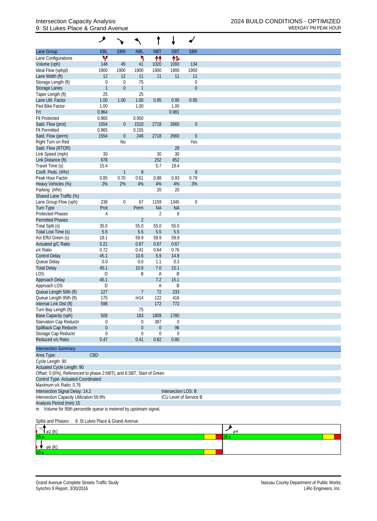## 9: St Lukes Place & Grand Avenue WEEKDAY PM PEAK HOUR

|                                                                      | گر                               |                  |                  |                  |                     |                        |  |  |  |  |  |
|----------------------------------------------------------------------|----------------------------------|------------------|------------------|------------------|---------------------|------------------------|--|--|--|--|--|
| <b>Lane Group</b>                                                    | EBL                              | <b>EBR</b>       | <b>NBL</b>       | <b>NBT</b>       | <b>SBT</b>          | <b>SBR</b>             |  |  |  |  |  |
| Lane Configurations                                                  | v                                |                  | ۲                | 什                | 伟                   |                        |  |  |  |  |  |
| Volume (vph)                                                         | 148                              | 45               | 41               | 1020             | 1093                | 134                    |  |  |  |  |  |
| Ideal Flow (vphpl)                                                   | 1900                             | 1900             | 1900             | 1900             | 1900                | 1900                   |  |  |  |  |  |
| Lane Width (ft)                                                      | 12                               | 12               | 11               | 11               | 11                  | 11                     |  |  |  |  |  |
| Storage Length (ft)                                                  | $\boldsymbol{0}$                 | $\mathbf 0$      | 75               |                  |                     | $\boldsymbol{0}$       |  |  |  |  |  |
| Storage Lanes                                                        | $\mathbf{1}$                     | $\mathbf{0}$     | $\mathbf{1}$     |                  |                     | $\overline{0}$         |  |  |  |  |  |
| Taper Length (ft)                                                    | 25                               |                  | 25               |                  |                     |                        |  |  |  |  |  |
| Lane Util. Factor                                                    | 1.00                             | 1.00             | 1.00             | 0.95             | 0.95                | 0.95                   |  |  |  |  |  |
| Ped Bike Factor                                                      | 1.00                             |                  | 1.00             |                  | 1.00                |                        |  |  |  |  |  |
| Frt                                                                  | 0.964                            |                  |                  |                  | 0.981               |                        |  |  |  |  |  |
| <b>Flt Protected</b>                                                 | 0.965                            |                  | 0.950            |                  |                     |                        |  |  |  |  |  |
| Satd. Flow (prot)                                                    | 1554                             | $\overline{0}$   | 1510             | 2718             | 2660                | $\boldsymbol{0}$       |  |  |  |  |  |
| <b>Flt Permitted</b>                                                 | 0.965                            |                  | 0.155            |                  |                     |                        |  |  |  |  |  |
| Satd. Flow (perm)                                                    | 1554                             | $\overline{0}$   | 246              | 2718             | 2660                | $\boldsymbol{0}$       |  |  |  |  |  |
| Right Turn on Red                                                    |                                  | N <sub>0</sub>   |                  |                  |                     | Yes                    |  |  |  |  |  |
| Satd. Flow (RTOR)                                                    |                                  |                  |                  |                  | 28                  |                        |  |  |  |  |  |
| Link Speed (mph)                                                     | 30                               |                  |                  | 30               | 30                  |                        |  |  |  |  |  |
| Link Distance (ft)                                                   | 678                              |                  |                  | 252              | 852                 |                        |  |  |  |  |  |
| Travel Time (s)                                                      | 15.4                             |                  |                  | 5.7              | 19.4                |                        |  |  |  |  |  |
| Confl. Peds. (#/hr)                                                  |                                  |                  | 9                |                  |                     | 9                      |  |  |  |  |  |
| Peak Hour Factor                                                     | 0.85                             | 0.70             |                  | 0.88             | 0.93                | 0.79                   |  |  |  |  |  |
|                                                                      | 2%                               | 2%               | 0.61<br>4%       |                  |                     | 3%                     |  |  |  |  |  |
| Heavy Vehicles (%)                                                   |                                  |                  |                  | 4%               | 4%                  |                        |  |  |  |  |  |
| Parking (#/hr)                                                       |                                  |                  |                  | 20               | 20                  |                        |  |  |  |  |  |
| Shared Lane Traffic (%)                                              |                                  |                  |                  |                  |                     |                        |  |  |  |  |  |
| Lane Group Flow (vph)                                                | 238                              | $\boldsymbol{0}$ | 67               | 1159             | 1345                | $\mathbf 0$            |  |  |  |  |  |
| Turn Type                                                            | Prot                             |                  | Perm             | <b>NA</b>        | <b>NA</b>           |                        |  |  |  |  |  |
| <b>Protected Phases</b>                                              | 4                                |                  |                  | $\overline{2}$   | 6                   |                        |  |  |  |  |  |
| <b>Permitted Phases</b>                                              |                                  |                  | $\overline{2}$   |                  |                     |                        |  |  |  |  |  |
| Total Split (s)                                                      | 35.0                             |                  | 55.0             | 55.0             | 55.0                |                        |  |  |  |  |  |
| Total Lost Time (s)                                                  | 5.5                              |                  | 5.5              | 5.5              | 5.5                 |                        |  |  |  |  |  |
| Act Effct Green (s)                                                  | 19.1                             |                  | 59.9             | 59.9             | 59.9                |                        |  |  |  |  |  |
| Actuated g/C Ratio                                                   | 0.21                             |                  | 0.67             | 0.67             | 0.67                |                        |  |  |  |  |  |
| v/c Ratio                                                            | 0.72                             |                  | 0.41             | 0.64             | 0.76                |                        |  |  |  |  |  |
| <b>Control Delay</b>                                                 | 45.1                             |                  | 10.6             | 5.9              | 14.8                |                        |  |  |  |  |  |
| Queue Delay                                                          | 0.0                              |                  | 0.0              | 1.1              | 0.3                 |                        |  |  |  |  |  |
| <b>Total Delay</b>                                                   | 45.1                             |                  | 10.6             | 7.0              | 15.1                |                        |  |  |  |  |  |
| LOS                                                                  | D                                |                  | Β                | A                | Β                   |                        |  |  |  |  |  |
| Approach Delay                                                       | 45.1                             |                  |                  | 7.2              | 15.1                |                        |  |  |  |  |  |
| Approach LOS                                                         | D                                |                  |                  | A                | Β                   |                        |  |  |  |  |  |
| Queue Length 50th (ft)                                               | 127                              |                  | $\overline{7}$   | 72               | 233                 |                        |  |  |  |  |  |
| Queue Length 95th (ft)                                               | 175                              |                  | m14              | 122              | 416                 |                        |  |  |  |  |  |
| Internal Link Dist (ft)                                              | 598                              |                  |                  | 172              | 772                 |                        |  |  |  |  |  |
| Turn Bay Length (ft)                                                 |                                  |                  | 75               |                  |                     |                        |  |  |  |  |  |
| Base Capacity (vph)                                                  | 509                              |                  | 163              | 1809             | 1780                |                        |  |  |  |  |  |
| Starvation Cap Reductn                                               | $\boldsymbol{0}$                 |                  | 0                | 387              | 0                   |                        |  |  |  |  |  |
| Spillback Cap Reductn                                                | $\mathbf 0$                      |                  | $\boldsymbol{0}$ | $\theta$         | 96                  |                        |  |  |  |  |  |
| Storage Cap Reductn                                                  | 0                                |                  | $\boldsymbol{0}$ | $\boldsymbol{0}$ | 0                   |                        |  |  |  |  |  |
| Reduced v/c Ratio                                                    | 0.47                             |                  | 0.41             | 0.82             | 0.80                |                        |  |  |  |  |  |
|                                                                      |                                  |                  |                  |                  |                     |                        |  |  |  |  |  |
| <b>Intersection Summary</b>                                          |                                  |                  |                  |                  |                     |                        |  |  |  |  |  |
| Area Type:                                                           | CBD                              |                  |                  |                  |                     |                        |  |  |  |  |  |
| Cycle Length: 90                                                     |                                  |                  |                  |                  |                     |                        |  |  |  |  |  |
| Actuated Cycle Length: 90                                            |                                  |                  |                  |                  |                     |                        |  |  |  |  |  |
| Offset: 0 (0%), Referenced to phase 2:NBTL and 6:SBT, Start of Green |                                  |                  |                  |                  |                     |                        |  |  |  |  |  |
| Control Type: Actuated-Coordinated                                   |                                  |                  |                  |                  |                     |                        |  |  |  |  |  |
| Maximum v/c Ratio: 0.76                                              |                                  |                  |                  |                  |                     |                        |  |  |  |  |  |
| Intersection Signal Delay: 14.2                                      |                                  |                  |                  |                  | Intersection LOS: B |                        |  |  |  |  |  |
| Intersection Capacity Utilization 59.9%                              |                                  |                  |                  |                  |                     | ICU Level of Service B |  |  |  |  |  |
| Analysis Period (min) 15                                             |                                  |                  |                  |                  |                     |                        |  |  |  |  |  |
| m Volume for 95th percentile queue is metered by upstream signal.    |                                  |                  |                  |                  |                     |                        |  |  |  |  |  |
|                                                                      |                                  |                  |                  |                  |                     |                        |  |  |  |  |  |
| Splits and Phases:                                                   | 9: St Lukes Place & Grand Avenue |                  |                  |                  |                     |                        |  |  |  |  |  |
|                                                                      |                                  |                  |                  |                  |                     |                        |  |  |  |  |  |

 $\frac{1}{\sqrt[3]{1}}$  $\sqrt{\frac{1}{\rho^2(R)}}$ ¥ ø6 (R)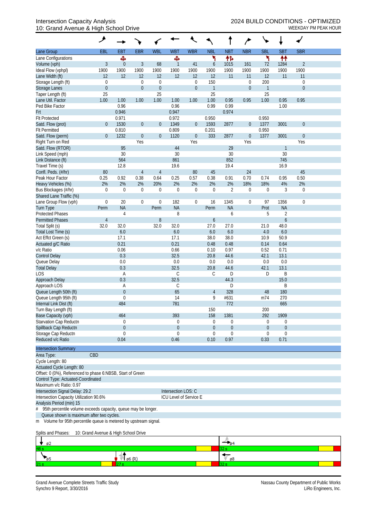## 10: Grand Avenue & High School Drive WEEKDAY PM PEAK HOUR

|                                                                    | ۶                                  |             |                  |                  |                        |                  |              |                  | ∕                |                  |                  |                  |  |
|--------------------------------------------------------------------|------------------------------------|-------------|------------------|------------------|------------------------|------------------|--------------|------------------|------------------|------------------|------------------|------------------|--|
| Lane Group                                                         | <b>EBL</b>                         | <b>EBT</b>  | <b>EBR</b>       | <b>WBL</b>       | <b>WBT</b>             | <b>WBR</b>       | <b>NBL</b>   | <b>NBT</b>       | <b>NBR</b>       | <b>SBL</b>       | <b>SBT</b>       | <b>SBR</b>       |  |
| Lane Configurations                                                |                                    | Ф           |                  |                  | Ф                      |                  | ۲            | 忭                |                  | ۲                | ₩                |                  |  |
| Volume (vph)                                                       | 3                                  | $\theta$    | 3                | 68               | 1                      | 41               | 6            | 1015             | 161              | 72               | 1284             | $\overline{2}$   |  |
| Ideal Flow (vphpl)                                                 | 1900                               | 1900        | 1900             | 1900             | 1900                   | 1900             | 1900         | 1900             | 1900             | 1900             | 1900             | 1900             |  |
| Lane Width (ft)                                                    | 12                                 | 12          | 12               | 12               | 12                     | 12               | 12           | 11               | 11               | 12               | 11               | 11               |  |
| Storage Length (ft)                                                | 0                                  |             | $\boldsymbol{0}$ | $\boldsymbol{0}$ |                        | 0                | 150          |                  | $\boldsymbol{0}$ | 200              |                  | $\mathbf 0$      |  |
| Storage Lanes                                                      | $\boldsymbol{0}$                   |             | $\boldsymbol{0}$ | $\theta$         |                        | $\boldsymbol{0}$ | $\mathbf{1}$ |                  | $\boldsymbol{0}$ | $\mathbf{1}$     |                  | $\overline{0}$   |  |
| Taper Length (ft)                                                  | 25                                 |             |                  | 25               |                        |                  | 25           |                  |                  | 25               |                  |                  |  |
| Lane Util. Factor                                                  | 1.00                               | 1.00        | 1.00             | 1.00             | 1.00                   | 1.00             | 1.00         | 0.95             | 0.95             | 1.00             | 0.95             | 0.95             |  |
| Ped Bike Factor                                                    |                                    | 0.96        |                  |                  | 0.96                   |                  | 0.99         | 0.99             |                  |                  | 1.00             |                  |  |
| Frt                                                                |                                    | 0.946       |                  |                  | 0.947                  |                  |              | 0.974            |                  |                  |                  |                  |  |
| <b>Flt Protected</b>                                               |                                    | 0.971       |                  |                  | 0.972                  |                  | 0.950        |                  |                  | 0.950            |                  |                  |  |
| Satd. Flow (prot)                                                  | $\mathbf 0$                        | 1530        | $\boldsymbol{0}$ | $\theta$         | 1349                   | $\overline{0}$   | 1593         | 2877             | $\boldsymbol{0}$ | 1377             | 3001             | $\boldsymbol{0}$ |  |
| <b>Flt Permitted</b>                                               |                                    | 0.810       |                  |                  | 0.809                  |                  | 0.201        |                  |                  | 0.950            |                  |                  |  |
| Satd. Flow (perm)                                                  | $\boldsymbol{0}$                   | 1232        | $\boldsymbol{0}$ | $\mathbf 0$      | 1120                   | $\boldsymbol{0}$ | 333          | 2877             | $\boldsymbol{0}$ | 1377             | 3001             | $\mathbf 0$      |  |
| Right Turn on Red                                                  |                                    | 95          | Yes              |                  | 44                     | Yes              |              | 29               | Yes              |                  | 1                | Yes              |  |
| Satd. Flow (RTOR)<br>Link Speed (mph)                              |                                    | 30          |                  |                  | 30                     |                  |              | 30               |                  |                  | 30               |                  |  |
| Link Distance (ft)                                                 |                                    | 564         |                  |                  | 861                    |                  |              | 852              |                  |                  | 745              |                  |  |
| Travel Time (s)                                                    |                                    | 12.8        |                  |                  | 19.6                   |                  |              | 19.4             |                  |                  | 16.9             |                  |  |
| Confl. Peds. (#/hr)                                                | 80                                 |             | 4                | 4                |                        | 80               | 45           |                  | 24               |                  |                  | 45               |  |
| Peak Hour Factor                                                   | 0.25                               | 0.92        | 0.38             | 0.64             | 0.25                   | 0.57             | 0.38         | 0.91             | 0.70             | 0.74             | 0.95             | 0.50             |  |
| Heavy Vehicles (%)                                                 | 2%                                 | 2%          | 2%               | 20%              | 2%                     | 2%               | 2%           | 2%               | 18%              | 18%              | 4%               | 2%               |  |
| Bus Blockages (#/hr)                                               | 0                                  | $\mathbf 0$ | $\boldsymbol{0}$ | $\boldsymbol{0}$ | $\mathbf 0$            | $\mathbf 0$      | $\mathbf 0$  | $\overline{2}$   | $\boldsymbol{0}$ | $\boldsymbol{0}$ | 3                | $\mathbf 0$      |  |
| Shared Lane Traffic (%)                                            |                                    |             |                  |                  |                        |                  |              |                  |                  |                  |                  |                  |  |
| Lane Group Flow (vph)                                              | $\boldsymbol{0}$                   | 20          | $\boldsymbol{0}$ | $\mathbf 0$      | 182                    | $\boldsymbol{0}$ | 16           | 1345             | $\boldsymbol{0}$ | 97               | 1356             | $\mathbf 0$      |  |
| <b>Turn Type</b>                                                   | Perm                               | <b>NA</b>   |                  | Perm             | <b>NA</b>              |                  | Perm         | <b>NA</b>        |                  | Prot             | <b>NA</b>        |                  |  |
| <b>Protected Phases</b>                                            |                                    | 4           |                  |                  | 8                      |                  |              | 6                |                  | 5                | $\overline{2}$   |                  |  |
| <b>Permitted Phases</b>                                            | $\overline{4}$                     |             |                  | 8                |                        |                  | 6            |                  |                  |                  | $\boldsymbol{6}$ |                  |  |
| Total Split (s)                                                    | 32.0                               | 32.0        |                  | 32.0             | 32.0                   |                  | 27.0         | 27.0             |                  | 21.0             | 48.0             |                  |  |
| Total Lost Time (s)                                                |                                    | 6.0         |                  |                  | 6.0                    |                  | 6.0          | 6.0              |                  | 4.0              | 6.0              |                  |  |
| Act Effct Green (s)                                                |                                    | 17.1        |                  |                  | 17.1                   |                  | 38.0         | 38.0             |                  | 10.9             | 50.9             |                  |  |
| Actuated g/C Ratio                                                 |                                    | 0.21        |                  |                  | 0.21                   |                  | 0.48         | 0.48             |                  | 0.14             | 0.64             |                  |  |
| v/c Ratio                                                          |                                    | 0.06        |                  |                  | 0.66                   |                  | 0.10         | 0.97             |                  | 0.52             | 0.71             |                  |  |
| <b>Control Delay</b>                                               |                                    | 0.3         |                  |                  | 32.5                   |                  | 20.8         | 44.6             |                  | 42.1             | 13.1             |                  |  |
| Queue Delay                                                        |                                    | 0.0         |                  |                  | 0.0                    |                  | 0.0          | 0.0              |                  | 0.0              | 0.0              |                  |  |
| <b>Total Delay</b>                                                 |                                    | 0.3         |                  |                  | 32.5                   |                  | 20.8         | 44.6             |                  | 42.1             | 13.1             |                  |  |
| LOS                                                                |                                    | Α           |                  |                  | C                      |                  | C            | D                |                  | D                | Β                |                  |  |
| Approach Delay                                                     |                                    | 0.3         |                  |                  | 32.5                   |                  |              | 44.3             |                  |                  | 15.0             |                  |  |
| Approach LOS                                                       |                                    | A           |                  |                  | C                      |                  |              | D                |                  |                  | Β                |                  |  |
| Queue Length 50th (ft)                                             |                                    | $\theta$    |                  |                  | 65                     |                  | 4            | 328              |                  | 48               | 180              |                  |  |
| Queue Length 95th (ft)                                             |                                    | $\mathbf 0$ |                  |                  | 14                     |                  | 9            | #631             |                  | m74              | 270              |                  |  |
| Internal Link Dist (ft)<br>Turn Bay Length (ft)                    |                                    | 484         |                  |                  | 781                    |                  | 150          | 772              |                  | 200              | 665              |                  |  |
| Base Capacity (vph)                                                |                                    | 464         |                  |                  | 393                    |                  | 158          | 1381             |                  | 292              | 1909             |                  |  |
| Starvation Cap Reductn                                             |                                    | $\Omega$    |                  |                  | 0                      |                  | 0            | 0                |                  | $\boldsymbol{0}$ | 0                |                  |  |
| Spillback Cap Reductn                                              |                                    | $\theta$    |                  |                  | $\theta$               |                  | $\theta$     | $\boldsymbol{0}$ |                  | $\overline{0}$   | $\theta$         |                  |  |
| Storage Cap Reductn                                                |                                    | $\Omega$    |                  |                  | $\Omega$               |                  | 0            | $\mathbf 0$      |                  | 0                | 0                |                  |  |
| Reduced v/c Ratio                                                  |                                    | 0.04        |                  |                  | 0.46                   |                  | 0.10         | 0.97             |                  | 0.33             | 0.71             |                  |  |
| <b>Intersection Summary</b>                                        |                                    |             |                  |                  |                        |                  |              |                  |                  |                  |                  |                  |  |
| Area Type:                                                         | CBD                                |             |                  |                  |                        |                  |              |                  |                  |                  |                  |                  |  |
| Cycle Length: 80                                                   |                                    |             |                  |                  |                        |                  |              |                  |                  |                  |                  |                  |  |
| Actuated Cycle Length: 80                                          |                                    |             |                  |                  |                        |                  |              |                  |                  |                  |                  |                  |  |
| Offset: 0 (0%), Referenced to phase 6:NBSB, Start of Green         |                                    |             |                  |                  |                        |                  |              |                  |                  |                  |                  |                  |  |
|                                                                    | Control Type: Actuated-Coordinated |             |                  |                  |                        |                  |              |                  |                  |                  |                  |                  |  |
| Maximum v/c Ratio: 0.97                                            |                                    |             |                  |                  |                        |                  |              |                  |                  |                  |                  |                  |  |
| Intersection Signal Delay: 29.2                                    |                                    |             |                  |                  | Intersection LOS: C    |                  |              |                  |                  |                  |                  |                  |  |
| Intersection Capacity Utilization 90.6%                            |                                    |             |                  |                  | ICU Level of Service E |                  |              |                  |                  |                  |                  |                  |  |
| Analysis Period (min) 15                                           |                                    |             |                  |                  |                        |                  |              |                  |                  |                  |                  |                  |  |
| 95th percentile volume exceeds capacity, queue may be longer.<br># |                                    |             |                  |                  |                        |                  |              |                  |                  |                  |                  |                  |  |
| Queue shown is maximum after two cycles.                           |                                    |             |                  |                  |                        |                  |              |                  |                  |                  |                  |                  |  |
| m Volume for 95th percentile queue is metered by upstream signal.  |                                    |             |                  |                  |                        |                  |              |                  |                  |                  |                  |                  |  |

Splits and Phases: 10: Grand Avenue & High School Drive

|     | ø2 |    |
|-----|----|----|
| 48. |    |    |
|     |    | ø8 |
| 21. |    |    |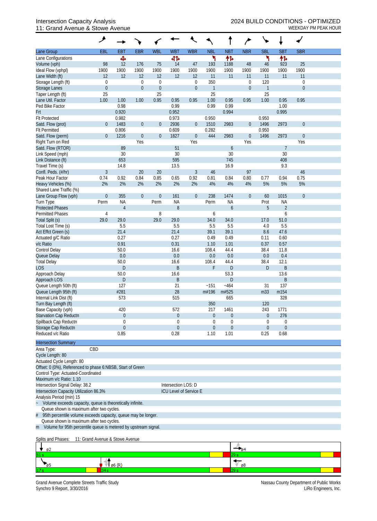## 11: Grand Avenue & Stowe Avenue Weekbay PM PEAK HOUR

|                                                                                       | ۸                |                |                  |                  |                        |                  |                |                  |                  | ╰╸                   |                  |                |  |
|---------------------------------------------------------------------------------------|------------------|----------------|------------------|------------------|------------------------|------------------|----------------|------------------|------------------|----------------------|------------------|----------------|--|
| Lane Group                                                                            | EBL              | <b>EB1</b>     | <b>EBR</b>       | <b>WBL</b>       | <b>WBT</b>             | <b>WBR</b>       | <b>NBL</b>     | <b>NBT</b>       | <b>NBR</b>       | <b>SBL</b>           | <b>SBT</b>       | <b>SBR</b>     |  |
| Lane Configurations                                                                   |                  | Ф              |                  |                  | 41                     |                  | ۲              | 忭                |                  | ۲                    | 怍                |                |  |
| Volume (vph)                                                                          | 98               | 12             | 176              | 75               | 14                     | 47               | 193            | 1188             | 48               | 46                   | 923              | 25             |  |
| Ideal Flow (vphpl)                                                                    | 1900             | 1900           | 1900             | 1900             | 1900                   | 1900             | 1900           | 1900             | 1900             | 1900                 | 1900             | 1900           |  |
| Lane Width (ft)                                                                       | 12               | 12             | 12               | 12               | 12                     | 12               | 11             | 11               | 11               | 11                   | 11               | 11             |  |
| Storage Length (ft)                                                                   | $\boldsymbol{0}$ |                | $\mathbf 0$      | $\mathbf 0$      |                        | 0                | 350            |                  | $\boldsymbol{0}$ | 120                  |                  | $\mathbf 0$    |  |
| Storage Lanes                                                                         | $\mathbf 0$      |                | $\boldsymbol{0}$ | $\boldsymbol{0}$ |                        | $\overline{0}$   | $\mathbf{1}$   |                  | $\mathbf{0}$     | $\mathbf{1}$         |                  | $\overline{0}$ |  |
| Taper Length (ft)                                                                     | 25               |                |                  | 25               |                        |                  | 25             |                  |                  | 25                   |                  |                |  |
| Lane Util. Factor                                                                     | 1.00             | 1.00           | 1.00             | 0.95             | 0.95                   | 0.95             | 1.00           | 0.95             | 0.95             | 1.00                 | 0.95             | 0.95           |  |
| Ped Bike Factor                                                                       |                  | 0.98           |                  |                  | 0.99                   |                  | 0.99           | 0.99             |                  |                      | 1.00             |                |  |
| Frt                                                                                   |                  | 0.920          |                  |                  | 0.952                  |                  |                | 0.994            |                  |                      | 0.995            |                |  |
| <b>Flt Protected</b>                                                                  |                  | 0.982          |                  |                  | 0.973                  |                  | 0.950          |                  |                  | 0.950                |                  |                |  |
| Satd. Flow (prot)                                                                     | $\theta$         | 1483           | $\boldsymbol{0}$ | $\mathbf{0}$     | 2936                   | $\mathbf 0$      | 1510           | 2983             | $\mathbf{0}$     | 1496                 | 2973             | $\mathbf{0}$   |  |
| <b>Flt Permitted</b><br>Satd. Flow (perm)                                             | $\theta$         | 0.806<br>1216  | $\boldsymbol{0}$ | $\overline{0}$   | 0.609<br>1827          | $\boldsymbol{0}$ | 0.282<br>444   | 2983             | $\mathbf{0}$     | 0.950<br>1496        | 2973             | $\mathbf{0}$   |  |
| Right Turn on Red                                                                     |                  |                | Yes              |                  |                        | Yes              |                |                  | Yes              |                      |                  | Yes            |  |
| Satd. Flow (RTOR)                                                                     |                  | 89             |                  |                  | 51                     |                  |                | $\boldsymbol{6}$ |                  |                      | $\overline{7}$   |                |  |
| Link Speed (mph)                                                                      |                  | 30             |                  |                  | 30                     |                  |                | 30               |                  |                      | 30               |                |  |
| Link Distance (ft)                                                                    |                  | 653            |                  |                  | 595                    |                  |                | 745              |                  |                      | 408              |                |  |
| Travel Time (s)                                                                       |                  | 14.8           |                  |                  | 13.5                   |                  |                | 16.9             |                  |                      | 9.3              |                |  |
| Confl. Peds. (#/hr)                                                                   | $\mathfrak{Z}$   |                | 20               | 20               |                        | $\mathfrak{Z}$   | 46             |                  | 97               |                      |                  | 46             |  |
| Peak Hour Factor                                                                      | 0.74             | 0.92           | 0.84             | 0.85             | 0.65                   | 0.92             | 0.81           | 0.84             | 0.80             | 0.77                 | 0.94             | 0.75           |  |
| Heavy Vehicles (%)                                                                    | 2%               | 2%             | 2%               | 2%               | 2%                     | 2%               | 4%             | 4%               | 4%               | 5%                   | 5%               | 5%             |  |
| Shared Lane Traffic (%)                                                               |                  |                |                  |                  |                        |                  |                |                  |                  |                      |                  |                |  |
| Lane Group Flow (vph)                                                                 | $\mathbf 0$      | 355            | $\boldsymbol{0}$ | $\boldsymbol{0}$ | 161                    | $\overline{0}$   | 238            | 1474             | $\mathbf{0}$     | 60                   | 1015             | $\overline{0}$ |  |
| Turn Type                                                                             | Perm             | <b>NA</b>      |                  | Perm             | <b>NA</b>              |                  | Perm           | <b>NA</b>        |                  | Prot                 | <b>NA</b>        |                |  |
| <b>Protected Phases</b>                                                               |                  | $\overline{4}$ |                  |                  | 8                      |                  |                | 6                |                  | 5                    | $\overline{2}$   |                |  |
| <b>Permitted Phases</b>                                                               | $\sqrt{4}$       |                |                  | 8                |                        |                  | 6              |                  |                  |                      | 6                |                |  |
| Total Split (s)                                                                       | 29.0             | 29.0           |                  | 29.0             | 29.0                   |                  | 34.0           | 34.0             |                  | 17.0                 | 51.0             |                |  |
| Total Lost Time (s)                                                                   |                  | 5.5            |                  |                  | 5.5                    |                  | 5.5            | 5.5              |                  | 4.0                  | 5.5              |                |  |
| Act Effct Green (s)                                                                   |                  | 21.4           |                  |                  | 21.4                   |                  | 39.1           | 39.1             |                  | 8.6                  | 47.6             |                |  |
| Actuated g/C Ratio                                                                    |                  | 0.27           |                  |                  | 0.27                   |                  | 0.49           | 0.49             |                  | 0.11                 | 0.60             |                |  |
| v/c Ratio                                                                             |                  | 0.91           |                  |                  | 0.31                   |                  | 1.10           | 1.01             |                  | 0.37                 | 0.57             |                |  |
| Control Delay                                                                         |                  | 50.0           |                  |                  | 16.6                   |                  | 108.4          | 44.4             |                  | 38.4                 | 11.8             |                |  |
| Queue Delay                                                                           |                  | $0.0\,$        |                  |                  | 0.0                    |                  | 0.0<br>108.4   | 0.0              |                  | 0.0                  | 0.4              |                |  |
| <b>Total Delay</b><br><b>LOS</b>                                                      |                  | 50.0<br>D      |                  |                  | 16.6<br>B              |                  | F              | 44.4<br>D        |                  | 38.4<br>$\mathsf{D}$ | 12.1<br>B        |                |  |
| Approach Delay                                                                        |                  | 50.0           |                  |                  | 16.6                   |                  |                | 53.3             |                  |                      | 13.6             |                |  |
| Approach LOS                                                                          |                  | $\mathsf{D}%$  |                  |                  | B                      |                  |                | D                |                  |                      | B                |                |  |
| Queue Length 50th (ft)                                                                |                  | 127            |                  |                  | 21                     |                  | ~151           | $-464$           |                  | 31                   | 137              |                |  |
| Queue Length 95th (ft)                                                                |                  | #281           |                  |                  | 28                     |                  | m#196          | m#525            |                  | m33                  | m154             |                |  |
| Internal Link Dist (ft)                                                               |                  | 573            |                  |                  | 515                    |                  |                | 665              |                  |                      | 328              |                |  |
| Turn Bay Length (ft)                                                                  |                  |                |                  |                  |                        |                  | 350            |                  |                  | 120                  |                  |                |  |
| Base Capacity (vph)                                                                   |                  | 420            |                  |                  | 572                    |                  | 217            | 1461             |                  | 243                  | 1771             |                |  |
| Starvation Cap Reductn                                                                |                  | $\overline{0}$ |                  |                  | $\theta$               |                  | $\overline{0}$ | 0                |                  | $\boldsymbol{0}$     | 276              |                |  |
| Spillback Cap Reductn                                                                 |                  | 0              |                  |                  | $\Omega$               |                  | 0              | 0                |                  | 0                    | $\boldsymbol{0}$ |                |  |
| Storage Cap Reductn                                                                   |                  | $\Omega$       |                  |                  | $\theta$               |                  | $\theta$       | $\boldsymbol{0}$ |                  | $\overline{0}$       | $\mathbf{0}$     |                |  |
| Reduced v/c Ratio                                                                     |                  | 0.85           |                  |                  | 0.28                   |                  | 1.10           | 1.01             |                  | 0.25                 | 0.68             |                |  |
| <b>Intersection Summary</b>                                                           |                  |                |                  |                  |                        |                  |                |                  |                  |                      |                  |                |  |
| CBD<br>Area Type:                                                                     |                  |                |                  |                  |                        |                  |                |                  |                  |                      |                  |                |  |
| Cycle Length: 80                                                                      |                  |                |                  |                  |                        |                  |                |                  |                  |                      |                  |                |  |
| Actuated Cycle Length: 80                                                             |                  |                |                  |                  |                        |                  |                |                  |                  |                      |                  |                |  |
| Offset: 0 (0%), Referenced to phase 6:NBSB, Start of Green                            |                  |                |                  |                  |                        |                  |                |                  |                  |                      |                  |                |  |
| Control Type: Actuated-Coordinated                                                    |                  |                |                  |                  |                        |                  |                |                  |                  |                      |                  |                |  |
| Maximum v/c Ratio: 1.10                                                               |                  |                |                  |                  |                        |                  |                |                  |                  |                      |                  |                |  |
| Intersection Signal Delay: 38.2                                                       |                  |                |                  |                  | Intersection LOS: D    |                  |                |                  |                  |                      |                  |                |  |
| Intersection Capacity Utilization 86.3%                                               |                  |                |                  |                  | ICU Level of Service E |                  |                |                  |                  |                      |                  |                |  |
| Analysis Period (min) 15<br>Volume exceeds capacity, queue is theoretically infinite. |                  |                |                  |                  |                        |                  |                |                  |                  |                      |                  |                |  |
| Queue shown is maximum after two cycles.                                              |                  |                |                  |                  |                        |                  |                |                  |                  |                      |                  |                |  |
| 95th percentile volume exceeds capacity, queue may be longer.                         |                  |                |                  |                  |                        |                  |                |                  |                  |                      |                  |                |  |
| Queue shown is maximum after two cycles.                                              |                  |                |                  |                  |                        |                  |                |                  |                  |                      |                  |                |  |
| m Volume for 95th percentile queue is metered by upstream signal.                     |                  |                |                  |                  |                        |                  |                |                  |                  |                      |                  |                |  |

#### Splits and Phases: 11: Grand Avenue & Stowe Avenue

| øz              |      |    |  |
|-----------------|------|----|--|
| 51 <sub>s</sub> |      |    |  |
|                 | - 10 | Ø8 |  |
| 11              |      |    |  |

Grand Avenue Complete Streets Traffic Study<br>Synchro 9 Report, 3/30/2016<br>LiRo Engineers, Inc. Synchro 9 Report, 3/30/2016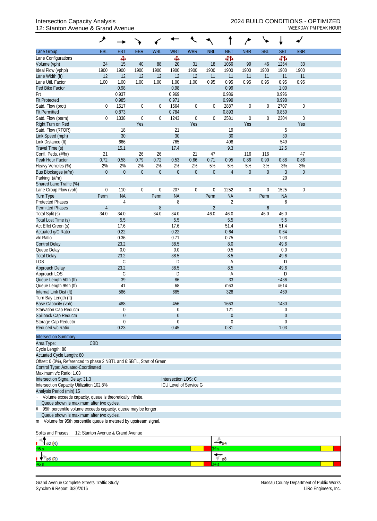### 12: Stanton Avenue & Grand Avenue WEEKDAY PM PEAK HOUR

| Lane Group                                                                        | EBL              | <b>EBT</b>     | <b>EBR</b>       | <b>WBL</b>               | <b>WBT</b>          | <b>WBR</b>             | <b>NBL</b>       | <b>NBT</b>                  | <b>NBR</b>       | <b>SBL</b>       | <b>SBT</b>        | <b>SBR</b>   |  |
|-----------------------------------------------------------------------------------|------------------|----------------|------------------|--------------------------|---------------------|------------------------|------------------|-----------------------------|------------------|------------------|-------------------|--------------|--|
| Lane Configurations                                                               |                  | ф,             |                  |                          | Ф                   |                        |                  | 41                          |                  |                  | 41                |              |  |
| Volume (vph)                                                                      | 24               | 15             | 40               | 88                       | $20\,$              | 31                     | 18               | 1056                        | 99               | 46               | 1264              | 33           |  |
| Ideal Flow (vphpl)                                                                | 1900             | 1900           | 1900             | 1900                     | 1900                | 1900                   | 1900             | 1900                        | 1900             | 1900             | 1900              | 1900         |  |
| Lane Width (ft)                                                                   | 12               | 12             | 12               | 12                       | 12                  | 12                     | 11               | 11                          | 11               | 11               | 11                | 11           |  |
| Lane Util. Factor                                                                 | 1.00             | 1.00           | 1.00             | 1.00                     | 1.00                | 1.00                   | 0.95             | 0.95                        | 0.95             | 0.95             | 0.95              | 0.95         |  |
| Ped Bike Factor                                                                   |                  | 0.98           |                  |                          | 0.98                |                        |                  | 0.99                        |                  |                  | 1.00              |              |  |
| Frt                                                                               |                  | 0.937          |                  |                          | 0.969               |                        |                  | 0.986                       |                  |                  | 0.996             |              |  |
| <b>Flt Protected</b>                                                              |                  | 0.985          |                  |                          | 0.971               |                        |                  | 0.999                       |                  |                  | 0.998             |              |  |
| Satd. Flow (prot)                                                                 | 0                | 1517           | $\boldsymbol{0}$ | $\boldsymbol{0}$         | 1564                | $\boldsymbol{0}$       | 0                | 2887                        | $\boldsymbol{0}$ | $\mathbf 0$      | 2707              | $\mathbf 0$  |  |
| <b>Flt Permitted</b>                                                              |                  | 0.873          |                  |                          | 0.784               |                        |                  | 0.893                       |                  |                  | 0.850             |              |  |
| Satd. Flow (perm)                                                                 | 0                | 1338           | $\boldsymbol{0}$ | $\boldsymbol{0}$         | 1243                | $\boldsymbol{0}$       | $\boldsymbol{0}$ | 2581                        | $\boldsymbol{0}$ | $\boldsymbol{0}$ | 2304              | $\mathbf 0$  |  |
| Right Turn on Red                                                                 |                  |                | Yes              |                          |                     | Yes                    |                  |                             | Yes              |                  |                   | Yes          |  |
| Satd. Flow (RTOR)                                                                 |                  | 18             |                  |                          | 21                  |                        |                  | 19                          |                  |                  | 5                 |              |  |
| Link Speed (mph)                                                                  |                  | 30             |                  |                          | 30                  |                        |                  | 30                          |                  |                  | 30                |              |  |
| Link Distance (ft)                                                                |                  | 666            |                  |                          | 765                 |                        |                  | 408                         |                  |                  | 549               |              |  |
| Travel Time (s)                                                                   |                  | 15.1           |                  |                          | 17.4                |                        |                  | 9.3                         |                  |                  | 12.5              |              |  |
| Confl. Peds. (#/hr)                                                               | 21               |                | 26               | 26                       |                     | 21                     | 47               |                             | 116              | 116              |                   | 47           |  |
| Peak Hour Factor                                                                  | 0.72             | 0.58           | 0.79             | 0.72                     | 0.53                | 0.66                   | 0.71             | 0.95                        | 0.86             | 0.90             | 0.88              | 0.86         |  |
| Heavy Vehicles (%)                                                                | 2%               | 2%             | 2%               | 2%                       | 2%                  | 2%                     | 5%               | 5%                          | 5%               | 3%               | 3%                | 3%           |  |
| Bus Blockages (#/hr)                                                              | $\boldsymbol{0}$ | $\overline{0}$ | $\boldsymbol{0}$ | $\boldsymbol{0}$         | $\boldsymbol{0}$    | $\boldsymbol{0}$       | $\boldsymbol{0}$ | $\overline{4}$              | $\boldsymbol{0}$ | $\boldsymbol{0}$ | $\mathfrak{Z}$    | $\mathbf{0}$ |  |
| Parking (#/hr)                                                                    |                  |                |                  |                          |                     |                        |                  |                             |                  |                  | 20                |              |  |
| Shared Lane Traffic (%)                                                           |                  | 110            |                  |                          |                     |                        |                  |                             |                  |                  |                   |              |  |
| Lane Group Flow (vph)                                                             | $\boldsymbol{0}$ | <b>NA</b>      | $\boldsymbol{0}$ | $\boldsymbol{0}$<br>Perm | 207<br><b>NA</b>    | $\boldsymbol{0}$       | $\boldsymbol{0}$ | 1252                        | $\boldsymbol{0}$ | $\boldsymbol{0}$ | 1525<br><b>NA</b> | $\mathbf 0$  |  |
| <b>Turn Type</b><br><b>Protected Phases</b>                                       | Perm             | $\overline{4}$ |                  |                          | 8                   |                        | Perm             | <b>NA</b><br>$\overline{2}$ |                  | Perm             | 6                 |              |  |
| <b>Permitted Phases</b>                                                           | $\overline{4}$   |                |                  | 8                        |                     |                        | $\overline{2}$   |                             |                  | 6                |                   |              |  |
| Total Split (s)                                                                   | 34.0             | 34.0           |                  | 34.0                     | 34.0                |                        | 46.0             | 46.0                        |                  | 46.0             | 46.0              |              |  |
| Total Lost Time (s)                                                               |                  | 5.5            |                  |                          | 5.5                 |                        |                  | 5.5                         |                  |                  | 5.5               |              |  |
| Act Effct Green (s)                                                               |                  | 17.6           |                  |                          | 17.6                |                        |                  | 51.4                        |                  |                  | 51.4              |              |  |
| Actuated g/C Ratio                                                                |                  | 0.22           |                  |                          | 0.22                |                        |                  | 0.64                        |                  |                  | 0.64              |              |  |
| v/c Ratio                                                                         |                  | 0.36           |                  |                          | 0.71                |                        |                  | 0.75                        |                  |                  | 1.03              |              |  |
| <b>Control Delay</b>                                                              |                  | 23.2           |                  |                          | 38.5                |                        |                  | 8.0                         |                  |                  | 49.6              |              |  |
| Queue Delay                                                                       |                  | 0.0            |                  |                          | 0.0                 |                        |                  | 0.5                         |                  |                  | 0.0               |              |  |
| <b>Total Delay</b>                                                                |                  | 23.2           |                  |                          | 38.5                |                        |                  | 8.5                         |                  |                  | 49.6              |              |  |
| LOS                                                                               |                  | $\mathsf C$    |                  |                          | D                   |                        |                  | Α                           |                  |                  | D                 |              |  |
| Approach Delay                                                                    |                  | 23.2           |                  |                          | 38.5                |                        |                  | 8.5                         |                  |                  | 49.6              |              |  |
| Approach LOS                                                                      |                  | C              |                  |                          | D                   |                        |                  | Α                           |                  |                  | D                 |              |  |
| Queue Length 50th (ft)                                                            |                  | 39             |                  |                          | 86                  |                        |                  | 33                          |                  |                  | $-436$            |              |  |
| Queue Length 95th (ft)                                                            |                  | 41             |                  |                          | 68                  |                        |                  | m63                         |                  |                  | #614              |              |  |
| Internal Link Dist (ft)                                                           |                  | 586            |                  |                          | 685                 |                        |                  | 328                         |                  |                  | 469               |              |  |
| Turn Bay Length (ft)                                                              |                  |                |                  |                          |                     |                        |                  |                             |                  |                  |                   |              |  |
| Base Capacity (vph)                                                               |                  | 488            |                  |                          | 456                 |                        |                  | 1663                        |                  |                  | 1480              |              |  |
| Starvation Cap Reductn                                                            |                  | $\mathbf 0$    |                  |                          | 0                   |                        |                  | 121                         |                  |                  | 0                 |              |  |
| Spillback Cap Reductn                                                             |                  | $\theta$       |                  |                          | $\boldsymbol{0}$    |                        |                  | 0                           |                  |                  | $\boldsymbol{0}$  |              |  |
| Storage Cap Reductn                                                               |                  | 0              |                  |                          | 0                   |                        |                  | 0                           |                  |                  | 0                 |              |  |
| Reduced v/c Ratio                                                                 |                  | 0.23           |                  |                          | 0.45                |                        |                  | 0.81                        |                  |                  | 1.03              |              |  |
| <b>Intersection Summary</b>                                                       |                  |                |                  |                          |                     |                        |                  |                             |                  |                  |                   |              |  |
| Area Type:                                                                        | CBD              |                |                  |                          |                     |                        |                  |                             |                  |                  |                   |              |  |
| Cycle Length: 80                                                                  |                  |                |                  |                          |                     |                        |                  |                             |                  |                  |                   |              |  |
| Actuated Cycle Length: 80                                                         |                  |                |                  |                          |                     |                        |                  |                             |                  |                  |                   |              |  |
| Offset: 0 (0%), Referenced to phase 2:NBTL and 6:SBTL, Start of Green             |                  |                |                  |                          |                     |                        |                  |                             |                  |                  |                   |              |  |
| Control Type: Actuated-Coordinated                                                |                  |                |                  |                          |                     |                        |                  |                             |                  |                  |                   |              |  |
| Maximum v/c Ratio: 1.03                                                           |                  |                |                  |                          |                     |                        |                  |                             |                  |                  |                   |              |  |
| Intersection Signal Delay: 31.3                                                   |                  |                |                  |                          | Intersection LOS: C |                        |                  |                             |                  |                  |                   |              |  |
| Intersection Capacity Utilization 102.8%                                          |                  |                |                  |                          |                     | ICU Level of Service G |                  |                             |                  |                  |                   |              |  |
| Analysis Period (min) 15                                                          |                  |                |                  |                          |                     |                        |                  |                             |                  |                  |                   |              |  |
| Volume exceeds capacity, queue is theoretically infinite.<br>$\ddot{\phantom{0}}$ |                  |                |                  |                          |                     |                        |                  |                             |                  |                  |                   |              |  |
| Queue shown is maximum after two cycles.                                          |                  |                |                  |                          |                     |                        |                  |                             |                  |                  |                   |              |  |
| 95th percentile volume exceeds capacity, queue may be longer.<br>#                |                  |                |                  |                          |                     |                        |                  |                             |                  |                  |                   |              |  |
| Queue shown is maximum after two cycles.                                          |                  |                |                  |                          |                     |                        |                  |                             |                  |                  |                   |              |  |
| m Volume for 95th percentile queue is metered by upstream signal.                 |                  |                |                  |                          |                     |                        |                  |                             |                  |                  |                   |              |  |

Splits and Phases: 12: Stanton Avenue & Grand Avenue

| $\varphi$ 2 (R) |    |
|-----------------|----|
| 46s             | วฯ |
| $\sqrt{96}$ (R) | ø8 |
| 46s             |    |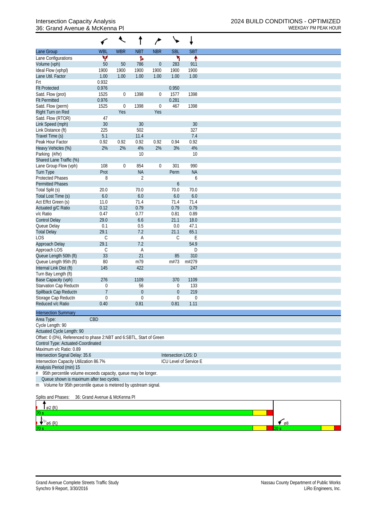## 36: Grand Avenue & McKenna PI

|                                                                      |                               | $\ddot{\phantom{0}}$ |                        |                  |                                 |                        |                      |
|----------------------------------------------------------------------|-------------------------------|----------------------|------------------------|------------------|---------------------------------|------------------------|----------------------|
| Lane Group                                                           | <b>WBL</b>                    | <b>WBR</b>           | <b>NBT</b>             | <b>NBR</b>       | <b>SBL</b>                      | <b>SBT</b>             |                      |
| Lane Configurations                                                  | ۷                             |                      | Ъ                      |                  | ۳                               | ↟                      |                      |
| Volume (vph)                                                         | $50\,$                        | 50                   | 786                    | $\theta$         | 283                             | 911                    |                      |
| Ideal Flow (vphpl)                                                   | 1900                          | 1900                 | 1900                   | 1900             | 1900                            | 1900                   |                      |
| Lane Util. Factor                                                    | 1.00                          | 1.00                 | 1.00                   | 1.00             | 1.00                            | 1.00                   |                      |
| Frt                                                                  | 0.932                         |                      |                        |                  |                                 |                        |                      |
| <b>Flt Protected</b>                                                 | 0.976                         |                      |                        |                  | 0.950                           |                        |                      |
| Satd. Flow (prot)                                                    | 1525                          | $\boldsymbol{0}$     | 1398                   | $\mathbf 0$      | 1577                            | 1398                   |                      |
| <b>Flt Permitted</b>                                                 | 0.976                         |                      |                        |                  | 0.281                           |                        |                      |
| Satd. Flow (perm)                                                    | 1525                          | $\boldsymbol{0}$     | 1398                   | $\boldsymbol{0}$ | 467                             | 1398                   |                      |
| Right Turn on Red                                                    |                               | Yes                  |                        | Yes              |                                 |                        |                      |
| Satd. Flow (RTOR)                                                    | 47                            |                      |                        |                  |                                 |                        |                      |
| Link Speed (mph)                                                     | 30                            |                      | 30                     |                  |                                 | 30                     |                      |
| Link Distance (ft)                                                   | 225                           |                      | 502                    |                  |                                 | 327<br>7.4             |                      |
| Travel Time (s)<br>Peak Hour Factor                                  | 5.1<br>0.92                   | 0.92                 | 11.4<br>0.92           | 0.92             | 0.94                            | 0.92                   |                      |
| Heavy Vehicles (%)                                                   | 2%                            | 2%                   | 4%                     | 2%               | 3%                              | 4%                     |                      |
| Parking (#/hr)                                                       |                               |                      | 10                     |                  |                                 | 10                     |                      |
| Shared Lane Traffic (%)                                              |                               |                      |                        |                  |                                 |                        |                      |
| Lane Group Flow (vph)                                                | 108                           | $\mathbf 0$          | 854                    | $\boldsymbol{0}$ | 301                             | 990                    |                      |
| <b>Turn Type</b>                                                     | Prot                          |                      | <b>NA</b>              |                  | Perm                            | <b>NA</b>              |                      |
| <b>Protected Phases</b>                                              | 8                             |                      | $\overline{2}$         |                  |                                 | 6                      |                      |
| <b>Permitted Phases</b>                                              |                               |                      |                        |                  | $\boldsymbol{6}$                |                        |                      |
| Total Split (s)                                                      | 20.0                          |                      | 70.0                   |                  | 70.0                            | 70.0                   |                      |
| Total Lost Time (s)                                                  | 6.0                           |                      | 6.0                    |                  | $6.0\,$                         | 6.0                    |                      |
| Act Effct Green (s)                                                  | 11.0                          |                      | 71.4                   |                  | 71.4                            | 71.4                   |                      |
| Actuated g/C Ratio                                                   | 0.12                          |                      | 0.79                   |                  | 0.79                            | 0.79                   |                      |
| v/c Ratio                                                            | 0.47                          |                      | 0.77                   |                  | 0.81                            | 0.89                   |                      |
| <b>Control Delay</b>                                                 | 29.0                          |                      | 6.6                    |                  | 21.1                            | 18.0                   |                      |
| Queue Delay                                                          | 0.1                           |                      | 0.5                    |                  | 0.0                             | 47.1                   |                      |
| <b>Total Delay</b>                                                   | 29.1                          |                      | 7.2                    |                  | 21.1                            | 65.1                   |                      |
| LOS                                                                  | $\mathsf{C}$                  |                      | A                      |                  | $\mathsf C$                     | E                      |                      |
| Approach Delay                                                       | 29.1                          |                      | 7.2                    |                  |                                 | 54.9                   |                      |
| Approach LOS                                                         | $\mathsf C$                   |                      | A                      |                  |                                 | D                      |                      |
| Queue Length 50th (ft)                                               | 33                            |                      | 21                     |                  | 85                              | 310                    |                      |
| Queue Length 95th (ft)                                               | 80                            |                      | m79                    |                  | m#73                            | m#279                  |                      |
| Internal Link Dist (ft)                                              | 145                           |                      | 422                    |                  |                                 | 247                    |                      |
| Turn Bay Length (ft)                                                 |                               |                      |                        |                  |                                 |                        |                      |
| Base Capacity (vph)                                                  | 276                           |                      | 1109                   |                  | 370                             | 1109                   |                      |
| Starvation Cap Reductn                                               | 0<br>$\overline{7}$           |                      | 56<br>$\boldsymbol{0}$ |                  | 0                               | 133<br>219             |                      |
| Spillback Cap Reductn<br>Storage Cap Reductn                         | 0                             |                      | 0                      |                  | $\boldsymbol{0}$<br>$\mathbf 0$ | $\boldsymbol{0}$       |                      |
| Reduced v/c Ratio                                                    | 0.40                          |                      | 0.81                   |                  | 0.81                            | 1.11                   |                      |
|                                                                      |                               |                      |                        |                  |                                 |                        |                      |
| <b>Intersection Summary</b>                                          |                               |                      |                        |                  |                                 |                        |                      |
| Area Type:                                                           | CBD                           |                      |                        |                  |                                 |                        |                      |
| Cycle Length: 90                                                     |                               |                      |                        |                  |                                 |                        |                      |
| Actuated Cycle Length: 90                                            |                               |                      |                        |                  |                                 |                        |                      |
| Offset: 0 (0%), Referenced to phase 2:NBT and 6:SBTL, Start of Green |                               |                      |                        |                  |                                 |                        |                      |
| Control Type: Actuated-Coordinated<br>Maximum v/c Ratio: 0.89        |                               |                      |                        |                  |                                 |                        |                      |
| Intersection Signal Delay: 35.6                                      |                               |                      |                        |                  | Intersection LOS: D             |                        |                      |
| Intersection Capacity Utilization 86.7%                              |                               |                      |                        |                  |                                 | ICU Level of Service E |                      |
| Analysis Period (min) 15                                             |                               |                      |                        |                  |                                 |                        |                      |
| # 95th percentile volume exceeds capacity, queue may be longer.      |                               |                      |                        |                  |                                 |                        |                      |
| Queue shown is maximum after two cycles.                             |                               |                      |                        |                  |                                 |                        |                      |
| m Volume for 95th percentile queue is metered by upstream signal.    |                               |                      |                        |                  |                                 |                        |                      |
| Splits and Phases:                                                   | 36: Grand Avenue & McKenna Pl |                      |                        |                  |                                 |                        |                      |
| ø2 (R)                                                               |                               |                      |                        |                  |                                 |                        |                      |
| ø6 (R)                                                               |                               |                      |                        |                  |                                 |                        | $\epsilon$ $\beta$ 8 |
|                                                                      |                               |                      |                        |                  |                                 |                        |                      |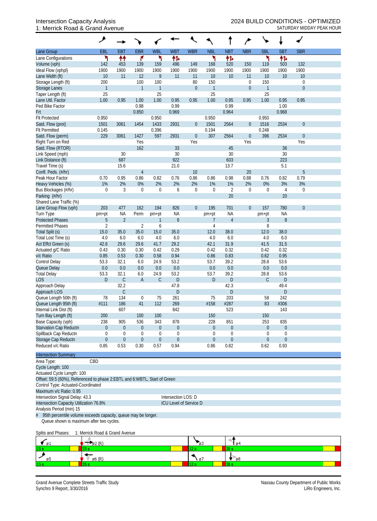## 1: Merrick Road & Grand Avenue SATURDAY MIDDAY PEAK HOUR

|                             | ۸                |                             |                  |                  |                  |                  |                         |                      |                  |                  |                      |                  |  |
|-----------------------------|------------------|-----------------------------|------------------|------------------|------------------|------------------|-------------------------|----------------------|------------------|------------------|----------------------|------------------|--|
| Lane Group                  | <b>EBL</b>       | <b>EBT</b>                  | <b>EBR</b>       | <b>WBL</b>       | <b>WBT</b>       | <b>WBR</b>       | <b>NBL</b>              | <b>NBT</b>           | <b>NBR</b>       | <b>SBL</b>       | <b>SBT</b>           | <b>SBR</b>       |  |
| Lane Configurations         | ۲                | ↟↟                          | ۴                | ۲                | 怍                |                  | ١                       | 伟                    |                  | ۲                | 怍                    |                  |  |
| Volume (vph)                | 142              | 453                         | 139              | 159              | 496              | 149              | 168                     | 520                  | 150              | 119              | 503                  | 132              |  |
| Ideal Flow (vphpl)          | 1900             | 1900                        | 1900             | 1900             | 1900             | 1900             | 1900                    | 1900                 | 1900             | 1900             | 1900                 | 1900             |  |
| Lane Width (ft)             | 10               | 11                          | 12               | $\mathbf{Q}$     | 11               | 11               | 10                      | 10                   | 11               | 10               | 10                   | 10               |  |
| Storage Length (ft)         | 200              |                             | 100              | 100              |                  | 80               | 150                     |                      | $\mathbf 0$      | 150              |                      | $\boldsymbol{0}$ |  |
| Storage Lanes               | $\mathbf{1}$     |                             | $\mathbf{1}$     | $\mathbf{1}$     |                  | $\boldsymbol{0}$ | $\overline{1}$          |                      | $\boldsymbol{0}$ | $\mathbf{1}$     |                      | $\boldsymbol{0}$ |  |
| Taper Length (ft)           | 25               |                             |                  | 25               |                  |                  | 25                      |                      |                  | 25               |                      |                  |  |
| Lane Util. Factor           | 1.00             | 0.95                        | 1.00             | 1.00             | 0.95             | 0.95             | 1.00                    | 0.95                 | 0.95             | 1.00             | 0.95                 | 0.95             |  |
| Ped Bike Factor             |                  |                             | 0.98             |                  | 0.99             |                  |                         | 0.99                 |                  |                  | 1.00                 |                  |  |
| Frt                         |                  |                             | 0.850            |                  | 0.969            |                  |                         | 0.964                |                  |                  | 0.968                |                  |  |
| <b>Flt Protected</b>        | 0.950            |                             |                  | 0.950            |                  |                  | 0.950                   |                      |                  | 0.950            |                      |                  |  |
| Satd. Flow (prot)           | 1501             | 3061                        | 1454             | 1433             | 2931             | $\boldsymbol{0}$ | 1501                    | 2564                 | $\theta$         | 1516             | 2534                 | $\boldsymbol{0}$ |  |
| <b>Flt Permitted</b>        | 0.145            |                             |                  | 0.396            |                  |                  | 0.194                   |                      |                  | 0.248            |                      |                  |  |
| Satd. Flow (perm)           | 229              | 3061                        | 1427             | 597              | 2931             | $\boldsymbol{0}$ | 307                     | 2564                 | $\mathbf{0}$     | 396              | 2534                 | $\boldsymbol{0}$ |  |
| Right Turn on Red           |                  |                             | Yes              |                  |                  | Yes              |                         |                      | Yes              |                  |                      | Yes              |  |
| Satd. Flow (RTOR)           |                  |                             | 162              |                  | 33               |                  |                         | 45                   |                  |                  | 36                   |                  |  |
| Link Speed (mph)            |                  | 30                          |                  |                  | 30               |                  |                         | 30                   |                  |                  | 30                   |                  |  |
| Link Distance (ft)          |                  | 687                         |                  |                  | 922              |                  |                         | 603                  |                  |                  | 223                  |                  |  |
| Travel Time (s)             |                  | 15.6                        |                  |                  | 21.0             |                  |                         | 13.7                 |                  |                  | 5.1                  |                  |  |
| Confl. Peds. (#/hr)         |                  |                             | $\overline{4}$   |                  |                  | 10               |                         |                      | 20               |                  |                      | 5                |  |
| Peak Hour Factor            | 0.70             | 0.95                        | 0.86             | 0.82             | 0.76             | 0.86             | 0.86                    | 0.98                 | 0.88             | 0.76             | 0.82                 | 0.79             |  |
|                             |                  | 2%                          |                  | 2%               |                  | 2%               | 1%                      | 1%                   | 2%               |                  | 3%                   | 3%               |  |
| Heavy Vehicles (%)          | 1%               |                             | 0%               |                  | 2%               |                  |                         |                      |                  | $0\%$            |                      |                  |  |
| Bus Blockages (#/hr)        | 0                | 3                           | $\boldsymbol{0}$ | $\mathbf 0$      | 6                | 0                | $\boldsymbol{0}$        | $\overline{2}$<br>20 | $\mathbf 0$      | $\boldsymbol{0}$ | $\overline{4}$<br>20 | $\boldsymbol{0}$ |  |
| Parking (#/hr)              |                  |                             |                  |                  |                  |                  |                         |                      |                  |                  |                      |                  |  |
| Shared Lane Traffic (%)     | 203              | 477                         | 162              | 194              |                  |                  | 195                     |                      |                  |                  | 780                  |                  |  |
| Lane Group Flow (vph)       |                  |                             |                  |                  | 826              | $\mathbf 0$      |                         | 701                  | $\theta$         | 157              |                      | $\boldsymbol{0}$ |  |
| Turn Type                   | pm+pt            | <b>NA</b><br>$\overline{2}$ | Perm             | pm+pt            | <b>NA</b>        |                  | pm+pt<br>$\overline{7}$ | <b>NA</b>            |                  | pm+pt            | <b>NA</b><br>8       |                  |  |
| <b>Protected Phases</b>     | $\sqrt{5}$       |                             |                  | 1                | $\boldsymbol{6}$ |                  |                         | $\overline{4}$       |                  | 3                |                      |                  |  |
| <b>Permitted Phases</b>     | $\sqrt{2}$       |                             | $\overline{2}$   | 6                |                  |                  | 4                       |                      |                  | 8                |                      |                  |  |
| Total Split (s)             | 15.0             | 35.0                        | 35.0             | 15.0             | 35.0             |                  | 12.0                    | 38.0                 |                  | 12.0             | 38.0                 |                  |  |
| Total Lost Time (s)         | 4.0              | 6.0                         | 6.0              | 4.0              | 6.0              |                  | 4.0                     | 6.0                  |                  | 4.0              | 6.0                  |                  |  |
| Act Effct Green (s)         | 42.6             | 29.6                        | 29.6             | 41.7             | 29.2             |                  | 42.1                    | 31.9                 |                  | 41.5             | 31.5                 |                  |  |
| Actuated g/C Ratio          | 0.43             | 0.30                        | 0.30             | 0.42             | 0.29             |                  | 0.42                    | 0.32                 |                  | 0.42             | 0.32                 |                  |  |
| v/c Ratio                   | 0.85             | 0.53                        | 0.30             | 0.58             | 0.94             |                  | 0.86                    | 0.83                 |                  | 0.62             | 0.95                 |                  |  |
| Control Delay               | 53.3             | 32.1                        | 6.0              | 24.9             | 53.2             |                  | 53.7                    | 39.2                 |                  | 28.8             | 53.6                 |                  |  |
| Queue Delay                 | $0.0\,$          | 0.0                         | 0.0              | $0.0\,$          | $0.0\,$          |                  | 0.0                     | 0.0                  |                  | 0.0              | 0.0                  |                  |  |
| <b>Total Delay</b>          | 53.3             | 32.1                        | $6.0\,$          | 24.9             | 53.2             |                  | 53.7                    | 39.2                 |                  | 28.8             | 53.6                 |                  |  |
| <b>LOS</b>                  | D                | $\mathsf C$                 | $\mathsf A$      | $\mathsf C$      | D                |                  | D                       | ${\sf D}$            |                  | $\mathsf{C}$     | ${\sf D}$            |                  |  |
| Approach Delay              |                  | 32.2                        |                  |                  | 47.8             |                  |                         | 42.3                 |                  |                  | 49.4                 |                  |  |
| Approach LOS                |                  | $\mathsf C$                 |                  |                  | ${\sf D}$        |                  |                         | D                    |                  |                  | ${\sf D}$            |                  |  |
| Queue Length 50th (ft)      | 78               | 134                         | $\boldsymbol{0}$ | 75               | 261              |                  | 75                      | 203                  |                  | 58               | 242                  |                  |  |
| Queue Length 95th (ft)      | #111             | 186                         | 41               | 112              | 269              |                  | #158                    | #287                 |                  | 83               | #306                 |                  |  |
| Internal Link Dist (ft)     |                  | 607                         |                  |                  | 842              |                  |                         | 523                  |                  |                  | 143                  |                  |  |
| Turn Bay Length (ft)        | 200              |                             | 100              | 100              |                  |                  | 150                     |                      |                  | 150              |                      |                  |  |
| Base Capacity (vph)         | 238              | 905                         | 536              | 343              | 878              |                  | 228                     | 851                  |                  | 253              | 835                  |                  |  |
| Starvation Cap Reductn      | $\boldsymbol{0}$ | $\overline{0}$              | $\boldsymbol{0}$ | $\boldsymbol{0}$ | $\boldsymbol{0}$ |                  | $\boldsymbol{0}$        | $\boldsymbol{0}$     |                  | $\boldsymbol{0}$ | $\boldsymbol{0}$     |                  |  |
| Spillback Cap Reductn       | $\boldsymbol{0}$ | $\boldsymbol{0}$            | $\boldsymbol{0}$ | $\boldsymbol{0}$ | $\boldsymbol{0}$ |                  | $\mathbf 0$             | $\boldsymbol{0}$     |                  | 0                | $\boldsymbol{0}$     |                  |  |
| Storage Cap Reductn         | $\boldsymbol{0}$ | $\boldsymbol{0}$            | $\boldsymbol{0}$ | $\boldsymbol{0}$ | $\boldsymbol{0}$ |                  | $\boldsymbol{0}$        | $\boldsymbol{0}$     |                  | $\boldsymbol{0}$ | $\boldsymbol{0}$     |                  |  |
| Reduced v/c Ratio           | 0.85             | 0.53                        | 0.30             | 0.57             | 0.94             |                  | 0.86                    | 0.82                 |                  | 0.62             | 0.93                 |                  |  |
| <b>Intersection Summary</b> |                  |                             |                  |                  |                  |                  |                         |                      |                  |                  |                      |                  |  |
| Area Type:                  | CBD              |                             |                  |                  |                  |                  |                         |                      |                  |                  |                      |                  |  |
| Cycle Length: 100           |                  |                             |                  |                  |                  |                  |                         |                      |                  |                  |                      |                  |  |

Actuated Cycle Length: 100

Offset: 59.5 (60%), Referenced to phase 2:EBTL and 6:WBTL, Start of Green

Control Type: Actuated-Coordinated

Maximum v/c Ratio: 0.95

Intersection Signal Delay: 43.3 Intersection LOS: D<br>Intersection Capacity Utilization 76.8% ICU Level of Service D Intersection Capacity Utilization 76.8%

Analysis Period (min) 15

# 95th percentile volume exceeds capacity, queue may be longer.

Queue shown is maximum after two cycles.

Splits and Phases: 1: Merrick Road & Grand Avenue

| V Øl            |                | Ø3                        | ø4        |  |
|-----------------|----------------|---------------------------|-----------|--|
| 15 <sub>s</sub> | ----           | - <del>11 - 12 - 12</del> |           |  |
| <b>DU</b>       | ac In<br>ø6 (R | - 07                      | <b>08</b> |  |
| 15 <sub>s</sub> |                | --                        |           |  |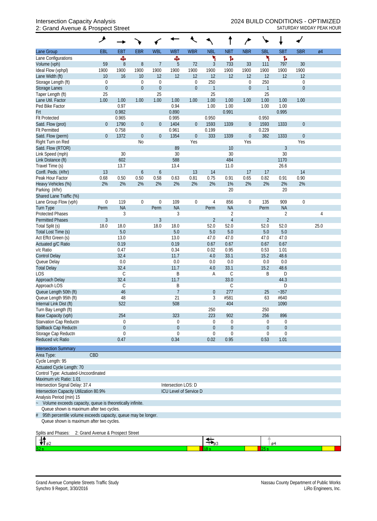## 2: Grand Avenue & Prospect Street Street School and SATURDAY MIDDAY PEAK HOUR

|                                                                                       | ۸                                 |                  |                  |                  |                     |                        |                         |                  | $\overline{r}$   |                  |                  |                  |      |
|---------------------------------------------------------------------------------------|-----------------------------------|------------------|------------------|------------------|---------------------|------------------------|-------------------------|------------------|------------------|------------------|------------------|------------------|------|
| Lane Group                                                                            | EBL                               | <b>EBT</b>       | <b>EBR</b>       | <b>WBL</b>       | <b>WBT</b>          | <b>WBR</b>             | <b>NBL</b>              | <b>NBT</b>       | <b>NBR</b>       | <b>SBL</b>       | <b>SBT</b>       | <b>SBR</b>       | Ø4   |
| Lane Configurations                                                                   |                                   | Ф                |                  |                  | Ф                   |                        | ۲                       | Ъ                |                  |                  | Ъ                |                  |      |
| Volume (vph)                                                                          | 59                                | $\boldsymbol{8}$ | $8\,$            | $\overline{7}$   | 5                   | 72                     | 3                       | 733              | 33               | 111              | 797              | 30               |      |
| Ideal Flow (vphpl)<br>Lane Width (ft)                                                 | 1900<br>10                        | 1900<br>16       | 1900<br>10       | 1900<br>12       | 1900<br>12          | 1900<br>12             | 1900<br>12              | 1900<br>12       | 1900<br>12       | 1900<br>12       | 1900<br>12       | 1900<br>12       |      |
| Storage Length (ft)                                                                   | $\boldsymbol{0}$                  |                  | $\boldsymbol{0}$ | $\boldsymbol{0}$ |                     | $\boldsymbol{0}$       | 250                     |                  | $\boldsymbol{0}$ | 250              |                  | $\boldsymbol{0}$ |      |
| <b>Storage Lanes</b>                                                                  | $\boldsymbol{0}$                  |                  | $\boldsymbol{0}$ | $\boldsymbol{0}$ |                     | $\boldsymbol{0}$       | $\mathbf{1}$            |                  | $\boldsymbol{0}$ | $\mathbf{1}$     |                  | $\overline{0}$   |      |
| Taper Length (ft)                                                                     | 25                                |                  |                  | 25               |                     |                        | 25                      |                  |                  | 25               |                  |                  |      |
| Lane Util. Factor                                                                     | 1.00                              | 1.00             | 1.00             | 1.00             | 1.00                | 1.00                   | 1.00                    | 1.00             | 1.00             | 1.00             | 1.00             | 1.00             |      |
| Ped Bike Factor                                                                       |                                   | 0.97             |                  |                  | 0.94                |                        | 1.00                    | 1.00             |                  | 1.00             | 1.00             |                  |      |
| Frt                                                                                   |                                   | 0.982            |                  |                  | 0.890               |                        |                         | 0.991            |                  |                  | 0.995            |                  |      |
| <b>Flt Protected</b>                                                                  |                                   | 0.965            |                  |                  | 0.995               |                        | 0.950                   |                  |                  | 0.950            |                  |                  |      |
| Satd. Flow (prot)                                                                     | $\boldsymbol{0}$                  | 1790             | $\boldsymbol{0}$ | $\theta$         | 1404                | $\boldsymbol{0}$       | 1593                    | 1339             | $\boldsymbol{0}$ | 1593             | 1333             | $\boldsymbol{0}$ |      |
| <b>Flt Permitted</b>                                                                  |                                   | 0.758            |                  |                  | 0.961               |                        | 0.199                   |                  |                  | 0.229            |                  |                  |      |
| Satd. Flow (perm)                                                                     | $\boldsymbol{0}$                  | 1372             | $\boldsymbol{0}$ | $\boldsymbol{0}$ | 1354                | $\boldsymbol{0}$       | 333                     | 1339             | $\boldsymbol{0}$ | 382              | 1333             | $\mathbf 0$      |      |
| Right Turn on Red                                                                     |                                   |                  | No               |                  |                     | Yes                    |                         |                  | Yes              |                  |                  | Yes              |      |
| Satd. Flow (RTOR)                                                                     |                                   |                  |                  |                  | 89                  |                        |                         | 10               |                  |                  | $\mathfrak{Z}$   |                  |      |
| Link Speed (mph)                                                                      |                                   | 30               |                  |                  | 30                  |                        |                         | 30               |                  |                  | 30               |                  |      |
| Link Distance (ft)                                                                    |                                   | 602<br>13.7      |                  |                  | 588                 |                        |                         | 484              |                  |                  | 1170             |                  |      |
| Travel Time (s)<br>Confl. Peds. (#/hr)                                                | 13                                |                  | 6                | 6                | 13.4                | 13                     | 14                      | 11.0             | 17               | 17               | 26.6             | 14               |      |
| Peak Hour Factor                                                                      | 0.68                              | 0.50             | 0.50             | 0.58             | 0.63                | 0.81                   | 0.75                    | 0.91             | 0.65             | 0.82             | 0.91             | 0.90             |      |
| Heavy Vehicles (%)                                                                    | 2%                                | 2%               | 2%               | 2%               | 2%                  | 2%                     | 2%                      | 1%               | 2%               | 2%               | 2%               | 2%               |      |
| Parking (#/hr)                                                                        |                                   |                  |                  |                  |                     |                        |                         | 20               |                  |                  | 20               |                  |      |
| Shared Lane Traffic (%)                                                               |                                   |                  |                  |                  |                     |                        |                         |                  |                  |                  |                  |                  |      |
| Lane Group Flow (vph)                                                                 | $\boldsymbol{0}$                  | 119              | $\boldsymbol{0}$ | $\mathbf 0$      | 109                 | $\boldsymbol{0}$       | 4                       | 856              | $\boldsymbol{0}$ | 135              | 909              | $\mathbf 0$      |      |
| Turn Type                                                                             | Perm                              | <b>NA</b>        |                  | Perm             | <b>NA</b>           |                        | Perm                    | <b>NA</b>        |                  | Perm             | <b>NA</b>        |                  |      |
| <b>Protected Phases</b>                                                               |                                   | 3                |                  |                  | 3                   |                        |                         | $\overline{2}$   |                  |                  | $\overline{2}$   |                  | 4    |
| <b>Permitted Phases</b>                                                               | $\sqrt{3}$                        |                  |                  | $\overline{3}$   |                     |                        | $\overline{2}$          | $\overline{4}$   |                  | $\overline{2}$   |                  |                  |      |
| Total Split (s)                                                                       | 18.0                              | 18.0             |                  | 18.0             | 18.0                |                        | 52.0                    | 52.0             |                  | 52.0             | 52.0             |                  | 25.0 |
| Total Lost Time (s)                                                                   |                                   | 5.0              |                  |                  | 5.0                 |                        | 5.0                     | 5.0              |                  | 5.0              | 5.0              |                  |      |
| Act Effct Green (s)                                                                   |                                   | 13.0             |                  |                  | 13.0                |                        | 47.0                    | 47.0             |                  | 47.0             | 47.0             |                  |      |
| Actuated g/C Ratio                                                                    |                                   | 0.19             |                  |                  | 0.19                |                        | 0.67                    | 0.67             |                  | 0.67             | 0.67             |                  |      |
| v/c Ratio                                                                             |                                   | 0.47             |                  |                  | 0.34                |                        | 0.02                    | 0.95             |                  | 0.53             | 1.01             |                  |      |
| <b>Control Delay</b>                                                                  |                                   | 32.4<br>0.0      |                  |                  | 11.7<br>0.0         |                        | 4.0                     | 33.1             |                  | 15.2             | 48.6             |                  |      |
| Queue Delay<br><b>Total Delay</b>                                                     |                                   | 32.4             |                  |                  | 11.7                |                        | 0.0<br>4.0              | 0.0<br>33.1      |                  | 0.0<br>15.2      | 0.0<br>48.6      |                  |      |
| LOS                                                                                   |                                   | $\mathcal{C}$    |                  |                  | Β                   |                        | Α                       | C                |                  | B                | D                |                  |      |
| Approach Delay                                                                        |                                   | 32.4             |                  |                  | 11.7                |                        |                         | 33.0             |                  |                  | 44.3             |                  |      |
| Approach LOS                                                                          |                                   | $\mathsf C$      |                  |                  | Β                   |                        |                         | С                |                  |                  | D                |                  |      |
| Queue Length 50th (ft)                                                                |                                   | 46               |                  |                  | $\overline{7}$      |                        | $\overline{0}$          | 277              |                  | 25               | $-357$           |                  |      |
| Queue Length 95th (ft)                                                                |                                   | 48               |                  |                  | 21                  |                        | 3                       | #581             |                  | 63               | #640             |                  |      |
| Internal Link Dist (ft)                                                               |                                   | 522              |                  |                  | 508                 |                        |                         | 404              |                  |                  | 1090             |                  |      |
| Turn Bay Length (ft)                                                                  |                                   |                  |                  |                  |                     |                        | 250                     |                  |                  | 250              |                  |                  |      |
| Base Capacity (vph)                                                                   |                                   | 254              |                  |                  | 323                 |                        | 223                     | 902              |                  | 256              | 896              |                  |      |
| Starvation Cap Reductn                                                                |                                   | 0                |                  |                  | 0                   |                        | 0                       | $\boldsymbol{0}$ |                  | $\boldsymbol{0}$ | $\boldsymbol{0}$ |                  |      |
| Spillback Cap Reductn                                                                 |                                   | $\theta$         |                  |                  | $\theta$            |                        | $\overline{0}$          | $\boldsymbol{0}$ |                  | $\overline{0}$   | $\theta$         |                  |      |
| Storage Cap Reductn                                                                   |                                   | $\mathbf 0$      |                  |                  | $\theta$            |                        | $\mathbf 0$             | 0                |                  | $\mathbf 0$      | $\boldsymbol{0}$ |                  |      |
| Reduced v/c Ratio                                                                     |                                   | 0.47             |                  |                  | 0.34                |                        | 0.02                    | 0.95             |                  | 0.53             | 1.01             |                  |      |
| <b>Intersection Summary</b>                                                           |                                   |                  |                  |                  |                     |                        |                         |                  |                  |                  |                  |                  |      |
| Area Type:                                                                            | CBD                               |                  |                  |                  |                     |                        |                         |                  |                  |                  |                  |                  |      |
| Cycle Length: 95                                                                      |                                   |                  |                  |                  |                     |                        |                         |                  |                  |                  |                  |                  |      |
| Actuated Cycle Length: 70                                                             |                                   |                  |                  |                  |                     |                        |                         |                  |                  |                  |                  |                  |      |
| Control Type: Actuated-Uncoordinated                                                  |                                   |                  |                  |                  |                     |                        |                         |                  |                  |                  |                  |                  |      |
| Maximum v/c Ratio: 1.01                                                               |                                   |                  |                  |                  |                     |                        |                         |                  |                  |                  |                  |                  |      |
| Intersection Signal Delay: 37.4                                                       |                                   |                  |                  |                  | Intersection LOS: D |                        |                         |                  |                  |                  |                  |                  |      |
| Intersection Capacity Utilization 80.9%                                               |                                   |                  |                  |                  |                     | ICU Level of Service D |                         |                  |                  |                  |                  |                  |      |
| Analysis Period (min) 15<br>Volume exceeds capacity, queue is theoretically infinite. |                                   |                  |                  |                  |                     |                        |                         |                  |                  |                  |                  |                  |      |
| Queue shown is maximum after two cycles.                                              |                                   |                  |                  |                  |                     |                        |                         |                  |                  |                  |                  |                  |      |
| 95th percentile volume exceeds capacity, queue may be longer.<br>#                    |                                   |                  |                  |                  |                     |                        |                         |                  |                  |                  |                  |                  |      |
| Queue shown is maximum after two cycles.                                              |                                   |                  |                  |                  |                     |                        |                         |                  |                  |                  |                  |                  |      |
|                                                                                       |                                   |                  |                  |                  |                     |                        |                         |                  |                  |                  |                  |                  |      |
| Splits and Phases:                                                                    | 2: Grand Avenue & Prospect Street |                  |                  |                  |                     |                        |                         |                  |                  |                  |                  |                  |      |
| rt <sub>02</sub>                                                                      |                                   |                  |                  |                  |                     |                        | $\frac{1}{\sqrt{2}}$ 93 |                  |                  |                  | ø4               |                  |      |
|                                                                                       |                                   |                  |                  |                  |                     |                        |                         |                  |                  | 25 s             |                  |                  |      |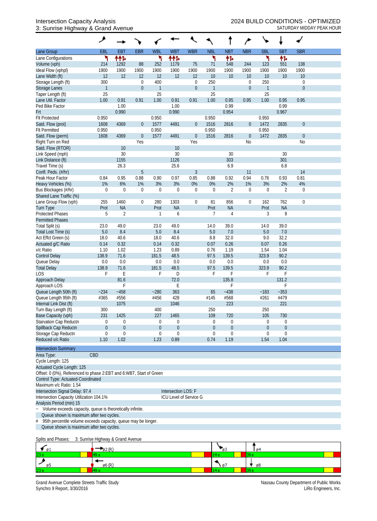### 3: Sunrise Highway & Grand Avenue SATURDAY MIDDAY PEAK HOUR

|                                                                     | ۶             |                  |                  |                  |                        |                  |                  |                  |                  |              |                |                |  |
|---------------------------------------------------------------------|---------------|------------------|------------------|------------------|------------------------|------------------|------------------|------------------|------------------|--------------|----------------|----------------|--|
| Lane Group                                                          | EBL           | <b>EBT</b>       | <b>EBR</b>       | <b>WBL</b>       | <b>WBT</b>             | <b>WBR</b>       | <b>NBL</b>       | <b>NBT</b>       | <b>NBR</b>       | <b>SBL</b>   | <b>SBT</b>     | <b>SBR</b>     |  |
| Lane Configurations                                                 | ۲             | ተተኈ              |                  | ۲                | ተተኈ                    |                  | ۲                | 怍                |                  | ۲            | 作              |                |  |
| Volume (vph)                                                        | 214           | 1292             | 88               | 252              | 1179                   | 75               | 71               | 548              | 244              | 123          | 551            | 138            |  |
| Ideal Flow (vphpl)                                                  | 1900          | 1900             | 1900             | 1900             | 1900                   | 1900             | 1900             | 1900             | 1900             | 1900         | 1900           | 1900           |  |
| Lane Width (ft)                                                     | 12            | 12               | 12               | 12               | 12                     | 12               | 10               | 10               | 10               | 10           | 10             | 10             |  |
| Storage Length (ft)                                                 | 300           |                  | 0                | 400              |                        | $\mathbf 0$      | 250              |                  | $\boldsymbol{0}$ | 250          |                | $\mathbf 0$    |  |
| <b>Storage Lanes</b>                                                | $\mathbf{1}$  |                  | $\boldsymbol{0}$ | $\mathbf{1}$     |                        | $\boldsymbol{0}$ | $\mathbf{1}$     |                  | $\boldsymbol{0}$ | $\mathbf{1}$ |                | $\mathbf{0}$   |  |
| Taper Length (ft)                                                   | 25            |                  |                  | 25               |                        |                  | 25               |                  |                  | 25           |                |                |  |
| Lane Util. Factor                                                   | 1.00          | 0.91             | 0.91             | 1.00             | 0.91                   | 0.91             | 1.00             | 0.95             | 0.95             | 1.00         | 0.95           | 0.95           |  |
| Ped Bike Factor                                                     |               | 1.00             |                  |                  | 1.00                   |                  |                  | 0.99             |                  |              | 0.99           |                |  |
| Frt                                                                 |               | 0.990            |                  |                  | 0.990                  |                  |                  | 0.954            |                  |              | 0.967          |                |  |
| <b>Flt Protected</b>                                                | 0.950         |                  |                  | 0.950            |                        |                  | 0.950            |                  |                  | 0.950        |                |                |  |
| Satd. Flow (prot)                                                   | 1608          | 4369             | $\boldsymbol{0}$ | 1577             | 4491                   | $\overline{0}$   | 1516             | 2816             | $\boldsymbol{0}$ | 1472         | 2835           | $\theta$       |  |
| <b>Flt Permitted</b>                                                | 0.950         |                  |                  | 0.950            |                        |                  | 0.950            |                  |                  | 0.950        |                |                |  |
| Satd. Flow (perm)                                                   | 1608          | 4369             | $\boldsymbol{0}$ | 1577             | 4491                   | $\boldsymbol{0}$ | 1516             | 2816             | $\boldsymbol{0}$ | 1472         | 2835           | $\theta$       |  |
| Right Turn on Red                                                   |               |                  | Yes              |                  |                        | Yes              |                  |                  | No               |              |                | N <sub>o</sub> |  |
| Satd. Flow (RTOR)                                                   |               | 10               |                  |                  | 10                     |                  |                  |                  |                  |              |                |                |  |
| Link Speed (mph)                                                    |               | 30               |                  |                  | 30                     |                  |                  | 30               |                  |              | 30             |                |  |
| Link Distance (ft)                                                  |               | 1155             |                  |                  | 1126                   |                  |                  | 303              |                  |              | 301            |                |  |
| Travel Time (s)                                                     |               | 26.3             |                  |                  | 25.6                   |                  |                  | 6.9              |                  |              | 6.8            |                |  |
| Confl. Peds. (#/hr)                                                 |               |                  | 5                |                  |                        | $\mathfrak{Z}$   |                  |                  | 11               |              |                | 14             |  |
| Peak Hour Factor                                                    | 0.84          | 0.95             | 0.88             | 0.90             | 0.97                   | 0.85             | 0.88             | 0.92             | 0.94             | 0.76         | 0.93           | 0.81           |  |
| Heavy Vehicles (%)                                                  | 1%            | 6%               | 1%               | 3%               | 3%                     | 0%               | 0%               | 2%               | 1%               | 3%           | 2%             | 4%             |  |
| Bus Blockages (#/hr)                                                | $\mathbf 0$   | $\mathbf 0$      | $\mathbf 0$      | $\mathbf 0$      | $\boldsymbol{0}$       | $\boldsymbol{0}$ | $\mathbf 0$      | 2                | $\boldsymbol{0}$ | $\mathbf 0$  | $\overline{2}$ | $\mathbf 0$    |  |
| Shared Lane Traffic (%)                                             |               |                  |                  |                  |                        |                  |                  |                  |                  |              |                |                |  |
| Lane Group Flow (vph)                                               | 255           | 1460             | 0                | 280              | 1303                   | $\boldsymbol{0}$ | 81               | 856              | $\boldsymbol{0}$ | 162          | 762            | $\mathbf 0$    |  |
| <b>Turn Type</b>                                                    | Prot          | <b>NA</b>        |                  | Prot<br>1        | <b>NA</b>              |                  | Prot             | <b>NA</b>        |                  | Prot         | <b>NA</b>      |                |  |
| <b>Protected Phases</b>                                             | 5             | $\overline{2}$   |                  |                  | 6                      |                  | 7                | 4                |                  | 3            | 8              |                |  |
| <b>Permitted Phases</b>                                             |               | 49.0             |                  |                  | 49.0                   |                  |                  | 39.0             |                  |              | 39.0           |                |  |
| Total Split (s)                                                     | 23.0<br>$5.0$ | 8.4              |                  | 23.0<br>5.0      | 8.4                    |                  | 14.0<br>$5.0$    | 7.0              |                  | 14.0<br>5.0  | 7.0            |                |  |
| Total Lost Time (s)<br>Act Effct Green (s)                          | 18.0          | 40.6             |                  | 18.0             | 40.6                   |                  | 8.8              | 32.0             |                  | 9.0          | 32.2           |                |  |
| Actuated g/C Ratio                                                  | 0.14          | 0.32             |                  | 0.14             | 0.32                   |                  | 0.07             | 0.26             |                  | 0.07         | 0.26           |                |  |
| v/c Ratio                                                           | 1.10          | 1.02             |                  | 1.23             | 0.89                   |                  | 0.76             | 1.19             |                  | 1.54         | 1.04           |                |  |
| <b>Control Delay</b>                                                | 138.9         | 71.6             |                  | 181.5            | 48.5                   |                  | 97.5             | 139.5            |                  | 323.9        | 90.2           |                |  |
| Queue Delay                                                         | 0.0           | 0.0              |                  | 0.0              | 0.0                    |                  | 0.0              | 0.0              |                  | 0.0          | 0.0            |                |  |
| <b>Total Delay</b>                                                  | 138.9         | 71.6             |                  | 181.5            | 48.5                   |                  | 97.5             | 139.5            |                  | 323.9        | 90.2           |                |  |
| <b>LOS</b>                                                          | F             | E                |                  | F                | D                      |                  | F                | F                |                  | F            | F              |                |  |
| Approach Delay                                                      |               | 81.6             |                  |                  | 72.0                   |                  |                  | 135.8            |                  |              | 131.2          |                |  |
| Approach LOS                                                        |               | F                |                  |                  | E                      |                  |                  | F                |                  |              | F              |                |  |
| Queue Length 50th (ft)                                              | $-234$        | $-458$           |                  | $-280$           | 363                    |                  | 65               | $-438$           |                  | ~183         | $-353$         |                |  |
| Queue Length 95th (ft)                                              | #365          | #556             |                  | #456             | 428                    |                  | #145             | #568             |                  | #261         | #479           |                |  |
| Internal Link Dist (ft)                                             |               | 1075             |                  |                  | 1046                   |                  |                  | 223              |                  |              | 221            |                |  |
| Turn Bay Length (ft)                                                | 300           |                  |                  | 400              |                        |                  | 250              |                  |                  | 250          |                |                |  |
| Base Capacity (vph)                                                 | 231           | 1425             |                  | 227              | 1465                   |                  | 109              | 720              |                  | 105          | 730            |                |  |
| Starvation Cap Reductn                                              | 0             | $\boldsymbol{0}$ |                  | $\boldsymbol{0}$ | 0                      |                  | 0                | 0                |                  | $\mathbf 0$  | 0              |                |  |
| Spillback Cap Reductn                                               | 0             | $\theta$         |                  | $\theta$         | $\boldsymbol{0}$       |                  | $\boldsymbol{0}$ | $\boldsymbol{0}$ |                  | $\theta$     | $\mathbf 0$    |                |  |
| Storage Cap Reductn                                                 | 0             | $\mathbf 0$      |                  | $\boldsymbol{0}$ | $\Omega$               |                  | $\mathbf 0$      | 0                |                  | $\Omega$     | $\mathbf 0$    |                |  |
| Reduced v/c Ratio                                                   | 1.10          | 1.02             |                  | 1.23             | 0.89                   |                  | 0.74             | 1.19             |                  | 1.54         | 1.04           |                |  |
| <b>Intersection Summary</b>                                         |               |                  |                  |                  |                        |                  |                  |                  |                  |              |                |                |  |
| Area Type:                                                          | CBD           |                  |                  |                  |                        |                  |                  |                  |                  |              |                |                |  |
| Cycle Length: 125                                                   |               |                  |                  |                  |                        |                  |                  |                  |                  |              |                |                |  |
| Actuated Cycle Length: 125                                          |               |                  |                  |                  |                        |                  |                  |                  |                  |              |                |                |  |
| Offset: 0 (0%), Referenced to phase 2:EBT and 6:WBT, Start of Green |               |                  |                  |                  |                        |                  |                  |                  |                  |              |                |                |  |
| Control Type: Actuated-Coordinated                                  |               |                  |                  |                  |                        |                  |                  |                  |                  |              |                |                |  |
| Maximum v/c Ratio: 1.54                                             |               |                  |                  |                  |                        |                  |                  |                  |                  |              |                |                |  |
| Intersection Signal Delay: 97.4                                     |               |                  |                  |                  | Intersection LOS: F    |                  |                  |                  |                  |              |                |                |  |
| Intersection Capacity Utilization 104.1%                            |               |                  |                  |                  | ICU Level of Service G |                  |                  |                  |                  |              |                |                |  |
| Analysis Period (min) 15                                            |               |                  |                  |                  |                        |                  |                  |                  |                  |              |                |                |  |
| Volume exceeds capacity, queue is theoretically infinite.           |               |                  |                  |                  |                        |                  |                  |                  |                  |              |                |                |  |
| Queue shown is maximum after two cycles.                            |               |                  |                  |                  |                        |                  |                  |                  |                  |              |                |                |  |
| 95th percentile volume exceeds capacity, queue may be longer.<br>#  |               |                  |                  |                  |                        |                  |                  |                  |                  |              |                |                |  |
| Queue shown is maximum after two cycles.                            |               |                  |                  |                  |                        |                  |                  |                  |                  |              |                |                |  |

#### Splits and Phases: 3: Sunrise Highway & Grand Avenue

| ב ש |   | ø. |
|-----|---|----|
| 23s |   |    |
|     | o | ø8 |
| 23s |   |    |

Grand Avenue Complete Streets Traffic Study<br>Synchro 9 Report, 3/30/2016<br>LiRo Engineers, Inc. Synchro 9 Report, 3/30/2016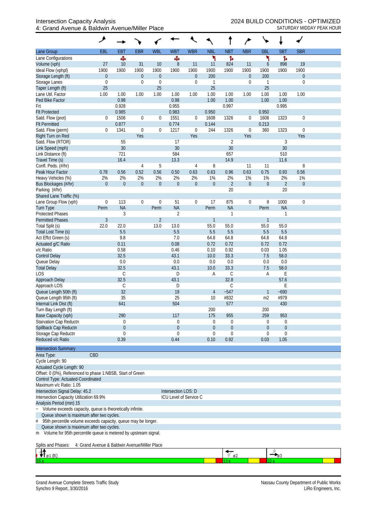|                                                                                                               | مر               |                |                  |                  |                        |                  |                 |                            | $\overline{ }$   |                |                       |                  |  |
|---------------------------------------------------------------------------------------------------------------|------------------|----------------|------------------|------------------|------------------------|------------------|-----------------|----------------------------|------------------|----------------|-----------------------|------------------|--|
| Lane Group                                                                                                    | EBL              | <b>EBT</b>     | <b>EBR</b>       | <b>WBL</b>       | <b>WBT</b>             | <b>WBR</b>       | <b>NBL</b>      | <b>NBT</b>                 | <b>NBR</b>       | <b>SBL</b>     | <b>SBT</b>            | <b>SBR</b>       |  |
| Lane Configurations                                                                                           |                  | Ф              |                  |                  | Ф                      |                  | ۲               | ħ                          |                  | ኻ              | ħ                     |                  |  |
| Volume (vph)<br>Ideal Flow (vphpl)                                                                            | 27<br>1900       | 10<br>1900     | 31<br>1900       | 10<br>1900       | $\, 8$<br>1900         | 11<br>1900       | 11<br>1900      | 824<br>1900                | 11<br>1900       | 6<br>1900      | 898<br>1900           | 19<br>1900       |  |
| Storage Length (ft)                                                                                           | $\boldsymbol{0}$ |                | $\boldsymbol{0}$ | $\boldsymbol{0}$ |                        | $\boldsymbol{0}$ | 200             |                            | $\boldsymbol{0}$ | 200            |                       | $\boldsymbol{0}$ |  |
| Storage Lanes                                                                                                 | $\boldsymbol{0}$ |                | $\boldsymbol{0}$ | $\mathbf{0}$     |                        | $\boldsymbol{0}$ | $\mathbf{1}$    |                            | $\mathbf 0$      |                |                       | $\overline{0}$   |  |
| Taper Length (ft)                                                                                             | 25               |                |                  | 25               |                        |                  | 25              |                            |                  | 25             |                       |                  |  |
| Lane Util. Factor                                                                                             | 1.00             | 1.00           | 1.00             | 1.00             | 1.00                   | 1.00             | 1.00            | 1.00                       | 1.00             | 1.00           | 1.00                  | 1.00             |  |
| Ped Bike Factor<br>Frt                                                                                        |                  | 0.98<br>0.928  |                  |                  | 0.98<br>0.955          |                  | 1.00            | 1.00<br>0.997              |                  | 1.00           | 1.00<br>0.995         |                  |  |
| <b>Flt Protected</b>                                                                                          |                  | 0.985          |                  |                  | 0.983                  |                  | 0.950           |                            |                  | 0.950          |                       |                  |  |
| Satd. Flow (prot)                                                                                             | 0                | 1506           | $\boldsymbol{0}$ | $\mathbf 0$      | 1551                   | $\mathbf{0}$     | 1608            | 1326                       | $\mathbf 0$      | 1608           | 1323                  | $\mathbf 0$      |  |
| <b>Flt Permitted</b>                                                                                          |                  | 0.877          |                  |                  | 0.774                  |                  | 0.144           |                            |                  | 0.213          |                       |                  |  |
| Satd. Flow (perm)                                                                                             | $\boldsymbol{0}$ | 1341           | $\boldsymbol{0}$ | $\boldsymbol{0}$ | 1217                   | $\boldsymbol{0}$ | 244             | 1326                       | $\boldsymbol{0}$ | 360            | 1323                  | $\mathbf 0$      |  |
| Right Turn on Red                                                                                             |                  |                | Yes              |                  |                        | Yes              |                 |                            | Yes              |                |                       | Yes              |  |
| Satd. Flow (RTOR)                                                                                             |                  | 55<br>30       |                  |                  | 17<br>30               |                  |                 | $\overline{2}$<br>30       |                  |                | $\mathfrak{Z}$<br>30  |                  |  |
| Link Speed (mph)<br>Link Distance (ft)                                                                        |                  | 721            |                  |                  | 584                    |                  |                 | 657                        |                  |                | 510                   |                  |  |
| Travel Time (s)                                                                                               |                  | 16.4           |                  |                  | 13.3                   |                  |                 | 14.9                       |                  |                | 11.6                  |                  |  |
| Confl. Peds. (#/hr)                                                                                           |                  |                | $\overline{4}$   | 5                |                        | 4                | 8               |                            | 11               | 11             |                       | 8                |  |
| Peak Hour Factor                                                                                              | 0.78             | 0.56           | 0.52             | 0.56             | 0.50                   | 0.63             | 0.63            | 0.96                       | 0.63             | 0.75           | 0.93                  | 0.56             |  |
| Heavy Vehicles (%)                                                                                            | 2%               | 2%             | 2%               | 2%               | 2%                     | 2%               | 1%              | 2%                         | 1%               | 1%             | 2%                    | 1%               |  |
| Bus Blockages (#/hr)                                                                                          | $\mathbf{0}$     | $\mathbf 0$    | $\boldsymbol{0}$ | $\boldsymbol{0}$ | $\overline{0}$         | $\overline{0}$   | $\theta$        | $\overline{2}$             | $\boldsymbol{0}$ | $\overline{0}$ | $\overline{2}$        | $\mathbf 0$      |  |
| Parking (#/hr)<br>Shared Lane Traffic (%)                                                                     |                  |                |                  |                  |                        |                  |                 | 20                         |                  |                | 20                    |                  |  |
| Lane Group Flow (vph)                                                                                         | $\boldsymbol{0}$ | 113            | $\boldsymbol{0}$ | $\mathbf 0$      | 51                     | $\boldsymbol{0}$ | 17              | 875                        | $\boldsymbol{0}$ | 8              | 1000                  | $\mathbf 0$      |  |
| Turn Type                                                                                                     | Perm             | <b>NA</b>      |                  | Perm             | <b>NA</b>              |                  | Perm            | <b>NA</b>                  |                  | Perm           | <b>NA</b>             |                  |  |
| <b>Protected Phases</b>                                                                                       |                  | $\mathfrak{Z}$ |                  |                  | $\overline{2}$         |                  |                 | 1                          |                  |                | $\overline{1}$        |                  |  |
| <b>Permitted Phases</b>                                                                                       | $\mathfrak{Z}$   |                |                  | $\overline{2}$   |                        |                  | $\mathbf{1}$    |                            |                  | $\mathbf{1}$   |                       |                  |  |
| Total Split (s)                                                                                               | 22.0             | 22.0           |                  | 13.0             | 13.0                   |                  | 55.0            | 55.0                       |                  | 55.0           | 55.0                  |                  |  |
| Total Lost Time (s)<br>Act Effct Green (s)                                                                    |                  | 5.5<br>9.8     |                  |                  | 5.5<br>$7.0\,$         |                  | 5.5<br>64.8     | 5.5<br>64.8                |                  | 5.5<br>64.8    | 5.5<br>64.8           |                  |  |
| Actuated g/C Ratio                                                                                            |                  | 0.11           |                  |                  | 0.08                   |                  | 0.72            | 0.72                       |                  | 0.72           | 0.72                  |                  |  |
| v/c Ratio                                                                                                     |                  | 0.58           |                  |                  | 0.46                   |                  | 0.10            | 0.92                       |                  | 0.03           | 1.05                  |                  |  |
| <b>Control Delay</b>                                                                                          |                  | 32.5           |                  |                  | 43.1                   |                  | 10.0            | 33.3                       |                  | 7.5            | 58.0                  |                  |  |
| Queue Delay                                                                                                   |                  | 0.0            |                  |                  | 0.0                    |                  | 0.0             | 0.0                        |                  | 0.0            | 0.0                   |                  |  |
| <b>Total Delay</b>                                                                                            |                  | 32.5           |                  |                  | 43.1                   |                  | 10.0            | 33.3                       |                  | 7.5            | 58.0                  |                  |  |
| LOS                                                                                                           |                  | C<br>32.5      |                  |                  | D<br>43.1              |                  | Α               | $\mathsf C$<br>32.8        |                  | Α              | E<br>57.6             |                  |  |
| Approach Delay<br>Approach LOS                                                                                |                  | С              |                  |                  | D                      |                  |                 | С                          |                  |                | E                     |                  |  |
| Queue Length 50th (ft)                                                                                        |                  | 32             |                  |                  | 19                     |                  | $\overline{4}$  | $-547$                     |                  |                | $-690$                |                  |  |
| Queue Length 95th (ft)                                                                                        |                  | 35             |                  |                  | 25                     |                  | 10              | #832                       |                  | m2             | #979                  |                  |  |
| Internal Link Dist (ft)                                                                                       |                  | 641            |                  |                  | 504                    |                  |                 | 577                        |                  |                | 430                   |                  |  |
| Turn Bay Length (ft)                                                                                          |                  |                |                  |                  |                        |                  | 200             |                            |                  | 200            |                       |                  |  |
| Base Capacity (vph)<br><b>Starvation Cap Reductn</b>                                                          |                  | 290<br>0       |                  |                  | 117<br>0               |                  | 175<br>$\Omega$ | 955<br>0                   |                  | 259<br>0       | 953<br>0              |                  |  |
| Spillback Cap Reductn                                                                                         |                  | $\theta$       |                  |                  | 0                      |                  | $\theta$        | $\boldsymbol{0}$           |                  | $\overline{0}$ | $\theta$              |                  |  |
| Storage Cap Reductn                                                                                           |                  | 0              |                  |                  | 0                      |                  | $\Omega$        | $\mathbf 0$                |                  | 0              | $\mathbf 0$           |                  |  |
| Reduced v/c Ratio                                                                                             |                  | 0.39           |                  |                  | 0.44                   |                  | 0.10            | 0.92                       |                  | 0.03           | 1.05                  |                  |  |
| <b>Intersection Summary</b>                                                                                   |                  |                |                  |                  |                        |                  |                 |                            |                  |                |                       |                  |  |
| CBD<br>Area Type:                                                                                             |                  |                |                  |                  |                        |                  |                 |                            |                  |                |                       |                  |  |
| Cycle Length: 90                                                                                              |                  |                |                  |                  |                        |                  |                 |                            |                  |                |                       |                  |  |
| Actuated Cycle Length: 90                                                                                     |                  |                |                  |                  |                        |                  |                 |                            |                  |                |                       |                  |  |
| Offset: 0 (0%), Referenced to phase 1:NBSB, Start of Green                                                    |                  |                |                  |                  |                        |                  |                 |                            |                  |                |                       |                  |  |
| Control Type: Actuated-Coordinated<br>Maximum v/c Ratio: 1.05                                                 |                  |                |                  |                  |                        |                  |                 |                            |                  |                |                       |                  |  |
| Intersection Signal Delay: 45.2                                                                               |                  |                |                  |                  | Intersection LOS: D    |                  |                 |                            |                  |                |                       |                  |  |
| Intersection Capacity Utilization 69.9%                                                                       |                  |                |                  |                  | ICU Level of Service C |                  |                 |                            |                  |                |                       |                  |  |
| Analysis Period (min) 15                                                                                      |                  |                |                  |                  |                        |                  |                 |                            |                  |                |                       |                  |  |
| Volume exceeds capacity, queue is theoretically infinite.                                                     |                  |                |                  |                  |                        |                  |                 |                            |                  |                |                       |                  |  |
| Queue shown is maximum after two cycles.                                                                      |                  |                |                  |                  |                        |                  |                 |                            |                  |                |                       |                  |  |
| 95th percentile volume exceeds capacity, queue may be longer.<br>#                                            |                  |                |                  |                  |                        |                  |                 |                            |                  |                |                       |                  |  |
| Queue shown is maximum after two cycles.<br>m Volume for 95th percentile queue is metered by upstream signal. |                  |                |                  |                  |                        |                  |                 |                            |                  |                |                       |                  |  |
|                                                                                                               |                  |                |                  |                  |                        |                  |                 |                            |                  |                |                       |                  |  |
| Splits and Phases:<br>4: Grand Avenue & Baldwin Avenue/Miller Place                                           |                  |                |                  |                  |                        |                  |                 |                            |                  |                |                       |                  |  |
| $\P_{\mathfrak{gl}(R)}$                                                                                       |                  |                |                  |                  |                        |                  |                 | $\overline{\sqrt{6}}$ $g2$ |                  |                | $\rightarrow$ $_{63}$ |                  |  |

i5 s

133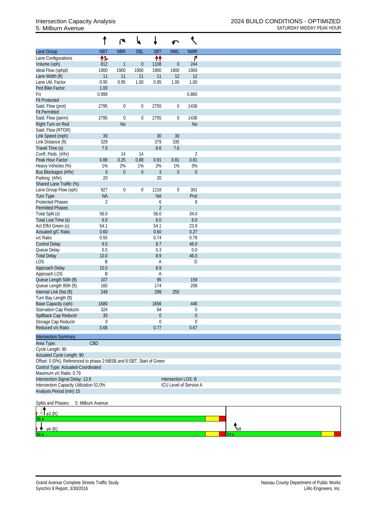|                                                                      |                   | ۴                | ₩                | ∔                 | ↶                   | ९                      |  |
|----------------------------------------------------------------------|-------------------|------------------|------------------|-------------------|---------------------|------------------------|--|
| Lane Group                                                           | <b>NBT</b>        | <b>NBR</b>       | <b>SBL</b>       | <b>SBT</b>        | <b>NWL</b>          | <b>NWR</b>             |  |
| Lane Configurations                                                  | 怍                 |                  |                  | 个个                |                     | ۴                      |  |
| Volume (vph)                                                         | 812               | $\mathbf{1}$     | $\boldsymbol{0}$ | 1108              | $\boldsymbol{0}$    | 244                    |  |
| Ideal Flow (vphpl)                                                   | 1900              | 1900             | 1900             | 1900              | 1900                | 1900                   |  |
| Lane Width (ft)                                                      | 11                | 11               | 11               | 11                | 12                  | 12                     |  |
| Lane Util. Factor                                                    | 0.95              | 0.95             | 1.00             | 0.95              | 1.00                | 1.00                   |  |
| Ped Bike Factor                                                      | 1.00              |                  |                  |                   |                     |                        |  |
| Frt                                                                  | 0.999             |                  |                  |                   |                     | 0.865                  |  |
| <b>Flt Protected</b>                                                 |                   |                  |                  |                   |                     |                        |  |
| Satd. Flow (prot)<br><b>Flt Permitted</b>                            | 2795              | $\boldsymbol{0}$ | $\boldsymbol{0}$ | 2755              | $\boldsymbol{0}$    | 1436                   |  |
| Satd. Flow (perm)                                                    | 2795              | $\boldsymbol{0}$ | $\boldsymbol{0}$ | 2755              | $\boldsymbol{0}$    | 1436                   |  |
| Right Turn on Red                                                    |                   | N <sub>o</sub>   |                  |                   |                     | <b>No</b>              |  |
| Satd. Flow (RTOR)                                                    |                   |                  |                  |                   |                     |                        |  |
| Link Speed (mph)                                                     | 30                |                  |                  | 30                | 30                  |                        |  |
| Link Distance (ft)                                                   | 329               |                  |                  | 379               | 335                 |                        |  |
| Travel Time (s)                                                      | 7.5               |                  |                  | 8.6               | 7.6                 |                        |  |
| Confl. Peds. (#/hr)                                                  |                   | 14               | 14               |                   |                     | $\overline{2}$         |  |
| Peak Hour Factor                                                     | 0.88              | 0.25             | 0.88             | 0.91              | 0.81                | 0.81                   |  |
| Heavy Vehicles (%)                                                   | 1%                | 2%               | 1%               | 2%                | 1%                  | 3%                     |  |
| Bus Blockages (#/hr)                                                 | $\boldsymbol{0}$  | $\mathbf 0$      | $\boldsymbol{0}$ | $\mathfrak{Z}$    | $\boldsymbol{0}$    | $\boldsymbol{0}$       |  |
| Parking (#/hr)                                                       | 20                |                  |                  | 20                |                     |                        |  |
| Shared Lane Traffic (%)                                              |                   | $\mathbf 0$      |                  |                   |                     | 301                    |  |
| Lane Group Flow (vph)<br>Turn Type                                   | 927<br><b>NA</b>  |                  | $\boldsymbol{0}$ | 1218<br><b>NA</b> | $\boldsymbol{0}$    | Prot                   |  |
| <b>Protected Phases</b>                                              | 2                 |                  |                  | 6                 |                     | 8                      |  |
| <b>Permitted Phases</b>                                              |                   |                  |                  | $\overline{2}$    |                     |                        |  |
| Total Split (s)                                                      | 56.0              |                  |                  | 56.0              |                     | 34.0                   |  |
| Total Lost Time (s)                                                  | 6.0               |                  |                  | 6.0               |                     | $6.0\,$                |  |
| Act Effct Green (s)                                                  | 54.1              |                  |                  | 54.1              |                     | 23.9                   |  |
| Actuated g/C Ratio                                                   | 0.60              |                  |                  | 0.60              |                     | 0.27                   |  |
| v/c Ratio                                                            | 0.55              |                  |                  | 0.74              |                     | 0.79                   |  |
| <b>Control Delay</b>                                                 | 9.5               |                  |                  | 8.7               |                     | 46.0                   |  |
| Queue Delay                                                          | 0.5               |                  |                  | 0.3               |                     | 0.0                    |  |
| <b>Total Delay</b>                                                   | 10.0              |                  |                  | 8.9               |                     | 46.0                   |  |
| <b>LOS</b>                                                           | B                 |                  |                  | A                 |                     | D                      |  |
| Approach Delay                                                       | 10.0              |                  |                  | 8.9               |                     |                        |  |
| Approach LOS                                                         | B                 |                  |                  | A                 |                     |                        |  |
| Queue Length 50th (ft)<br>Queue Length 95th (ft)                     | 107<br>160        |                  |                  | 95<br>174         |                     | 159<br>208             |  |
| Internal Link Dist (ft)                                              | 249               |                  |                  | 299               | 255                 |                        |  |
| Turn Bay Length (ft)                                                 |                   |                  |                  |                   |                     |                        |  |
| Base Capacity (vph)                                                  | 1680              |                  |                  | 1656              |                     | 446                    |  |
| Starvation Cap Reductn                                               | 324               |                  |                  | 84                |                     | 0                      |  |
| Spillback Cap Reductn                                                | 35                |                  |                  | $\theta$          |                     | $\boldsymbol{0}$       |  |
| Storage Cap Reductn                                                  | 0                 |                  |                  | 0                 |                     | 0                      |  |
| Reduced v/c Ratio                                                    | 0.68              |                  |                  | 0.77              |                     | 0.67                   |  |
|                                                                      |                   |                  |                  |                   |                     |                        |  |
| <b>Intersection Summary</b>                                          |                   |                  |                  |                   |                     |                        |  |
| Area Type:<br>Cycle Length: 90                                       | CBD               |                  |                  |                   |                     |                        |  |
| Actuated Cycle Length: 90                                            |                   |                  |                  |                   |                     |                        |  |
| Offset: 0 (0%), Referenced to phase 2:NBSB and 6:SBT, Start of Green |                   |                  |                  |                   |                     |                        |  |
| Control Type: Actuated-Coordinated                                   |                   |                  |                  |                   |                     |                        |  |
| Maximum v/c Ratio: 0.79                                              |                   |                  |                  |                   |                     |                        |  |
| Intersection Signal Delay: 13.9                                      |                   |                  |                  |                   | Intersection LOS: B |                        |  |
| Intersection Capacity Utilization 52.0%                              |                   |                  |                  |                   |                     | ICU Level of Service A |  |
| Analysis Period (min) 15                                             |                   |                  |                  |                   |                     |                        |  |
| Splits and Phases:                                                   | 5: Milburn Avenue |                  |                  |                   |                     |                        |  |
|                                                                      |                   |                  |                  |                   |                     |                        |  |
| $\varnothing$ 2 $(R)$<br>÷.                                          |                   |                  |                  |                   |                     |                        |  |
|                                                                      |                   |                  |                  |                   |                     |                        |  |
| ø6 (R)                                                               |                   |                  |                  |                   |                     |                        |  |
|                                                                      |                   |                  |                  |                   |                     |                        |  |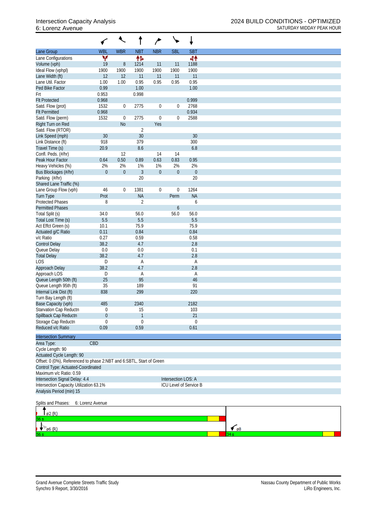|                                                                                                          |                  | €                             |                |                         |                     |                        |                    |  |
|----------------------------------------------------------------------------------------------------------|------------------|-------------------------------|----------------|-------------------------|---------------------|------------------------|--------------------|--|
| Lane Group                                                                                               | <b>WBL</b>       | <b>WBR</b>                    | <b>NBT</b>     | <b>NBR</b>              | <b>SBL</b>          | <b>SBT</b>             |                    |  |
| Lane Configurations                                                                                      | v                |                               | 伟              |                         |                     | 44                     |                    |  |
| Volume (vph)                                                                                             | 19               | $\, 8$                        | 1214           | 11                      | 11                  | 1188                   |                    |  |
| Ideal Flow (vphpl)                                                                                       | 1900             | 1900                          | 1900           | 1900                    | 1900                | 1900                   |                    |  |
| Lane Width (ft)                                                                                          | 12               | 12                            | 11             | 11                      | 11                  | 11                     |                    |  |
| Lane Util. Factor                                                                                        | 1.00             | 1.00                          | 0.95           | 0.95                    | 0.95                | 0.95                   |                    |  |
| Ped Bike Factor                                                                                          | 0.99             |                               | 1.00           |                         |                     | 1.00                   |                    |  |
| Frt                                                                                                      | 0.953            |                               | 0.998          |                         |                     |                        |                    |  |
| <b>Flt Protected</b>                                                                                     | 0.968            |                               |                |                         |                     | 0.999                  |                    |  |
| Satd. Flow (prot)                                                                                        | 1532             | 0                             | 2775           | $\boldsymbol{0}$        | $\overline{0}$      | 2768                   |                    |  |
| <b>Flt Permitted</b>                                                                                     | 0.968            |                               |                |                         |                     | 0.934                  |                    |  |
| Satd. Flow (perm)                                                                                        | 1532             | $\boldsymbol{0}$<br><b>No</b> | 2775           | $\boldsymbol{0}$<br>Yes | $\boldsymbol{0}$    | 2588                   |                    |  |
| Right Turn on Red<br>Satd. Flow (RTOR)                                                                   |                  |                               | $\overline{2}$ |                         |                     |                        |                    |  |
| Link Speed (mph)                                                                                         | 30               |                               | 30             |                         |                     | 30                     |                    |  |
| Link Distance (ft)                                                                                       | 918              |                               | 379            |                         |                     | 300                    |                    |  |
| Travel Time (s)                                                                                          | 20.9             |                               | 8.6            |                         |                     | 6.8                    |                    |  |
| Confl. Peds. (#/hr)                                                                                      |                  | 12                            |                | 14                      | 14                  |                        |                    |  |
| Peak Hour Factor                                                                                         | 0.64             | 0.50                          | 0.89           | 0.63                    | 0.83                | 0.95                   |                    |  |
| Heavy Vehicles (%)                                                                                       | 2%               | 2%                            | 1%             | 1%                      | 2%                  | 2%                     |                    |  |
| Bus Blockages (#/hr)                                                                                     | $\boldsymbol{0}$ | $\boldsymbol{0}$              | $\mathfrak{Z}$ | $\boldsymbol{0}$        | $\boldsymbol{0}$    | $\boldsymbol{0}$       |                    |  |
| Parking (#/hr)                                                                                           |                  |                               | 20             |                         |                     | 20                     |                    |  |
| Shared Lane Traffic (%)                                                                                  |                  |                               |                |                         |                     |                        |                    |  |
| Lane Group Flow (vph)                                                                                    | 46               | 0                             | 1381           | $\boldsymbol{0}$        | $\mathbf 0$         | 1264                   |                    |  |
| <b>Turn Type</b>                                                                                         | Prot             |                               | <b>NA</b>      |                         | Perm                | <b>NA</b>              |                    |  |
| <b>Protected Phases</b>                                                                                  | 8                |                               | $\overline{2}$ |                         |                     | 6                      |                    |  |
| <b>Permitted Phases</b>                                                                                  |                  |                               |                |                         | $\boldsymbol{6}$    |                        |                    |  |
| Total Split (s)                                                                                          | 34.0             |                               | 56.0           |                         | 56.0                | 56.0                   |                    |  |
| Total Lost Time (s)                                                                                      | 5.5              |                               | 5.5            |                         |                     | 5.5                    |                    |  |
| Act Effct Green (s)                                                                                      | 10.1             |                               | 75.9           |                         |                     | 75.9                   |                    |  |
| Actuated g/C Ratio                                                                                       | 0.11             |                               | 0.84           |                         |                     | 0.84                   |                    |  |
| v/c Ratio                                                                                                | 0.27             |                               | 0.59           |                         |                     | 0.58                   |                    |  |
| <b>Control Delay</b>                                                                                     | 38.2             |                               | 4.7            |                         |                     | 2.8                    |                    |  |
| Queue Delay                                                                                              | 0.0              |                               | 0.0            |                         |                     | 0.1                    |                    |  |
| <b>Total Delay</b>                                                                                       | 38.2             |                               | 4.7            |                         |                     | 2.8                    |                    |  |
| LOS                                                                                                      | D                |                               | Α              |                         |                     | Α                      |                    |  |
| Approach Delay                                                                                           | 38.2             |                               | 4.7            |                         |                     | 2.8                    |                    |  |
| Approach LOS<br>Queue Length 50th (ft)                                                                   | D<br>25          |                               | Α<br>95        |                         |                     | A<br>46                |                    |  |
| Queue Length 95th (ft)                                                                                   | 35               |                               | 189            |                         |                     | 91                     |                    |  |
| Internal Link Dist (ft)                                                                                  | 838              |                               | 299            |                         |                     | 220                    |                    |  |
| Turn Bay Length (ft)                                                                                     |                  |                               |                |                         |                     |                        |                    |  |
| Base Capacity (vph)                                                                                      | 485              |                               | 2340           |                         |                     | 2182                   |                    |  |
| Starvation Cap Reductn                                                                                   | 0                |                               | 15             |                         |                     | 103                    |                    |  |
| Spillback Cap Reductn                                                                                    | $\mathbf 0$      |                               | $\mathbf{1}$   |                         |                     | 21                     |                    |  |
| Storage Cap Reductn                                                                                      | $\mathbf 0$      |                               | $\mathbf 0$    |                         |                     | $\theta$               |                    |  |
| Reduced v/c Ratio                                                                                        | 0.09             |                               | 0.59           |                         |                     | 0.61                   |                    |  |
|                                                                                                          |                  |                               |                |                         |                     |                        |                    |  |
| <b>Intersection Summary</b>                                                                              |                  |                               |                |                         |                     |                        |                    |  |
| Area Type:                                                                                               | CBD              |                               |                |                         |                     |                        |                    |  |
| Cycle Length: 90                                                                                         |                  |                               |                |                         |                     |                        |                    |  |
| <b>Actuated Cycle Length: 90</b><br>Offset: 0 (0%), Referenced to phase 2:NBT and 6:SBTL, Start of Green |                  |                               |                |                         |                     |                        |                    |  |
| Control Type: Actuated-Coordinated                                                                       |                  |                               |                |                         |                     |                        |                    |  |
| Maximum v/c Ratio: 0.59                                                                                  |                  |                               |                |                         |                     |                        |                    |  |
| Intersection Signal Delay: 4.4                                                                           |                  |                               |                |                         | Intersection LOS: A |                        |                    |  |
| Intersection Capacity Utilization 63.1%                                                                  |                  |                               |                |                         |                     | ICU Level of Service B |                    |  |
| Analysis Period (min) 15                                                                                 |                  |                               |                |                         |                     |                        |                    |  |
| Splits and Phases:                                                                                       | 6: Lorenz Avenue |                               |                |                         |                     |                        |                    |  |
| ø2 (R)                                                                                                   |                  |                               |                |                         |                     |                        |                    |  |
|                                                                                                          |                  |                               |                |                         |                     |                        |                    |  |
| ø6 (R)                                                                                                   |                  |                               |                |                         |                     |                        | $\epsilon$ $_{98}$ |  |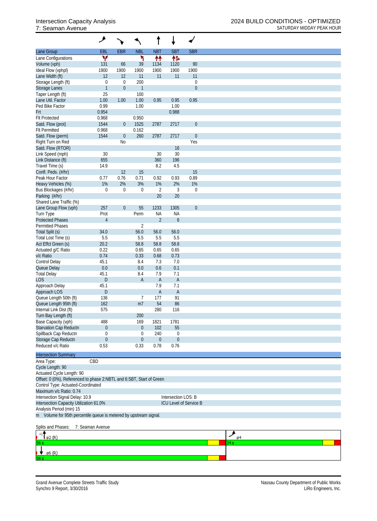|                                                                      | ۸                      |                        |                  |                      |                               |                   |      |
|----------------------------------------------------------------------|------------------------|------------------------|------------------|----------------------|-------------------------------|-------------------|------|
| Lane Group                                                           | EBL                    | <b>EBR</b>             | <b>NBL</b>       | <b>NBT</b>           | <b>SBT</b>                    | <b>SBR</b>        |      |
| Lane Configurations                                                  | Y                      |                        | ۲                | ↟↟                   | 作                             |                   |      |
| Volume (vph)                                                         | 131                    | 66                     | 39               | 1134                 | 1120                          | 90                |      |
| Ideal Flow (vphpl)                                                   | 1900                   | 1900                   | 1900             | 1900                 | 1900                          | 1900              |      |
| Lane Width (ft)<br>Storage Length (ft)                               | 12<br>$\boldsymbol{0}$ | 12<br>$\boldsymbol{0}$ | 11<br>200        | 11                   | 11                            | 11<br>$\mathbf 0$ |      |
| Storage Lanes                                                        | $\mathbf{1}$           | $\boldsymbol{0}$       | $\mathbf{1}$     |                      |                               | $\boldsymbol{0}$  |      |
| Taper Length (ft)                                                    | 25                     |                        | 100              |                      |                               |                   |      |
| Lane Util. Factor                                                    | 1.00                   | 1.00                   | 1.00             | 0.95                 | 0.95                          | 0.95              |      |
| Ped Bike Factor                                                      | 0.99                   |                        | 1.00             |                      | 1.00                          |                   |      |
| Frt                                                                  | 0.954                  |                        |                  |                      | 0.988                         |                   |      |
| <b>Flt Protected</b>                                                 | 0.968                  |                        | 0.950            |                      |                               |                   |      |
| Satd. Flow (prot)                                                    | 1544                   | $\overline{0}$         | 1525             | 2787                 | 2717                          | $\boldsymbol{0}$  |      |
| <b>Flt Permitted</b><br>Satd. Flow (perm)                            | 0.968<br>1544          | $\boldsymbol{0}$       | 0.162<br>260     | 2787                 | 2717                          | $\boldsymbol{0}$  |      |
| Right Turn on Red                                                    |                        | <b>No</b>              |                  |                      |                               | Yes               |      |
| Satd. Flow (RTOR)                                                    |                        |                        |                  |                      | 16                            |                   |      |
| Link Speed (mph)                                                     | 30                     |                        |                  | 30                   | 30                            |                   |      |
| Link Distance (ft)                                                   | 655                    |                        |                  | 360                  | 196                           |                   |      |
| Travel Time (s)                                                      | 14.9                   |                        |                  | 8.2                  | 4.5                           |                   |      |
| Confl. Peds. (#/hr)                                                  |                        | 12                     | 15               |                      |                               | 15                |      |
| Peak Hour Factor                                                     | 0.77                   | 0.76                   | 0.71             | 0.92                 | 0.93                          | 0.89              |      |
| Heavy Vehicles (%)                                                   | 1%                     | 2%                     | 3%               | 1%                   | 2%                            | 1%                |      |
| Bus Blockages (#/hr)                                                 | $\boldsymbol{0}$       | $\mathbf 0$            | $\boldsymbol{0}$ | $\overline{2}$<br>20 | 3<br>20                       | $\mathbf 0$       |      |
| Parking (#/hr)<br>Shared Lane Traffic (%)                            |                        |                        |                  |                      |                               |                   |      |
| Lane Group Flow (vph)                                                | 257                    | $\overline{0}$         | 55               | 1233                 | 1305                          | $\boldsymbol{0}$  |      |
| Turn Type                                                            | Prot                   |                        | Perm             | <b>NA</b>            | <b>NA</b>                     |                   |      |
| <b>Protected Phases</b>                                              | $\overline{4}$         |                        |                  | $\overline{2}$       | $\boldsymbol{6}$              |                   |      |
| <b>Permitted Phases</b>                                              |                        |                        | $\overline{2}$   |                      |                               |                   |      |
| Total Split (s)                                                      | 34.0                   |                        | 56.0             | 56.0                 | 56.0                          |                   |      |
| Total Lost Time (s)                                                  | 5.5                    |                        | 5.5              | 5.5                  | 5.5                           |                   |      |
| Act Effct Green (s)                                                  | 20.2                   |                        | 58.8             | 58.8                 | 58.8                          |                   |      |
| Actuated g/C Ratio                                                   | 0.22<br>0.74           |                        | 0.65             | 0.65<br>0.68         | 0.65<br>0.73                  |                   |      |
| v/c Ratio<br>Control Delay                                           | 45.1                   |                        | 0.33<br>8.4      | 7.3                  | 7.0                           |                   |      |
| Queue Delay                                                          | 0.0                    |                        | 0.0              | 0.6                  | 0.1                           |                   |      |
| <b>Total Delay</b>                                                   | 45.1                   |                        | 8.4              | 7.9                  | 7.1                           |                   |      |
| <b>LOS</b>                                                           | ${\sf D}$              |                        | A                | $\mathsf{A}$         | $\overline{A}$                |                   |      |
| Approach Delay                                                       | 45.1                   |                        |                  | 7.9                  | 7.1                           |                   |      |
| Approach LOS                                                         | ${\sf D}$              |                        |                  | $\mathsf{A}$         | $\overline{A}$                |                   |      |
| Queue Length 50th (ft)                                               | 136                    |                        | $\overline{7}$   | 177                  | 91                            |                   |      |
| Queue Length 95th (ft)                                               | 162                    |                        | m <sub>7</sub>   | 54                   | 86                            |                   |      |
| Internal Link Dist (ft)                                              | 575                    |                        |                  | 280                  | 116                           |                   |      |
| Turn Bay Length (ft)<br>Base Capacity (vph)                          | 488                    |                        | 200<br>169       | 1821                 | 1781                          |                   |      |
| Starvation Cap Reductn                                               | $\boldsymbol{0}$       |                        | $\boldsymbol{0}$ | 102                  | 55                            |                   |      |
| Spillback Cap Reductn                                                | $\boldsymbol{0}$       |                        | 0                | 240                  | $\boldsymbol{0}$              |                   |      |
| Storage Cap Reductn                                                  | $\boldsymbol{0}$       |                        | $\boldsymbol{0}$ | $\boldsymbol{0}$     | $\boldsymbol{0}$              |                   |      |
| Reduced v/c Ratio                                                    | 0.53                   |                        | 0.33             | 0.78                 | 0.76                          |                   |      |
|                                                                      |                        |                        |                  |                      |                               |                   |      |
| <b>Intersection Summary</b>                                          |                        |                        |                  |                      |                               |                   |      |
| Area Type:<br>Cycle Length: 90                                       | CBD                    |                        |                  |                      |                               |                   |      |
| Actuated Cycle Length: 90                                            |                        |                        |                  |                      |                               |                   |      |
| Offset: 0 (0%), Referenced to phase 2:NBTL and 6:SBT, Start of Green |                        |                        |                  |                      |                               |                   |      |
| Control Type: Actuated-Coordinated                                   |                        |                        |                  |                      |                               |                   |      |
| Maximum v/c Ratio: 0.74                                              |                        |                        |                  |                      |                               |                   |      |
| Intersection Signal Delay: 10.9                                      |                        |                        |                  |                      | Intersection LOS: B           |                   |      |
| Intersection Capacity Utilization 61.0%                              |                        |                        |                  |                      | <b>ICU Level of Service B</b> |                   |      |
| Analysis Period (min) 15                                             |                        |                        |                  |                      |                               |                   |      |
| m Volume for 95th percentile queue is metered by upstream signal.    |                        |                        |                  |                      |                               |                   |      |
| Splits and Phases:                                                   | 7: Seaman Avenue       |                        |                  |                      |                               |                   |      |
|                                                                      |                        |                        |                  |                      |                               |                   | ◢    |
| ø2 (R)                                                               |                        |                        |                  |                      |                               |                   | 34 s |
|                                                                      |                        |                        |                  |                      |                               |                   |      |
| ø6 (R)                                                               |                        |                        |                  |                      |                               |                   |      |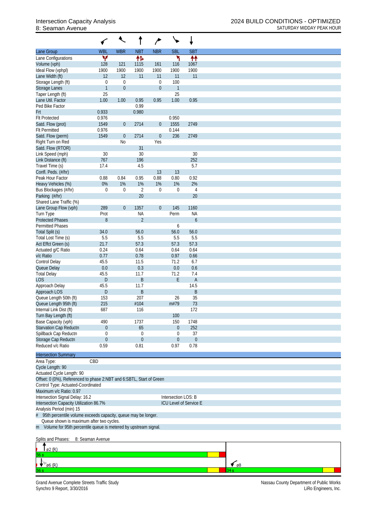|                                                                      | ✓                                | ↖                       |                  | ∕                                    | ╰╸                     |                          |
|----------------------------------------------------------------------|----------------------------------|-------------------------|------------------|--------------------------------------|------------------------|--------------------------|
| Lane Group                                                           | <b>WBL</b>                       | <b>WBR</b>              | <b>NBT</b>       | <b>NBR</b>                           | <b>SBL</b>             | <b>SBT</b>               |
| Lane Configurations                                                  | v                                |                         | 帏                |                                      | ۳                      | ₩                        |
| Volume (vph)                                                         | 128                              | 121                     | 1115             | 161                                  | 116                    | 1067                     |
| Ideal Flow (vphpl)                                                   | 1900                             | 1900                    | 1900             | 1900                                 | 1900                   | 1900                     |
| Lane Width (ft)                                                      | 12                               | 12                      | 11               | 11                                   | 11                     | 11                       |
| Storage Length (ft)<br>Storage Lanes                                 | $\boldsymbol{0}$<br>$\mathbf{1}$ | $\mathbf 0$<br>$\theta$ |                  | $\boldsymbol{0}$<br>$\boldsymbol{0}$ | 100<br>$\mathbf{1}$    |                          |
| Taper Length (ft)                                                    | 25                               |                         |                  |                                      | 25                     |                          |
| Lane Util. Factor                                                    | 1.00                             | 1.00                    | 0.95             | 0.95                                 | 1.00                   | 0.95                     |
| Ped Bike Factor                                                      |                                  |                         | 0.99             |                                      |                        |                          |
| Frt                                                                  | 0.933                            |                         | 0.980            |                                      |                        |                          |
| <b>Flt Protected</b>                                                 | 0.976                            |                         |                  |                                      | 0.950                  |                          |
| Satd. Flow (prot)                                                    | 1549                             | $\overline{0}$          | 2714             | $\theta$                             | 1555                   | 2749                     |
| <b>Flt Permitted</b>                                                 | 0.976                            |                         |                  |                                      | 0.144                  |                          |
| Satd. Flow (perm)                                                    | 1549                             | $\boldsymbol{0}$        | 2714             | $\boldsymbol{0}$                     | 236                    | 2749                     |
| Right Turn on Red                                                    |                                  | N <sub>o</sub>          |                  | Yes                                  |                        |                          |
| Satd. Flow (RTOR)                                                    |                                  |                         | 31               |                                      |                        |                          |
| Link Speed (mph)                                                     | 30                               |                         | 30               |                                      |                        | 30                       |
| Link Distance (ft)                                                   | 767                              |                         | 196              |                                      |                        | 252                      |
| Travel Time (s)                                                      | 17.4                             |                         | 4.5              |                                      |                        | 5.7                      |
| Confl. Peds. (#/hr)                                                  |                                  |                         |                  | 13                                   | 13                     |                          |
| Peak Hour Factor                                                     | 0.88                             | 0.84                    | 0.95             | 0.88                                 | 0.80                   | 0.92                     |
| Heavy Vehicles (%)                                                   | 0%                               | 1%                      | 1%               | 1%                                   | 1%                     | 2%                       |
| Bus Blockages (#/hr)                                                 | 0                                | 0                       | $\overline{2}$   | 0                                    | 0                      | 4                        |
| Parking (#/hr)                                                       |                                  |                         | 20               |                                      |                        | 20                       |
| Shared Lane Traffic (%)                                              | 289                              | $\overline{0}$          | 1357             | $\boldsymbol{0}$                     | 145                    | 1160                     |
| Lane Group Flow (vph)<br>Turn Type                                   | Prot                             |                         | <b>NA</b>        |                                      | Perm                   | <b>NA</b>                |
| <b>Protected Phases</b>                                              | 8                                |                         | $\overline{2}$   |                                      |                        | 6                        |
| <b>Permitted Phases</b>                                              |                                  |                         |                  |                                      | 6                      |                          |
| Total Split (s)                                                      | 34.0                             |                         | 56.0             |                                      | 56.0                   | 56.0                     |
| Total Lost Time (s)                                                  | 5.5                              |                         | 5.5              |                                      | 5.5                    | 5.5                      |
| Act Effct Green (s)                                                  | 21.7                             |                         | 57.3             |                                      | 57.3                   | 57.3                     |
| Actuated g/C Ratio                                                   | 0.24                             |                         | 0.64             |                                      | 0.64                   | 0.64                     |
| v/c Ratio                                                            | 0.77                             |                         | 0.78             |                                      | 0.97                   | 0.66                     |
| <b>Control Delay</b>                                                 | 45.5                             |                         | 11.5             |                                      | 71.2                   | 6.7                      |
| Queue Delay                                                          | 0.0                              |                         | 0.3              |                                      | 0.0                    | 0.6                      |
| <b>Total Delay</b>                                                   | 45.5                             |                         | 11.7             |                                      | 71.2                   | 7.4                      |
| <b>LOS</b>                                                           | D                                |                         | B                |                                      | E                      | $\mathsf{A}$             |
| Approach Delay                                                       | 45.5                             |                         | 11.7             |                                      |                        | 14.5                     |
| Approach LOS                                                         | D                                |                         | B                |                                      |                        | B                        |
| Queue Length 50th (ft)                                               | 153                              |                         | 207              |                                      | 26                     | 35                       |
| Queue Length 95th (ft)                                               | 215                              |                         | #104             |                                      | m#79                   | 73                       |
| Internal Link Dist (ft)                                              | 687                              |                         | 116              |                                      |                        | 172                      |
| Turn Bay Length (ft)                                                 |                                  |                         |                  |                                      | 100                    |                          |
| Base Capacity (vph)                                                  | 490                              |                         | 1737             |                                      | 150                    | 1748                     |
| Starvation Cap Reductn                                               | $\boldsymbol{0}$                 |                         | 65               |                                      | $\boldsymbol{0}$       | 252                      |
| Spillback Cap Reductn                                                | 0                                |                         | $\boldsymbol{0}$ |                                      | 0                      | 37                       |
| Storage Cap Reductn<br>Reduced v/c Ratio                             | $\mathbf 0$<br>0.59              |                         | $\theta$<br>0.81 |                                      | $\overline{0}$<br>0.97 | $\boldsymbol{0}$<br>0.78 |
|                                                                      |                                  |                         |                  |                                      |                        |                          |
| <b>Intersection Summary</b>                                          |                                  |                         |                  |                                      |                        |                          |
| Area Type:                                                           | CBD                              |                         |                  |                                      |                        |                          |
| Cycle Length: 90                                                     |                                  |                         |                  |                                      |                        |                          |
| Actuated Cycle Length: 90                                            |                                  |                         |                  |                                      |                        |                          |
| Offset: 0 (0%), Referenced to phase 2:NBT and 6:SBTL, Start of Green |                                  |                         |                  |                                      |                        |                          |
| Control Type: Actuated-Coordinated                                   |                                  |                         |                  |                                      |                        |                          |
| Maximum v/c Ratio: 0.97                                              |                                  |                         |                  |                                      |                        |                          |
| Intersection Signal Delay: 16.2                                      |                                  |                         |                  |                                      | Intersection LOS: B    |                          |
| Intersection Capacity Utilization 86.7%                              |                                  |                         |                  |                                      |                        | ICU Level of Service E   |
| Analysis Period (min) 15                                             |                                  |                         |                  |                                      |                        |                          |
| 95th percentile volume exceeds capacity, queue may be longer.        |                                  |                         |                  |                                      |                        |                          |
| Queue shown is maximum after two cycles.                             |                                  |                         |                  |                                      |                        |                          |
| m Volume for 95th percentile queue is metered by upstream signal.    |                                  |                         |                  |                                      |                        |                          |
|                                                                      |                                  |                         |                  |                                      |                        |                          |
| Splits and Phases:                                                   | 8: Seaman Avenue                 |                         |                  |                                      |                        |                          |
| ø2 (R)                                                               |                                  |                         |                  |                                      |                        |                          |
| 56 s                                                                 |                                  |                         |                  |                                      |                        |                          |

Grand Avenue Complete Streets Traffic Study Nassau County Department of Public Works Synchro 9 Report, 3/30/2016 LiRo Engineers, Inc.

 $\bigvee_{\emptyset6(R)}$ 

 $\frac{1}{\sqrt{8}}$ 34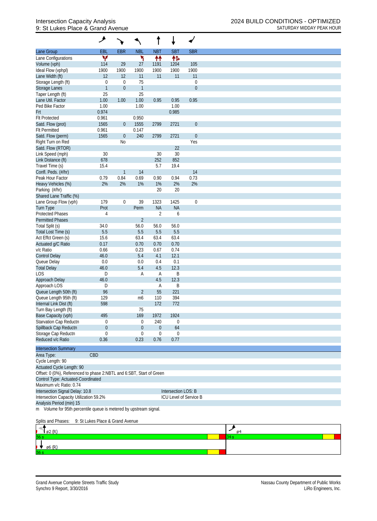## 9: St Lukes Place & Grand Avenue SATURDAY MIDDAY PEAK HOUR

|                                                                      | ۸                                |                  |                  |                |                     |                        |
|----------------------------------------------------------------------|----------------------------------|------------------|------------------|----------------|---------------------|------------------------|
| Lane Group                                                           | EBL                              | <b>EBR</b>       | <b>NBL</b>       | <b>NBT</b>     | <b>SBT</b>          | <b>SBR</b>             |
| Lane Configurations                                                  | v                                |                  | ۲                | ↟↟             | 伟                   |                        |
| Volume (vph)                                                         | 114                              | 29               | 27               | 1191           | 1204                | 105                    |
| Ideal Flow (vphpl)                                                   | 1900                             | 1900             | 1900             | 1900           | 1900                | 1900                   |
| Lane Width (ft)                                                      | 12                               | 12               | 11               | 11             | 11                  | 11                     |
| Storage Length (ft)                                                  | $\boldsymbol{0}$                 | $\mathbf 0$      | 75               |                |                     | $\boldsymbol{0}$       |
| Storage Lanes                                                        | $\mathbf{1}$                     | $\mathbf 0$      | $\mathbf{1}$     |                |                     | $\boldsymbol{0}$       |
| Taper Length (ft)                                                    | 25                               |                  | 25               |                |                     |                        |
| Lane Util. Factor                                                    | 1.00                             | 1.00             | 1.00             | 0.95           | 0.95                | 0.95                   |
| Ped Bike Factor                                                      | 1.00                             |                  | 1.00             |                | 1.00                |                        |
| Frt                                                                  | 0.974                            |                  |                  |                | 0.985               |                        |
| <b>Flt Protected</b>                                                 | 0.961                            |                  | 0.950            |                |                     |                        |
| Satd. Flow (prot)                                                    | 1565                             | $\overline{0}$   | 1555             | 2799           | 2721                | $\overline{0}$         |
| <b>Flt Permitted</b>                                                 | 0.961                            |                  | 0.147            |                |                     |                        |
| Satd. Flow (perm)                                                    | 1565                             | $\boldsymbol{0}$ | 240              | 2799           | 2721                | $\boldsymbol{0}$       |
| Right Turn on Red                                                    |                                  | <b>No</b>        |                  |                |                     | Yes                    |
| Satd. Flow (RTOR)                                                    |                                  |                  |                  |                | 22                  |                        |
| Link Speed (mph)                                                     | 30                               |                  |                  | 30             | 30                  |                        |
| Link Distance (ft)                                                   | 678                              |                  |                  | 252            | 852                 |                        |
| Travel Time (s)                                                      | 15.4                             |                  |                  | 5.7            | 19.4                |                        |
| Confl. Peds. (#/hr)                                                  |                                  | $\mathbf{1}$     | 14               |                |                     | 14                     |
| Peak Hour Factor                                                     | 0.79                             | 0.84             | 0.69             | 0.90           | 0.94                | 0.73                   |
| Heavy Vehicles (%)                                                   | 2%                               | 2%               | 1%               | 1%             | 2%                  | 2%                     |
| Parking (#/hr)                                                       |                                  |                  |                  | 20             | 20                  |                        |
| Shared Lane Traffic (%)                                              |                                  |                  |                  |                |                     |                        |
| Lane Group Flow (vph)                                                | 179                              | $\mathbf 0$      | 39               | 1323           | 1425                | $\mathbf 0$            |
| <b>Turn Type</b>                                                     | Prot                             |                  | Perm             | <b>NA</b>      | <b>NA</b>           |                        |
| <b>Protected Phases</b>                                              | $\overline{4}$                   |                  |                  | $\overline{2}$ | 6                   |                        |
| <b>Permitted Phases</b>                                              |                                  |                  | $\overline{2}$   |                |                     |                        |
| Total Split (s)                                                      | 34.0                             |                  | 56.0             | 56.0           | 56.0                |                        |
| Total Lost Time (s)                                                  | 5.5                              |                  | 5.5              | 5.5            | 5.5                 |                        |
| Act Effct Green (s)                                                  | 15.6                             |                  | 63.4             | 63.4           | 63.4                |                        |
| Actuated g/C Ratio                                                   | 0.17                             |                  | 0.70             | 0.70           | 0.70                |                        |
| v/c Ratio                                                            | 0.66                             |                  | 0.23             | 0.67           | 0.74                |                        |
| <b>Control Delay</b>                                                 | 46.0                             |                  | 5.4              | 4.1            | 12.1                |                        |
| Queue Delay                                                          | 0.0                              |                  | 0.0              | 0.4            | 0.1                 |                        |
| <b>Total Delay</b>                                                   | 46.0                             |                  | 5.4              | 4.5            | 12.3                |                        |
| LOS                                                                  | D                                |                  | Α                | A              | Β                   |                        |
| Approach Delay                                                       | 46.0                             |                  |                  | 4.5            | 12.3                |                        |
| Approach LOS                                                         | D                                |                  |                  | A              | Β                   |                        |
| Queue Length 50th (ft)                                               | 96                               |                  | $\overline{2}$   | 55             | 221                 |                        |
| Queue Length 95th (ft)                                               | 129                              |                  | m <sub>6</sub>   | 110            | 394                 |                        |
| Internal Link Dist (ft)                                              | 598                              |                  |                  | 172            | 772                 |                        |
| Turn Bay Length (ft)                                                 |                                  |                  | 75               |                |                     |                        |
| Base Capacity (vph)                                                  | 495                              |                  | 169              | 1972           | 1924                |                        |
| Starvation Cap Reductn                                               | 0                                |                  | 0                | 240            | $\overline{0}$      |                        |
| Spillback Cap Reductn                                                | $\boldsymbol{0}$                 |                  | $\boldsymbol{0}$ | $\theta$       | 64                  |                        |
| Storage Cap Reductn                                                  | 0                                |                  | $\boldsymbol{0}$ | $\mathbf 0$    | $\boldsymbol{0}$    |                        |
| Reduced v/c Ratio                                                    | 0.36                             |                  | 0.23             | 0.76           | 0.77                |                        |
|                                                                      |                                  |                  |                  |                |                     |                        |
| <b>Intersection Summary</b>                                          |                                  |                  |                  |                |                     |                        |
| Area Type:                                                           | CBD                              |                  |                  |                |                     |                        |
| Cycle Length: 90                                                     |                                  |                  |                  |                |                     |                        |
| <b>Actuated Cycle Length: 90</b>                                     |                                  |                  |                  |                |                     |                        |
| Offset: 0 (0%), Referenced to phase 2:NBTL and 6:SBT, Start of Green |                                  |                  |                  |                |                     |                        |
| Control Type: Actuated-Coordinated                                   |                                  |                  |                  |                |                     |                        |
| Maximum v/c Ratio: 0.74                                              |                                  |                  |                  |                |                     |                        |
| Intersection Signal Delay: 10.8                                      |                                  |                  |                  |                | Intersection LOS: B |                        |
| Intersection Capacity Utilization 59.2%                              |                                  |                  |                  |                |                     | ICU Level of Service B |
| Analysis Period (min) 15                                             |                                  |                  |                  |                |                     |                        |
| m Volume for 95th percentile queue is metered by upstream signal.    |                                  |                  |                  |                |                     |                        |
|                                                                      |                                  |                  |                  |                |                     |                        |
| Splits and Phases:                                                   | 9: St Lukes Place & Grand Avenue |                  |                  |                |                     |                        |
|                                                                      |                                  |                  |                  |                |                     |                        |

| g(2(R))                | <b>CALL</b> |  |
|------------------------|-------------|--|
| <b>56 L</b>            |             |  |
| $\mathbf{u}$<br>ø6 (R) |             |  |
| 56 s                   |             |  |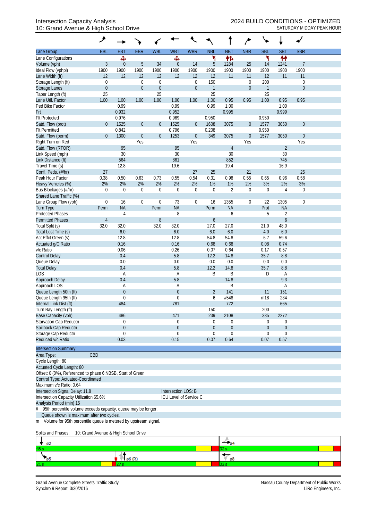### 10: Grand Avenue & High School Drive SATURDAY MIDDAY PEAK HOUR

| <b>EBR</b><br><b>WBL</b><br><b>NBR</b><br><b>SBL</b><br><b>SBT</b><br><b>SBR</b><br><b>EBL</b><br><b>EBT</b><br><b>WBT</b><br><b>WBR</b><br><b>NBL</b><br><b>NBT</b><br>Lane Group<br>۲<br>۲<br>₩<br>伟<br>Ф<br>Ф<br>Lane Configurations<br>$\mathfrak{Z}$<br>5<br>$\theta$<br>5<br>34<br>14<br>1284<br>25<br>$\overline{1}$<br>$\boldsymbol{0}$<br>14<br>1241<br>1900<br>1900<br>1900<br>1900<br>1900<br>1900<br>1900<br>1900<br>1900<br>1900<br>1900<br>1900<br>12<br>12<br>12<br>12<br>11<br>12<br>11<br>12<br>12<br>12<br>11<br>11<br>Storage Length (ft)<br>150<br>200<br>0<br>0<br>$\mathbf 0$<br>$\mathbf 0$<br>$\boldsymbol{0}$<br>$\boldsymbol{0}$<br>$\boldsymbol{0}$<br>$\boldsymbol{0}$<br>$\boldsymbol{0}$<br>$\boldsymbol{0}$<br>$\mathbf{1}$<br>$\boldsymbol{0}$<br>$\overline{0}$<br>$\mathbf{1}$<br>25<br>25<br>25<br>25<br>0.95<br>1.00<br>1.00<br>1.00<br>0.95<br>0.95<br>1.00<br>1.00<br>1.00<br>1.00<br>0.95<br>1.00<br>0.99<br>0.99<br>0.99<br>1.00<br>1.00<br>0.932<br>0.952<br>0.995<br>0.999<br><b>Flt Protected</b><br>0.976<br>0.969<br>0.950<br>0.950<br>1525<br>1525<br>$\overline{0}$<br>$\mathbf 0$<br>$\boldsymbol{0}$<br>$\theta$<br>$\boldsymbol{0}$<br>1608<br>3075<br>$\boldsymbol{0}$<br>1577<br>3050<br>Satd. Flow (prot)<br><b>Flt Permitted</b><br>0.842<br>0.796<br>0.950<br>0.208<br>$\boldsymbol{0}$<br>$\mathbf 0$<br>1253<br>349<br>$\boldsymbol{0}$<br>1577<br>Satd. Flow (perm)<br>$\mathbf 0$<br>1300<br>$\boldsymbol{0}$<br>3075<br>3050<br>$\theta$<br>Yes<br>Yes<br>Yes<br>Right Turn on Red<br>Yes<br>95<br>95<br>$\overline{2}$<br>Satd. Flow (RTOR)<br>$\overline{4}$<br>30<br>30<br>30<br>30<br>Link Speed (mph)<br>564<br>861<br>852<br>745<br>Link Distance (ft)<br>12.8<br>19.6<br>19.4<br>16.9<br>Travel Time (s)<br>27<br>25<br>25<br>Confl. Peds. (#/hr)<br>27<br>21<br>0.58<br>0.38<br>0.50<br>0.63<br>0.54<br>0.31<br>0.98<br>0.55<br>Peak Hour Factor<br>0.73<br>0.55<br>0.65<br>0.96<br>2%<br>2%<br>2%<br>2%<br>2%<br>2%<br>1%<br>1%<br>3%<br>2%<br>3%<br>Heavy Vehicles (%)<br>2%<br>$\overline{2}$<br>Bus Blockages (#/hr)<br>0<br>$\mathbf 0$<br>0<br>$\mathbf 0$<br>$\boldsymbol{0}$<br>$\mathbf 0$<br>4<br>$\boldsymbol{0}$<br>$\mathbf 0$<br>$\theta$<br>$\mathbf 0$<br>Shared Lane Traffic (%)<br>73<br>22<br>$\boldsymbol{0}$<br>16<br>0<br>$\mathbf 0$<br>$\mathbf 0$<br>16<br>1355<br>$\boldsymbol{0}$<br>1305<br>$\mathbf 0$<br>Lane Group Flow (vph)<br><b>NA</b><br><b>NA</b><br><b>NA</b><br>Prot<br><b>NA</b><br>Turn Type<br>Perm<br>Perm<br>Perm<br><b>Protected Phases</b><br>8<br>$\overline{2}$<br>5<br>4<br>6<br>$\boldsymbol{6}$<br><b>Permitted Phases</b><br>$\overline{4}$<br>8<br>6<br>32.0<br>32.0<br>27.0<br>27.0<br>48.0<br>Total Split (s)<br>32.0<br>32.0<br>21.0<br>6.0<br>6.0<br>6.0<br>6.0<br>4.0<br>6.0<br>Total Lost Time (s)<br>12.8<br>12.8<br>54.8<br>54.8<br>6.7<br>59.6<br>Act Effct Green (s)<br>0.16<br>0.16<br>0.68<br>0.68<br>0.08<br>0.74<br>Actuated g/C Ratio<br>v/c Ratio<br>0.06<br>0.26<br>0.07<br>0.64<br>0.17<br>0.57<br>0.4<br>5.8<br>12.2<br>14.8<br>35.7<br>8.8<br><b>Control Delay</b><br>0.0<br>Queue Delay<br>0.0<br>0.0<br>0.0<br>0.0<br>0.0<br>35.7<br><b>Total Delay</b><br>0.4<br>5.8<br>12.2<br>14.8<br>8.8<br>LOS<br>B<br>Α<br>B<br>D<br>Α<br>A<br>9.3<br>0.4<br>5.8<br>14.8<br>Approach Delay<br>Approach LOS<br>Β<br>Α<br>A<br>Α<br>Queue Length 50th (ft)<br>$\theta$<br>$\mathbf 0$<br>151<br>$\overline{2}$<br>141<br>11<br>#548<br>Queue Length 95th (ft)<br>m18<br>234<br>$\theta$<br>$\theta$<br>6<br>484<br>772<br>665<br>Internal Link Dist (ft)<br>781<br>Turn Bay Length (ft)<br>150<br>200<br>239<br>2108<br>335<br>Base Capacity (vph)<br>486<br>471<br>2272<br>Starvation Cap Reductn<br>0<br>0<br>0<br>0<br>0<br>0<br>Spillback Cap Reductn<br>$\mathbf{0}$<br>$\mathbf 0$<br>$\boldsymbol{0}$<br>$\theta$<br>$\boldsymbol{0}$<br>$\overline{0}$<br>Storage Cap Reductn<br>$\mathbf 0$<br>$\Omega$<br>$\mathbf 0$<br>0<br>0<br>0<br>Reduced v/c Ratio<br>0.03<br>0.07<br>0.64<br>0.57<br>0.15<br>0.07<br><b>Intersection Summary</b><br>CBD<br>Area Type:<br>Cycle Length: 80<br>Actuated Cycle Length: 80<br>Offset: 0 (0%), Referenced to phase 6:NBSB, Start of Green<br>Control Type: Actuated-Coordinated<br>Maximum v/c Ratio: 0.64<br>Intersection Signal Delay: 11.8<br>Intersection LOS: B<br>ICU Level of Service C<br>Intersection Capacity Utilization 65.6%<br>Analysis Period (min) 15<br>95th percentile volume exceeds capacity, queue may be longer.<br>Queue shown is maximum after two cycles.<br>m Volume for 95th percentile queue is metered by upstream signal. |                      | ۶ |  |  |  | $\overline{ }$ |  |  |
|-----------------------------------------------------------------------------------------------------------------------------------------------------------------------------------------------------------------------------------------------------------------------------------------------------------------------------------------------------------------------------------------------------------------------------------------------------------------------------------------------------------------------------------------------------------------------------------------------------------------------------------------------------------------------------------------------------------------------------------------------------------------------------------------------------------------------------------------------------------------------------------------------------------------------------------------------------------------------------------------------------------------------------------------------------------------------------------------------------------------------------------------------------------------------------------------------------------------------------------------------------------------------------------------------------------------------------------------------------------------------------------------------------------------------------------------------------------------------------------------------------------------------------------------------------------------------------------------------------------------------------------------------------------------------------------------------------------------------------------------------------------------------------------------------------------------------------------------------------------------------------------------------------------------------------------------------------------------------------------------------------------------------------------------------------------------------------------------------------------------------------------------------------------------------------------------------------------------------------------------------------------------------------------------------------------------------------------------------------------------------------------------------------------------------------------------------------------------------------------------------------------------------------------------------------------------------------------------------------------------------------------------------------------------------------------------------------------------------------------------------------------------------------------------------------------------------------------------------------------------------------------------------------------------------------------------------------------------------------------------------------------------------------------------------------------------------------------------------------------------------------------------------------------------------------------------------------------------------------------------------------------------------------------------------------------------------------------------------------------------------------------------------------------------------------------------------------------------------------------------------------------------------------------------------------------------------------------------------------------------------------------------------------------------------------------------------------------------------------------------------------------------------------------------------------------------------------------------------------------------------------------------------------------------------------------------------------------------------------------------------------------------------------------------------------------------------------------------------------------------------------------------------------------------------------------------------------------------------------------------------------------------------------------------------------------------------------------------------------------------------------------------------------------------------------------------------------------------------------------------------------------------------------------------------------------------------------------------------------------------------------------------|----------------------|---|--|--|--|----------------|--|--|
|                                                                                                                                                                                                                                                                                                                                                                                                                                                                                                                                                                                                                                                                                                                                                                                                                                                                                                                                                                                                                                                                                                                                                                                                                                                                                                                                                                                                                                                                                                                                                                                                                                                                                                                                                                                                                                                                                                                                                                                                                                                                                                                                                                                                                                                                                                                                                                                                                                                                                                                                                                                                                                                                                                                                                                                                                                                                                                                                                                                                                                                                                                                                                                                                                                                                                                                                                                                                                                                                                                                                                                                                                                                                                                                                                                                                                                                                                                                                                                                                                                                                                                                                                                                                                                                                                                                                                                                                                                                                                                                                                                                                                                         |                      |   |  |  |  |                |  |  |
|                                                                                                                                                                                                                                                                                                                                                                                                                                                                                                                                                                                                                                                                                                                                                                                                                                                                                                                                                                                                                                                                                                                                                                                                                                                                                                                                                                                                                                                                                                                                                                                                                                                                                                                                                                                                                                                                                                                                                                                                                                                                                                                                                                                                                                                                                                                                                                                                                                                                                                                                                                                                                                                                                                                                                                                                                                                                                                                                                                                                                                                                                                                                                                                                                                                                                                                                                                                                                                                                                                                                                                                                                                                                                                                                                                                                                                                                                                                                                                                                                                                                                                                                                                                                                                                                                                                                                                                                                                                                                                                                                                                                                                         |                      |   |  |  |  |                |  |  |
|                                                                                                                                                                                                                                                                                                                                                                                                                                                                                                                                                                                                                                                                                                                                                                                                                                                                                                                                                                                                                                                                                                                                                                                                                                                                                                                                                                                                                                                                                                                                                                                                                                                                                                                                                                                                                                                                                                                                                                                                                                                                                                                                                                                                                                                                                                                                                                                                                                                                                                                                                                                                                                                                                                                                                                                                                                                                                                                                                                                                                                                                                                                                                                                                                                                                                                                                                                                                                                                                                                                                                                                                                                                                                                                                                                                                                                                                                                                                                                                                                                                                                                                                                                                                                                                                                                                                                                                                                                                                                                                                                                                                                                         | Volume (vph)         |   |  |  |  |                |  |  |
|                                                                                                                                                                                                                                                                                                                                                                                                                                                                                                                                                                                                                                                                                                                                                                                                                                                                                                                                                                                                                                                                                                                                                                                                                                                                                                                                                                                                                                                                                                                                                                                                                                                                                                                                                                                                                                                                                                                                                                                                                                                                                                                                                                                                                                                                                                                                                                                                                                                                                                                                                                                                                                                                                                                                                                                                                                                                                                                                                                                                                                                                                                                                                                                                                                                                                                                                                                                                                                                                                                                                                                                                                                                                                                                                                                                                                                                                                                                                                                                                                                                                                                                                                                                                                                                                                                                                                                                                                                                                                                                                                                                                                                         | Ideal Flow (vphpl)   |   |  |  |  |                |  |  |
|                                                                                                                                                                                                                                                                                                                                                                                                                                                                                                                                                                                                                                                                                                                                                                                                                                                                                                                                                                                                                                                                                                                                                                                                                                                                                                                                                                                                                                                                                                                                                                                                                                                                                                                                                                                                                                                                                                                                                                                                                                                                                                                                                                                                                                                                                                                                                                                                                                                                                                                                                                                                                                                                                                                                                                                                                                                                                                                                                                                                                                                                                                                                                                                                                                                                                                                                                                                                                                                                                                                                                                                                                                                                                                                                                                                                                                                                                                                                                                                                                                                                                                                                                                                                                                                                                                                                                                                                                                                                                                                                                                                                                                         | Lane Width (ft)      |   |  |  |  |                |  |  |
|                                                                                                                                                                                                                                                                                                                                                                                                                                                                                                                                                                                                                                                                                                                                                                                                                                                                                                                                                                                                                                                                                                                                                                                                                                                                                                                                                                                                                                                                                                                                                                                                                                                                                                                                                                                                                                                                                                                                                                                                                                                                                                                                                                                                                                                                                                                                                                                                                                                                                                                                                                                                                                                                                                                                                                                                                                                                                                                                                                                                                                                                                                                                                                                                                                                                                                                                                                                                                                                                                                                                                                                                                                                                                                                                                                                                                                                                                                                                                                                                                                                                                                                                                                                                                                                                                                                                                                                                                                                                                                                                                                                                                                         |                      |   |  |  |  |                |  |  |
|                                                                                                                                                                                                                                                                                                                                                                                                                                                                                                                                                                                                                                                                                                                                                                                                                                                                                                                                                                                                                                                                                                                                                                                                                                                                                                                                                                                                                                                                                                                                                                                                                                                                                                                                                                                                                                                                                                                                                                                                                                                                                                                                                                                                                                                                                                                                                                                                                                                                                                                                                                                                                                                                                                                                                                                                                                                                                                                                                                                                                                                                                                                                                                                                                                                                                                                                                                                                                                                                                                                                                                                                                                                                                                                                                                                                                                                                                                                                                                                                                                                                                                                                                                                                                                                                                                                                                                                                                                                                                                                                                                                                                                         | <b>Storage Lanes</b> |   |  |  |  |                |  |  |
|                                                                                                                                                                                                                                                                                                                                                                                                                                                                                                                                                                                                                                                                                                                                                                                                                                                                                                                                                                                                                                                                                                                                                                                                                                                                                                                                                                                                                                                                                                                                                                                                                                                                                                                                                                                                                                                                                                                                                                                                                                                                                                                                                                                                                                                                                                                                                                                                                                                                                                                                                                                                                                                                                                                                                                                                                                                                                                                                                                                                                                                                                                                                                                                                                                                                                                                                                                                                                                                                                                                                                                                                                                                                                                                                                                                                                                                                                                                                                                                                                                                                                                                                                                                                                                                                                                                                                                                                                                                                                                                                                                                                                                         | Taper Length (ft)    |   |  |  |  |                |  |  |
|                                                                                                                                                                                                                                                                                                                                                                                                                                                                                                                                                                                                                                                                                                                                                                                                                                                                                                                                                                                                                                                                                                                                                                                                                                                                                                                                                                                                                                                                                                                                                                                                                                                                                                                                                                                                                                                                                                                                                                                                                                                                                                                                                                                                                                                                                                                                                                                                                                                                                                                                                                                                                                                                                                                                                                                                                                                                                                                                                                                                                                                                                                                                                                                                                                                                                                                                                                                                                                                                                                                                                                                                                                                                                                                                                                                                                                                                                                                                                                                                                                                                                                                                                                                                                                                                                                                                                                                                                                                                                                                                                                                                                                         | Lane Util. Factor    |   |  |  |  |                |  |  |
|                                                                                                                                                                                                                                                                                                                                                                                                                                                                                                                                                                                                                                                                                                                                                                                                                                                                                                                                                                                                                                                                                                                                                                                                                                                                                                                                                                                                                                                                                                                                                                                                                                                                                                                                                                                                                                                                                                                                                                                                                                                                                                                                                                                                                                                                                                                                                                                                                                                                                                                                                                                                                                                                                                                                                                                                                                                                                                                                                                                                                                                                                                                                                                                                                                                                                                                                                                                                                                                                                                                                                                                                                                                                                                                                                                                                                                                                                                                                                                                                                                                                                                                                                                                                                                                                                                                                                                                                                                                                                                                                                                                                                                         | Ped Bike Factor      |   |  |  |  |                |  |  |
|                                                                                                                                                                                                                                                                                                                                                                                                                                                                                                                                                                                                                                                                                                                                                                                                                                                                                                                                                                                                                                                                                                                                                                                                                                                                                                                                                                                                                                                                                                                                                                                                                                                                                                                                                                                                                                                                                                                                                                                                                                                                                                                                                                                                                                                                                                                                                                                                                                                                                                                                                                                                                                                                                                                                                                                                                                                                                                                                                                                                                                                                                                                                                                                                                                                                                                                                                                                                                                                                                                                                                                                                                                                                                                                                                                                                                                                                                                                                                                                                                                                                                                                                                                                                                                                                                                                                                                                                                                                                                                                                                                                                                                         | Frt                  |   |  |  |  |                |  |  |
|                                                                                                                                                                                                                                                                                                                                                                                                                                                                                                                                                                                                                                                                                                                                                                                                                                                                                                                                                                                                                                                                                                                                                                                                                                                                                                                                                                                                                                                                                                                                                                                                                                                                                                                                                                                                                                                                                                                                                                                                                                                                                                                                                                                                                                                                                                                                                                                                                                                                                                                                                                                                                                                                                                                                                                                                                                                                                                                                                                                                                                                                                                                                                                                                                                                                                                                                                                                                                                                                                                                                                                                                                                                                                                                                                                                                                                                                                                                                                                                                                                                                                                                                                                                                                                                                                                                                                                                                                                                                                                                                                                                                                                         |                      |   |  |  |  |                |  |  |
|                                                                                                                                                                                                                                                                                                                                                                                                                                                                                                                                                                                                                                                                                                                                                                                                                                                                                                                                                                                                                                                                                                                                                                                                                                                                                                                                                                                                                                                                                                                                                                                                                                                                                                                                                                                                                                                                                                                                                                                                                                                                                                                                                                                                                                                                                                                                                                                                                                                                                                                                                                                                                                                                                                                                                                                                                                                                                                                                                                                                                                                                                                                                                                                                                                                                                                                                                                                                                                                                                                                                                                                                                                                                                                                                                                                                                                                                                                                                                                                                                                                                                                                                                                                                                                                                                                                                                                                                                                                                                                                                                                                                                                         |                      |   |  |  |  |                |  |  |
|                                                                                                                                                                                                                                                                                                                                                                                                                                                                                                                                                                                                                                                                                                                                                                                                                                                                                                                                                                                                                                                                                                                                                                                                                                                                                                                                                                                                                                                                                                                                                                                                                                                                                                                                                                                                                                                                                                                                                                                                                                                                                                                                                                                                                                                                                                                                                                                                                                                                                                                                                                                                                                                                                                                                                                                                                                                                                                                                                                                                                                                                                                                                                                                                                                                                                                                                                                                                                                                                                                                                                                                                                                                                                                                                                                                                                                                                                                                                                                                                                                                                                                                                                                                                                                                                                                                                                                                                                                                                                                                                                                                                                                         |                      |   |  |  |  |                |  |  |
|                                                                                                                                                                                                                                                                                                                                                                                                                                                                                                                                                                                                                                                                                                                                                                                                                                                                                                                                                                                                                                                                                                                                                                                                                                                                                                                                                                                                                                                                                                                                                                                                                                                                                                                                                                                                                                                                                                                                                                                                                                                                                                                                                                                                                                                                                                                                                                                                                                                                                                                                                                                                                                                                                                                                                                                                                                                                                                                                                                                                                                                                                                                                                                                                                                                                                                                                                                                                                                                                                                                                                                                                                                                                                                                                                                                                                                                                                                                                                                                                                                                                                                                                                                                                                                                                                                                                                                                                                                                                                                                                                                                                                                         |                      |   |  |  |  |                |  |  |
|                                                                                                                                                                                                                                                                                                                                                                                                                                                                                                                                                                                                                                                                                                                                                                                                                                                                                                                                                                                                                                                                                                                                                                                                                                                                                                                                                                                                                                                                                                                                                                                                                                                                                                                                                                                                                                                                                                                                                                                                                                                                                                                                                                                                                                                                                                                                                                                                                                                                                                                                                                                                                                                                                                                                                                                                                                                                                                                                                                                                                                                                                                                                                                                                                                                                                                                                                                                                                                                                                                                                                                                                                                                                                                                                                                                                                                                                                                                                                                                                                                                                                                                                                                                                                                                                                                                                                                                                                                                                                                                                                                                                                                         |                      |   |  |  |  |                |  |  |
|                                                                                                                                                                                                                                                                                                                                                                                                                                                                                                                                                                                                                                                                                                                                                                                                                                                                                                                                                                                                                                                                                                                                                                                                                                                                                                                                                                                                                                                                                                                                                                                                                                                                                                                                                                                                                                                                                                                                                                                                                                                                                                                                                                                                                                                                                                                                                                                                                                                                                                                                                                                                                                                                                                                                                                                                                                                                                                                                                                                                                                                                                                                                                                                                                                                                                                                                                                                                                                                                                                                                                                                                                                                                                                                                                                                                                                                                                                                                                                                                                                                                                                                                                                                                                                                                                                                                                                                                                                                                                                                                                                                                                                         |                      |   |  |  |  |                |  |  |
|                                                                                                                                                                                                                                                                                                                                                                                                                                                                                                                                                                                                                                                                                                                                                                                                                                                                                                                                                                                                                                                                                                                                                                                                                                                                                                                                                                                                                                                                                                                                                                                                                                                                                                                                                                                                                                                                                                                                                                                                                                                                                                                                                                                                                                                                                                                                                                                                                                                                                                                                                                                                                                                                                                                                                                                                                                                                                                                                                                                                                                                                                                                                                                                                                                                                                                                                                                                                                                                                                                                                                                                                                                                                                                                                                                                                                                                                                                                                                                                                                                                                                                                                                                                                                                                                                                                                                                                                                                                                                                                                                                                                                                         |                      |   |  |  |  |                |  |  |
|                                                                                                                                                                                                                                                                                                                                                                                                                                                                                                                                                                                                                                                                                                                                                                                                                                                                                                                                                                                                                                                                                                                                                                                                                                                                                                                                                                                                                                                                                                                                                                                                                                                                                                                                                                                                                                                                                                                                                                                                                                                                                                                                                                                                                                                                                                                                                                                                                                                                                                                                                                                                                                                                                                                                                                                                                                                                                                                                                                                                                                                                                                                                                                                                                                                                                                                                                                                                                                                                                                                                                                                                                                                                                                                                                                                                                                                                                                                                                                                                                                                                                                                                                                                                                                                                                                                                                                                                                                                                                                                                                                                                                                         |                      |   |  |  |  |                |  |  |
|                                                                                                                                                                                                                                                                                                                                                                                                                                                                                                                                                                                                                                                                                                                                                                                                                                                                                                                                                                                                                                                                                                                                                                                                                                                                                                                                                                                                                                                                                                                                                                                                                                                                                                                                                                                                                                                                                                                                                                                                                                                                                                                                                                                                                                                                                                                                                                                                                                                                                                                                                                                                                                                                                                                                                                                                                                                                                                                                                                                                                                                                                                                                                                                                                                                                                                                                                                                                                                                                                                                                                                                                                                                                                                                                                                                                                                                                                                                                                                                                                                                                                                                                                                                                                                                                                                                                                                                                                                                                                                                                                                                                                                         |                      |   |  |  |  |                |  |  |
|                                                                                                                                                                                                                                                                                                                                                                                                                                                                                                                                                                                                                                                                                                                                                                                                                                                                                                                                                                                                                                                                                                                                                                                                                                                                                                                                                                                                                                                                                                                                                                                                                                                                                                                                                                                                                                                                                                                                                                                                                                                                                                                                                                                                                                                                                                                                                                                                                                                                                                                                                                                                                                                                                                                                                                                                                                                                                                                                                                                                                                                                                                                                                                                                                                                                                                                                                                                                                                                                                                                                                                                                                                                                                                                                                                                                                                                                                                                                                                                                                                                                                                                                                                                                                                                                                                                                                                                                                                                                                                                                                                                                                                         |                      |   |  |  |  |                |  |  |
|                                                                                                                                                                                                                                                                                                                                                                                                                                                                                                                                                                                                                                                                                                                                                                                                                                                                                                                                                                                                                                                                                                                                                                                                                                                                                                                                                                                                                                                                                                                                                                                                                                                                                                                                                                                                                                                                                                                                                                                                                                                                                                                                                                                                                                                                                                                                                                                                                                                                                                                                                                                                                                                                                                                                                                                                                                                                                                                                                                                                                                                                                                                                                                                                                                                                                                                                                                                                                                                                                                                                                                                                                                                                                                                                                                                                                                                                                                                                                                                                                                                                                                                                                                                                                                                                                                                                                                                                                                                                                                                                                                                                                                         |                      |   |  |  |  |                |  |  |
|                                                                                                                                                                                                                                                                                                                                                                                                                                                                                                                                                                                                                                                                                                                                                                                                                                                                                                                                                                                                                                                                                                                                                                                                                                                                                                                                                                                                                                                                                                                                                                                                                                                                                                                                                                                                                                                                                                                                                                                                                                                                                                                                                                                                                                                                                                                                                                                                                                                                                                                                                                                                                                                                                                                                                                                                                                                                                                                                                                                                                                                                                                                                                                                                                                                                                                                                                                                                                                                                                                                                                                                                                                                                                                                                                                                                                                                                                                                                                                                                                                                                                                                                                                                                                                                                                                                                                                                                                                                                                                                                                                                                                                         |                      |   |  |  |  |                |  |  |
|                                                                                                                                                                                                                                                                                                                                                                                                                                                                                                                                                                                                                                                                                                                                                                                                                                                                                                                                                                                                                                                                                                                                                                                                                                                                                                                                                                                                                                                                                                                                                                                                                                                                                                                                                                                                                                                                                                                                                                                                                                                                                                                                                                                                                                                                                                                                                                                                                                                                                                                                                                                                                                                                                                                                                                                                                                                                                                                                                                                                                                                                                                                                                                                                                                                                                                                                                                                                                                                                                                                                                                                                                                                                                                                                                                                                                                                                                                                                                                                                                                                                                                                                                                                                                                                                                                                                                                                                                                                                                                                                                                                                                                         |                      |   |  |  |  |                |  |  |
|                                                                                                                                                                                                                                                                                                                                                                                                                                                                                                                                                                                                                                                                                                                                                                                                                                                                                                                                                                                                                                                                                                                                                                                                                                                                                                                                                                                                                                                                                                                                                                                                                                                                                                                                                                                                                                                                                                                                                                                                                                                                                                                                                                                                                                                                                                                                                                                                                                                                                                                                                                                                                                                                                                                                                                                                                                                                                                                                                                                                                                                                                                                                                                                                                                                                                                                                                                                                                                                                                                                                                                                                                                                                                                                                                                                                                                                                                                                                                                                                                                                                                                                                                                                                                                                                                                                                                                                                                                                                                                                                                                                                                                         |                      |   |  |  |  |                |  |  |
|                                                                                                                                                                                                                                                                                                                                                                                                                                                                                                                                                                                                                                                                                                                                                                                                                                                                                                                                                                                                                                                                                                                                                                                                                                                                                                                                                                                                                                                                                                                                                                                                                                                                                                                                                                                                                                                                                                                                                                                                                                                                                                                                                                                                                                                                                                                                                                                                                                                                                                                                                                                                                                                                                                                                                                                                                                                                                                                                                                                                                                                                                                                                                                                                                                                                                                                                                                                                                                                                                                                                                                                                                                                                                                                                                                                                                                                                                                                                                                                                                                                                                                                                                                                                                                                                                                                                                                                                                                                                                                                                                                                                                                         |                      |   |  |  |  |                |  |  |
|                                                                                                                                                                                                                                                                                                                                                                                                                                                                                                                                                                                                                                                                                                                                                                                                                                                                                                                                                                                                                                                                                                                                                                                                                                                                                                                                                                                                                                                                                                                                                                                                                                                                                                                                                                                                                                                                                                                                                                                                                                                                                                                                                                                                                                                                                                                                                                                                                                                                                                                                                                                                                                                                                                                                                                                                                                                                                                                                                                                                                                                                                                                                                                                                                                                                                                                                                                                                                                                                                                                                                                                                                                                                                                                                                                                                                                                                                                                                                                                                                                                                                                                                                                                                                                                                                                                                                                                                                                                                                                                                                                                                                                         |                      |   |  |  |  |                |  |  |
|                                                                                                                                                                                                                                                                                                                                                                                                                                                                                                                                                                                                                                                                                                                                                                                                                                                                                                                                                                                                                                                                                                                                                                                                                                                                                                                                                                                                                                                                                                                                                                                                                                                                                                                                                                                                                                                                                                                                                                                                                                                                                                                                                                                                                                                                                                                                                                                                                                                                                                                                                                                                                                                                                                                                                                                                                                                                                                                                                                                                                                                                                                                                                                                                                                                                                                                                                                                                                                                                                                                                                                                                                                                                                                                                                                                                                                                                                                                                                                                                                                                                                                                                                                                                                                                                                                                                                                                                                                                                                                                                                                                                                                         |                      |   |  |  |  |                |  |  |
|                                                                                                                                                                                                                                                                                                                                                                                                                                                                                                                                                                                                                                                                                                                                                                                                                                                                                                                                                                                                                                                                                                                                                                                                                                                                                                                                                                                                                                                                                                                                                                                                                                                                                                                                                                                                                                                                                                                                                                                                                                                                                                                                                                                                                                                                                                                                                                                                                                                                                                                                                                                                                                                                                                                                                                                                                                                                                                                                                                                                                                                                                                                                                                                                                                                                                                                                                                                                                                                                                                                                                                                                                                                                                                                                                                                                                                                                                                                                                                                                                                                                                                                                                                                                                                                                                                                                                                                                                                                                                                                                                                                                                                         |                      |   |  |  |  |                |  |  |
|                                                                                                                                                                                                                                                                                                                                                                                                                                                                                                                                                                                                                                                                                                                                                                                                                                                                                                                                                                                                                                                                                                                                                                                                                                                                                                                                                                                                                                                                                                                                                                                                                                                                                                                                                                                                                                                                                                                                                                                                                                                                                                                                                                                                                                                                                                                                                                                                                                                                                                                                                                                                                                                                                                                                                                                                                                                                                                                                                                                                                                                                                                                                                                                                                                                                                                                                                                                                                                                                                                                                                                                                                                                                                                                                                                                                                                                                                                                                                                                                                                                                                                                                                                                                                                                                                                                                                                                                                                                                                                                                                                                                                                         |                      |   |  |  |  |                |  |  |
|                                                                                                                                                                                                                                                                                                                                                                                                                                                                                                                                                                                                                                                                                                                                                                                                                                                                                                                                                                                                                                                                                                                                                                                                                                                                                                                                                                                                                                                                                                                                                                                                                                                                                                                                                                                                                                                                                                                                                                                                                                                                                                                                                                                                                                                                                                                                                                                                                                                                                                                                                                                                                                                                                                                                                                                                                                                                                                                                                                                                                                                                                                                                                                                                                                                                                                                                                                                                                                                                                                                                                                                                                                                                                                                                                                                                                                                                                                                                                                                                                                                                                                                                                                                                                                                                                                                                                                                                                                                                                                                                                                                                                                         |                      |   |  |  |  |                |  |  |
|                                                                                                                                                                                                                                                                                                                                                                                                                                                                                                                                                                                                                                                                                                                                                                                                                                                                                                                                                                                                                                                                                                                                                                                                                                                                                                                                                                                                                                                                                                                                                                                                                                                                                                                                                                                                                                                                                                                                                                                                                                                                                                                                                                                                                                                                                                                                                                                                                                                                                                                                                                                                                                                                                                                                                                                                                                                                                                                                                                                                                                                                                                                                                                                                                                                                                                                                                                                                                                                                                                                                                                                                                                                                                                                                                                                                                                                                                                                                                                                                                                                                                                                                                                                                                                                                                                                                                                                                                                                                                                                                                                                                                                         |                      |   |  |  |  |                |  |  |
|                                                                                                                                                                                                                                                                                                                                                                                                                                                                                                                                                                                                                                                                                                                                                                                                                                                                                                                                                                                                                                                                                                                                                                                                                                                                                                                                                                                                                                                                                                                                                                                                                                                                                                                                                                                                                                                                                                                                                                                                                                                                                                                                                                                                                                                                                                                                                                                                                                                                                                                                                                                                                                                                                                                                                                                                                                                                                                                                                                                                                                                                                                                                                                                                                                                                                                                                                                                                                                                                                                                                                                                                                                                                                                                                                                                                                                                                                                                                                                                                                                                                                                                                                                                                                                                                                                                                                                                                                                                                                                                                                                                                                                         |                      |   |  |  |  |                |  |  |
|                                                                                                                                                                                                                                                                                                                                                                                                                                                                                                                                                                                                                                                                                                                                                                                                                                                                                                                                                                                                                                                                                                                                                                                                                                                                                                                                                                                                                                                                                                                                                                                                                                                                                                                                                                                                                                                                                                                                                                                                                                                                                                                                                                                                                                                                                                                                                                                                                                                                                                                                                                                                                                                                                                                                                                                                                                                                                                                                                                                                                                                                                                                                                                                                                                                                                                                                                                                                                                                                                                                                                                                                                                                                                                                                                                                                                                                                                                                                                                                                                                                                                                                                                                                                                                                                                                                                                                                                                                                                                                                                                                                                                                         |                      |   |  |  |  |                |  |  |
|                                                                                                                                                                                                                                                                                                                                                                                                                                                                                                                                                                                                                                                                                                                                                                                                                                                                                                                                                                                                                                                                                                                                                                                                                                                                                                                                                                                                                                                                                                                                                                                                                                                                                                                                                                                                                                                                                                                                                                                                                                                                                                                                                                                                                                                                                                                                                                                                                                                                                                                                                                                                                                                                                                                                                                                                                                                                                                                                                                                                                                                                                                                                                                                                                                                                                                                                                                                                                                                                                                                                                                                                                                                                                                                                                                                                                                                                                                                                                                                                                                                                                                                                                                                                                                                                                                                                                                                                                                                                                                                                                                                                                                         |                      |   |  |  |  |                |  |  |
|                                                                                                                                                                                                                                                                                                                                                                                                                                                                                                                                                                                                                                                                                                                                                                                                                                                                                                                                                                                                                                                                                                                                                                                                                                                                                                                                                                                                                                                                                                                                                                                                                                                                                                                                                                                                                                                                                                                                                                                                                                                                                                                                                                                                                                                                                                                                                                                                                                                                                                                                                                                                                                                                                                                                                                                                                                                                                                                                                                                                                                                                                                                                                                                                                                                                                                                                                                                                                                                                                                                                                                                                                                                                                                                                                                                                                                                                                                                                                                                                                                                                                                                                                                                                                                                                                                                                                                                                                                                                                                                                                                                                                                         |                      |   |  |  |  |                |  |  |
|                                                                                                                                                                                                                                                                                                                                                                                                                                                                                                                                                                                                                                                                                                                                                                                                                                                                                                                                                                                                                                                                                                                                                                                                                                                                                                                                                                                                                                                                                                                                                                                                                                                                                                                                                                                                                                                                                                                                                                                                                                                                                                                                                                                                                                                                                                                                                                                                                                                                                                                                                                                                                                                                                                                                                                                                                                                                                                                                                                                                                                                                                                                                                                                                                                                                                                                                                                                                                                                                                                                                                                                                                                                                                                                                                                                                                                                                                                                                                                                                                                                                                                                                                                                                                                                                                                                                                                                                                                                                                                                                                                                                                                         |                      |   |  |  |  |                |  |  |
|                                                                                                                                                                                                                                                                                                                                                                                                                                                                                                                                                                                                                                                                                                                                                                                                                                                                                                                                                                                                                                                                                                                                                                                                                                                                                                                                                                                                                                                                                                                                                                                                                                                                                                                                                                                                                                                                                                                                                                                                                                                                                                                                                                                                                                                                                                                                                                                                                                                                                                                                                                                                                                                                                                                                                                                                                                                                                                                                                                                                                                                                                                                                                                                                                                                                                                                                                                                                                                                                                                                                                                                                                                                                                                                                                                                                                                                                                                                                                                                                                                                                                                                                                                                                                                                                                                                                                                                                                                                                                                                                                                                                                                         |                      |   |  |  |  |                |  |  |
|                                                                                                                                                                                                                                                                                                                                                                                                                                                                                                                                                                                                                                                                                                                                                                                                                                                                                                                                                                                                                                                                                                                                                                                                                                                                                                                                                                                                                                                                                                                                                                                                                                                                                                                                                                                                                                                                                                                                                                                                                                                                                                                                                                                                                                                                                                                                                                                                                                                                                                                                                                                                                                                                                                                                                                                                                                                                                                                                                                                                                                                                                                                                                                                                                                                                                                                                                                                                                                                                                                                                                                                                                                                                                                                                                                                                                                                                                                                                                                                                                                                                                                                                                                                                                                                                                                                                                                                                                                                                                                                                                                                                                                         |                      |   |  |  |  |                |  |  |
|                                                                                                                                                                                                                                                                                                                                                                                                                                                                                                                                                                                                                                                                                                                                                                                                                                                                                                                                                                                                                                                                                                                                                                                                                                                                                                                                                                                                                                                                                                                                                                                                                                                                                                                                                                                                                                                                                                                                                                                                                                                                                                                                                                                                                                                                                                                                                                                                                                                                                                                                                                                                                                                                                                                                                                                                                                                                                                                                                                                                                                                                                                                                                                                                                                                                                                                                                                                                                                                                                                                                                                                                                                                                                                                                                                                                                                                                                                                                                                                                                                                                                                                                                                                                                                                                                                                                                                                                                                                                                                                                                                                                                                         |                      |   |  |  |  |                |  |  |
|                                                                                                                                                                                                                                                                                                                                                                                                                                                                                                                                                                                                                                                                                                                                                                                                                                                                                                                                                                                                                                                                                                                                                                                                                                                                                                                                                                                                                                                                                                                                                                                                                                                                                                                                                                                                                                                                                                                                                                                                                                                                                                                                                                                                                                                                                                                                                                                                                                                                                                                                                                                                                                                                                                                                                                                                                                                                                                                                                                                                                                                                                                                                                                                                                                                                                                                                                                                                                                                                                                                                                                                                                                                                                                                                                                                                                                                                                                                                                                                                                                                                                                                                                                                                                                                                                                                                                                                                                                                                                                                                                                                                                                         |                      |   |  |  |  |                |  |  |
|                                                                                                                                                                                                                                                                                                                                                                                                                                                                                                                                                                                                                                                                                                                                                                                                                                                                                                                                                                                                                                                                                                                                                                                                                                                                                                                                                                                                                                                                                                                                                                                                                                                                                                                                                                                                                                                                                                                                                                                                                                                                                                                                                                                                                                                                                                                                                                                                                                                                                                                                                                                                                                                                                                                                                                                                                                                                                                                                                                                                                                                                                                                                                                                                                                                                                                                                                                                                                                                                                                                                                                                                                                                                                                                                                                                                                                                                                                                                                                                                                                                                                                                                                                                                                                                                                                                                                                                                                                                                                                                                                                                                                                         |                      |   |  |  |  |                |  |  |
|                                                                                                                                                                                                                                                                                                                                                                                                                                                                                                                                                                                                                                                                                                                                                                                                                                                                                                                                                                                                                                                                                                                                                                                                                                                                                                                                                                                                                                                                                                                                                                                                                                                                                                                                                                                                                                                                                                                                                                                                                                                                                                                                                                                                                                                                                                                                                                                                                                                                                                                                                                                                                                                                                                                                                                                                                                                                                                                                                                                                                                                                                                                                                                                                                                                                                                                                                                                                                                                                                                                                                                                                                                                                                                                                                                                                                                                                                                                                                                                                                                                                                                                                                                                                                                                                                                                                                                                                                                                                                                                                                                                                                                         |                      |   |  |  |  |                |  |  |
|                                                                                                                                                                                                                                                                                                                                                                                                                                                                                                                                                                                                                                                                                                                                                                                                                                                                                                                                                                                                                                                                                                                                                                                                                                                                                                                                                                                                                                                                                                                                                                                                                                                                                                                                                                                                                                                                                                                                                                                                                                                                                                                                                                                                                                                                                                                                                                                                                                                                                                                                                                                                                                                                                                                                                                                                                                                                                                                                                                                                                                                                                                                                                                                                                                                                                                                                                                                                                                                                                                                                                                                                                                                                                                                                                                                                                                                                                                                                                                                                                                                                                                                                                                                                                                                                                                                                                                                                                                                                                                                                                                                                                                         |                      |   |  |  |  |                |  |  |
|                                                                                                                                                                                                                                                                                                                                                                                                                                                                                                                                                                                                                                                                                                                                                                                                                                                                                                                                                                                                                                                                                                                                                                                                                                                                                                                                                                                                                                                                                                                                                                                                                                                                                                                                                                                                                                                                                                                                                                                                                                                                                                                                                                                                                                                                                                                                                                                                                                                                                                                                                                                                                                                                                                                                                                                                                                                                                                                                                                                                                                                                                                                                                                                                                                                                                                                                                                                                                                                                                                                                                                                                                                                                                                                                                                                                                                                                                                                                                                                                                                                                                                                                                                                                                                                                                                                                                                                                                                                                                                                                                                                                                                         |                      |   |  |  |  |                |  |  |
|                                                                                                                                                                                                                                                                                                                                                                                                                                                                                                                                                                                                                                                                                                                                                                                                                                                                                                                                                                                                                                                                                                                                                                                                                                                                                                                                                                                                                                                                                                                                                                                                                                                                                                                                                                                                                                                                                                                                                                                                                                                                                                                                                                                                                                                                                                                                                                                                                                                                                                                                                                                                                                                                                                                                                                                                                                                                                                                                                                                                                                                                                                                                                                                                                                                                                                                                                                                                                                                                                                                                                                                                                                                                                                                                                                                                                                                                                                                                                                                                                                                                                                                                                                                                                                                                                                                                                                                                                                                                                                                                                                                                                                         |                      |   |  |  |  |                |  |  |
|                                                                                                                                                                                                                                                                                                                                                                                                                                                                                                                                                                                                                                                                                                                                                                                                                                                                                                                                                                                                                                                                                                                                                                                                                                                                                                                                                                                                                                                                                                                                                                                                                                                                                                                                                                                                                                                                                                                                                                                                                                                                                                                                                                                                                                                                                                                                                                                                                                                                                                                                                                                                                                                                                                                                                                                                                                                                                                                                                                                                                                                                                                                                                                                                                                                                                                                                                                                                                                                                                                                                                                                                                                                                                                                                                                                                                                                                                                                                                                                                                                                                                                                                                                                                                                                                                                                                                                                                                                                                                                                                                                                                                                         |                      |   |  |  |  |                |  |  |
|                                                                                                                                                                                                                                                                                                                                                                                                                                                                                                                                                                                                                                                                                                                                                                                                                                                                                                                                                                                                                                                                                                                                                                                                                                                                                                                                                                                                                                                                                                                                                                                                                                                                                                                                                                                                                                                                                                                                                                                                                                                                                                                                                                                                                                                                                                                                                                                                                                                                                                                                                                                                                                                                                                                                                                                                                                                                                                                                                                                                                                                                                                                                                                                                                                                                                                                                                                                                                                                                                                                                                                                                                                                                                                                                                                                                                                                                                                                                                                                                                                                                                                                                                                                                                                                                                                                                                                                                                                                                                                                                                                                                                                         |                      |   |  |  |  |                |  |  |
|                                                                                                                                                                                                                                                                                                                                                                                                                                                                                                                                                                                                                                                                                                                                                                                                                                                                                                                                                                                                                                                                                                                                                                                                                                                                                                                                                                                                                                                                                                                                                                                                                                                                                                                                                                                                                                                                                                                                                                                                                                                                                                                                                                                                                                                                                                                                                                                                                                                                                                                                                                                                                                                                                                                                                                                                                                                                                                                                                                                                                                                                                                                                                                                                                                                                                                                                                                                                                                                                                                                                                                                                                                                                                                                                                                                                                                                                                                                                                                                                                                                                                                                                                                                                                                                                                                                                                                                                                                                                                                                                                                                                                                         |                      |   |  |  |  |                |  |  |
|                                                                                                                                                                                                                                                                                                                                                                                                                                                                                                                                                                                                                                                                                                                                                                                                                                                                                                                                                                                                                                                                                                                                                                                                                                                                                                                                                                                                                                                                                                                                                                                                                                                                                                                                                                                                                                                                                                                                                                                                                                                                                                                                                                                                                                                                                                                                                                                                                                                                                                                                                                                                                                                                                                                                                                                                                                                                                                                                                                                                                                                                                                                                                                                                                                                                                                                                                                                                                                                                                                                                                                                                                                                                                                                                                                                                                                                                                                                                                                                                                                                                                                                                                                                                                                                                                                                                                                                                                                                                                                                                                                                                                                         |                      |   |  |  |  |                |  |  |
|                                                                                                                                                                                                                                                                                                                                                                                                                                                                                                                                                                                                                                                                                                                                                                                                                                                                                                                                                                                                                                                                                                                                                                                                                                                                                                                                                                                                                                                                                                                                                                                                                                                                                                                                                                                                                                                                                                                                                                                                                                                                                                                                                                                                                                                                                                                                                                                                                                                                                                                                                                                                                                                                                                                                                                                                                                                                                                                                                                                                                                                                                                                                                                                                                                                                                                                                                                                                                                                                                                                                                                                                                                                                                                                                                                                                                                                                                                                                                                                                                                                                                                                                                                                                                                                                                                                                                                                                                                                                                                                                                                                                                                         |                      |   |  |  |  |                |  |  |
|                                                                                                                                                                                                                                                                                                                                                                                                                                                                                                                                                                                                                                                                                                                                                                                                                                                                                                                                                                                                                                                                                                                                                                                                                                                                                                                                                                                                                                                                                                                                                                                                                                                                                                                                                                                                                                                                                                                                                                                                                                                                                                                                                                                                                                                                                                                                                                                                                                                                                                                                                                                                                                                                                                                                                                                                                                                                                                                                                                                                                                                                                                                                                                                                                                                                                                                                                                                                                                                                                                                                                                                                                                                                                                                                                                                                                                                                                                                                                                                                                                                                                                                                                                                                                                                                                                                                                                                                                                                                                                                                                                                                                                         |                      |   |  |  |  |                |  |  |
|                                                                                                                                                                                                                                                                                                                                                                                                                                                                                                                                                                                                                                                                                                                                                                                                                                                                                                                                                                                                                                                                                                                                                                                                                                                                                                                                                                                                                                                                                                                                                                                                                                                                                                                                                                                                                                                                                                                                                                                                                                                                                                                                                                                                                                                                                                                                                                                                                                                                                                                                                                                                                                                                                                                                                                                                                                                                                                                                                                                                                                                                                                                                                                                                                                                                                                                                                                                                                                                                                                                                                                                                                                                                                                                                                                                                                                                                                                                                                                                                                                                                                                                                                                                                                                                                                                                                                                                                                                                                                                                                                                                                                                         |                      |   |  |  |  |                |  |  |
|                                                                                                                                                                                                                                                                                                                                                                                                                                                                                                                                                                                                                                                                                                                                                                                                                                                                                                                                                                                                                                                                                                                                                                                                                                                                                                                                                                                                                                                                                                                                                                                                                                                                                                                                                                                                                                                                                                                                                                                                                                                                                                                                                                                                                                                                                                                                                                                                                                                                                                                                                                                                                                                                                                                                                                                                                                                                                                                                                                                                                                                                                                                                                                                                                                                                                                                                                                                                                                                                                                                                                                                                                                                                                                                                                                                                                                                                                                                                                                                                                                                                                                                                                                                                                                                                                                                                                                                                                                                                                                                                                                                                                                         |                      |   |  |  |  |                |  |  |
|                                                                                                                                                                                                                                                                                                                                                                                                                                                                                                                                                                                                                                                                                                                                                                                                                                                                                                                                                                                                                                                                                                                                                                                                                                                                                                                                                                                                                                                                                                                                                                                                                                                                                                                                                                                                                                                                                                                                                                                                                                                                                                                                                                                                                                                                                                                                                                                                                                                                                                                                                                                                                                                                                                                                                                                                                                                                                                                                                                                                                                                                                                                                                                                                                                                                                                                                                                                                                                                                                                                                                                                                                                                                                                                                                                                                                                                                                                                                                                                                                                                                                                                                                                                                                                                                                                                                                                                                                                                                                                                                                                                                                                         |                      |   |  |  |  |                |  |  |
|                                                                                                                                                                                                                                                                                                                                                                                                                                                                                                                                                                                                                                                                                                                                                                                                                                                                                                                                                                                                                                                                                                                                                                                                                                                                                                                                                                                                                                                                                                                                                                                                                                                                                                                                                                                                                                                                                                                                                                                                                                                                                                                                                                                                                                                                                                                                                                                                                                                                                                                                                                                                                                                                                                                                                                                                                                                                                                                                                                                                                                                                                                                                                                                                                                                                                                                                                                                                                                                                                                                                                                                                                                                                                                                                                                                                                                                                                                                                                                                                                                                                                                                                                                                                                                                                                                                                                                                                                                                                                                                                                                                                                                         |                      |   |  |  |  |                |  |  |
|                                                                                                                                                                                                                                                                                                                                                                                                                                                                                                                                                                                                                                                                                                                                                                                                                                                                                                                                                                                                                                                                                                                                                                                                                                                                                                                                                                                                                                                                                                                                                                                                                                                                                                                                                                                                                                                                                                                                                                                                                                                                                                                                                                                                                                                                                                                                                                                                                                                                                                                                                                                                                                                                                                                                                                                                                                                                                                                                                                                                                                                                                                                                                                                                                                                                                                                                                                                                                                                                                                                                                                                                                                                                                                                                                                                                                                                                                                                                                                                                                                                                                                                                                                                                                                                                                                                                                                                                                                                                                                                                                                                                                                         |                      |   |  |  |  |                |  |  |
|                                                                                                                                                                                                                                                                                                                                                                                                                                                                                                                                                                                                                                                                                                                                                                                                                                                                                                                                                                                                                                                                                                                                                                                                                                                                                                                                                                                                                                                                                                                                                                                                                                                                                                                                                                                                                                                                                                                                                                                                                                                                                                                                                                                                                                                                                                                                                                                                                                                                                                                                                                                                                                                                                                                                                                                                                                                                                                                                                                                                                                                                                                                                                                                                                                                                                                                                                                                                                                                                                                                                                                                                                                                                                                                                                                                                                                                                                                                                                                                                                                                                                                                                                                                                                                                                                                                                                                                                                                                                                                                                                                                                                                         |                      |   |  |  |  |                |  |  |
|                                                                                                                                                                                                                                                                                                                                                                                                                                                                                                                                                                                                                                                                                                                                                                                                                                                                                                                                                                                                                                                                                                                                                                                                                                                                                                                                                                                                                                                                                                                                                                                                                                                                                                                                                                                                                                                                                                                                                                                                                                                                                                                                                                                                                                                                                                                                                                                                                                                                                                                                                                                                                                                                                                                                                                                                                                                                                                                                                                                                                                                                                                                                                                                                                                                                                                                                                                                                                                                                                                                                                                                                                                                                                                                                                                                                                                                                                                                                                                                                                                                                                                                                                                                                                                                                                                                                                                                                                                                                                                                                                                                                                                         |                      |   |  |  |  |                |  |  |
|                                                                                                                                                                                                                                                                                                                                                                                                                                                                                                                                                                                                                                                                                                                                                                                                                                                                                                                                                                                                                                                                                                                                                                                                                                                                                                                                                                                                                                                                                                                                                                                                                                                                                                                                                                                                                                                                                                                                                                                                                                                                                                                                                                                                                                                                                                                                                                                                                                                                                                                                                                                                                                                                                                                                                                                                                                                                                                                                                                                                                                                                                                                                                                                                                                                                                                                                                                                                                                                                                                                                                                                                                                                                                                                                                                                                                                                                                                                                                                                                                                                                                                                                                                                                                                                                                                                                                                                                                                                                                                                                                                                                                                         |                      |   |  |  |  |                |  |  |
|                                                                                                                                                                                                                                                                                                                                                                                                                                                                                                                                                                                                                                                                                                                                                                                                                                                                                                                                                                                                                                                                                                                                                                                                                                                                                                                                                                                                                                                                                                                                                                                                                                                                                                                                                                                                                                                                                                                                                                                                                                                                                                                                                                                                                                                                                                                                                                                                                                                                                                                                                                                                                                                                                                                                                                                                                                                                                                                                                                                                                                                                                                                                                                                                                                                                                                                                                                                                                                                                                                                                                                                                                                                                                                                                                                                                                                                                                                                                                                                                                                                                                                                                                                                                                                                                                                                                                                                                                                                                                                                                                                                                                                         |                      |   |  |  |  |                |  |  |

Splits and Phases: 10: Grand Avenue & High School Drive

|     | ø2 |    |
|-----|----|----|
| 48. |    |    |
|     |    | ø8 |
| 21. |    |    |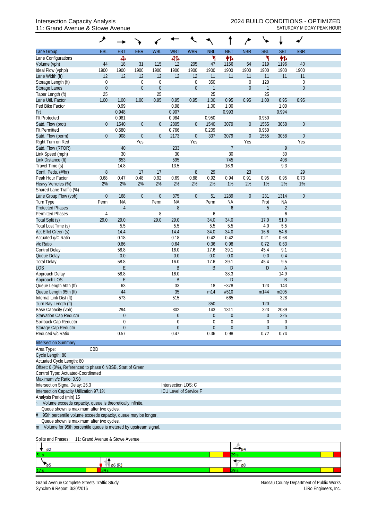## 11: Grand Avenue & Stowe Avenue SATURDAY MIDDAY PEAK HOUR

|                                                                    | ۶                               |                  |                  |                          |                     |                                 |                     |                   |                                      |                    |                   |                             |  |
|--------------------------------------------------------------------|---------------------------------|------------------|------------------|--------------------------|---------------------|---------------------------------|---------------------|-------------------|--------------------------------------|--------------------|-------------------|-----------------------------|--|
| Lane Group                                                         | EBL                             | <b>EBT</b>       | <b>EBR</b>       | <b>WBL</b>               | <b>WB1</b>          | <b>WBR</b>                      | <b>NBL</b>          | <b>NBT</b>        | <b>NBR</b>                           | <b>SBL</b>         | <b>SBT</b>        | <b>SBR</b>                  |  |
| Lane Configurations                                                |                                 | Ф                |                  |                          | 412                 |                                 | ۲                   | 怍                 |                                      | ۲                  | 作                 |                             |  |
| Volume (vph)                                                       | 44                              | 18               | 31               | 115                      | 12                  | 205                             | 47                  | 1156              | 54                                   | 219                | 1196              | 40                          |  |
| Ideal Flow (vphpl)                                                 | 1900                            | 1900             | 1900             | 1900                     | 1900                | 1900                            | 1900                | 1900              | 1900                                 | 1900               | 1900              | 1900                        |  |
| Lane Width (ft)                                                    | 12                              | 12               | 12               | 12                       | 12                  | 12                              | 11                  | 11                | 11                                   | 11                 | 11                | 11                          |  |
| Storage Length (ft)                                                | $\mathbf 0$                     |                  | 0                | $\mathbf 0$              |                     | $\mathbf 0$<br>$\boldsymbol{0}$ | 350<br>$\mathbf{1}$ |                   | $\boldsymbol{0}$<br>$\boldsymbol{0}$ | 120                |                   | $\mathbf 0$<br>$\mathbf{0}$ |  |
| <b>Storage Lanes</b><br>Taper Length (ft)                          | $\boldsymbol{0}$<br>25          |                  | $\boldsymbol{0}$ | $\boldsymbol{0}$<br>25   |                     |                                 | 25                  |                   |                                      | $\mathbf{1}$<br>25 |                   |                             |  |
| Lane Util. Factor                                                  | 1.00                            | 1.00             | 1.00             | 0.95                     | 0.95                | 0.95                            | 1.00                | 0.95              | 0.95                                 | 1.00               | 0.95              | 0.95                        |  |
| Ped Bike Factor                                                    |                                 | 0.99             |                  |                          | 0.98                |                                 | 1.00                | 1.00              |                                      |                    | 1.00              |                             |  |
| Frt                                                                |                                 | 0.948            |                  |                          | 0.907               |                                 |                     | 0.993             |                                      |                    | 0.994             |                             |  |
| <b>Flt Protected</b>                                               |                                 | 0.981            |                  |                          | 0.984               |                                 | 0.950               |                   |                                      | 0.950              |                   |                             |  |
| Satd. Flow (prot)                                                  | $\overline{0}$                  | 1540             | $\boldsymbol{0}$ | $\boldsymbol{0}$         | 2805                | $\overline{0}$                  | 1540                | 3079              | $\boldsymbol{0}$                     | 1555               | 3058              | $\theta$                    |  |
| <b>Flt Permitted</b>                                               |                                 | 0.580            |                  |                          | 0.766               |                                 | 0.209               |                   |                                      | 0.950              |                   |                             |  |
| Satd. Flow (perm)                                                  | $\overline{0}$                  | 908              | $\boldsymbol{0}$ | $\boldsymbol{0}$         | 2173                | $\boldsymbol{0}$                | 337                 | 3079              | $\boldsymbol{0}$                     | 1555               | 3058              | $\theta$                    |  |
| Right Turn on Red                                                  |                                 |                  | Yes              |                          |                     | Yes                             |                     |                   | Yes                                  |                    |                   | Yes                         |  |
| Satd. Flow (RTOR)                                                  |                                 | 40               |                  |                          | 233                 |                                 |                     | 7                 |                                      |                    | 9                 |                             |  |
| Link Speed (mph)                                                   |                                 | 30               |                  |                          | 30                  |                                 |                     | 30                |                                      |                    | 30                |                             |  |
| Link Distance (ft)                                                 |                                 | 653              |                  |                          | 595                 |                                 |                     | 745               |                                      |                    | 408               |                             |  |
| Travel Time (s)                                                    |                                 | 14.8             |                  |                          | 13.5                |                                 |                     | 16.9              |                                      |                    | 9.3               |                             |  |
| Confl. Peds. (#/hr)                                                | 8                               |                  | 17               | 17                       |                     | $\, 8$                          | 29                  |                   | 23                                   |                    |                   | 29                          |  |
| Peak Hour Factor                                                   | 0.68                            | 0.47             | 0.48             | 0.92                     | 0.69                | 0.88                            | 0.92                | 0.94              | 0.91                                 | 0.95               | 0.95              | 0.73                        |  |
| Heavy Vehicles (%)                                                 | 2%                              | 2%               | 2%               | 2%                       | 2%                  | 2%                              | 2%                  | 1%                | 2%                                   | 1%                 | 2%                | 1%                          |  |
| Shared Lane Traffic (%)                                            |                                 |                  |                  |                          |                     |                                 |                     |                   |                                      |                    |                   | $\overline{0}$              |  |
| Lane Group Flow (vph)<br>Turn Type                                 | $\overline{0}$<br>Perm          | 168<br><b>NA</b> | $\boldsymbol{0}$ | $\boldsymbol{0}$<br>Perm | 375<br><b>NA</b>    | $\boldsymbol{0}$                | 51<br>Perm          | 1289<br><b>NA</b> | $\boldsymbol{0}$                     | 231<br>Prot        | 1314<br><b>NA</b> |                             |  |
| <b>Protected Phases</b>                                            |                                 | $\overline{4}$   |                  |                          | 8                   |                                 |                     | 6                 |                                      | 5                  | $\overline{2}$    |                             |  |
| <b>Permitted Phases</b>                                            | 4                               |                  |                  | 8                        |                     |                                 | 6                   |                   |                                      |                    | 6                 |                             |  |
| Total Split (s)                                                    | 29.0                            | 29.0             |                  | 29.0                     | 29.0                |                                 | 34.0                | 34.0              |                                      | 17.0               | 51.0              |                             |  |
| Total Lost Time (s)                                                |                                 | 5.5              |                  |                          | 5.5                 |                                 | 5.5                 | 5.5               |                                      | 4.0                | 5.5               |                             |  |
| Act Effct Green (s)                                                |                                 | 14.4             |                  |                          | 14.4                |                                 | 34.0                | 34.0              |                                      | 16.6               | 54.6              |                             |  |
| Actuated g/C Ratio                                                 |                                 | 0.18             |                  |                          | 0.18                |                                 | 0.42                | 0.42              |                                      | 0.21               | 0.68              |                             |  |
| v/c Ratio                                                          |                                 | 0.86             |                  |                          | 0.64                |                                 | 0.36                | 0.98              |                                      | 0.72               | 0.63              |                             |  |
| Control Delay                                                      |                                 | 58.8             |                  |                          | 16.0                |                                 | 17.6                | 39.1              |                                      | 45.4               | 9.1               |                             |  |
| Queue Delay                                                        |                                 | 0.0              |                  |                          | 0.0                 |                                 | 0.0                 | 0.0               |                                      | 0.0                | 0.4               |                             |  |
| <b>Total Delay</b>                                                 |                                 | 58.8             |                  |                          | 16.0                |                                 | 17.6                | 39.1              |                                      | 45.4               | 9.5               |                             |  |
| <b>LOS</b>                                                         |                                 | E                |                  |                          | B                   |                                 | B                   | D                 |                                      | $\mathsf{D}%$      | A                 |                             |  |
| Approach Delay                                                     |                                 | 58.8             |                  |                          | 16.0                |                                 |                     | 38.3              |                                      |                    | 14.9              |                             |  |
| Approach LOS                                                       |                                 | E                |                  |                          | B                   |                                 |                     | D                 |                                      |                    | B                 |                             |  |
| Queue Length 50th (ft)                                             |                                 | 63               |                  |                          | 33                  |                                 | 18                  | $-378$            |                                      | 123                | 143               |                             |  |
| Queue Length 95th (ft)<br>Internal Link Dist (ft)                  |                                 | 44<br>573        |                  |                          | 35<br>515           |                                 | m14                 | #510<br>665       |                                      | m144               | m205<br>328       |                             |  |
| Turn Bay Length (ft)                                               |                                 |                  |                  |                          |                     |                                 | 350                 |                   |                                      | 120                |                   |                             |  |
| Base Capacity (vph)                                                |                                 | 294              |                  |                          | 802                 |                                 | 143                 | 1311              |                                      | 323                | 2089              |                             |  |
| <b>Starvation Cap Reductn</b>                                      |                                 | $\theta$         |                  |                          | $\boldsymbol{0}$    |                                 | $\overline{0}$      | $\boldsymbol{0}$  |                                      | $\overline{0}$     | 325               |                             |  |
| Spillback Cap Reductn                                              |                                 | $\theta$         |                  |                          | 0                   |                                 | 0                   | 0                 |                                      | $\theta$           | $\boldsymbol{0}$  |                             |  |
| Storage Cap Reductn                                                |                                 | $\theta$         |                  |                          | $\theta$            |                                 | $\boldsymbol{0}$    | 0                 |                                      | $\overline{0}$     | $\boldsymbol{0}$  |                             |  |
| Reduced v/c Ratio                                                  |                                 | 0.57             |                  |                          | 0.47                |                                 | 0.36                | 0.98              |                                      | 0.72               | 0.74              |                             |  |
| <b>Intersection Summary</b>                                        |                                 |                  |                  |                          |                     |                                 |                     |                   |                                      |                    |                   |                             |  |
| Area Type:                                                         | CBD                             |                  |                  |                          |                     |                                 |                     |                   |                                      |                    |                   |                             |  |
| Cycle Length: 80                                                   |                                 |                  |                  |                          |                     |                                 |                     |                   |                                      |                    |                   |                             |  |
| Actuated Cycle Length: 80                                          |                                 |                  |                  |                          |                     |                                 |                     |                   |                                      |                    |                   |                             |  |
| Offset: 0 (0%), Referenced to phase 6:NBSB, Start of Green         |                                 |                  |                  |                          |                     |                                 |                     |                   |                                      |                    |                   |                             |  |
| Control Type: Actuated-Coordinated                                 |                                 |                  |                  |                          |                     |                                 |                     |                   |                                      |                    |                   |                             |  |
| Maximum v/c Ratio: 0.98                                            |                                 |                  |                  |                          |                     |                                 |                     |                   |                                      |                    |                   |                             |  |
| Intersection Signal Delay: 26.3                                    |                                 |                  |                  |                          | Intersection LOS: C |                                 |                     |                   |                                      |                    |                   |                             |  |
| Intersection Capacity Utilization 97.1%                            |                                 |                  |                  |                          |                     | ICU Level of Service F          |                     |                   |                                      |                    |                   |                             |  |
| Analysis Period (min) 15                                           |                                 |                  |                  |                          |                     |                                 |                     |                   |                                      |                    |                   |                             |  |
| Volume exceeds capacity, queue is theoretically infinite.          |                                 |                  |                  |                          |                     |                                 |                     |                   |                                      |                    |                   |                             |  |
| Queue shown is maximum after two cycles.                           |                                 |                  |                  |                          |                     |                                 |                     |                   |                                      |                    |                   |                             |  |
| 95th percentile volume exceeds capacity, queue may be longer.<br># |                                 |                  |                  |                          |                     |                                 |                     |                   |                                      |                    |                   |                             |  |
| Queue shown is maximum after two cycles.                           |                                 |                  |                  |                          |                     |                                 |                     |                   |                                      |                    |                   |                             |  |
| m Volume for 95th percentile queue is metered by upstream signal.  |                                 |                  |                  |                          |                     |                                 |                     |                   |                                      |                    |                   |                             |  |
| Splits and Phases:                                                 | 11: Grand Avenue & Stowe Avenue |                  |                  |                          |                     |                                 |                     |                   |                                      |                    |                   |                             |  |
|                                                                    |                                 |                  |                  |                          |                     |                                 |                     |                   |                                      |                    |                   |                             |  |

| øz  |               |    |
|-----|---------------|----|
| 51s |               | __ |
|     | $\sim$ $\sim$ | ø8 |
| 17  |               |    |

Grand Avenue Complete Streets Traffic Study Nassau County Department of Public Works Synchro 9 Report, 3/30/2016 LiRo Engineers, Inc.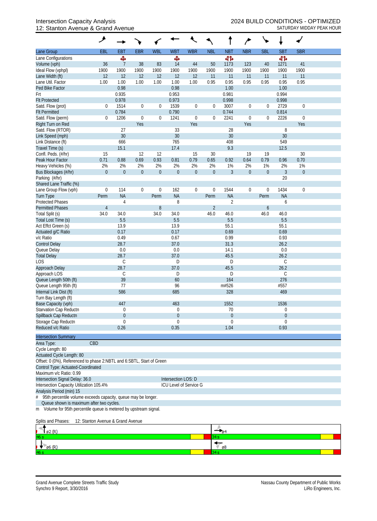## 12: Stanton Avenue & Grand Avenue SATURDAY MIDDAY PEAK HOUR

| EBL<br><b>EBT</b><br><b>EBR</b><br><b>WBL</b><br><b>WBT</b><br><b>WBR</b><br><b>NBL</b><br><b>NBT</b><br><b>NBR</b><br><b>SBL</b><br><b>SBT</b><br><b>SBR</b><br>Lane Group<br>बीर्क<br>đЪ<br>Ф<br>Lane Configurations<br>Ф<br>36<br>38<br>83<br>14<br>44<br>50<br>1173<br>123<br>40<br>41<br>Volume (vph)<br>7<br>1271<br>1900<br>1900<br>1900<br>1900<br>1900<br>1900<br>1900<br>1900<br>1900<br>1900<br>1900<br>1900<br>Ideal Flow (vphpl)<br>12<br>Lane Width (ft)<br>12<br>12<br>12<br>12<br>12<br>11<br>11<br>11<br>11<br>11<br>11<br>1.00<br>0.95<br>0.95<br>0.95<br>0.95<br>Lane Util. Factor<br>1.00<br>1.00<br>1.00<br>1.00<br>1.00<br>0.95<br>0.95<br>0.98<br>0.98<br>1.00<br>1.00<br>Ped Bike Factor<br>0.935<br>0.953<br>0.981<br>0.994<br>Frt<br>0.978<br>0.973<br>0.998<br>0.998<br><b>Flt Protected</b><br>1539<br>3007<br>2729<br>Satd. Flow (prot)<br>$\mathbf 0$<br>1514<br>$\boldsymbol{0}$<br>0<br>$\boldsymbol{0}$<br>$\boldsymbol{0}$<br>$\boldsymbol{0}$<br>$\boldsymbol{0}$<br>$\boldsymbol{0}$<br>0.784<br>0.790<br>0.744<br>0.814<br><b>Flt Permitted</b><br>2241<br>2226<br>Satd. Flow (perm)<br>1206<br>$\boldsymbol{0}$<br>0<br>1241<br>$\boldsymbol{0}$<br>$\boldsymbol{0}$<br>$\boldsymbol{0}$<br>$\boldsymbol{0}$<br>$\overline{0}$<br>$\mathbf{0}$<br>Right Turn on Red<br>Yes<br>Yes<br>Yes<br>Yes<br>27<br>28<br>Satd. Flow (RTOR)<br>33<br>8<br>30<br>30<br>30<br>30<br>Link Speed (mph)<br>408<br>549<br>Link Distance (ft)<br>666<br>765<br>9.3<br>Travel Time (s)<br>15.1<br>17.4<br>12.5<br>Confl. Peds. (#/hr)<br>15<br>12<br>12<br>15<br>30<br>19<br>19<br>30<br>0.88<br>0.69<br>0.93<br>0.65<br>0.64<br>0.70<br>Peak Hour Factor<br>0.71<br>0.81<br>0.79<br>0.92<br>0.79<br>0.96<br>2%<br>2%<br>2%<br>2%<br>2%<br>2%<br>2%<br>1%<br>2%<br>1%<br>2%<br>Heavy Vehicles (%)<br>1%<br>$\mathbf{0}$<br>$\boldsymbol{0}$<br>$\boldsymbol{0}$<br>$\boldsymbol{0}$<br>$\boldsymbol{0}$<br>$\mathbf 0$<br>3<br>$\boldsymbol{0}$<br>$\mathfrak{Z}$<br>$\theta$<br>$\boldsymbol{0}$<br>$\boldsymbol{0}$<br>Bus Blockages (#/hr)<br>20<br>Parking (#/hr)<br>Shared Lane Traffic (%)<br>$\mathbf 0$<br>$\boldsymbol{0}$<br>114<br>$\boldsymbol{0}$<br>$\boldsymbol{0}$<br>162<br>0<br>$\boldsymbol{0}$<br>1544<br>$\boldsymbol{0}$<br>$\boldsymbol{0}$<br>1434<br>Lane Group Flow (vph)<br><b>NA</b><br><b>NA</b><br><b>NA</b><br><b>NA</b><br>Perm<br><b>Turn Type</b><br>Perm<br>Perm<br>Perm<br>8<br>$\overline{2}$<br><b>Protected Phases</b><br>4<br>6<br>$\, 8$<br>$\overline{2}$<br><b>Permitted Phases</b><br>6<br>$\overline{4}$<br>34.0<br>Total Split (s)<br>34.0<br>34.0<br>34.0<br>46.0<br>46.0<br>46.0<br>46.0<br>5.5<br>5.5<br>5.5<br>5.5<br>Total Lost Time (s)<br>55.1<br>Act Effct Green (s)<br>13.9<br>13.9<br>55.1<br>0.17<br>0.69<br>0.17<br>0.69<br>Actuated g/C Ratio<br>0.99<br>v/c Ratio<br>0.49<br>0.67<br>0.93<br>28.7<br>31.3<br><b>Control Delay</b><br>37.0<br>26.2<br>0.0<br>0.0<br>0.0<br>Queue Delay<br>14.1<br>28.7<br>45.5<br>26.2<br><b>Total Delay</b><br>37.0<br>C<br>D<br>D<br>C<br>LOS<br>28.7<br>37.0<br>45.5<br>26.2<br>Approach Delay<br>Approach LOS<br>C<br>C<br>D<br>D<br>Queue Length 50th (ft)<br>39<br>60<br>164<br>276<br>Queue Length 95th (ft)<br>77<br>m#526<br>#557<br>96<br>Internal Link Dist (ft)<br>586<br>328<br>685<br>469<br>Turn Bay Length (ft)<br>Base Capacity (vph)<br>447<br>1552<br>1536<br>463<br>Starvation Cap Reductn<br>0<br>70<br>$\overline{0}$<br>$\Omega$<br>Spillback Cap Reductn<br>$\overline{0}$<br>0<br>0<br>0<br>Storage Cap Reductn<br>0<br>0<br>0<br>$\overline{0}$<br>Reduced v/c Ratio<br>0.26<br>0.35<br>1.04<br>0.93<br><b>Intersection Summary</b><br>CBD<br>Area Type:<br>Cycle Length: 80<br>Actuated Cycle Length: 80<br>Offset: 0 (0%), Referenced to phase 2:NBTL and 6:SBTL, Start of Green<br>Control Type: Actuated-Coordinated<br>Maximum v/c Ratio: 0.99<br>Intersection Signal Delay: 36.0<br>Intersection LOS: D<br>Intersection Capacity Utilization 105.4%<br>ICU Level of Service G<br>Analysis Period (min) 15<br>95th percentile volume exceeds capacity, queue may be longer.<br>$\#$<br>Queue shown is maximum after two cycles.<br>Volume for 95th percentile queue is metered by upstream signal.<br>m<br>12: Stanton Avenue & Grand Avenue |                    | ۸ |  |  |  |  |  |  |
|-------------------------------------------------------------------------------------------------------------------------------------------------------------------------------------------------------------------------------------------------------------------------------------------------------------------------------------------------------------------------------------------------------------------------------------------------------------------------------------------------------------------------------------------------------------------------------------------------------------------------------------------------------------------------------------------------------------------------------------------------------------------------------------------------------------------------------------------------------------------------------------------------------------------------------------------------------------------------------------------------------------------------------------------------------------------------------------------------------------------------------------------------------------------------------------------------------------------------------------------------------------------------------------------------------------------------------------------------------------------------------------------------------------------------------------------------------------------------------------------------------------------------------------------------------------------------------------------------------------------------------------------------------------------------------------------------------------------------------------------------------------------------------------------------------------------------------------------------------------------------------------------------------------------------------------------------------------------------------------------------------------------------------------------------------------------------------------------------------------------------------------------------------------------------------------------------------------------------------------------------------------------------------------------------------------------------------------------------------------------------------------------------------------------------------------------------------------------------------------------------------------------------------------------------------------------------------------------------------------------------------------------------------------------------------------------------------------------------------------------------------------------------------------------------------------------------------------------------------------------------------------------------------------------------------------------------------------------------------------------------------------------------------------------------------------------------------------------------------------------------------------------------------------------------------------------------------------------------------------------------------------------------------------------------------------------------------------------------------------------------------------------------------------------------------------------------------------------------------------------------------------------------------------------------------------------------------------------------------------------------------------------------------------------------------------------------------------------------------------------------------------------------------------------------------------------------------------------------------------------------------------------------------------------------------------------------------------------------------------------------------------------------------------------------------------------------------------------------------------------------------------------------------------------------------------------------------------------------------------------------------------------------------------------|--------------------|---|--|--|--|--|--|--|
|                                                                                                                                                                                                                                                                                                                                                                                                                                                                                                                                                                                                                                                                                                                                                                                                                                                                                                                                                                                                                                                                                                                                                                                                                                                                                                                                                                                                                                                                                                                                                                                                                                                                                                                                                                                                                                                                                                                                                                                                                                                                                                                                                                                                                                                                                                                                                                                                                                                                                                                                                                                                                                                                                                                                                                                                                                                                                                                                                                                                                                                                                                                                                                                                                                                                                                                                                                                                                                                                                                                                                                                                                                                                                                                                                                                                                                                                                                                                                                                                                                                                                                                                                                                                                                                                                           |                    |   |  |  |  |  |  |  |
|                                                                                                                                                                                                                                                                                                                                                                                                                                                                                                                                                                                                                                                                                                                                                                                                                                                                                                                                                                                                                                                                                                                                                                                                                                                                                                                                                                                                                                                                                                                                                                                                                                                                                                                                                                                                                                                                                                                                                                                                                                                                                                                                                                                                                                                                                                                                                                                                                                                                                                                                                                                                                                                                                                                                                                                                                                                                                                                                                                                                                                                                                                                                                                                                                                                                                                                                                                                                                                                                                                                                                                                                                                                                                                                                                                                                                                                                                                                                                                                                                                                                                                                                                                                                                                                                                           |                    |   |  |  |  |  |  |  |
|                                                                                                                                                                                                                                                                                                                                                                                                                                                                                                                                                                                                                                                                                                                                                                                                                                                                                                                                                                                                                                                                                                                                                                                                                                                                                                                                                                                                                                                                                                                                                                                                                                                                                                                                                                                                                                                                                                                                                                                                                                                                                                                                                                                                                                                                                                                                                                                                                                                                                                                                                                                                                                                                                                                                                                                                                                                                                                                                                                                                                                                                                                                                                                                                                                                                                                                                                                                                                                                                                                                                                                                                                                                                                                                                                                                                                                                                                                                                                                                                                                                                                                                                                                                                                                                                                           |                    |   |  |  |  |  |  |  |
|                                                                                                                                                                                                                                                                                                                                                                                                                                                                                                                                                                                                                                                                                                                                                                                                                                                                                                                                                                                                                                                                                                                                                                                                                                                                                                                                                                                                                                                                                                                                                                                                                                                                                                                                                                                                                                                                                                                                                                                                                                                                                                                                                                                                                                                                                                                                                                                                                                                                                                                                                                                                                                                                                                                                                                                                                                                                                                                                                                                                                                                                                                                                                                                                                                                                                                                                                                                                                                                                                                                                                                                                                                                                                                                                                                                                                                                                                                                                                                                                                                                                                                                                                                                                                                                                                           |                    |   |  |  |  |  |  |  |
|                                                                                                                                                                                                                                                                                                                                                                                                                                                                                                                                                                                                                                                                                                                                                                                                                                                                                                                                                                                                                                                                                                                                                                                                                                                                                                                                                                                                                                                                                                                                                                                                                                                                                                                                                                                                                                                                                                                                                                                                                                                                                                                                                                                                                                                                                                                                                                                                                                                                                                                                                                                                                                                                                                                                                                                                                                                                                                                                                                                                                                                                                                                                                                                                                                                                                                                                                                                                                                                                                                                                                                                                                                                                                                                                                                                                                                                                                                                                                                                                                                                                                                                                                                                                                                                                                           |                    |   |  |  |  |  |  |  |
|                                                                                                                                                                                                                                                                                                                                                                                                                                                                                                                                                                                                                                                                                                                                                                                                                                                                                                                                                                                                                                                                                                                                                                                                                                                                                                                                                                                                                                                                                                                                                                                                                                                                                                                                                                                                                                                                                                                                                                                                                                                                                                                                                                                                                                                                                                                                                                                                                                                                                                                                                                                                                                                                                                                                                                                                                                                                                                                                                                                                                                                                                                                                                                                                                                                                                                                                                                                                                                                                                                                                                                                                                                                                                                                                                                                                                                                                                                                                                                                                                                                                                                                                                                                                                                                                                           |                    |   |  |  |  |  |  |  |
|                                                                                                                                                                                                                                                                                                                                                                                                                                                                                                                                                                                                                                                                                                                                                                                                                                                                                                                                                                                                                                                                                                                                                                                                                                                                                                                                                                                                                                                                                                                                                                                                                                                                                                                                                                                                                                                                                                                                                                                                                                                                                                                                                                                                                                                                                                                                                                                                                                                                                                                                                                                                                                                                                                                                                                                                                                                                                                                                                                                                                                                                                                                                                                                                                                                                                                                                                                                                                                                                                                                                                                                                                                                                                                                                                                                                                                                                                                                                                                                                                                                                                                                                                                                                                                                                                           |                    |   |  |  |  |  |  |  |
|                                                                                                                                                                                                                                                                                                                                                                                                                                                                                                                                                                                                                                                                                                                                                                                                                                                                                                                                                                                                                                                                                                                                                                                                                                                                                                                                                                                                                                                                                                                                                                                                                                                                                                                                                                                                                                                                                                                                                                                                                                                                                                                                                                                                                                                                                                                                                                                                                                                                                                                                                                                                                                                                                                                                                                                                                                                                                                                                                                                                                                                                                                                                                                                                                                                                                                                                                                                                                                                                                                                                                                                                                                                                                                                                                                                                                                                                                                                                                                                                                                                                                                                                                                                                                                                                                           |                    |   |  |  |  |  |  |  |
|                                                                                                                                                                                                                                                                                                                                                                                                                                                                                                                                                                                                                                                                                                                                                                                                                                                                                                                                                                                                                                                                                                                                                                                                                                                                                                                                                                                                                                                                                                                                                                                                                                                                                                                                                                                                                                                                                                                                                                                                                                                                                                                                                                                                                                                                                                                                                                                                                                                                                                                                                                                                                                                                                                                                                                                                                                                                                                                                                                                                                                                                                                                                                                                                                                                                                                                                                                                                                                                                                                                                                                                                                                                                                                                                                                                                                                                                                                                                                                                                                                                                                                                                                                                                                                                                                           |                    |   |  |  |  |  |  |  |
|                                                                                                                                                                                                                                                                                                                                                                                                                                                                                                                                                                                                                                                                                                                                                                                                                                                                                                                                                                                                                                                                                                                                                                                                                                                                                                                                                                                                                                                                                                                                                                                                                                                                                                                                                                                                                                                                                                                                                                                                                                                                                                                                                                                                                                                                                                                                                                                                                                                                                                                                                                                                                                                                                                                                                                                                                                                                                                                                                                                                                                                                                                                                                                                                                                                                                                                                                                                                                                                                                                                                                                                                                                                                                                                                                                                                                                                                                                                                                                                                                                                                                                                                                                                                                                                                                           |                    |   |  |  |  |  |  |  |
|                                                                                                                                                                                                                                                                                                                                                                                                                                                                                                                                                                                                                                                                                                                                                                                                                                                                                                                                                                                                                                                                                                                                                                                                                                                                                                                                                                                                                                                                                                                                                                                                                                                                                                                                                                                                                                                                                                                                                                                                                                                                                                                                                                                                                                                                                                                                                                                                                                                                                                                                                                                                                                                                                                                                                                                                                                                                                                                                                                                                                                                                                                                                                                                                                                                                                                                                                                                                                                                                                                                                                                                                                                                                                                                                                                                                                                                                                                                                                                                                                                                                                                                                                                                                                                                                                           |                    |   |  |  |  |  |  |  |
|                                                                                                                                                                                                                                                                                                                                                                                                                                                                                                                                                                                                                                                                                                                                                                                                                                                                                                                                                                                                                                                                                                                                                                                                                                                                                                                                                                                                                                                                                                                                                                                                                                                                                                                                                                                                                                                                                                                                                                                                                                                                                                                                                                                                                                                                                                                                                                                                                                                                                                                                                                                                                                                                                                                                                                                                                                                                                                                                                                                                                                                                                                                                                                                                                                                                                                                                                                                                                                                                                                                                                                                                                                                                                                                                                                                                                                                                                                                                                                                                                                                                                                                                                                                                                                                                                           |                    |   |  |  |  |  |  |  |
|                                                                                                                                                                                                                                                                                                                                                                                                                                                                                                                                                                                                                                                                                                                                                                                                                                                                                                                                                                                                                                                                                                                                                                                                                                                                                                                                                                                                                                                                                                                                                                                                                                                                                                                                                                                                                                                                                                                                                                                                                                                                                                                                                                                                                                                                                                                                                                                                                                                                                                                                                                                                                                                                                                                                                                                                                                                                                                                                                                                                                                                                                                                                                                                                                                                                                                                                                                                                                                                                                                                                                                                                                                                                                                                                                                                                                                                                                                                                                                                                                                                                                                                                                                                                                                                                                           |                    |   |  |  |  |  |  |  |
|                                                                                                                                                                                                                                                                                                                                                                                                                                                                                                                                                                                                                                                                                                                                                                                                                                                                                                                                                                                                                                                                                                                                                                                                                                                                                                                                                                                                                                                                                                                                                                                                                                                                                                                                                                                                                                                                                                                                                                                                                                                                                                                                                                                                                                                                                                                                                                                                                                                                                                                                                                                                                                                                                                                                                                                                                                                                                                                                                                                                                                                                                                                                                                                                                                                                                                                                                                                                                                                                                                                                                                                                                                                                                                                                                                                                                                                                                                                                                                                                                                                                                                                                                                                                                                                                                           |                    |   |  |  |  |  |  |  |
|                                                                                                                                                                                                                                                                                                                                                                                                                                                                                                                                                                                                                                                                                                                                                                                                                                                                                                                                                                                                                                                                                                                                                                                                                                                                                                                                                                                                                                                                                                                                                                                                                                                                                                                                                                                                                                                                                                                                                                                                                                                                                                                                                                                                                                                                                                                                                                                                                                                                                                                                                                                                                                                                                                                                                                                                                                                                                                                                                                                                                                                                                                                                                                                                                                                                                                                                                                                                                                                                                                                                                                                                                                                                                                                                                                                                                                                                                                                                                                                                                                                                                                                                                                                                                                                                                           |                    |   |  |  |  |  |  |  |
|                                                                                                                                                                                                                                                                                                                                                                                                                                                                                                                                                                                                                                                                                                                                                                                                                                                                                                                                                                                                                                                                                                                                                                                                                                                                                                                                                                                                                                                                                                                                                                                                                                                                                                                                                                                                                                                                                                                                                                                                                                                                                                                                                                                                                                                                                                                                                                                                                                                                                                                                                                                                                                                                                                                                                                                                                                                                                                                                                                                                                                                                                                                                                                                                                                                                                                                                                                                                                                                                                                                                                                                                                                                                                                                                                                                                                                                                                                                                                                                                                                                                                                                                                                                                                                                                                           |                    |   |  |  |  |  |  |  |
|                                                                                                                                                                                                                                                                                                                                                                                                                                                                                                                                                                                                                                                                                                                                                                                                                                                                                                                                                                                                                                                                                                                                                                                                                                                                                                                                                                                                                                                                                                                                                                                                                                                                                                                                                                                                                                                                                                                                                                                                                                                                                                                                                                                                                                                                                                                                                                                                                                                                                                                                                                                                                                                                                                                                                                                                                                                                                                                                                                                                                                                                                                                                                                                                                                                                                                                                                                                                                                                                                                                                                                                                                                                                                                                                                                                                                                                                                                                                                                                                                                                                                                                                                                                                                                                                                           |                    |   |  |  |  |  |  |  |
|                                                                                                                                                                                                                                                                                                                                                                                                                                                                                                                                                                                                                                                                                                                                                                                                                                                                                                                                                                                                                                                                                                                                                                                                                                                                                                                                                                                                                                                                                                                                                                                                                                                                                                                                                                                                                                                                                                                                                                                                                                                                                                                                                                                                                                                                                                                                                                                                                                                                                                                                                                                                                                                                                                                                                                                                                                                                                                                                                                                                                                                                                                                                                                                                                                                                                                                                                                                                                                                                                                                                                                                                                                                                                                                                                                                                                                                                                                                                                                                                                                                                                                                                                                                                                                                                                           |                    |   |  |  |  |  |  |  |
|                                                                                                                                                                                                                                                                                                                                                                                                                                                                                                                                                                                                                                                                                                                                                                                                                                                                                                                                                                                                                                                                                                                                                                                                                                                                                                                                                                                                                                                                                                                                                                                                                                                                                                                                                                                                                                                                                                                                                                                                                                                                                                                                                                                                                                                                                                                                                                                                                                                                                                                                                                                                                                                                                                                                                                                                                                                                                                                                                                                                                                                                                                                                                                                                                                                                                                                                                                                                                                                                                                                                                                                                                                                                                                                                                                                                                                                                                                                                                                                                                                                                                                                                                                                                                                                                                           |                    |   |  |  |  |  |  |  |
|                                                                                                                                                                                                                                                                                                                                                                                                                                                                                                                                                                                                                                                                                                                                                                                                                                                                                                                                                                                                                                                                                                                                                                                                                                                                                                                                                                                                                                                                                                                                                                                                                                                                                                                                                                                                                                                                                                                                                                                                                                                                                                                                                                                                                                                                                                                                                                                                                                                                                                                                                                                                                                                                                                                                                                                                                                                                                                                                                                                                                                                                                                                                                                                                                                                                                                                                                                                                                                                                                                                                                                                                                                                                                                                                                                                                                                                                                                                                                                                                                                                                                                                                                                                                                                                                                           |                    |   |  |  |  |  |  |  |
|                                                                                                                                                                                                                                                                                                                                                                                                                                                                                                                                                                                                                                                                                                                                                                                                                                                                                                                                                                                                                                                                                                                                                                                                                                                                                                                                                                                                                                                                                                                                                                                                                                                                                                                                                                                                                                                                                                                                                                                                                                                                                                                                                                                                                                                                                                                                                                                                                                                                                                                                                                                                                                                                                                                                                                                                                                                                                                                                                                                                                                                                                                                                                                                                                                                                                                                                                                                                                                                                                                                                                                                                                                                                                                                                                                                                                                                                                                                                                                                                                                                                                                                                                                                                                                                                                           |                    |   |  |  |  |  |  |  |
|                                                                                                                                                                                                                                                                                                                                                                                                                                                                                                                                                                                                                                                                                                                                                                                                                                                                                                                                                                                                                                                                                                                                                                                                                                                                                                                                                                                                                                                                                                                                                                                                                                                                                                                                                                                                                                                                                                                                                                                                                                                                                                                                                                                                                                                                                                                                                                                                                                                                                                                                                                                                                                                                                                                                                                                                                                                                                                                                                                                                                                                                                                                                                                                                                                                                                                                                                                                                                                                                                                                                                                                                                                                                                                                                                                                                                                                                                                                                                                                                                                                                                                                                                                                                                                                                                           |                    |   |  |  |  |  |  |  |
|                                                                                                                                                                                                                                                                                                                                                                                                                                                                                                                                                                                                                                                                                                                                                                                                                                                                                                                                                                                                                                                                                                                                                                                                                                                                                                                                                                                                                                                                                                                                                                                                                                                                                                                                                                                                                                                                                                                                                                                                                                                                                                                                                                                                                                                                                                                                                                                                                                                                                                                                                                                                                                                                                                                                                                                                                                                                                                                                                                                                                                                                                                                                                                                                                                                                                                                                                                                                                                                                                                                                                                                                                                                                                                                                                                                                                                                                                                                                                                                                                                                                                                                                                                                                                                                                                           |                    |   |  |  |  |  |  |  |
|                                                                                                                                                                                                                                                                                                                                                                                                                                                                                                                                                                                                                                                                                                                                                                                                                                                                                                                                                                                                                                                                                                                                                                                                                                                                                                                                                                                                                                                                                                                                                                                                                                                                                                                                                                                                                                                                                                                                                                                                                                                                                                                                                                                                                                                                                                                                                                                                                                                                                                                                                                                                                                                                                                                                                                                                                                                                                                                                                                                                                                                                                                                                                                                                                                                                                                                                                                                                                                                                                                                                                                                                                                                                                                                                                                                                                                                                                                                                                                                                                                                                                                                                                                                                                                                                                           |                    |   |  |  |  |  |  |  |
|                                                                                                                                                                                                                                                                                                                                                                                                                                                                                                                                                                                                                                                                                                                                                                                                                                                                                                                                                                                                                                                                                                                                                                                                                                                                                                                                                                                                                                                                                                                                                                                                                                                                                                                                                                                                                                                                                                                                                                                                                                                                                                                                                                                                                                                                                                                                                                                                                                                                                                                                                                                                                                                                                                                                                                                                                                                                                                                                                                                                                                                                                                                                                                                                                                                                                                                                                                                                                                                                                                                                                                                                                                                                                                                                                                                                                                                                                                                                                                                                                                                                                                                                                                                                                                                                                           |                    |   |  |  |  |  |  |  |
|                                                                                                                                                                                                                                                                                                                                                                                                                                                                                                                                                                                                                                                                                                                                                                                                                                                                                                                                                                                                                                                                                                                                                                                                                                                                                                                                                                                                                                                                                                                                                                                                                                                                                                                                                                                                                                                                                                                                                                                                                                                                                                                                                                                                                                                                                                                                                                                                                                                                                                                                                                                                                                                                                                                                                                                                                                                                                                                                                                                                                                                                                                                                                                                                                                                                                                                                                                                                                                                                                                                                                                                                                                                                                                                                                                                                                                                                                                                                                                                                                                                                                                                                                                                                                                                                                           |                    |   |  |  |  |  |  |  |
|                                                                                                                                                                                                                                                                                                                                                                                                                                                                                                                                                                                                                                                                                                                                                                                                                                                                                                                                                                                                                                                                                                                                                                                                                                                                                                                                                                                                                                                                                                                                                                                                                                                                                                                                                                                                                                                                                                                                                                                                                                                                                                                                                                                                                                                                                                                                                                                                                                                                                                                                                                                                                                                                                                                                                                                                                                                                                                                                                                                                                                                                                                                                                                                                                                                                                                                                                                                                                                                                                                                                                                                                                                                                                                                                                                                                                                                                                                                                                                                                                                                                                                                                                                                                                                                                                           |                    |   |  |  |  |  |  |  |
|                                                                                                                                                                                                                                                                                                                                                                                                                                                                                                                                                                                                                                                                                                                                                                                                                                                                                                                                                                                                                                                                                                                                                                                                                                                                                                                                                                                                                                                                                                                                                                                                                                                                                                                                                                                                                                                                                                                                                                                                                                                                                                                                                                                                                                                                                                                                                                                                                                                                                                                                                                                                                                                                                                                                                                                                                                                                                                                                                                                                                                                                                                                                                                                                                                                                                                                                                                                                                                                                                                                                                                                                                                                                                                                                                                                                                                                                                                                                                                                                                                                                                                                                                                                                                                                                                           |                    |   |  |  |  |  |  |  |
|                                                                                                                                                                                                                                                                                                                                                                                                                                                                                                                                                                                                                                                                                                                                                                                                                                                                                                                                                                                                                                                                                                                                                                                                                                                                                                                                                                                                                                                                                                                                                                                                                                                                                                                                                                                                                                                                                                                                                                                                                                                                                                                                                                                                                                                                                                                                                                                                                                                                                                                                                                                                                                                                                                                                                                                                                                                                                                                                                                                                                                                                                                                                                                                                                                                                                                                                                                                                                                                                                                                                                                                                                                                                                                                                                                                                                                                                                                                                                                                                                                                                                                                                                                                                                                                                                           |                    |   |  |  |  |  |  |  |
|                                                                                                                                                                                                                                                                                                                                                                                                                                                                                                                                                                                                                                                                                                                                                                                                                                                                                                                                                                                                                                                                                                                                                                                                                                                                                                                                                                                                                                                                                                                                                                                                                                                                                                                                                                                                                                                                                                                                                                                                                                                                                                                                                                                                                                                                                                                                                                                                                                                                                                                                                                                                                                                                                                                                                                                                                                                                                                                                                                                                                                                                                                                                                                                                                                                                                                                                                                                                                                                                                                                                                                                                                                                                                                                                                                                                                                                                                                                                                                                                                                                                                                                                                                                                                                                                                           |                    |   |  |  |  |  |  |  |
|                                                                                                                                                                                                                                                                                                                                                                                                                                                                                                                                                                                                                                                                                                                                                                                                                                                                                                                                                                                                                                                                                                                                                                                                                                                                                                                                                                                                                                                                                                                                                                                                                                                                                                                                                                                                                                                                                                                                                                                                                                                                                                                                                                                                                                                                                                                                                                                                                                                                                                                                                                                                                                                                                                                                                                                                                                                                                                                                                                                                                                                                                                                                                                                                                                                                                                                                                                                                                                                                                                                                                                                                                                                                                                                                                                                                                                                                                                                                                                                                                                                                                                                                                                                                                                                                                           |                    |   |  |  |  |  |  |  |
|                                                                                                                                                                                                                                                                                                                                                                                                                                                                                                                                                                                                                                                                                                                                                                                                                                                                                                                                                                                                                                                                                                                                                                                                                                                                                                                                                                                                                                                                                                                                                                                                                                                                                                                                                                                                                                                                                                                                                                                                                                                                                                                                                                                                                                                                                                                                                                                                                                                                                                                                                                                                                                                                                                                                                                                                                                                                                                                                                                                                                                                                                                                                                                                                                                                                                                                                                                                                                                                                                                                                                                                                                                                                                                                                                                                                                                                                                                                                                                                                                                                                                                                                                                                                                                                                                           |                    |   |  |  |  |  |  |  |
|                                                                                                                                                                                                                                                                                                                                                                                                                                                                                                                                                                                                                                                                                                                                                                                                                                                                                                                                                                                                                                                                                                                                                                                                                                                                                                                                                                                                                                                                                                                                                                                                                                                                                                                                                                                                                                                                                                                                                                                                                                                                                                                                                                                                                                                                                                                                                                                                                                                                                                                                                                                                                                                                                                                                                                                                                                                                                                                                                                                                                                                                                                                                                                                                                                                                                                                                                                                                                                                                                                                                                                                                                                                                                                                                                                                                                                                                                                                                                                                                                                                                                                                                                                                                                                                                                           |                    |   |  |  |  |  |  |  |
|                                                                                                                                                                                                                                                                                                                                                                                                                                                                                                                                                                                                                                                                                                                                                                                                                                                                                                                                                                                                                                                                                                                                                                                                                                                                                                                                                                                                                                                                                                                                                                                                                                                                                                                                                                                                                                                                                                                                                                                                                                                                                                                                                                                                                                                                                                                                                                                                                                                                                                                                                                                                                                                                                                                                                                                                                                                                                                                                                                                                                                                                                                                                                                                                                                                                                                                                                                                                                                                                                                                                                                                                                                                                                                                                                                                                                                                                                                                                                                                                                                                                                                                                                                                                                                                                                           |                    |   |  |  |  |  |  |  |
|                                                                                                                                                                                                                                                                                                                                                                                                                                                                                                                                                                                                                                                                                                                                                                                                                                                                                                                                                                                                                                                                                                                                                                                                                                                                                                                                                                                                                                                                                                                                                                                                                                                                                                                                                                                                                                                                                                                                                                                                                                                                                                                                                                                                                                                                                                                                                                                                                                                                                                                                                                                                                                                                                                                                                                                                                                                                                                                                                                                                                                                                                                                                                                                                                                                                                                                                                                                                                                                                                                                                                                                                                                                                                                                                                                                                                                                                                                                                                                                                                                                                                                                                                                                                                                                                                           |                    |   |  |  |  |  |  |  |
|                                                                                                                                                                                                                                                                                                                                                                                                                                                                                                                                                                                                                                                                                                                                                                                                                                                                                                                                                                                                                                                                                                                                                                                                                                                                                                                                                                                                                                                                                                                                                                                                                                                                                                                                                                                                                                                                                                                                                                                                                                                                                                                                                                                                                                                                                                                                                                                                                                                                                                                                                                                                                                                                                                                                                                                                                                                                                                                                                                                                                                                                                                                                                                                                                                                                                                                                                                                                                                                                                                                                                                                                                                                                                                                                                                                                                                                                                                                                                                                                                                                                                                                                                                                                                                                                                           |                    |   |  |  |  |  |  |  |
|                                                                                                                                                                                                                                                                                                                                                                                                                                                                                                                                                                                                                                                                                                                                                                                                                                                                                                                                                                                                                                                                                                                                                                                                                                                                                                                                                                                                                                                                                                                                                                                                                                                                                                                                                                                                                                                                                                                                                                                                                                                                                                                                                                                                                                                                                                                                                                                                                                                                                                                                                                                                                                                                                                                                                                                                                                                                                                                                                                                                                                                                                                                                                                                                                                                                                                                                                                                                                                                                                                                                                                                                                                                                                                                                                                                                                                                                                                                                                                                                                                                                                                                                                                                                                                                                                           |                    |   |  |  |  |  |  |  |
|                                                                                                                                                                                                                                                                                                                                                                                                                                                                                                                                                                                                                                                                                                                                                                                                                                                                                                                                                                                                                                                                                                                                                                                                                                                                                                                                                                                                                                                                                                                                                                                                                                                                                                                                                                                                                                                                                                                                                                                                                                                                                                                                                                                                                                                                                                                                                                                                                                                                                                                                                                                                                                                                                                                                                                                                                                                                                                                                                                                                                                                                                                                                                                                                                                                                                                                                                                                                                                                                                                                                                                                                                                                                                                                                                                                                                                                                                                                                                                                                                                                                                                                                                                                                                                                                                           |                    |   |  |  |  |  |  |  |
|                                                                                                                                                                                                                                                                                                                                                                                                                                                                                                                                                                                                                                                                                                                                                                                                                                                                                                                                                                                                                                                                                                                                                                                                                                                                                                                                                                                                                                                                                                                                                                                                                                                                                                                                                                                                                                                                                                                                                                                                                                                                                                                                                                                                                                                                                                                                                                                                                                                                                                                                                                                                                                                                                                                                                                                                                                                                                                                                                                                                                                                                                                                                                                                                                                                                                                                                                                                                                                                                                                                                                                                                                                                                                                                                                                                                                                                                                                                                                                                                                                                                                                                                                                                                                                                                                           |                    |   |  |  |  |  |  |  |
|                                                                                                                                                                                                                                                                                                                                                                                                                                                                                                                                                                                                                                                                                                                                                                                                                                                                                                                                                                                                                                                                                                                                                                                                                                                                                                                                                                                                                                                                                                                                                                                                                                                                                                                                                                                                                                                                                                                                                                                                                                                                                                                                                                                                                                                                                                                                                                                                                                                                                                                                                                                                                                                                                                                                                                                                                                                                                                                                                                                                                                                                                                                                                                                                                                                                                                                                                                                                                                                                                                                                                                                                                                                                                                                                                                                                                                                                                                                                                                                                                                                                                                                                                                                                                                                                                           |                    |   |  |  |  |  |  |  |
|                                                                                                                                                                                                                                                                                                                                                                                                                                                                                                                                                                                                                                                                                                                                                                                                                                                                                                                                                                                                                                                                                                                                                                                                                                                                                                                                                                                                                                                                                                                                                                                                                                                                                                                                                                                                                                                                                                                                                                                                                                                                                                                                                                                                                                                                                                                                                                                                                                                                                                                                                                                                                                                                                                                                                                                                                                                                                                                                                                                                                                                                                                                                                                                                                                                                                                                                                                                                                                                                                                                                                                                                                                                                                                                                                                                                                                                                                                                                                                                                                                                                                                                                                                                                                                                                                           |                    |   |  |  |  |  |  |  |
|                                                                                                                                                                                                                                                                                                                                                                                                                                                                                                                                                                                                                                                                                                                                                                                                                                                                                                                                                                                                                                                                                                                                                                                                                                                                                                                                                                                                                                                                                                                                                                                                                                                                                                                                                                                                                                                                                                                                                                                                                                                                                                                                                                                                                                                                                                                                                                                                                                                                                                                                                                                                                                                                                                                                                                                                                                                                                                                                                                                                                                                                                                                                                                                                                                                                                                                                                                                                                                                                                                                                                                                                                                                                                                                                                                                                                                                                                                                                                                                                                                                                                                                                                                                                                                                                                           |                    |   |  |  |  |  |  |  |
|                                                                                                                                                                                                                                                                                                                                                                                                                                                                                                                                                                                                                                                                                                                                                                                                                                                                                                                                                                                                                                                                                                                                                                                                                                                                                                                                                                                                                                                                                                                                                                                                                                                                                                                                                                                                                                                                                                                                                                                                                                                                                                                                                                                                                                                                                                                                                                                                                                                                                                                                                                                                                                                                                                                                                                                                                                                                                                                                                                                                                                                                                                                                                                                                                                                                                                                                                                                                                                                                                                                                                                                                                                                                                                                                                                                                                                                                                                                                                                                                                                                                                                                                                                                                                                                                                           |                    |   |  |  |  |  |  |  |
|                                                                                                                                                                                                                                                                                                                                                                                                                                                                                                                                                                                                                                                                                                                                                                                                                                                                                                                                                                                                                                                                                                                                                                                                                                                                                                                                                                                                                                                                                                                                                                                                                                                                                                                                                                                                                                                                                                                                                                                                                                                                                                                                                                                                                                                                                                                                                                                                                                                                                                                                                                                                                                                                                                                                                                                                                                                                                                                                                                                                                                                                                                                                                                                                                                                                                                                                                                                                                                                                                                                                                                                                                                                                                                                                                                                                                                                                                                                                                                                                                                                                                                                                                                                                                                                                                           |                    |   |  |  |  |  |  |  |
|                                                                                                                                                                                                                                                                                                                                                                                                                                                                                                                                                                                                                                                                                                                                                                                                                                                                                                                                                                                                                                                                                                                                                                                                                                                                                                                                                                                                                                                                                                                                                                                                                                                                                                                                                                                                                                                                                                                                                                                                                                                                                                                                                                                                                                                                                                                                                                                                                                                                                                                                                                                                                                                                                                                                                                                                                                                                                                                                                                                                                                                                                                                                                                                                                                                                                                                                                                                                                                                                                                                                                                                                                                                                                                                                                                                                                                                                                                                                                                                                                                                                                                                                                                                                                                                                                           |                    |   |  |  |  |  |  |  |
|                                                                                                                                                                                                                                                                                                                                                                                                                                                                                                                                                                                                                                                                                                                                                                                                                                                                                                                                                                                                                                                                                                                                                                                                                                                                                                                                                                                                                                                                                                                                                                                                                                                                                                                                                                                                                                                                                                                                                                                                                                                                                                                                                                                                                                                                                                                                                                                                                                                                                                                                                                                                                                                                                                                                                                                                                                                                                                                                                                                                                                                                                                                                                                                                                                                                                                                                                                                                                                                                                                                                                                                                                                                                                                                                                                                                                                                                                                                                                                                                                                                                                                                                                                                                                                                                                           |                    |   |  |  |  |  |  |  |
|                                                                                                                                                                                                                                                                                                                                                                                                                                                                                                                                                                                                                                                                                                                                                                                                                                                                                                                                                                                                                                                                                                                                                                                                                                                                                                                                                                                                                                                                                                                                                                                                                                                                                                                                                                                                                                                                                                                                                                                                                                                                                                                                                                                                                                                                                                                                                                                                                                                                                                                                                                                                                                                                                                                                                                                                                                                                                                                                                                                                                                                                                                                                                                                                                                                                                                                                                                                                                                                                                                                                                                                                                                                                                                                                                                                                                                                                                                                                                                                                                                                                                                                                                                                                                                                                                           |                    |   |  |  |  |  |  |  |
|                                                                                                                                                                                                                                                                                                                                                                                                                                                                                                                                                                                                                                                                                                                                                                                                                                                                                                                                                                                                                                                                                                                                                                                                                                                                                                                                                                                                                                                                                                                                                                                                                                                                                                                                                                                                                                                                                                                                                                                                                                                                                                                                                                                                                                                                                                                                                                                                                                                                                                                                                                                                                                                                                                                                                                                                                                                                                                                                                                                                                                                                                                                                                                                                                                                                                                                                                                                                                                                                                                                                                                                                                                                                                                                                                                                                                                                                                                                                                                                                                                                                                                                                                                                                                                                                                           |                    |   |  |  |  |  |  |  |
|                                                                                                                                                                                                                                                                                                                                                                                                                                                                                                                                                                                                                                                                                                                                                                                                                                                                                                                                                                                                                                                                                                                                                                                                                                                                                                                                                                                                                                                                                                                                                                                                                                                                                                                                                                                                                                                                                                                                                                                                                                                                                                                                                                                                                                                                                                                                                                                                                                                                                                                                                                                                                                                                                                                                                                                                                                                                                                                                                                                                                                                                                                                                                                                                                                                                                                                                                                                                                                                                                                                                                                                                                                                                                                                                                                                                                                                                                                                                                                                                                                                                                                                                                                                                                                                                                           |                    |   |  |  |  |  |  |  |
|                                                                                                                                                                                                                                                                                                                                                                                                                                                                                                                                                                                                                                                                                                                                                                                                                                                                                                                                                                                                                                                                                                                                                                                                                                                                                                                                                                                                                                                                                                                                                                                                                                                                                                                                                                                                                                                                                                                                                                                                                                                                                                                                                                                                                                                                                                                                                                                                                                                                                                                                                                                                                                                                                                                                                                                                                                                                                                                                                                                                                                                                                                                                                                                                                                                                                                                                                                                                                                                                                                                                                                                                                                                                                                                                                                                                                                                                                                                                                                                                                                                                                                                                                                                                                                                                                           |                    |   |  |  |  |  |  |  |
|                                                                                                                                                                                                                                                                                                                                                                                                                                                                                                                                                                                                                                                                                                                                                                                                                                                                                                                                                                                                                                                                                                                                                                                                                                                                                                                                                                                                                                                                                                                                                                                                                                                                                                                                                                                                                                                                                                                                                                                                                                                                                                                                                                                                                                                                                                                                                                                                                                                                                                                                                                                                                                                                                                                                                                                                                                                                                                                                                                                                                                                                                                                                                                                                                                                                                                                                                                                                                                                                                                                                                                                                                                                                                                                                                                                                                                                                                                                                                                                                                                                                                                                                                                                                                                                                                           |                    |   |  |  |  |  |  |  |
|                                                                                                                                                                                                                                                                                                                                                                                                                                                                                                                                                                                                                                                                                                                                                                                                                                                                                                                                                                                                                                                                                                                                                                                                                                                                                                                                                                                                                                                                                                                                                                                                                                                                                                                                                                                                                                                                                                                                                                                                                                                                                                                                                                                                                                                                                                                                                                                                                                                                                                                                                                                                                                                                                                                                                                                                                                                                                                                                                                                                                                                                                                                                                                                                                                                                                                                                                                                                                                                                                                                                                                                                                                                                                                                                                                                                                                                                                                                                                                                                                                                                                                                                                                                                                                                                                           |                    |   |  |  |  |  |  |  |
|                                                                                                                                                                                                                                                                                                                                                                                                                                                                                                                                                                                                                                                                                                                                                                                                                                                                                                                                                                                                                                                                                                                                                                                                                                                                                                                                                                                                                                                                                                                                                                                                                                                                                                                                                                                                                                                                                                                                                                                                                                                                                                                                                                                                                                                                                                                                                                                                                                                                                                                                                                                                                                                                                                                                                                                                                                                                                                                                                                                                                                                                                                                                                                                                                                                                                                                                                                                                                                                                                                                                                                                                                                                                                                                                                                                                                                                                                                                                                                                                                                                                                                                                                                                                                                                                                           |                    |   |  |  |  |  |  |  |
|                                                                                                                                                                                                                                                                                                                                                                                                                                                                                                                                                                                                                                                                                                                                                                                                                                                                                                                                                                                                                                                                                                                                                                                                                                                                                                                                                                                                                                                                                                                                                                                                                                                                                                                                                                                                                                                                                                                                                                                                                                                                                                                                                                                                                                                                                                                                                                                                                                                                                                                                                                                                                                                                                                                                                                                                                                                                                                                                                                                                                                                                                                                                                                                                                                                                                                                                                                                                                                                                                                                                                                                                                                                                                                                                                                                                                                                                                                                                                                                                                                                                                                                                                                                                                                                                                           |                    |   |  |  |  |  |  |  |
|                                                                                                                                                                                                                                                                                                                                                                                                                                                                                                                                                                                                                                                                                                                                                                                                                                                                                                                                                                                                                                                                                                                                                                                                                                                                                                                                                                                                                                                                                                                                                                                                                                                                                                                                                                                                                                                                                                                                                                                                                                                                                                                                                                                                                                                                                                                                                                                                                                                                                                                                                                                                                                                                                                                                                                                                                                                                                                                                                                                                                                                                                                                                                                                                                                                                                                                                                                                                                                                                                                                                                                                                                                                                                                                                                                                                                                                                                                                                                                                                                                                                                                                                                                                                                                                                                           |                    |   |  |  |  |  |  |  |
|                                                                                                                                                                                                                                                                                                                                                                                                                                                                                                                                                                                                                                                                                                                                                                                                                                                                                                                                                                                                                                                                                                                                                                                                                                                                                                                                                                                                                                                                                                                                                                                                                                                                                                                                                                                                                                                                                                                                                                                                                                                                                                                                                                                                                                                                                                                                                                                                                                                                                                                                                                                                                                                                                                                                                                                                                                                                                                                                                                                                                                                                                                                                                                                                                                                                                                                                                                                                                                                                                                                                                                                                                                                                                                                                                                                                                                                                                                                                                                                                                                                                                                                                                                                                                                                                                           |                    |   |  |  |  |  |  |  |
|                                                                                                                                                                                                                                                                                                                                                                                                                                                                                                                                                                                                                                                                                                                                                                                                                                                                                                                                                                                                                                                                                                                                                                                                                                                                                                                                                                                                                                                                                                                                                                                                                                                                                                                                                                                                                                                                                                                                                                                                                                                                                                                                                                                                                                                                                                                                                                                                                                                                                                                                                                                                                                                                                                                                                                                                                                                                                                                                                                                                                                                                                                                                                                                                                                                                                                                                                                                                                                                                                                                                                                                                                                                                                                                                                                                                                                                                                                                                                                                                                                                                                                                                                                                                                                                                                           |                    |   |  |  |  |  |  |  |
|                                                                                                                                                                                                                                                                                                                                                                                                                                                                                                                                                                                                                                                                                                                                                                                                                                                                                                                                                                                                                                                                                                                                                                                                                                                                                                                                                                                                                                                                                                                                                                                                                                                                                                                                                                                                                                                                                                                                                                                                                                                                                                                                                                                                                                                                                                                                                                                                                                                                                                                                                                                                                                                                                                                                                                                                                                                                                                                                                                                                                                                                                                                                                                                                                                                                                                                                                                                                                                                                                                                                                                                                                                                                                                                                                                                                                                                                                                                                                                                                                                                                                                                                                                                                                                                                                           | Splits and Phases: |   |  |  |  |  |  |  |

| $\sqrt{92(R)}$ |     |  |
|----------------|-----|--|
| 46 s           | 34  |  |
| $\sqrt{6}$ (R) | -68 |  |
| 46 s           | 34. |  |